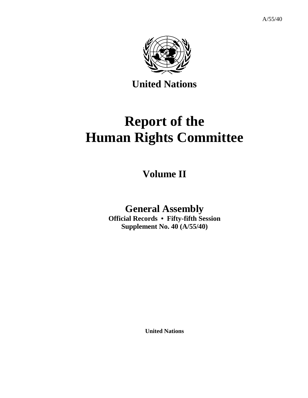

**United Nations**

# **Report of the Human Rights Committee**

**Volume II**

# **General Assembly Official Records • Fifty-fifth Session Supplement No. 40 (A/55/40)**

**United Nations**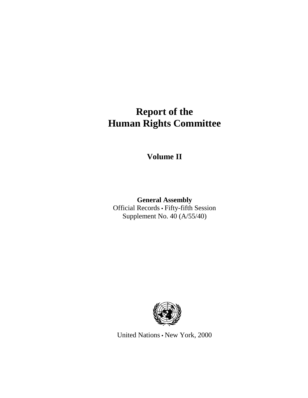# **Report of the Human Rights Committee**

**Volume II**

**General Assembly** Official Records **•** Fifty-fifth Session Supplement No. 40 (A/55/40)



United Nations **•** New York, 2000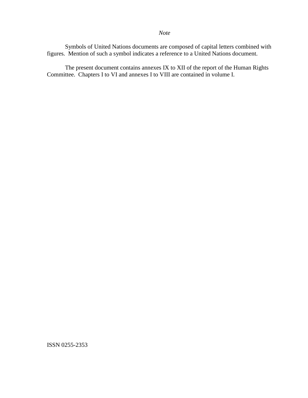*Note*

Symbols of United Nations documents are composed of capital letters combined with figures. Mention of such a symbol indicates a reference to a United Nations document.

The present document contains annexes IX to XII of the report of the Human Rights Committee. Chapters I to VI and annexes I to VIII are contained in volume I.

ISSN 0255-2353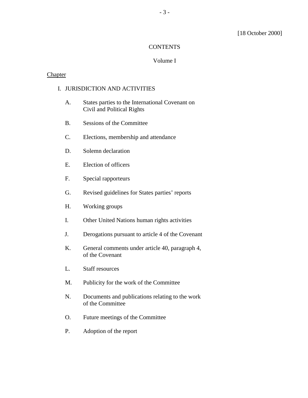# **CONTENTS**

# Volume I

# Chapter

# I. JURISDICTION AND ACTIVITIES

- A. States parties to the International Covenant on Civil and Political Rights
- B. Sessions of the Committee
- C. Elections, membership and attendance
- D. Solemn declaration
- E. Election of officers
- F. Special rapporteurs
- G. Revised guidelines for States parties' reports
- H. Working groups
- I. Other United Nations human rights activities
- J. Derogations pursuant to article 4 of the Covenant
- K. General comments under article 40, paragraph 4, of the Covenant
- L. Staff resources
- M. Publicity for the work of the Committee
- N. Documents and publications relating to the work of the Committee
- O. Future meetings of the Committee
- P. Adoption of the report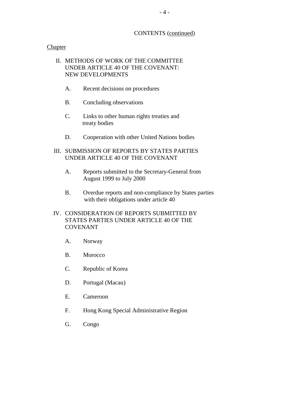### Chapter

# II. METHODS OF WORK OF THE COMMITTEE UNDER ARTICLE 40 OF THE COVENANT: NEW DEVELOPMENTS

- A. Recent decisions on procedures
- B. Concluding observations
- C. Links to other human rights treaties and treaty bodies
- D. Cooperation with other United Nations bodies
- III. SUBMISSION OF REPORTS BY STATES PARTIES UNDER ARTICLE 40 OF THE COVENANT
	- A. Reports submitted to the Secretary-General from August 1999 to July 2000
	- B. Overdue reports and non-compliance by States parties with their obligations under article 40

# IV. CONSIDERATION OF REPORTS SUBMITTED BY STATES PARTIES UNDER ARTICLE 40 OF THE COVENANT

- A. Norway
- B. Morocco
- C. Republic of Korea
- D. Portugal (Macau)
- E. Cameroon
- F. Hong Kong Special Administrative Region
- G. Congo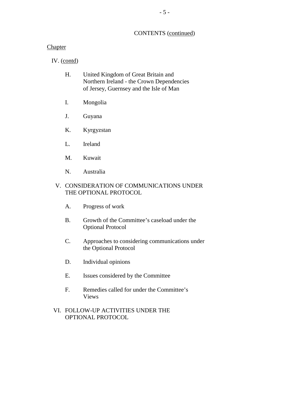### **Chapter**

IV. (contd)

- H. United Kingdom of Great Britain and Northern Ireland - the Crown Dependencies of Jersey, Guernsey and the Isle of Man
- I. Mongolia
- J. Guyana
- K. Kyrgyzstan
- L. Ireland
- M. Kuwait
- N. Australia

# V. CONSIDERATION OF COMMUNICATIONS UNDER THE OPTIONAL PROTOCOL

- A. Progress of work
- B. Growth of the Committee's caseload under the Optional Protocol
- C. Approaches to considering communications under the Optional Protocol
- D. Individual opinions
- E. Issues considered by the Committee
- F. Remedies called for under the Committee's Views
- VI. FOLLOW-UP ACTIVITIES UNDER THE OPTIONAL PROTOCOL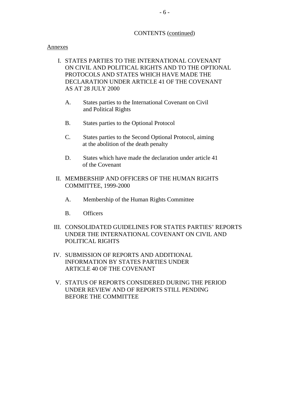#### Annexes

- I. STATES PARTIES TO THE INTERNATIONAL COVENANT ON CIVIL AND POLITICAL RIGHTS AND TO THE OPTIONAL PROTOCOLS AND STATES WHICH HAVE MADE THE DECLARATION UNDER ARTICLE 41 OF THE COVENANT AS AT 28 JULY 2000
	- A. States parties to the International Covenant on Civil and Political Rights
	- B. States parties to the Optional Protocol
	- C. States parties to the Second Optional Protocol, aiming at the abolition of the death penalty
	- D. States which have made the declaration under article 41 of the Covenant
- II. MEMBERSHIP AND OFFICERS OF THE HUMAN RIGHTS COMMITTEE, 1999-2000
	- A. Membership of the Human Rights Committee
	- B. Officers
- III. CONSOLIDATED GUIDELINES FOR STATES PARTIES' REPORTS UNDER THE INTERNATIONAL COVENANT ON CIVIL AND POLITICAL RIGHTS
- IV. SUBMISSION OF REPORTS AND ADDITIONAL INFORMATION BY STATES PARTIES UNDER ARTICLE 40 OF THE COVENANT
- V. STATUS OF REPORTS CONSIDERED DURING THE PERIOD UNDER REVIEW AND OF REPORTS STILL PENDING BEFORE THE COMMITTEE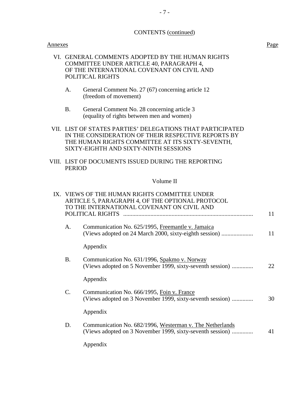#### **Annexes** Page

# VI. GENERAL COMMENTS ADOPTED BY THE HUMAN RIGHTS COMMITTEE UNDER ARTICLE 40, PARAGRAPH 4, OF THE INTERNATIONAL COVENANT ON CIVIL AND POLITICAL RIGHTS

- A. General Comment No. 27 (67) concerning article 12 (freedom of movement)
- B. General Comment No. 28 concerning article 3 (equality of rights between men and women)
- VII. LIST OF STATES PARTIES' DELEGATIONS THAT PARTICIPATED IN THE CONSIDERATION OF THEIR RESPECTIVE REPORTS BY THE HUMAN RIGHTS COMMITTEE AT ITS SIXTY-SEVENTH, SIXTY-EIGHTH AND SIXTY-NINTH SESSIONS
- VIII. LIST OF DOCUMENTS ISSUED DURING THE REPORTING PERIOD

#### Volume II

|                 | IX. VIEWS OF THE HUMAN RIGHTS COMMITTEE UNDER<br>ARTICLE 5, PARAGRAPH 4, OF THE OPTIONAL PROTOCOL<br>TO THE INTERNATIONAL COVENANT ON CIVIL AND<br>POLITICAL RIGHTS | 11 |
|-----------------|---------------------------------------------------------------------------------------------------------------------------------------------------------------------|----|
| A.              | Communication No. 625/1995, Freemantle v. Jamaica<br>(Views adopted on 24 March 2000, sixty-eighth session)                                                         | 11 |
|                 | Appendix                                                                                                                                                            |    |
| <b>B.</b>       | Communication No. 631/1996, Spakmo v. Norway<br>(Views adopted on 5 November 1999, sixty-seventh session)                                                           | 22 |
|                 | Appendix                                                                                                                                                            |    |
| $\mathcal{C}$ . | Communication No. 666/1995, Foin v. France<br>(Views adopted on 3 November 1999, sixty-seventh session)                                                             | 30 |
|                 | Appendix                                                                                                                                                            |    |
| D.              | Communication No. 682/1996, Westerman v. The Netherlands<br>(Views adopted on 3 November 1999, sixty-seventh session)                                               | 41 |
|                 | Appendix                                                                                                                                                            |    |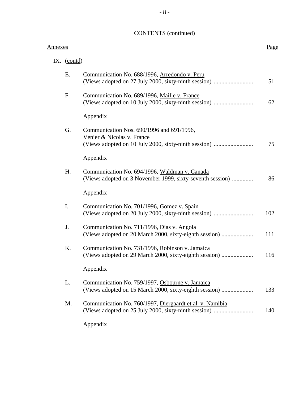| <u>Annexes</u> |               |                                                                                                                                 | <u>Page</u> |
|----------------|---------------|---------------------------------------------------------------------------------------------------------------------------------|-------------|
|                | IX. $(contd)$ |                                                                                                                                 |             |
|                | Ε.            | Communication No. 688/1996, Arredondo v. Peru<br>(Views adopted on 27 July 2000, sixty-ninth session)                           | 51          |
|                | F.            | Communication No. 689/1996, Maille v. France<br>(Views adopted on 10 July 2000, sixty-ninth session)                            | 62          |
|                |               | Appendix                                                                                                                        |             |
|                | G.            | Communication Nos. 690/1996 and 691/1996,<br>Venier & Nicolas v. France<br>(Views adopted on 10 July 2000, sixty-ninth session) | 75          |
|                |               | Appendix                                                                                                                        |             |
|                | Η.            | Communication No. 694/1996, Waldman v. Canada<br>(Views adopted on 3 November 1999, sixty-seventh session)                      | 86          |
|                |               | Appendix                                                                                                                        |             |
|                | I.            | Communication No. 701/1996, Gomez v. Spain<br>(Views adopted on 20 July 2000, sixty-ninth session)                              | 102         |
|                | J.            | Communication No. 711/1996, Dias v. Angola<br>(Views adopted on 20 March 2000, sixty-eighth session)                            | 111         |
|                | K.            | Communication No. 731/1996, Robinson v. Jamaica<br>(Views adopted on 29 March 2000, sixty-eighth session)                       | 116         |
|                |               | Appendix                                                                                                                        |             |
|                | L.            | Communication No. 759/1997, Osbourne v. Jamaica<br>(Views adopted on 15 March 2000, sixty-eighth session)                       | 133         |
|                | M.            | Communication No. 760/1997, Diergaardt et al. v. Namibia<br>(Views adopted on 25 July 2000, sixty-ninth session)                | 140         |
|                |               | Appendix                                                                                                                        |             |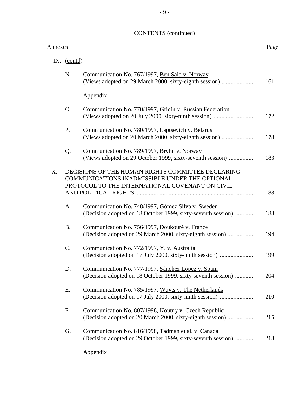| - 9 -            |
|------------------|
|                  |
| FNTS (continued) |

| <u>Annexes</u> |                                                                                                                                                        |                                                                                                                     | Page |
|----------------|--------------------------------------------------------------------------------------------------------------------------------------------------------|---------------------------------------------------------------------------------------------------------------------|------|
|                | IX. $(contd)$                                                                                                                                          |                                                                                                                     |      |
|                | N.                                                                                                                                                     | Communication No. 767/1997, Ben Said v. Norway<br>(Views adopted on 29 March 2000, sixty-eighth session)            | 161  |
|                |                                                                                                                                                        | Appendix                                                                                                            |      |
|                | O.                                                                                                                                                     | Communication No. 770/1997, Gridin v. Russian Federation<br>(Views adopted on 20 July 2000, sixty-ninth session)    | 172  |
|                | P.                                                                                                                                                     | Communication No. 780/1997, Laptsevich v. Belarus<br>(Views adopted on 20 March 2000, sixty-eighth session)         | 178  |
|                | Q.                                                                                                                                                     | Communication No. 789/1997, Bryhn v. Norway<br>(Views adopted on 29 October 1999, sixty-seventh session)            | 183  |
| X.             | DECISIONS OF THE HUMAN RIGHTS COMMITTEE DECLARING<br>COMMUNICATIONS INADMISSIBLE UNDER THE OPTIONAL<br>PROTOCOL TO THE INTERNATIONAL COVENANT ON CIVIL |                                                                                                                     | 188  |
|                | A.                                                                                                                                                     | Communication No. 748/1997, Gómez Silva v. Sweden<br>(Decision adopted on 18 October 1999, sixty-seventh session)   | 188  |
|                | <b>B.</b>                                                                                                                                              | Communication No. 756/1997, Doukouré v. France<br>(Decision adopted on 29 March 2000, sixty-eighth session)         | 194  |
|                | C.                                                                                                                                                     | Communication No. 772/1997, Y. v. Australia<br>(Decision adopted on 17 July 2000, sixty-ninth session)              | 199  |
|                | D.                                                                                                                                                     | Communication No. 777/1997, Sánchez López v. Spain<br>(Decision adopted on 18 October 1999, sixty-seventh session)  | 204  |
|                | Ε.                                                                                                                                                     | Communication No. 785/1997, Wuyts v. The Netherlands                                                                | 210  |
|                | F.                                                                                                                                                     | Communication No. 807/1998, Koutny v. Czech Republic<br>(Decision adopted on 20 March 2000, sixty-eighth session)   | 215  |
|                | G.                                                                                                                                                     | Communication No. 816/1998, Tadman et al. v. Canada<br>(Decision adopted on 29 October 1999, sixty-seventh session) | 218  |
|                |                                                                                                                                                        |                                                                                                                     |      |

Appendix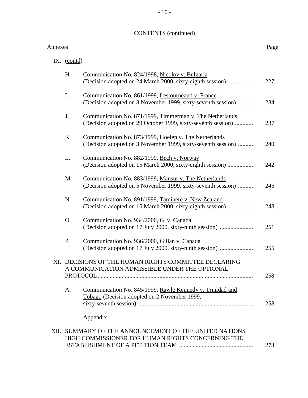|         | <b>CONTENTS</b> (continued) |             |
|---------|-----------------------------|-------------|
| Annexes |                             | <u>Page</u> |

| IX. $(contd)$                                                                                                 |                                                                                                                          |     |
|---------------------------------------------------------------------------------------------------------------|--------------------------------------------------------------------------------------------------------------------------|-----|
| H.                                                                                                            | Communication No. 824/1998, Nicolov v. Bulgaria<br>(Decision adopted on 24 March 2000, sixty-eighth session)             | 227 |
| I.                                                                                                            | Communication No. 861/1999, Lestourneaud v. France<br>(Decision adopted on 3 November 1999, sixty-seventh session)       | 234 |
| J.                                                                                                            | Communication No. 871/1999, Timmerman v. The Netherlands<br>(Decision adopted on 29 October 1999, sixty-seventh session) | 237 |
| K.                                                                                                            | Communication No. 873/1999, Hoelen v. The Netherlands<br>(Decision adopted on 3 November 1999, sixty-seventh session)    | 240 |
| L.                                                                                                            | Communication No. 882/1999, Bech v. Norway<br>(Decision adopted on 15 March 2000, sixty-eighth session)                  | 242 |
| M.                                                                                                            | Communication No. 883/1999, Mansur v. The Netherlands<br>(Decision adopted on 5 November 1999, sixty-seventh session)    | 245 |
| N.                                                                                                            | Communication No. 891/1999, Tamihere v. New Zealand<br>(Decision adopted on 15 March 2000, sixty-eighth session)         | 248 |
| O.                                                                                                            | Communication No. 934/2000, G. v. Canada,<br>(Decision adopted on 17 July 2000, sixty-ninth session)                     | 251 |
| P.                                                                                                            | Communication No. 936/2000, Gillan v. Canada<br>(Decision adopted on 17 July 2000, sixty-ninth session)                  | 255 |
| XI. DECISIONS OF THE HUMAN RIGHTS COMMITTEE DECLARING<br>A COMMUNICATION ADMISSIBLE UNDER THE OPTIONAL<br>258 |                                                                                                                          |     |
| A.                                                                                                            | Communication No. 845/1999, Rawle Kennedy v. Trinidad and<br>Tobago (Decision adopted on 2 November 1999,                | 258 |
|                                                                                                               | Appendix                                                                                                                 |     |
|                                                                                                               | XII. SUMMARY OF THE ANNOUNCEMENT OF THE UNITED NATIONS<br>HIGH COMMISSIONER FOR HUMAN RIGHTS CONCERNING THE              | 273 |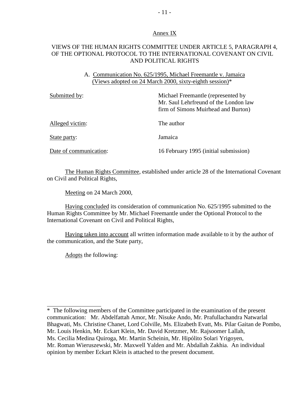# Annex IX

# VIEWS OF THE HUMAN RIGHTS COMMITTEE UNDER ARTICLE 5, PARAGRAPH 4, OF THE OPTIONAL PROTOCOL TO THE INTERNATIONAL COVENANT ON CIVIL AND POLITICAL RIGHTS

A. Communication No. 625/1995, Michael Freemantle v. Jamaica (Views adopted on 24 March 2000, sixty-eighth session)\*

| Submitted by:          | Michael Freemantle (represented by<br>Mr. Saul Lehrfreund of the London law<br>firm of Simons Muirhead and Burton) |
|------------------------|--------------------------------------------------------------------------------------------------------------------|
| Alleged victim:        | The author                                                                                                         |
| State party:           | Jamaica                                                                                                            |
| Date of communication: | 16 February 1995 (initial submission)                                                                              |

The Human Rights Committee, established under article 28 of the International Covenant on Civil and Political Rights,

Meeting on 24 March 2000,

Having concluded its consideration of communication No. 625/1995 submitted to the Human Rights Committee by Mr. Michael Freemantle under the Optional Protocol to the International Covenant on Civil and Political Rights,

Having taken into account all written information made available to it by the author of the communication, and the State party,

Adopts the following:

 $\overline{a}$ 

<sup>\*</sup> The following members of the Committee participated in the examination of the present communication: Mr. Abdelfattah Amor, Mr. Nisuke Ando, Mr. Prafullachandra Natwarlal Bhagwati, Ms. Christine Chanet, Lord Colville, Ms. Elizabeth Evatt, Ms. Pilar Gaitan de Pombo, Mr. Louis Henkin, Mr. Eckart Klein, Mr. David Kretzmer, Mr. Rajsoomer Lallah, Ms. Cecilia Medina Quiroga, Mr. Martin Scheinin, Mr. Hipólito Solari Yrigoyen, Mr. Roman Wieruszewski, Mr. Maxwell Yalden and Mr. Abdallah Zakhia. An individual opinion by member Eckart Klein is attached to the present document.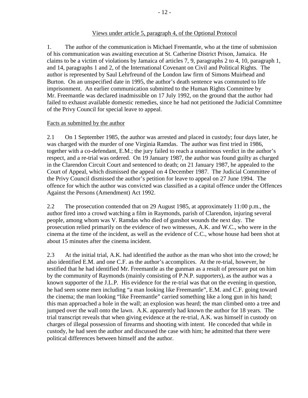# Views under article 5, paragraph 4, of the Optional Protocol

1. The author of the communication is Michael Freemantle, who at the time of submission of his communication was awaiting execution at St. Catherine District Prison, Jamaica. He claims to be a victim of violations by Jamaica of articles 7, 9, paragraphs 2 to 4, 10, paragraph 1, and 14, paragraphs 1 and 2, of the International Covenant on Civil and Political Rights. The author is represented by Saul Lehrfreund of the London law firm of Simons Muirhead and Burton. On an unspecified date in 1995, the author's death sentence was commuted to life imprisonment. An earlier communication submitted to the Human Rights Committee by Mr. Freemantle was declared inadmissible on 17 July 1992, on the ground that the author had failed to exhaust available domestic remedies, since he had not petitioned the Judicial Committee of the Privy Council for special leave to appeal.

# Facts as submitted by the author

2.1 On 1 September 1985, the author was arrested and placed in custody; four days later, he was charged with the murder of one Virginia Ramdas. The author was first tried in 1986, together with a co-defendant, E.M.; the jury failed to reach a unanimous verdict in the author's respect, and a re-trial was ordered. On 19 January 1987, the author was found guilty as charged in the Clarendon Circuit Court and sentenced to death; on 21 January 1987, he appealed to the Court of Appeal, which dismissed the appeal on 4 December 1987. The Judicial Committee of the Privy Council dismissed the author's petition for leave to appeal on 27 June 1994. The offence for which the author was convicted was classified as a capital offence under the Offences Against the Persons (Amendment) Act 1992.

2.2 The prosecution contended that on 29 August 1985, at approximately 11:00 p.m., the author fired into a crowd watching a film in Raymonds, parish of Clarendon, injuring several people, among whom was V. Ramdas who died of gunshot wounds the next day. The prosecution relied primarily on the evidence of two witnesses, A.K. and W.C., who were in the cinema at the time of the incident, as well as the evidence of C.C., whose house had been shot at about 15 minutes after the cinema incident.

2.3 At the initial trial, A.K. had identified the author as the man who shot into the crowd; he also identified E.M. and one C.F. as the author's accomplices. At the re-trial, however, he testified that he had identified Mr. Freemantle as the gunman as a result of pressure put on him by the community of Raymonds (mainly consisting of P.N.P. supporters), as the author was a known supporter of the J.L.P. His evidence for the re-trial was that on the evening in question, he had seen some men including "a man looking like Freemantle", E.M. and C.F. going toward the cinema; the man looking "like Freemantle" carried something like a long gun in his hand; this man approached a hole in the wall; an explosion was heard; the man climbed onto a tree and jumped over the wall onto the lawn. A.K. apparently had known the author for 18 years. The trial transcript reveals that when giving evidence at the re-trial, A.K. was himself in custody on charges of illegal possession of firearms and shooting with intent. He conceded that while in custody, he had seen the author and discussed the case with him; he admitted that there were political differences between himself and the author.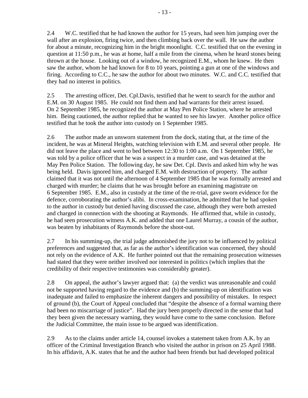they had no interest in politics. 2.5 The arresting officer, Det. Cpl.Davis, testified that he went to search for the author and E.M. on 30 August 1985. He could not find them and had warrants for their arrest issued. On 2 September 1985, he recognized the author at May Pen Police Station, where he arrested him. Being cautioned, the author replied that he wanted to see his lawyer. Another police office testified that he took the author into custody on 1 September 1985.

firing. According to C.C., he saw the author for about two minutes. W.C. and C.C. testified that

2.6 The author made an unsworn statement from the dock, stating that, at the time of the incident, he was at Mineral Heights, watching television with E.M. and several other people. He did not leave the place and went to bed between 12:30 to 1:00 a.m. On 1 September 1985, he was told by a police officer that he was a suspect in a murder case, and was detained at the May Pen Police Station. The following day, he saw Det. Cpl. Davis and asked him why he was being held. Davis ignored him, and charged E.M. with destruction of property. The author claimed that it was not until the afternoon of 4 September 1985 that he was formally arrested and charged with murder; he claims that he was brought before an examining magistrate on 6 September 1985. E.M., also in custody at the time of the re-trial, gave sworn evidence for the defence, corroborating the author's alibi. In cross-examination, he admitted that he had spoken to the author in custody but denied having discussed the case, although they were both arrested and charged in connection with the shooting at Raymonds. He affirmed that, while in custody, he had seen prosecution witness A.K. and added that one Laurel Murray, a cousin of the author, was beaten by inhabitants of Raymonds before the shoot-out.

2.7 In his summing-up, the trial judge admonished the jury not to be influenced by political preferences and suggested that, as far as the author's identification was concerned, they should not rely on the evidence of A.K. He further pointed out that the remaining prosecution witnesses had stated that they were neither involved nor interested in politics (which implies that the credibility of their respective testimonies was considerably greater).

2.8 On appeal, the author's lawyer argued that: (a) the verdict was unreasonable and could not be supported having regard to the evidence and (b) the summing-up on identification was inadequate and failed to emphasize the inherent dangers and possibility of mistakes. In respect of ground (b), the Court of Appeal concluded that "despite the absence of a formal warning there had been no miscarriage of justice". Had the jury been properly directed in the sense that had they been given the necessary warning, they would have come to the same conclusion. Before the Judicial Committee, the main issue to be argued was identification.

2.9 As to the claims under article 14, counsel invokes a statement taken from A.K. by an officer of the Criminal Investigation Branch who visited the author in prison on 25 April 1988. In his affidavit, A.K. states that he and the author had been friends but had developed political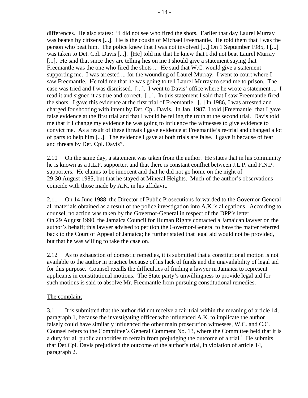differences. He also states: "I did not see who fired the shots. Earlier that day Laurel Murray was beaten by citizens [...]. He is the cousin of Michael Freemantle. He told them that I was the person who beat him. The police knew that I was not involved [...] On 1 September 1985, I [...] was taken to Det. Cpl. Davis [...]. [He] told me that he knew that I did not beat Laurel Murray [...]. He said that since they are telling lies on me I should give a statement saying that Freemantle was the one who fired the shots ... He said that W.C. would give a statement supporting me. I was arrested ... for the wounding of Laurel Murray. I went to court where I saw Freemantle. He told me that he was going to tell Laurel Murray to send me to prison. The case was tried and I was dismissed. [...]. I went to Davis' office where he wrote a statement ... I read it and signed it as true and correct. [...]. In this statement I said that I saw Freemantle fired the shots. I gave this evidence at the first trial of Freemantle. [..] In 1986, I was arrested and charged for shooting with intent by Det. Cpl. Davis. In Jan. 1987, I told [Freemantle] that I gave false evidence at the first trial and that I would be telling the truth at the second trial. Davis told me that if I change my evidence he was going to influence the witnesses to give evidence to convict me. As a result of these threats I gave evidence at Freemantle's re-trial and changed a lot of parts to help him [...]. The evidence I gave at both trials are false. I gave it because of fear and threats by Det. Cpl. Davis".

2.10 On the same day, a statement was taken from the author. He states that in his community he is known as a J.L.P. supporter, and that there is constant conflict between J.L.P. and P.N.P. supporters. He claims to be innocent and that he did not go home on the night of 29-30 August 1985, but that he stayed at Mineral Heights. Much of the author's observations coincide with those made by A.K. in his affidavit.

2.11 On 14 June 1988, the Director of Public Prosecutions forwarded to the Governor-General all materials obtained as a result of the police investigation into A.K.'s allegations. According to counsel, no action was taken by the Governor-General in respect of the DPP's letter. On 29 August 1990, the Jamaica Council for Human Rights contacted a Jamaican lawyer on the author's behalf; this lawyer advised to petition the Governor-General to have the matter referred back to the Court of Appeal of Jamaica; he further stated that legal aid would not be provided, but that he was willing to take the case on.

2.12 As to exhaustion of domestic remedies, it is submitted that a constitutional motion is not available to the author in practice because of his lack of funds and the unavailability of legal aid for this purpose. Counsel recalls the difficulties of finding a lawyer in Jamaica to represent applicants in constitutional motions. The State party's unwillingness to provide legal aid for such motions is said to absolve Mr. Freemantle from pursuing constitutional remedies.

# The complaint

3.1 It is submitted that the author did not receive a fair trial within the meaning of article 14, paragraph 1, because the investigating officer who influenced A.K. to implicate the author falsely could have similarly influenced the other main prosecution witnesses, W.C. and C.C. Counsel refers to the Committee's General Comment No. 13, where the Committee held that it is a duty for all public authorities to refrain from prejudging the outcome of a trial.<sup>1</sup> He submits that Det.Cpl. Davis prejudiced the outcome of the author's trial, in violation of article 14, paragraph 2.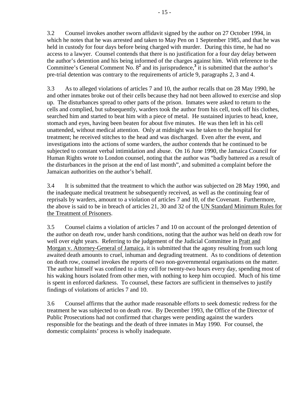3.2 Counsel invokes another sworn affidavit signed by the author on 27 October 1994, in which he notes that he was arrested and taken to May Pen on 1 September 1985, and that he was held in custody for four days before being charged with murder. During this time, he had no access to a lawyer. Counsel contends that there is no justification for a four day delay between the author's detention and his being informed of the charges against him. With reference to the Committee's General Comment No.  $8^2$  and its jurisprudence,<sup>3</sup> it is submitted that the author's pre-trial detention was contrary to the requirements of article 9, paragraphs 2, 3 and 4.

3.3 As to alleged violations of articles 7 and 10, the author recalls that on 28 May 1990, he and other inmates broke out of their cells because they had not been allowed to exercise and slop up. The disturbances spread to other parts of the prison. Inmates were asked to return to the cells and complied, but subsequently, warders took the author from his cell, took off his clothes, searched him and started to beat him with a piece of metal. He sustained injuries to head, knee, stomach and eyes, having been beaten for about five minutes. He was then left in his cell unattended, without medical attention. Only at midnight was he taken to the hospital for treatment; he received stitches to the head and was discharged. Even after the event, and investigations into the actions of some warders, the author contends that he continued to be subjected to constant verbal intimidation and abuse. On 16 June 1990, the Jamaica Council for Human Rights wrote to London counsel, noting that the author was "badly battered as a result of the disturbances in the prison at the end of last month", and submitted a complaint before the Jamaican authorities on the author's behalf.

3.4 It is submitted that the treatment to which the author was subjected on 28 May 1990, and the inadequate medical treatment he subsequently received, as well as the continuing fear of reprisals by warders, amount to a violation of articles 7 and 10, of the Covenant. Furthermore, the above is said to be in breach of articles 21, 30 and 32 of the UN Standard Minimum Rules for the Treatment of Prisoners.

3.5 Counsel claims a violation of articles 7 and 10 on account of the prolonged detention of the author on death row, under harsh conditions, noting that the author was held on death row for well over eight years. Referring to the judgement of the Judicial Committee in Pratt and Morgan v. Attorney-General of Jamaica, it is submitted that the agony resulting from such long awaited death amounts to cruel, inhuman and degrading treatment. As to conditions of detention on death row, counsel invokes the reports of two non-governmental organisations on the matter. The author himself was confined to a tiny cell for twenty-two hours every day, spending most of his waking hours isolated from other men, with nothing to keep him occupied. Much of his time is spent in enforced darkness. To counsel, these factors are sufficient in themselves to justify findings of violations of articles 7 and 10.

3.6 Counsel affirms that the author made reasonable efforts to seek domestic redress for the treatment he was subjected to on death row. By December 1993, the Office of the Director of Public Prosecutions had not confirmed that charges were pending against the warders responsible for the beatings and the death of three inmates in May 1990. For counsel, the domestic complaints' process is wholly inadequate.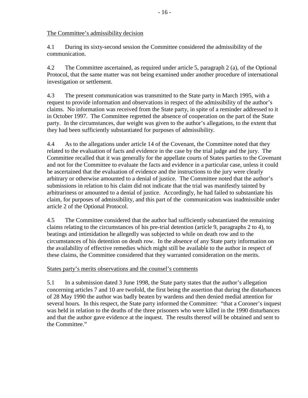# The Committee's admissibility decision

4.1 During its sixty-second session the Committee considered the admissibility of the communication.

4.2 The Committee ascertained, as required under article 5, paragraph 2 (a), of the Optional Protocol, that the same matter was not being examined under another procedure of international investigation or settlement.

4.3 The present communication was transmitted to the State party in March 1995, with a request to provide information and observations in respect of the admissibility of the author's claims. No information was received from the State party, in spite of a reminder addressed to it in October 1997. The Committee regretted the absence of cooperation on the part of the State party. In the circumstances, due weight was given to the author's allegations, to the extent that they had been sufficiently substantiated for purposes of admissibility.

4.4 As to the allegations under article 14 of the Covenant, the Committee noted that they related to the evaluation of facts and evidence in the case by the trial judge and the jury. The Committee recalled that it was generally for the appellate courts of States parties to the Covenant and not for the Committee to evaluate the facts and evidence in a particular case, unless it could be ascertained that the evaluation of evidence and the instructions to the jury were clearly arbitrary or otherwise amounted to a denial of justice. The Committee noted that the author's submissions in relation to his claim did not indicate that the trial was manifestly tainted by arbitrariness or amounted to a denial of justice. Accordingly, he had failed to substantiate his claim, for purposes of admissibility, and this part of the communication was inadmissible under article 2 of the Optional Protocol.

4.5 The Committee considered that the author had sufficiently substantiated the remaining claims relating to the circumstances of his pre-trial detention (article 9, paragraphs 2 to 4), to beatings and intimidation he allegedly was subjected to while on death row and to the circumstances of his detention on death row. In the absence of any State party information on the availability of effective remedies which might still be available to the author in respect of these claims, the Committee considered that they warranted consideration on the merits.

# States party's merits observations and the counsel's comments

5.1 In a submission dated 3 June 1998, the State party states that the author's allegation concerning articles 7 and 10 are twofold, the first being the assertion that during the disturbances of 28 May 1990 the author was badly beaten by wardens and then denied medial attention for several hours. In this respect, the State party informed the Committee: "that a Coroner's inquest was held in relation to the deaths of the three prisoners who were killed in the 1990 disturbances and that the author gave evidence at the inquest. The results thereof will be obtained and sent to the Committee."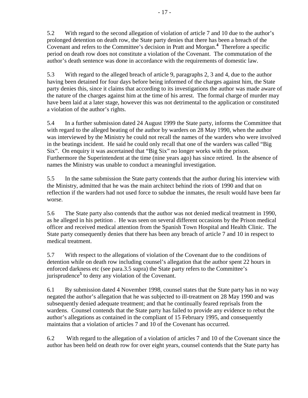5.2 With regard to the second allegation of violation of article 7 and 10 due to the author's prolonged detention on death row, the State party denies that there has been a breach of the Covenant and refers to the Committee's decision in Pratt and Morgan.**<sup>4</sup>** Therefore a specific period on death row does not constitute a violation of the Covenant. The commutation of the author's death sentence was done in accordance with the requirements of domestic law.

5.3 With regard to the alleged breach of article 9, paragraphs 2, 3 and 4, due to the author having been detained for four days before being informed of the charges against him, the State party denies this, since it claims that according to its investigations the author was made aware of the nature of the charges against him at the time of his arrest. The formal charge of murder may have been laid at a later stage, however this was not detrimental to the application or constituted a violation of the author's rights.

5.4 In a further submission dated 24 August 1999 the State party, informs the Committee that with regard to the alleged beating of the author by warders on 28 May 1990, when the author was interviewed by the Ministry he could not recall the names of the warders who were involved in the beatings incident. He said he could only recall that one of the warders was called "Big Six". On enquiry it was ascertained that "Big Six" no longer works with the prison. Furthermore the Superintendent at the time (nine years ago) has since retired. In the absence of names the Ministry was unable to conduct a meaningful investigation.

5.5 In the same submission the State party contends that the author during his interview with the Ministry, admitted that he was the main architect behind the riots of 1990 and that on reflection if the warders had not used force to subdue the inmates, the result would have been far worse.

5.6 The State party also contends that the author was not denied medical treatment in 1990, as he alleged in his petition . He was seen on several different occasions by the Prison medical officer and received medical attention from the Spanish Town Hospital and Health Clinic. The State party consequently denies that there has been any breach of article 7 and 10 in respect to medical treatment.

5.7 With respect to the allegations of violation of the Covenant due to the conditions of detention while on death row including counsel's allegation that the author spent 22 hours in enforced darkness etc (see para.3.5 supra) the State party refers to the Committee's jurisprudence**<sup>5</sup>** to deny any violation of the Covenant.

6.1 By submission dated 4 November 1998, counsel states that the State party has in no way negated the author's allegation that he was subjected to ill-treatment on 28 May 1990 and was subsequently denied adequate treatment; and that he continually feared reprisals from the wardens. Counsel contends that the State party has failed to provide any evidence to rebut the author's allegations as contained in the compliant of 15 February 1995, and consequently maintains that a violation of articles 7 and 10 of the Covenant has occurred.

6.2 With regard to the allegation of a violation of articles 7 and 10 of the Covenant since the author has been held on death row for over eight years, counsel contends that the State party has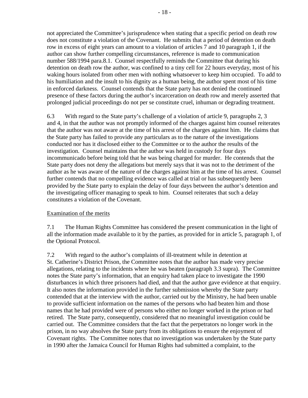not appreciated the Committee's jurisprudence when stating that a specific period on death row does not constitute a violation of the Covenant. He submits that a period of detention on death row in excess of eight years can amount to a violation of articles 7 and 10 paragraph 1, if the author can show further compelling circumstances, reference is made to communication number 588/1994 para.8.1. Counsel respectfully reminds the Committee that during his detention on death row the author, was confined to a tiny cell for 22 hours everyday, most of his waking hours isolated from other men with nothing whatsoever to keep him occupied. To add to his humiliation and the insult to his dignity as a human being, the author spent most of his time in enforced darkness. Counsel contends that the State party has not denied the continued presence of these factors during the author's incarceration on death row and merely asserted that prolonged judicial proceedings do not per se constitute cruel, inhuman or degrading treatment.

6.3 With regard to the State party's challenge of a violation of article 9, paragraphs 2, 3 and 4, in that the author was not promptly informed of the charges against him counsel reiterates that the author was not aware at the time of his arrest of the charges against him. He claims that the State party has failed to provide any particulars as to the nature of the investigations conducted nor has it disclosed either to the Committee or to the author the results of the investigation. Counsel maintains that the author was held in custody for four days incommunicado before being told that he was being charged for murder. He contends that the State party does not deny the allegations but merely says that it was not to the detriment of the author as he was aware of the nature of the charges against him at the time of his arrest. Counsel further contends that no compelling evidence was called at trial or has subsequently been provided by the State party to explain the delay of four days between the author's detention and the investigating officer managing to speak to him. Counsel reiterates that such a delay constitutes a violation of the Covenant.

# Examination of the merits

7.1 The Human Rights Committee has considered the present communication in the light of all the information made available to it by the parties, as provided for in article 5, paragraph 1, of the Optional Protocol.

7.2 With regard to the author's complaints of ill-treatment while in detention at St. Catherine's District Prison, the Committee notes that the author has made very precise allegations, relating to the incidents where he was beaten (paragraph 3.3 supra). The Committee notes the State party's information, that an enquiry had taken place to investigate the 1990 disturbances in which three prisoners had died, and that the author gave evidence at that enquiry. It also notes the information provided in the further submission whereby the State party contended that at the interview with the author, carried out by the Ministry, he had been unable to provide sufficient information on the names of the persons who had beaten him and those names that he had provided were of persons who either no longer worked in the prison or had retired. The State party, consequently, considered that no meaningful investigation could be carried out. The Committee considers that the fact that the perpetrators no longer work in the prison, in no way absolves the State party from its obligations to ensure the enjoyment of Covenant rights. The Committee notes that no investigation was undertaken by the State party in 1990 after the Jamaica Council for Human Rights had submitted a complaint, to the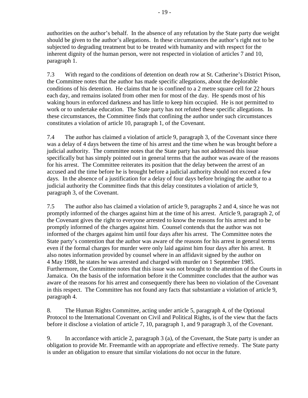authorities on the author's behalf. In the absence of any refutation by the State party due weight should be given to the author's allegations. In these circumstances the author's right not to be subjected to degrading treatment but to be treated with humanity and with respect for the inherent dignity of the human person, were not respected in violation of articles 7 and 10, paragraph 1.

7.3 With regard to the conditions of detention on death row at St. Catherine's District Prison, the Committee notes that the author has made specific allegations, about the deplorable conditions of his detention. He claims that he is confined to a 2 metre square cell for 22 hours each day, and remains isolated from other men for most of the day. He spends most of his waking hours in enforced darkness and has little to keep him occupied. He is not permitted to work or to undertake education. The State party has not refuted these specific allegations. In these circumstances, the Committee finds that confining the author under such circumstances constitutes a violation of article 10, paragraph 1, of the Covenant.

7.4 The author has claimed a violation of article 9, paragraph 3, of the Covenant since there was a delay of 4 days between the time of his arrest and the time when he was brought before a judicial authority. The committee notes that the State party has not addressed this issue specifically but has simply pointed out in general terms that the author was aware of the reasons for his arrest. The Committee reiterates its position that the delay between the arrest of an accused and the time before he is brought before a judicial authority should not exceed a few days. In the absence of a justification for a delay of four days before bringing the author to a judicial authority the Committee finds that this delay constitutes a violation of article 9, paragraph 3, of the Covenant.

7.5 The author also has claimed a violation of article 9, paragraphs 2 and 4, since he was not promptly informed of the charges against him at the time of his arrest. Article 9, paragraph 2, of the Covenant gives the right to everyone arrested to know the reasons for his arrest and to be promptly informed of the charges against him. Counsel contends that the author was not informed of the charges against him until four days after his arrest. The Committee notes the State party's contention that the author was aware of the reasons for his arrest in general terms even if the formal charges for murder were only laid against him four days after his arrest. It also notes information provided by counsel where in an affidavit signed by the author on 4 May 1988, he states he was arrested and charged with murder on 1 September 1985. Furthermore, the Committee notes that this issue was not brought to the attention of the Courts in Jamaica. On the basis of the information before it the Committee concludes that the author was aware of the reasons for his arrest and consequently there has been no violation of the Covenant in this respect. The Committee has not found any facts that substantiate a violation of article 9, paragraph 4.

8. The Human Rights Committee, acting under article 5, paragraph 4, of the Optional Protocol to the International Covenant on Civil and Political Rights, is of the view that the facts before it disclose a violation of article 7, 10, paragraph 1, and 9 paragraph 3, of the Covenant.

9. In accordance with article 2, paragraph 3 (a), of the Covenant, the State party is under an obligation to provide Mr. Freemantle with an appropriate and effective remedy. The State party is under an obligation to ensure that similar violations do not occur in the future.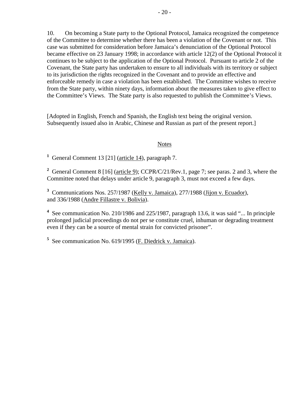10. On becoming a State party to the Optional Protocol, Jamaica recognized the competence of the Committee to determine whether there has been a violation of the Covenant or not. This case was submitted for consideration before Jamaica's denunciation of the Optional Protocol became effective on 23 January 1998; in accordance with article 12(2) of the Optional Protocol it continues to be subject to the application of the Optional Protocol. Pursuant to article 2 of the Covenant, the State party has undertaken to ensure to all individuals with its territory or subject to its jurisdiction the rights recognized in the Covenant and to provide an effective and enforceable remedy in case a violation has been established. The Committee wishes to receive from the State party, within ninety days, information about the measures taken to give effect to the Committee's Views. The State party is also requested to publish the Committee's Views.

[Adopted in English, French and Spanish, the English text being the original version. Subsequently issued also in Arabic, Chinese and Russian as part of the present report.]

# **Notes**

**1** General Comment 13 [21] (article 14), paragraph 7.

<sup>2</sup> General Comment 8 [16] (article 9); CCPR/C/21/Rev.1, page 7; see paras. 2 and 3, where the Committee noted that delays under article 9, paragraph 3, must not exceed a few days.

<sup>3</sup> Communications Nos. 257/1987 (Kelly v. Jamaica), 277/1988 (Jijon v. Ecuador), and 336/1988 (Andre Fillastre v. Bolivia).

**4** See communication No. 210/1986 and 225/1987, paragraph 13.6, it was said "... In principle prolonged judicial proceedings do not per se constitute cruel, inhuman or degrading treatment even if they can be a source of mental strain for convicted prisoner".

<sup>5</sup> See communication No. 619/1995 (F. Diedrick v. Jamaica).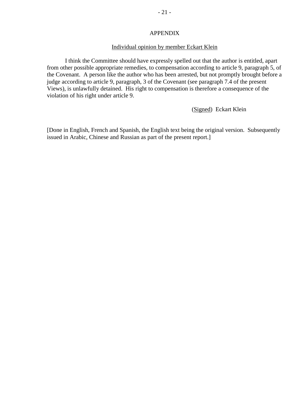# APPENDIX

#### Individual opinion by member Eckart Klein

I think the Committee should have expressly spelled out that the author is entitled, apart from other possible appropriate remedies, to compensation according to article 9, paragraph 5, of the Covenant. A person like the author who has been arrested, but not promptly brought before a judge according to article 9, paragraph, 3 of the Covenant (see paragraph 7.4 of the present Views), is unlawfully detained. His right to compensation is therefore a consequence of the violation of his right under article 9.

(Signed) Eckart Klein

[Done in English, French and Spanish, the English text being the original version. Subsequently issued in Arabic, Chinese and Russian as part of the present report.]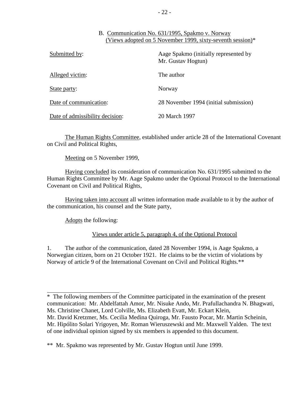### B. Communication No. 631/1995, Spakmo v. Norway (Views adopted on 5 November 1999, sixty-seventh session)\*

| Submitted by:                   | Aage Spakmo (initially represented by<br>Mr. Gustav Hogtun) |
|---------------------------------|-------------------------------------------------------------|
| Alleged victim:                 | The author                                                  |
| State party:                    | Norway                                                      |
| Date of communication:          | 28 November 1994 (initial submission)                       |
| Date of admissibility decision: | 20 March 1997                                               |

The Human Rights Committee, established under article 28 of the International Covenant on Civil and Political Rights,

Meeting on 5 November 1999,

Having concluded its consideration of communication No. 631/1995 submitted to the Human Rights Committee by Mr. Aage Spakmo under the Optional Protocol to the International Covenant on Civil and Political Rights,

Having taken into account all written information made available to it by the author of the communication, his counsel and the State party,

Adopts the following:

 $\overline{a}$ 

Views under article 5, paragraph 4, of the Optional Protocol

1. The author of the communication, dated 28 November 1994, is Aage Spakmo, a Norwegian citizen, born on 21 October 1921. He claims to be the victim of violations by Norway of article 9 of the International Covenant on Civil and Political Rights.\*\*

<sup>\*</sup> The following members of the Committee participated in the examination of the present communication: Mr. Abdelfattah Amor, Mr. Nisuke Ando, Mr. Prafullachandra N. Bhagwati, Ms. Christine Chanet, Lord Colville, Ms. Elizabeth Evatt, Mr. Eckart Klein, Mr. David Kretzmer, Ms. Cecilia Medina Quiroga, Mr. Fausto Pocar, Mr. Martin Scheinin, Mr. Hipólito Solari Yrigoyen, Mr. Roman Wieruszewski and Mr. Maxwell Yalden. The text of one individual opinion signed by six members is appended to this document.

<sup>\*\*</sup> Mr. Spakmo was represented by Mr. Gustav Hogtun until June 1999.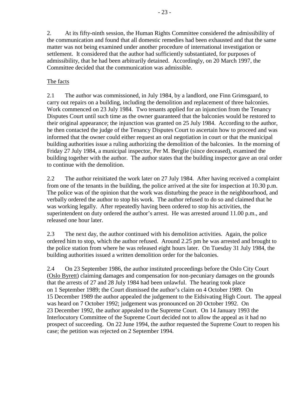2. At its fifty-ninth session, the Human Rights Committee considered the admissibility of the communication and found that all domestic remedies had been exhausted and that the same matter was not being examined under another procedure of international investigation or settlement. It considered that the author had sufficiently substantiated, for purposes of admissibility, that he had been arbitrarily detained. Accordingly, on 20 March 1997, the Committee decided that the communication was admissible.

# The facts

2.1 The author was commissioned, in July 1984, by a landlord, one Finn Grimsgaard, to carry out repairs on a building, including the demolition and replacement of three balconies. Work commenced on 23 July 1984. Two tenants applied for an injunction from the Tenancy Disputes Court until such time as the owner guaranteed that the balconies would be restored to their original appearance; the injunction was granted on 25 July 1984. According to the author, he then contacted the judge of the Tenancy Disputes Court to ascertain how to proceed and was informed that the owner could either request an oral negotiation in court or that the municipal building authorities issue a ruling authorizing the demolition of the balconies. In the morning of Friday 27 July 1984, a municipal inspector, Per M. Berglie (since deceased), examined the building together with the author. The author states that the building inspector gave an oral order to continue with the demolition.

2.2 The author reinitiated the work later on 27 July 1984. After having received a complaint from one of the tenants in the building, the police arrived at the site for inspection at 10.30 p.m. The police was of the opinion that the work was disturbing the peace in the neighbourhood, and verbally ordered the author to stop his work. The author refused to do so and claimed that he was working legally. After repeatedly having been ordered to stop his activities, the superintendent on duty ordered the author's arrest. He was arrested around 11.00 p.m., and released one hour later.

2.3 The next day, the author continued with his demolition activities. Again, the police ordered him to stop, which the author refused. Around 2.25 pm he was arrested and brought to the police station from where he was released eight hours later. On Tuesday 31 July 1984, the building authorities issued a written demolition order for the balconies.

2.4 On 23 September 1986, the author instituted proceedings before the Oslo City Court (Oslo Byrett) claiming damages and compensation for non-pecuniary damages on the grounds that the arrests of 27 and 28 July 1984 had been unlawful. The hearing took place on 1 September 1989; the Court dismissed the author's claim on 4 October 1989. On 15 December 1989 the author appealed the judgement to the Eidsivating High Court. The appeal was heard on 7 October 1992; judgement was pronounced on 20 October 1992. On 23 December 1992, the author appealed to the Supreme Court. On 14 January 1993 the Interlocutory Committee of the Supreme Court decided not to allow the appeal as it had no prospect of succeeding. On 22 June 1994, the author requested the Supreme Court to reopen his case; the petition was rejected on 2 September 1994.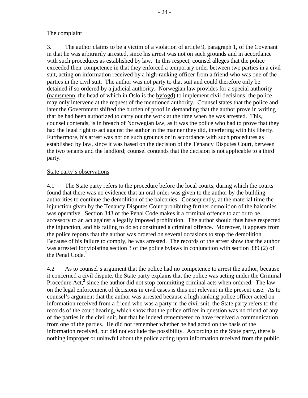# The complaint

3. The author claims to be a victim of a violation of article 9, paragraph 1, of the Covenant in that he was arbitrarily arrested, since his arrest was not on such grounds and in accordance with such procedures as established by law. In this respect, counsel alleges that the police exceeded their competence in that they enforced a temporary order between two parties in a civil suit, acting on information received by a high-ranking officer from a friend who was one of the parties in the civil suit. The author was not party to that suit and could therefore only be detained if so ordered by a judicial authority. Norwegian law provides for a special authority (namsmenn, the head of which in Oslo is the byfogd) to implement civil decisions; the police may only intervene at the request of the mentioned authority. Counsel states that the police and later the Government shifted the burden of proof in demanding that the author prove in writing that he had been authorized to carry out the work at the time when he was arrested. This, counsel contends, is in breach of Norwegian law, as it was the police who had to prove that they had the legal right to act against the author in the manner they did, interfering with his liberty. Furthermore, his arrest was not on such grounds or in accordance with such procedures as established by law, since it was based on the decision of the Tenancy Disputes Court, between the two tenants and the landlord; counsel contends that the decision is not applicable to a third party.

#### State party's observations

4.1 The State party refers to the procedure before the local courts, during which the courts found that there was no evidence that an oral order was given to the author by the building authorities to continue the demolition of the balconies. Consequently, at the material time the injunction given by the Tenancy Disputes Court prohibiting further demolition of the balconies was operative. Section 343 of the Penal Code makes it a criminal offence to act or to be accessory to an act against a legally imposed prohibition. The author should thus have respected the injunction, and his failing to do so constituted a criminal offence. Moreover, it appears from the police reports that the author was ordered on several occasions to stop the demolition. Because of his failure to comply, he was arrested. The records of the arrest show that the author was arrested for violating section 3 of the police bylaws in conjunction with section 339 (2) of the Penal Code.**<sup>1</sup>**

4.2 As to counsel's argument that the police had no competence to arrest the author, because it concerned a civil dispute, the State party explains that the police was acting under the Criminal Procedure Act,<sup>2</sup> since the author did not stop committing criminal acts when ordered. The law on the legal enforcement of decisions in civil cases is thus not relevant in the present case. As to counsel's argument that the author was arrested because a high ranking police officer acted on information received from a friend who was a party in the civil suit, the State party refers to the records of the court hearing, which show that the police officer in question was no friend of any of the parties in the civil suit, but that he indeed remembered to have received a communication from one of the parties. He did not remember whether he had acted on the basis of the information received, but did not exclude the possibility. According to the State party, there is nothing improper or unlawful about the police acting upon information received from the public.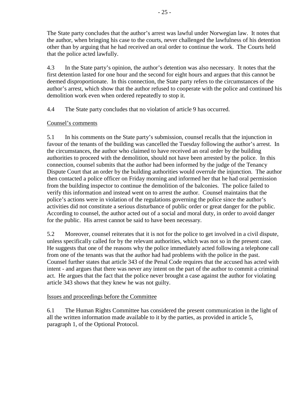The State party concludes that the author's arrest was lawful under Norwegian law. It notes that the author, when bringing his case to the courts, never challenged the lawfulness of his detention other than by arguing that he had received an oral order to continue the work. The Courts held that the police acted lawfully.

4.3 In the State party's opinion, the author's detention was also necessary. It notes that the first detention lasted for one hour and the second for eight hours and argues that this cannot be deemed disproportionate. In this connection, the State party refers to the circumstances of the author's arrest, which show that the author refused to cooperate with the police and continued his demolition work even when ordered repeatedly to stop it.

4.4 The State party concludes that no violation of article 9 has occurred.

# Counsel's comments

5.1 In his comments on the State party's submission, counsel recalls that the injunction in favour of the tenants of the building was cancelled the Tuesday following the author's arrest. In the circumstances, the author who claimed to have received an oral order by the building authorities to proceed with the demolition, should not have been arrested by the police. In this connection, counsel submits that the author had been informed by the judge of the Tenancy Dispute Court that an order by the building authorities would overrule the injunction. The author then contacted a police officer on Friday morning and informed her that he had oral permission from the building inspector to continue the demolition of the balconies. The police failed to verify this information and instead went on to arrest the author. Counsel maintains that the police's actions were in violation of the regulations governing the police since the author's activities did not constitute a serious disturbance of public order or great danger for the public. According to counsel, the author acted out of a social and moral duty, in order to avoid danger for the public. His arrest cannot be said to have been necessary.

5.2 Moreover, counsel reiterates that it is not for the police to get involved in a civil dispute, unless specifically called for by the relevant authorities, which was not so in the present case. He suggests that one of the reasons why the police immediately acted following a telephone call from one of the tenants was that the author had had problems with the police in the past. Counsel further states that article 343 of the Penal Code requires that the accused has acted with intent - and argues that there was never any intent on the part of the author to commit a criminal act. He argues that the fact that the police never brought a case against the author for violating article 343 shows that they knew he was not guilty.

# Issues and proceedings before the Committee

6.1 The Human Rights Committee has considered the present communication in the light of all the written information made available to it by the parties, as provided in article 5, paragraph 1, of the Optional Protocol.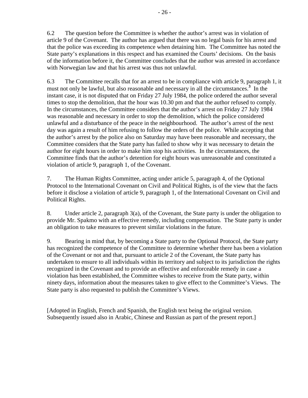6.2 The question before the Committee is whether the author's arrest was in violation of article 9 of the Covenant. The author has argued that there was no legal basis for his arrest and that the police was exceeding its competence when detaining him. The Committee has noted the State party's explanations in this respect and has examined the Courts' decisions. On the basis of the information before it, the Committee concludes that the author was arrested in accordance with Norwegian law and that his arrest was thus not unlawful.

6.3 The Committee recalls that for an arrest to be in compliance with article 9, paragraph 1, it must not only be lawful, but also reasonable and necessary in all the circumstances.<sup>3</sup> In the instant case, it is not disputed that on Friday 27 July 1984, the police ordered the author several times to stop the demolition, that the hour was 10.30 pm and that the author refused to comply. In the circumstances, the Committee considers that the author's arrest on Friday 27 July 1984 was reasonable and necessary in order to stop the demolition, which the police considered unlawful and a disturbance of the peace in the neighbourhood. The author's arrest of the next day was again a result of him refusing to follow the orders of the police. While accepting that the author's arrest by the police also on Saturday may have been reasonable and necessary, the Committee considers that the State party has failed to show why it was necessary to detain the author for eight hours in order to make him stop his activities. In the circumstances, the Committee finds that the author's detention for eight hours was unreasonable and constituted a violation of article 9, paragraph 1, of the Covenant.

7. The Human Rights Committee, acting under article 5, paragraph 4, of the Optional Protocol to the International Covenant on Civil and Political Rights, is of the view that the facts before it disclose a violation of article 9, paragraph 1, of the International Covenant on Civil and Political Rights.

8. Under article 2, paragraph 3(a), of the Covenant, the State party is under the obligation to provide Mr. Spakmo with an effective remedy, including compensation. The State party is under an obligation to take measures to prevent similar violations in the future.

9. Bearing in mind that, by becoming a State party to the Optional Protocol, the State party has recognized the competence of the Committee to determine whether there has been a violation of the Covenant or not and that, pursuant to article 2 of the Covenant, the State party has undertaken to ensure to all individuals within its territory and subject to its jurisdiction the rights recognized in the Covenant and to provide an effective and enforceable remedy in case a violation has been established, the Committee wishes to receive from the State party, within ninety days, information about the measures taken to give effect to the Committee's Views. The State party is also requested to publish the Committee's Views.

[Adopted in English, French and Spanish, the English text being the original version. Subsequently issued also in Arabic, Chinese and Russian as part of the present report.]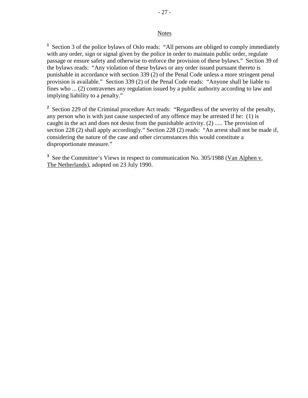#### Notes

<sup>1</sup> Section 3 of the police bylaws of Oslo reads: "All persons are obliged to comply immediately with any order, sign or signal given by the police in order to maintain public order, regulate passage or ensure safety and otherwise to enforce the provision of these bylaws." Section 39 of the bylaws reads: "Any violation of these bylaws or any order issued pursuant thereto is punishable in accordance with section 339 (2) of the Penal Code unless a more stringent penal provision is available." Section 339 (2) of the Penal Code reads: "Anyone shall be liable to fines who ... (2) contravenes any regulation issued by a public authority according to law and implying liability to a penalty."

<sup>2</sup> Section 229 of the Criminal procedure Act reads: "Regardless of the severity of the penalty, any person who is with just cause suspected of any offence may be arrested if he: (1) is caught in the act and does not desist from the punishable activity. (2) ..... The provision of section 228 (2) shall apply accordingly." Section 228 (2) reads: "An arrest shall not be made if, considering the nature of the case and other circumstances this would constitute a disproportionate measure."

<sup>3</sup> See the Committee's Views in respect to communication No. 305/1988 (Van Alphen v. The Netherlands), adopted on 23 July 1990.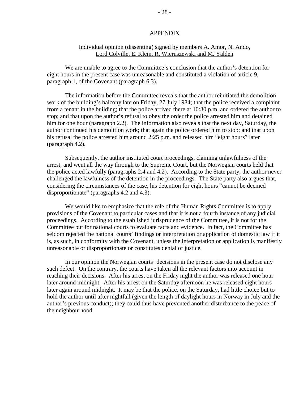# APPENDIX

### Individual opinion (dissenting) signed by members A. Amor, N. Ando, Lord Colville, E. Klein, R. Wieruszewski and M. Yalden

We are unable to agree to the Committee's conclusion that the author's detention for eight hours in the present case was unreasonable and constituted a violation of article 9, paragraph 1, of the Covenant (paragraph 6.3).

The information before the Committee reveals that the author reinitiated the demolition work of the building's balcony late on Friday, 27 July 1984; that the police received a complaint from a tenant in the building; that the police arrived there at 10:30 p.m. and ordered the author to stop; and that upon the author's refusal to obey the order the police arrested him and detained him for one hour (paragraph 2.2). The information also reveals that the next day, Saturday, the author continued his demolition work; that again the police ordered him to stop; and that upon his refusal the police arrested him around 2:25 p.m. and released him "eight hours" later (paragraph 4.2).

Subsequently, the author instituted court proceedings, claiming unlawfulness of the arrest, and went all the way through to the Supreme Court, but the Norwegian courts held that the police acted lawfully (paragraphs 2.4 and 4.2). According to the State party, the author never challenged the lawfulness of the detention in the proceedings. The State party also argues that, considering the circumstances of the case, his detention for eight hours "cannot be deemed disproportionate" (paragraphs 4.2 and 4.3).

We would like to emphasize that the role of the Human Rights Committee is to apply provisions of the Covenant to particular cases and that it is not a fourth instance of any judicial proceedings. According to the established jurisprudence of the Committee, it is not for the Committee but for national courts to evaluate facts and evidence. In fact, the Committee has seldom rejected the national courts' findings or interpretation or application of domestic law if it is, as such, in conformity with the Covenant, unless the interpretation or application is manifestly unreasonable or disproportionate or constitutes denial of justice.

In our opinion the Norwegian courts' decisions in the present case do not disclose any such defect. On the contrary, the courts have taken all the relevant factors into account in reaching their decisions. After his arrest on the Friday night the author was released one hour later around midnight. After his arrest on the Saturday afternoon he was released eight hours later again around midnight. It may be that the police, on the Saturday, had little choice but to hold the author until after nightfall (given the length of daylight hours in Norway in July and the author's previous conduct); they could thus have prevented another disturbance to the peace of the neighbourhood.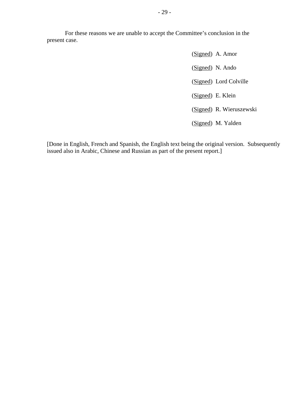For these reasons we are unable to accept the Committee's conclusion in the present case.

> (Signed) A. Amor (Signed) N. Ando (Signed) Lord Colville (Signed) E. Klein (Signed) R. Wieruszewski (Signed) M. Yalden

[Done in English, French and Spanish, the English text being the original version. Subsequently issued also in Arabic, Chinese and Russian as part of the present report.]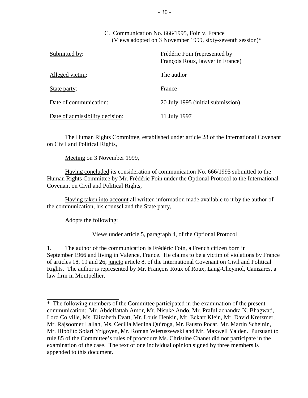# C. Communication No. 666/1995, Foin v. France (Views adopted on 3 November 1999, sixty-seventh session)\*

| Submitted by:                   | Frédéric Foin (represented by<br>François Roux, lawyer in France) |
|---------------------------------|-------------------------------------------------------------------|
| Alleged victim:                 | The author                                                        |
| State party:                    | France                                                            |
| Date of communication:          | 20 July 1995 (initial submission)                                 |
| Date of admissibility decision: | 11 July 1997                                                      |

The Human Rights Committee, established under article 28 of the International Covenant on Civil and Political Rights,

Meeting on 3 November 1999,

Having concluded its consideration of communication No. 666/1995 submitted to the Human Rights Committee by Mr. Frédéric Foin under the Optional Protocol to the International Covenant on Civil and Political Rights,

Having taken into account all written information made available to it by the author of the communication, his counsel and the State party,

Adopts the following:

 $\overline{a}$ 

Views under article 5, paragraph 4, of the Optional Protocol

1. The author of the communication is Frédéric Foin, a French citizen born in September 1966 and living in Valence, France. He claims to be a victim of violations by France of articles 18, 19 and 26, juncto article 8, of the International Covenant on Civil and Political Rights. The author is represented by Mr. François Roux of Roux, Lang-Cheymol, Canizares, a law firm in Montpellier.

<sup>\*</sup> The following members of the Committee participated in the examination of the present communication: Mr. Abdelfattah Amor, Mr. Nisuke Ando, Mr. Prafullachandra N. Bhagwati, Lord Colville, Ms. Elizabeth Evatt, Mr. Louis Henkin, Mr. Eckart Klein, Mr. David Kretzmer, Mr. Rajsoomer Lallah, Ms. Cecilia Medina Quiroga, Mr. Fausto Pocar, Mr. Martin Scheinin, Mr. Hipólito Solari Yrigoyen, Mr. Roman Wieruszewski and Mr. Maxwell Yalden. Pursuant to rule 85 of the Committee's rules of procedure Ms. Christine Chanet did not participate in the examination of the case. The text of one individual opinion signed by three members is appended to this document.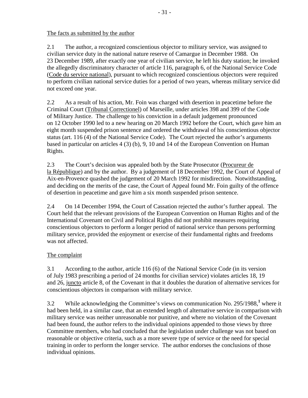# The facts as submitted by the author

2.1 The author, a recognized conscientious objector to military service, was assigned to civilian service duty in the national nature reserve of Camargue in December 1988. On 23 December 1989, after exactly one year of civilian service, he left his duty station; he invoked the allegedly discriminatory character of article 116, paragraph 6, of the National Service Code (Code du service national), pursuant to which recognized conscientious objectors were required to perform civilian national service duties for a period of two years, whereas military service did not exceed one year.

2.2 As a result of his action, Mr. Foin was charged with desertion in peacetime before the Criminal Court (Tribunal Correctionel) of Marseille, under articles 398 and 399 of the Code of Military Justice. The challenge to his conviction in a default judgement pronounced on 12 October 1990 led to a new hearing on 20 March 1992 before the Court, which gave him an eight month suspended prison sentence and ordered the withdrawal of his conscientious objector status (art. 116 (4) of the National Service Code). The Court rejected the author's arguments based in particular on articles 4 (3) (b), 9, 10 and 14 of the European Convention on Human Rights.

2.3 The Court's decision was appealed both by the State Prosecutor (Procureur de la République) and by the author. By a judgement of 18 December 1992, the Court of Appeal of Aix-en-Provence quashed the judgement of 20 March 1992 for misdirection. Notwithstanding, and deciding on the merits of the case, the Court of Appeal found Mr. Foin guilty of the offence of desertion in peacetime and gave him a six month suspended prison sentence.

2.4 On 14 December 1994, the Court of Cassation rejected the author's further appeal. The Court held that the relevant provisions of the European Convention on Human Rights and of the International Covenant on Civil and Political Rights did not prohibit measures requiring conscientious objectors to perform a longer period of national service than persons performing military service, provided the enjoyment or exercise of their fundamental rights and freedoms was not affected.

# The complaint

3.1 According to the author, article 116 (6) of the National Service Code (in its version of July 1983 prescribing a period of 24 months for civilian service) violates articles 18, 19 and 26, juncto article 8, of the Covenant in that it doubles the duration of alternative services for conscientious objectors in comparison with military service.

3.2 While acknowledging the Committee's views on communication No. 295/1988,**<sup>1</sup>** where it had been held, in a similar case, that an extended length of alternative service in comparison with military service was neither unreasonable nor punitive, and where no violation of the Covenant had been found, the author refers to the individual opinions appended to those views by three Committee members, who had concluded that the legislation under challenge was not based on reasonable or objective criteria, such as a more severe type of service or the need for special training in order to perform the longer service. The author endorses the conclusions of those individual opinions.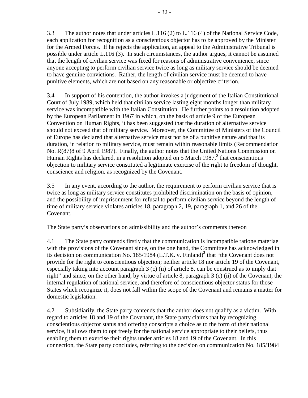3.3 The author notes that under articles L.116 (2) to L.116 (4) of the National Service Code, each application for recognition as a conscientious objector has to be approved by the Minister for the Armed Forces. If he rejects the application, an appeal to the Administrative Tribunal is possible under article L.116 (3). In such circumstances, the author argues, it cannot be assumed that the length of civilian service was fixed for reasons of administrative convenience, since anyone accepting to perform civilian service twice as long as military service should be deemed to have genuine convictions. Rather, the length of civilian service must be deemed to have punitive elements, which are not based on any reasonable or objective criterion.

3.4 In support of his contention, the author invokes a judgement of the Italian Constitutional Court of July 1989, which held that civilian service lasting eight months longer than military service was incompatible with the Italian Constitution. He further points to a resolution adopted by the European Parliament in 1967 in which, on the basis of article 9 of the European Convention on Human Rights, it has been suggested that the duration of alternative service should not exceed that of military service. Moreover, the Committee of Ministers of the Council of Europe has declared that alternative service must not be of a punitive nature and that its duration, in relation to military service, must remain within reasonable limits (Recommendation No. R(87)8 of 9 April 1987). Finally, the author notes that the United Nations Commission on Human Rights has declared, in a resolution adopted on 5 March 1987,<sup>2</sup> that conscientious objection to military service constituted a legitimate exercise of the right to freedom of thought, conscience and religion, as recognized by the Covenant.

3.5 In any event, according to the author, the requirement to perform civilian service that is twice as long as military service constitutes prohibited discrimination on the basis of opinion, and the possibility of imprisonment for refusal to perform civilian service beyond the length of time of military service violates articles 18, paragraph 2, 19, paragraph 1, and 26 of the Covenant.

# The State party's observations on admissibility and the author's comments thereon

4.1 The State party contends firstly that the communication is incompatible ratione materiae with the provisions of the Covenant since, on the one hand, the Committee has acknowledged in its decision on communication No. 185/1984 (L.T.K. v. Finland)**<sup>3</sup>** that "the Covenant does not provide for the right to conscientious objection; neither article 18 nor article 19 of the Covenant, especially taking into account paragraph 3 (c) (ii) of article 8, can be construed as to imply that right" and since, on the other hand, by virtue of article 8, paragraph 3 (c) (ii) of the Covenant, the internal regulation of national service, and therefore of conscientious objector status for those States which recognize it, does not fall within the scope of the Covenant and remains a matter for domestic legislation.

4.2 Subsidiarily, the State party contends that the author does not qualify as a victim. With regard to articles 18 and 19 of the Covenant, the State party claims that by recognizing conscientious objector status and offering conscripts a choice as to the form of their national service, it allows them to opt freely for the national service appropriate to their beliefs, thus enabling them to exercise their rights under articles 18 and 19 of the Covenant. In this connection, the State party concludes, referring to the decision on communication No. 185/1984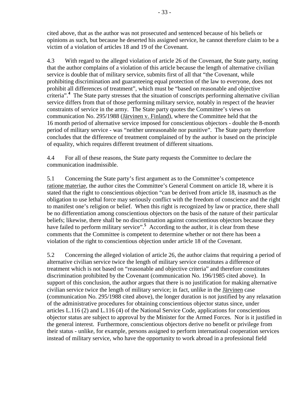cited above, that as the author was not prosecuted and sentenced because of his beliefs or opinions as such, but because he deserted his assigned service, he cannot therefore claim to be a victim of a violation of articles 18 and 19 of the Covenant.

4.3 With regard to the alleged violation of article 26 of the Covenant, the State party, noting that the author complains of a violation of this article because the length of alternative civilian service is double that of military service, submits first of all that "the Covenant, while prohibiting discrimination and guaranteeing equal protection of the law to everyone, does not prohibit all differences of treatment", which must be "based on reasonable and objective criteria".<sup>4</sup> The State party stresses that the situation of conscripts performing alternative civilian service differs from that of those performing military service, notably in respect of the heavier constraints of service in the army. The State party quotes the Committee's views on communication No. 295/1988 (Järvinen v. Finland), where the Committee held that the 16 month period of alternative service imposed for conscientious objectors - double the 8-month period of military service - was "neither unreasonable nor punitive". The State party therefore concludes that the difference of treatment complained of by the author is based on the principle of equality, which requires different treatment of different situations.

4.4 For all of these reasons, the State party requests the Committee to declare the communication inadmissible.

5.1 Concerning the State party's first argument as to the Committee's competence ratione materiae, the author cites the Committee's General Comment on article 18, where it is stated that the right to conscientious objection "can be derived from article 18, inasmuch as the obligation to use lethal force may seriously conflict with the freedom of conscience and the right to manifest one's religion or belief. When this right is recognized by law or practice, there shall be no differentiation among conscientious objectors on the basis of the nature of their particular beliefs; likewise, there shall be no discrimination against conscientious objectors because they have failed to perform military service".<sup>5</sup> According to the author, it is clear from these comments that the Committee is competent to determine whether or not there has been a violation of the right to conscientious objection under article 18 of the Covenant.

5.2 Concerning the alleged violation of article 26, the author claims that requiring a period of alternative civilian service twice the length of military service constitutes a difference of treatment which is not based on "reasonable and objective criteria" and therefore constitutes discrimination prohibited by the Covenant (communication No. 196/1985 cited above). In support of this conclusion, the author argues that there is no justification for making alternative civilian service twice the length of military service; in fact, unlike in the Järvinen case (communication No. 295/1988 cited above), the longer duration is not justified by any relaxation of the administrative procedures for obtaining conscientious objector status since, under articles L.116 (2) and L.116 (4) of the National Service Code, applications for conscientious objector status are subject to approval by the Minister for the Armed Forces. Nor is it justified in the general interest. Furthermore, conscientious objectors derive no benefit or privilege from their status - unlike, for example, persons assigned to perform international cooperation services instead of military service, who have the opportunity to work abroad in a professional field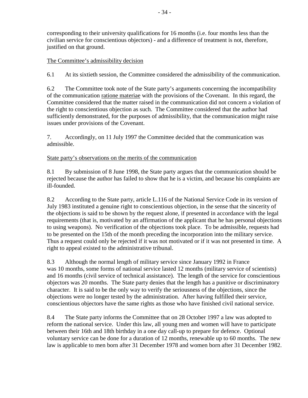corresponding to their university qualifications for 16 months (i.e. four months less than the civilian service for conscientious objectors) - and a difference of treatment is not, therefore, justified on that ground.

# The Committee's admissibility decision

6.1 At its sixtieth session, the Committee considered the admissibility of the communication.

6.2 The Committee took note of the State party's arguments concerning the incompatibility of the communication ratione materiae with the provisions of the Covenant. In this regard, the Committee considered that the matter raised in the communication did not concern a violation of the right to conscientious objection as such. The Committee considered that the author had sufficiently demonstrated, for the purposes of admissibility, that the communication might raise issues under provisions of the Covenant.

7. Accordingly, on 11 July 1997 the Committee decided that the communication was admissible.

# State party's observations on the merits of the communication

8.1 By submission of 8 June 1998, the State party argues that the communication should be rejected because the author has failed to show that he is a victim, and because his complaints are ill-founded.

8.2 According to the State party, article L.116 of the National Service Code in its version of July 1983 instituted a genuine right to conscientious objection, in the sense that the sincerity of the objections is said to be shown by the request alone, if presented in accordance with the legal requirements (that is, motivated by an affirmation of the applicant that he has personal objections to using weapons). No verification of the objections took place. To be admissible, requests had to be presented on the 15th of the month preceding the incorporation into the military service. Thus a request could only be rejected if it was not motivated or if it was not presented in time. A right to appeal existed to the administrative tribunal.

8.3 Although the normal length of military service since January 1992 in France was 10 months, some forms of national service lasted 12 months (military service of scientists) and 16 months (civil service of technical assistance). The length of the service for conscientious objectors was 20 months. The State party denies that the length has a punitive or discriminatory character. It is said to be the only way to verify the seriousness of the objections, since the objections were no longer tested by the administration. After having fulfilled their service, conscientious objectors have the same rights as those who have finished civil national service.

8.4 The State party informs the Committee that on 28 October 1997 a law was adopted to reform the national service. Under this law, all young men and women will have to participate between their 16th and 18th birthday in a one day call-up to prepare for defence. Optional voluntary service can be done for a duration of 12 months, renewable up to 60 months. The new law is applicable to men born after 31 December 1978 and women born after 31 December 1982.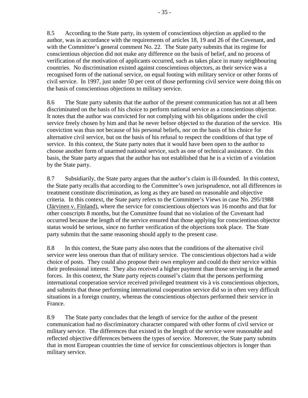8.5 According to the State party, its system of conscientious objection as applied to the author, was in accordance with the requirements of articles 18, 19 and 26 of the Covenant, and with the Committee's general comment No. 22. The State party submits that its regime for conscientious objection did not make any difference on the basis of belief, and no process of verification of the motivation of applicants occurred, such as takes place in many neighbouring countries. No discrimination existed against conscientious objectors, as their service was a recognised form of the national service, on equal footing with military service or other forms of civil service. In 1997, just under 50 per cent of those performing civil service were doing this on the basis of conscientious objections to military service.

8.6 The State party submits that the author of the present communication has not at all been discriminated on the basis of his choice to perform national service as a conscientious objector. It notes that the author was convicted for not complying with his obligations under the civil service freely chosen by him and that he never before objected to the duration of the service. His conviction was thus not because of his personal beliefs, nor on the basis of his choice for alternative civil service, but on the basis of his refusal to respect the conditions of that type of service. In this context, the State party notes that it would have been open to the author to choose another form of unarmed national service, such as one of technical assistance. On this basis, the State party argues that the author has not established that he is a victim of a violation by the State party.

8.7 Subsidiarily, the State party argues that the author's claim is ill-founded. In this context, the State party recalls that according to the Committee's own jurisprudence, not all differences in treatment constitute discrimination, as long as they are based on reasonable and objective criteria. In this context, the State party refers to the Committee's Views in case No. 295/1988 (Järvinen v. Finland), where the service for conscientious objectors was 16 months and that for other conscripts 8 months, but the Committee found that no violation of the Covenant had occurred because the length of the service ensured that those applying for conscientious objector status would be serious, since no further verification of the objections took place. The State party submits that the same reasoning should apply to the present case.

8.8 In this context, the State party also notes that the conditions of the alternative civil service were less onerous than that of military service. The conscientious objectors had a wide choice of posts. They could also propose their own employer and could do their service within their professional interest. They also received a higher payment than those serving in the armed forces. In this context, the State party rejects counsel's claim that the persons performing international cooperation service received privileged treatment vis à vis conscientious objectors, and submits that those performing international cooperation service did so in often very difficult situations in a foreign country, whereas the conscientious objectors performed their service in France.

8.9 The State party concludes that the length of service for the author of the present communication had no discriminatory character compared with other forms of civil service or military service. The differences that existed in the length of the service were reasonable and reflected objective differences between the types of service. Moreover, the State party submits that in most European countries the time of service for conscientious objectors is longer than military service.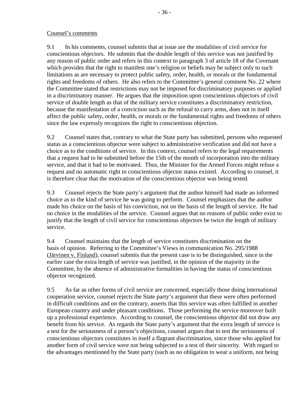### Counsel's comments

9.1 In his comments, counsel submits that at issue are the modalities of civil service for conscientious objectors. He submits that the double length of this service was not justified by any reason of public order and refers in this context to paragraph 3 of article 18 of the Covenant which provides that the right to manifest one's religion or beliefs may be subject only to such limitations as are necessary to protect public safety, order, health, or morals or the fundamental rights and freedoms of others. He also refers to the Committee's general comment No. 22 where the Committee stated that restrictions may not be imposed for discriminatory purposes or applied in a discriminatory manner. He argues that the imposition upon conscientious objectors of civil service of double length as that of the military service constitutes a discriminatory restriction, because the manifestation of a conviction such as the refusal to carry arms, does not in itself affect the public safety, order, health, or morals or the fundamental rights and freedoms of others since the law expressly recognizes the right to conscientious objection.

9.2 Counsel states that, contrary to what the State party has submitted, persons who requested status as a conscientious objector were subject to administrative verification and did not have a choice as to the conditions of service. In this context, counsel refers to the legal requirements that a request had to be submitted before the 15th of the month of incorporation into the military service, and that it had to be motivated. Thus, the Minister for the Armed Forces might refuse a request and no automatic right to conscientious objector status existed. According to counsel, it is therefore clear that the motivation of the conscientious objector was being tested.

9.3 Counsel rejects the State party's argument that the author himself had made an informed choice as to the kind of service he was going to perform. Counsel emphasizes that the author made his choice on the basis of his conviction, not on the basis of the length of service. He had no choice in the modalities of the service. Counsel argues that no reasons of public order exist to justify that the length of civil service for conscientious objectors be twice the length of military service.

9.4 Counsel maintains that the length of service constitutes discrimination on the basis of opinion. Referring to the Committee's Views in communication No. 295/1988 (Järvinen v. Finland), counsel submits that the present case is to be distinguished, since in the earlier case the extra length of service was justified, in the opinion of the majority in the Committee, by the absence of administrative formalities in having the status of conscientious objector recognized.

9.5 As far as other forms of civil service are concerned, especially those doing international cooperation service, counsel rejects the State party's argument that these were often performed in difficult conditions and on the contrary, asserts that this service was often fulfilled in another European country and under pleasant conditions. Those performing the service moreover built up a professional experience. According to counsel, the conscientious objector did not draw any benefit from his service. As regards the State party's argument that the extra length of service is a test for the seriousness of a person's objections, counsel argues that to test the seriousness of conscientious objectors constitutes in itself a flagrant discrimination, since those who applied for another form of civil service were not being subjected to a test of their sincerity. With regard to the advantages mentioned by the State party (such as no obligation to wear a uniform, not being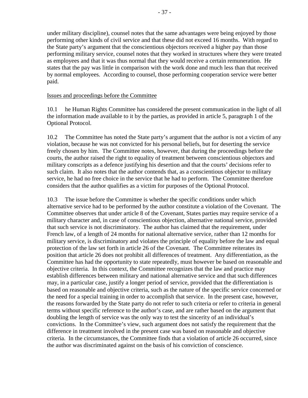under military discipline), counsel notes that the same advantages were being enjoyed by those performing other kinds of civil service and that these did not exceed 16 months. With regard to the State party's argument that the conscientious objectors received a higher pay than those performing military service, counsel notes that they worked in structures where they were treated as employees and that it was thus normal that they would receive a certain remuneration. He states that the pay was little in comparison with the work done and much less than that received by normal employees. According to counsel, those performing cooperation service were better paid.

#### Issues and proceedings before the Committee

10.1 he Human Rights Committee has considered the present communication in the light of all the information made available to it by the parties, as provided in article 5, paragraph 1 of the Optional Protocol.

10.2 The Committee has noted the State party's argument that the author is not a victim of any violation, because he was not convicted for his personal beliefs, but for deserting the service freely chosen by him. The Committee notes, however, that during the proceedings before the courts, the author raised the right to equality of treatment between conscientious objectors and military conscripts as a defence justifying his desertion and that the courts' decisions refer to such claim. It also notes that the author contends that, as a conscientious objector to military service, he had no free choice in the service that he had to perform. The Committee therefore considers that the author qualifies as a victim for purposes of the Optional Protocol.

10.3 The issue before the Committee is whether the specific conditions under which alternative service had to be performed by the author constitute a violation of the Covenant. The Committee observes that under article 8 of the Covenant, States parties may require service of a military character and, in case of conscientious objection, alternative national service, provided that such service is not discriminatory. The author has claimed that the requirement, under French law, of a length of 24 months for national alternative service, rather than 12 months for military service, is discriminatory and violates the principle of equality before the law and equal protection of the law set forth in article 26 of the Covenant. The Committee reiterates its position that article 26 does not prohibit all differences of treatment. Any differentiation, as the Committee has had the opportunity to state repeatedly, must however be based on reasonable and objective criteria. In this context, the Committee recognizes that the law and practice may establish differences between military and national alternative service and that such differences may, in a particular case, justify a longer period of service, provided that the differentiation is based on reasonable and objective criteria, such as the nature of the specific service concerned or the need for a special training in order to accomplish that service. In the present case, however, the reasons forwarded by the State party do not refer to such criteria or refer to criteria in general terms without specific reference to the author's case, and are rather based on the argument that doubling the length of service was the only way to test the sincerity of an individual's convictions. In the Committee's view, such argument does not satisfy the requirement that the difference in treatment involved in the present case was based on reasonable and objective criteria. In the circumstances, the Committee finds that a violation of article 26 occurred, since the author was discriminated against on the basis of his conviction of conscience.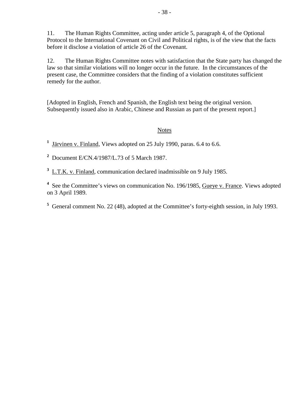11. The Human Rights Committee, acting under article 5, paragraph 4, of the Optional Protocol to the International Covenant on Civil and Political rights, is of the view that the facts before it disclose a violation of article 26 of the Covenant.

12. The Human Rights Committee notes with satisfaction that the State party has changed the law so that similar violations will no longer occur in the future. In the circumstances of the present case, the Committee considers that the finding of a violation constitutes sufficient remedy for the author.

[Adopted in English, French and Spanish, the English text being the original version. Subsequently issued also in Arabic, Chinese and Russian as part of the present report.]

### Notes

<sup>1</sup> Järvinen v. Finland, Views adopted on 25 July 1990, paras. 6.4 to 6.6.

**2** Document E/CN.4/1987/L.73 of 5 March 1987.

<sup>3</sup> L.T.K. v. Finland, communication declared inadmissible on 9 July 1985.

<sup>4</sup> See the Committee's views on communication No. 196/1985, Gueye v. France. Views adopted on 3 April 1989.

<sup>5</sup> General comment No. 22 (48), adopted at the Committee's forty-eighth session, in July 1993.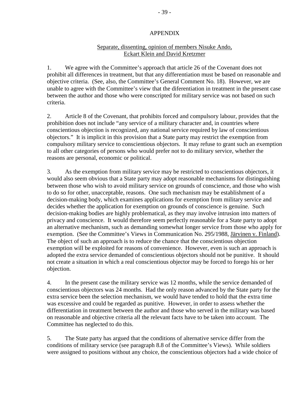#### APPENDIX

### Separate, dissenting, opinion of members Nisuke Ando, Eckart Klein and David Kretzmer

1. We agree with the Committee's approach that article 26 of the Covenant does not prohibit all differences in treatment, but that any differentiation must be based on reasonable and objective criteria. (See, also, the Committee's General Comment No. 18). However, we are unable to agree with the Committee's view that the diferentiation in treatment in the present case between the author and those who were conscripted for military service was not based on such criteria.

2. Article 8 of the Covenant, that prohibits forced and compulsory labour, provides that the prohibition does not include "any service of a military character and, in countries where conscientious objection is recognized, any national service required by law of conscientious objectors." It is implicit in this provision that a State party may restrict the exemption from compulsory military service to conscientious objectors. It may refuse to grant such an exemption to all other categories of persons who would prefer not to do military service, whether the reasons are personal, economic or political.

3. As the exemption from military service may be restricted to conscientious objectors, it would also seem obvious that a State party may adopt reasonable mechanisms for distinguishing between those who wish to avoid military service on grounds of conscience, and those who wish to do so for other, unacceptable, reasons. One such mechanism may be establishment of a decision-making body, which examines applications for exemption from military service and decides whether the application for exemption on grounds of conscience is genuine. Such decision-making bodies are highly problematical, as they may involve intrusion into matters of privacy and conscience. It would therefore seem perfectly reasonable for a State party to adopt an alternative mechanism, such as demanding somewhat longer service from those who apply for exemption. (See the Committee's Views in Communication No. 295/1988, Järvinen v. Finland). The object of such an approach is to reduce the chance that the conscientious objection exemption will be exploited for reasons of convenience. However, even is such an approach is adopted the extra service demanded of conscientious objectors should not be punitive. It should not create a situation in which a real conscientious objector may be forced to forego his or her objection.

4. In the present case the military service was 12 months, while the service demanded of conscientious objectors was 24 months. Had the only reason advanced by the State party for the extra service been the selection mechanism, we would have tended to hold that the extra time was excessive and could be regarded as punitive. However, in order to assess whether the differentiation in treatment between the author and those who served in the military was based on reasonable and objective criteria all the relevant facts have to be taken into account. The Committee has neglected to do this.

5. The State party has argued that the conditions of alternative service differ from the conditions of military service (see paragraph 8.8 of the Committee's Views). While soldiers were assigned to positions without any choice, the conscientious objectors had a wide choice of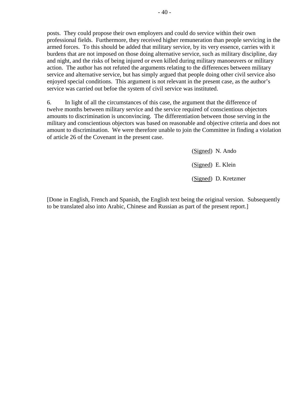posts. They could propose their own employers and could do service within their own professional fields. Furthermore, they received higher remuneration than people servicing in the armed forces. To this should be added that military service, by its very essence, carries with it burdens that are not imposed on those doing alternative service, such as military discipline, day and night, and the risks of being injured or even killed during military manoeuvers or military action. The author has not refuted the arguments relating to the differences between military service and alternative service, but has simply argued that people doing other civil service also enjoyed special conditions. This argument is not relevant in the present case, as the author's service was carried out befoe the system of civil service was instituted.

6. In light of all the circumstances of this case, the argument that the difference of twelve months between military service and the service required of conscientious objectors amounts to discrimination is unconvincing. The differentiation between those serving in the military and conscientious objectors was based on reasonable and objective criteria and does not amount to discrimination. We were therefore unable to join the Committee in finding a violation of article 26 of the Covenant in the present case.

> (Signed) N. Ando (Signed) E. Klein (Signed) D. Kretzmer

[Done in English, French and Spanish, the English text being the original version. Subsequently to be translated also into Arabic, Chinese and Russian as part of the present report.]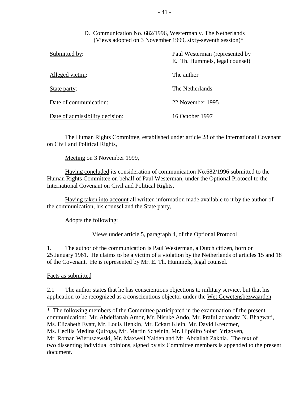### D. Communication No. 682/1996, Westerman v. The Netherlands (Views adopted on 3 November 1999, sixty-seventh session)\*

| Submitted by:                   | Paul Westerman (represented by<br>E. Th. Hummels, legal counsel) |
|---------------------------------|------------------------------------------------------------------|
| Alleged victim:                 | The author                                                       |
| State party:                    | The Netherlands                                                  |
| Date of communication:          | 22 November 1995                                                 |
| Date of admissibility decision: | 16 October 1997                                                  |

The Human Rights Committee, established under article 28 of the International Covenant on Civil and Political Rights,

Meeting on 3 November 1999,

Having concluded its consideration of communication No.682/1996 submitted to the Human Rights Committee on behalf of Paul Westerman, under the Optional Protocol to the International Covenant on Civil and Political Rights,

Having taken into account all written information made available to it by the author of the communication, his counsel and the State party,

Adopts the following:

Views under article 5, paragraph 4, of the Optional Protocol

1. The author of the communication is Paul Westerman, a Dutch citizen, born on 25 January 1961. He claims to be a victim of a violation by the Netherlands of articles 15 and 18 of the Covenant. He is represented by Mr. E. Th. Hummels, legal counsel.

Facts as submitted

2.1 The author states that he has conscientious objections to military service, but that his application to be recognized as a conscientious objector under the Wet Gewetensbezwaarden

 $\overline{a}$ \* The following members of the Committee participated in the examination of the present communication: Mr. Abdelfattah Amor, Mr. Nisuke Ando, Mr. Prafullachandra N. Bhagwati, Ms. Elizabeth Evatt, Mr. Louis Henkin, Mr. Eckart Klein, Mr. David Kretzmer, Ms. Cecilia Medina Quiroga, Mr. Martin Scheinin, Mr. Hipólito Solari Yrigoyen, Mr. Roman Wieruszewski, Mr. Maxwell Yalden and Mr. Abdallah Zakhia. The text of two dissenting individual opinions, signed by six Committee members is appended to the present document.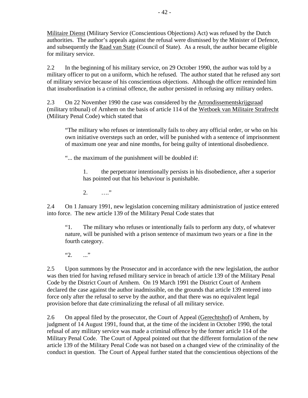Militaire Dienst (Military Service (Conscientious Objections) Act) was refused by the Dutch authorities. The author's appeals against the refusal were dismissed by the Minister of Defence, and subsequently the Raad van State (Council of State). As a result, the author became eligible for military service.

2.2 In the beginning of his military service, on 29 October 1990, the author was told by a military officer to put on a uniform, which he refused. The author stated that he refused any sort of military service because of his conscientious objections. Although the officer reminded him that insubordination is a criminal offence, the author persisted in refusing any military orders.

2.3 On 22 November 1990 the case was considered by the Arrondissementskrijgsraad (military tribunal) of Arnhem on the basis of article 114 of the Wetboek van Militaire Strafrecht (Military Penal Code) which stated that

"The military who refuses or intentionally fails to obey any official order, or who on his own initiative oversteps such an order, will be punished with a sentence of imprisonment of maximum one year and nine months, for being guilty of intentional disobedience.

"... the maximum of the punishment will be doubled if:

1. the perpetrator intentionally persists in his disobedience, after a superior has pointed out that his behaviour is punishable.

2. …."

2.4 On 1 January 1991, new legislation concerning military administration of justice entered into force. The new article 139 of the Military Penal Code states that

"1. The military who refuses or intentionally fails to perform any duty, of whatever nature, will be punished with a prison sentence of maximum two years or a fine in the fourth category.

"2. ..."

2.5 Upon summons by the Prosecutor and in accordance with the new legislation, the author was then tried for having refused military service in breach of article 139 of the Military Penal Code by the District Court of Arnhem. On 19 March 1991 the District Court of Arnhem declared the case against the author inadmissible, on the grounds that article 139 entered into force only after the refusal to serve by the author, and that there was no equivalent legal provision before that date criminalizing the refusal of all military service.

2.6 On appeal filed by the prosecutor, the Court of Appeal (Gerechtshof) of Arnhem, by judgment of 14 August 1991, found that, at the time of the incident in October 1990, the total refusal of any military service was made a criminal offence by the former article 114 of the Military Penal Code. The Court of Appeal pointed out that the different formulation of the new article 139 of the Military Penal Code was not based on a changed view of the criminality of the conduct in question. The Court of Appeal further stated that the conscientious objections of the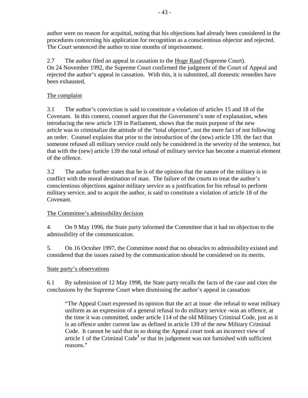author were no reason for acquittal, noting that his objections had already been considered in the procedures concerning his application for recognition as a conscientious objector and rejected. The Court sentenced the author to nine months of imprisonment.

2.7 The author filed an appeal in cassation to the Hoge Raad (Supreme Court). On 24 November 1992, the Supreme Court confirmed the judgment of the Court of Appeal and rejected the author's appeal in cassation. With this, it is submitted, all domestic remedies have been exhausted.

# The complaint

3.1 The author's conviction is said to constitute a violation of articles 15 and 18 of the Covenant. In this context, counsel argues that the Government's note of explanation, when introducing the new article 139 in Parliament, shows that the main purpose of the new article was to criminalize the attitude of the "total objector", not the mere fact of not following an order. Counsel explains that prior to the introduction of the (new) article 139, the fact that someone refused all military service could only be considered in the severity of the sentence, but that with the (new) article 139 the total refusal of military service has become a material element of the offence.

3.2 The author further states that he is of the opinion that the nature of the military is in conflict with the moral destination of man. The failure of the courts to treat the author's conscientious objections against military service as a justification for his refusal to perform military service, and to acquit the author, is said to constitute a violation of article 18 of the Covenant.

# The Committee's admissibility decision

4. On 9 May 1996, the State party informed the Committee that it had no objection to the admissibility of the communication.

5. On 16 October 1997, the Committee noted that no obstacles to admissibility existed and considered that the issues raised by the communication should be considered on its merits.

# State party's observations

6.1 By submission of 12 May 1998, the State party recalls the facts of the case and cites the conclusions by the Supreme Court when dismissing the author's appeal in cassation:

"The Appeal Court expressed its opinion that the act at issue -the refusal to wear military uniform as an expression of a general refusal to do military service -was an offence, at the time it was committed, under article 114 of the old Military Criminal Code, just as it is an offence under current law as defined in article 139 of the new Military Criminal Code. It cannot be said that in so doing the Appeal court took an incorrect view of article 1 of the Criminal Code<sup>1</sup> or that its judgement was not furnished with sufficient reasons."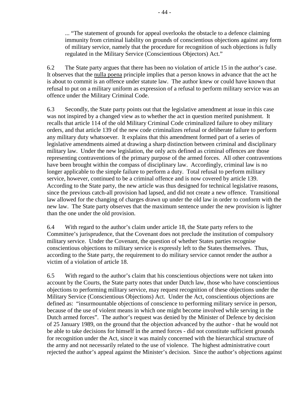... "The statement of grounds for appeal overlooks the obstacle to a defence claiming immunity from criminal liability on grounds of conscientious objections against any form of military service, namely that the procedure for recognition of such objections is fully regulated in the Military Service (Conscientious Objectors) Act."

6.2 The State party argues that there has been no violation of article 15 in the author's case. It observes that the nulla poena principle implies that a person knows in advance that the act he is about to commit is an offence under statute law. The author knew or could have known that refusal to put on a military uniform as expression of a refusal to perform military service was an offence under the Military Criminal Code.

6.3 Secondly, the State party points out that the legislative amendment at issue in this case was not inspired by a changed view as to whether the act in question merited punishment. It recalls that article 114 of the old Military Criminal Code criminalized failure to obey military orders, and that article 139 of the new code criminalizes refusal or deliberate failure to perform any military duty whatsoever. It explains that this amendment formed part of a series of legislative amendments aimed at drawing a sharp distinction between criminal and disciplinary military law. Under the new legislation, the only acts defined as criminal offences are those representing contraventions of the primary purpose of the armed forces. All other contraventions have been brought within the compass of disciplinary law. Accordingly, criminal law is no longer applicable to the simple failure to perform a duty. Total refusal to perform military service, however, continued to be a criminal offence and is now covered by article 139. According to the State party, the new article was thus designed for technical legislative reasons, since the previous catch-all provision had lapsed, and did not create a new offence. Transitional law allowed for the changing of charges drawn up under the old law in order to conform with the new law. The State party observes that the maximum sentence under the new provision is lighter than the one under the old provision.

6.4 With regard to the author's claim under article 18, the State party refers to the Committee's jurisprudence, that the Covenant does not preclude the institution of compulsory military service. Under the Covenant, the question of whether States parties recognise conscientious objections to military service is expressly left to the States themselves. Thus, according to the State party, the requirement to do military service cannot render the author a victim of a violation of article 18.

6.5 With regard to the author's claim that his conscientious objections were not taken into account by the Courts, the State party notes that under Dutch law, those who have conscientious objections to performing military service, may request recognition of these objections under the Military Service (Conscientious Objections) Act. Under the Act, conscientious objections are defined as: "insurmountable objections of conscience to performing military service in person, because of the use of violent means in which one might become involved while serving in the Dutch armed forces". The author's request was denied by the Minister of Defence by decision of 25 January 1989, on the ground that the objection advanced by the author - that he would not be able to take decisions for himself in the armed forces - did not constitute sufficient grounds for recognition under the Act, since it was mainly concerned with the hierarchical structure of the army and not necessarily related to the use of violence. The highest administrative court rejected the author's appeal against the Minister's decision. Since the author's objections against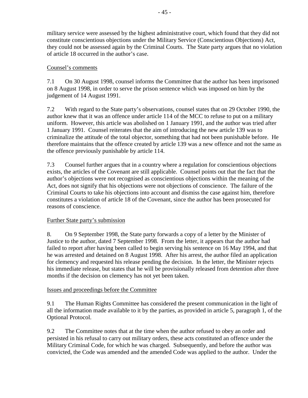military service were assessed by the highest administrative court, which found that they did not constitute conscientious objections under the Military Service (Conscientious Objections) Act, they could not be assessed again by the Criminal Courts. The State party argues that no violation of article 18 occurred in the author's case.

# Counsel's comments

7.1 On 30 August 1998, counsel informs the Committee that the author has been imprisoned on 8 August 1998, in order to serve the prison sentence which was imposed on him by the judgement of 14 August 1991.

7.2 With regard to the State party's observations, counsel states that on 29 October 1990, the author knew that it was an offence under article 114 of the MCC to refuse to put on a military uniform. However, this article was abolished on 1 January 1991, and the author was tried after 1 January 1991. Counsel reiterates that the aim of introducing the new article 139 was to criminalize the attitude of the total objector, something that had not been punishable before. He therefore maintains that the offence created by article 139 was a new offence and not the same as the offence previously punishable by article 114.

7.3 Counsel further argues that in a country where a regulation for conscientious objections exists, the articles of the Covenant are still applicable. Counsel points out that the fact that the author's objections were not recognised as conscientious objections within the meaning of the Act, does not signify that his objections were not objections of conscience. The failure of the Criminal Courts to take his objections into account and dismiss the case against him, therefore constitutes a violation of article 18 of the Covenant, since the author has been prosecuted for reasons of conscience.

# Further State party's submission

8. On 9 September 1998, the State party forwards a copy of a letter by the Minister of Justice to the author, dated 7 September 1998. From the letter, it appears that the author had failed to report after having been called to begin serving his sentence on 16 May 1994, and that he was arrested and detained on 8 August 1998. After his arrest, the author filed an application for clemency and requested his release pending the decision. In the letter, the Minister rejects his immediate release, but states that he will be provisionally released from detention after three months if the decision on clemency has not yet been taken.

# Issues and proceedings before the Committee

9.1 The Human Rights Committee has considered the present communication in the light of all the information made available to it by the parties, as provided in article 5, paragraph 1, of the Optional Protocol.

9.2 The Committee notes that at the time when the author refused to obey an order and persisted in his refusal to carry out military orders, these acts constituted an offence under the Military Criminal Code, for which he was charged. Subsequently, and before the author was convicted, the Code was amended and the amended Code was applied to the author. Under the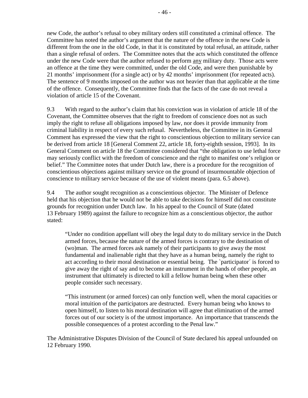new Code, the author's refusal to obey military orders still constituted a criminal offence. The Committee has noted the author's argument that the nature of the offence in the new Code is different from the one in the old Code, in that it is constituted by total refusal, an attitude, rather than a single refusal of orders. The Committee notes that the acts which constituted the offence under the new Code were that the author refused to perform any military duty. Those acts were an offence at the time they were committed, under the old Code, and were then punishable by 21 months' imprisonment (for a single act) or by 42 months' imprisonment (for repeated acts). The sentence of 9 months imposed on the author was not heavier than that applicable at the time of the offence. Consequently, the Committee finds that the facts of the case do not reveal a violation of article 15 of the Covenant.

9.3 With regard to the author's claim that his conviction was in violation of article 18 of the Covenant, the Committee observes that the right to freedom of conscience does not as such imply the right to refuse all obligations imposed by law, nor does it provide immunity from criminal liability in respect of every such refusal. Nevertheless, the Committee in its General Comment has expressed the view that the right to conscientious objection to military service can be derived from article 18 [General Comment 22, article 18, forty-eighth session, 1993]. In its General Comment on article 18 the Committee considered that "the obligation to use lethal force may seriously conflict with the freedom of conscience and the right to manifest one's religion or belief." The Committee notes that under Dutch law, there is a procedure for the recognition of conscientious objections against military service on the ground of insurmountable objection of conscience to military service because of the use of violent means (para. 6.5 above).

9.4 The author sought recognition as a conscientious objector. The Minister of Defence held that his objection that he would not be able to take decisions for himself did not constitute grounds for recognition under Dutch law. In his appeal to the Council of State (dated 13 February 1989) against the failure to recognize him as a conscientious objector, the author stated:

"Under no condition appellant will obey the legal duty to do military service in the Dutch armed forces, because the nature of the armed forces is contrary to the destination of (wo)man. The armed forces ask namely of their participants to give away the most fundamental and inalienable right that they have as a human being, namely the right to act according to their moral destination or essential being. The `participator´ is forced to give away the right of say and to become an instrument in the hands of other people, an instrument that ultimately is directed to kill a fellow human being when these other people consider such necessary.

"This instrument (or armed forces) can only function well, when the moral capacities or moral intuition of the participators are destructed. Every human being who knows to open himself, to listen to his moral destination will agree that elimination of the armed forces out of our society is of the utmost importance. An importance that transcends the possible consequences of a protest according to the Penal law."

The Administrative Disputes Division of the Council of State declared his appeal unfounded on 12 February 1990.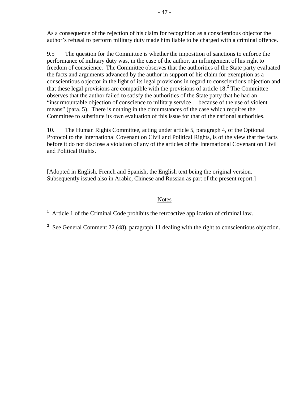As a consequence of the rejection of his claim for recognition as a conscientious objector the author's refusal to perform military duty made him liable to be charged with a criminal offence.

9.5 The question for the Committee is whether the imposition of sanctions to enforce the performance of military duty was, in the case of the author, an infringement of his right to freedom of conscience. The Committee observes that the authorities of the State party evaluated the facts and arguments advanced by the author in support of his claim for exemption as a conscientious objector in the light of its legal provisions in regard to conscientious objection and that these legal provisions are compatible with the provisions of article 18.**<sup>2</sup>** The Committee observes that the author failed to satisfy the authorities of the State party that he had an "insurmountable objection of conscience to military service… because of the use of violent means" (para. 5). There is nothing in the circumstances of the case which requires the Committee to substitute its own evaluation of this issue for that of the national authorities.

10. The Human Rights Committee, acting under article 5, paragraph 4, of the Optional Protocol to the International Covenant on Civil and Political Rights, is of the view that the facts before it do not disclose a violation of any of the articles of the International Covenant on Civil and Political Rights.

[Adopted in English, French and Spanish, the English text being the original version. Subsequently issued also in Arabic, Chinese and Russian as part of the present report.]

### Notes

<sup>1</sup> Article 1 of the Criminal Code prohibits the retroactive application of criminal law.

<sup>2</sup> See General Comment 22 (48), paragraph 11 dealing with the right to conscientious objection.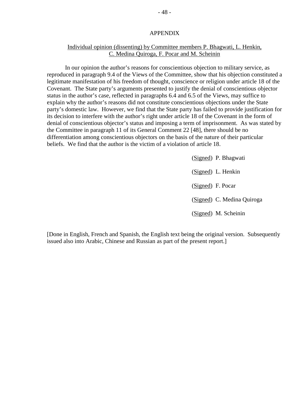### APPENDIX

#### Individual opinion (dissenting) by Committee members P. Bhagwati, L. Henkin, C. Medina Quiroga, F. Pocar and M. Scheinin

In our opinion the author's reasons for conscientious objection to military service, as reproduced in paragraph 9.4 of the Views of the Committee, show that his objection constituted a legitimate manifestation of his freedom of thought, conscience or religion under article 18 of the Covenant. The State party's arguments presented to justify the denial of conscientious objector status in the author's case, reflected in paragraphs 6.4 and 6.5 of the Views, may suffice to explain why the author's reasons did not constitute conscientious objections under the State party's domestic law. However, we find that the State party has failed to provide justification for its decision to interfere with the author's right under article 18 of the Covenant in the form of denial of conscientious objector's status and imposing a term of imprisonment. As was stated by the Committee in paragraph 11 of its General Comment 22 [48], there should be no differentiation among conscientious objectors on the basis of the nature of their particular beliefs. We find that the author is the victim of a violation of article 18.

> (Signed) P. Bhagwati (Signed) L. Henkin (Signed) F. Pocar (Signed) C. Medina Quiroga (Signed) M. Scheinin

[Done in English, French and Spanish, the English text being the original version. Subsequently issued also into Arabic, Chinese and Russian as part of the present report.]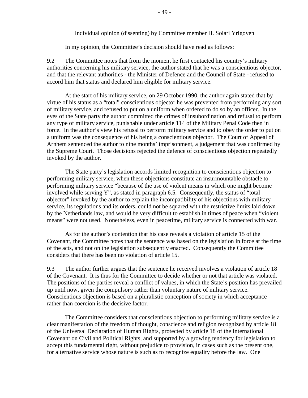#### Individual opinion (dissenting) by Committee member H. Solari Yrigoyen

In my opinion, the Committee's decision should have read as follows:

9.2 The Committee notes that from the moment he first contacted his country's military authorities concerning his military service, the author stated that he was a conscientious objector, and that the relevant authorities - the Minister of Defence and the Council of State - refused to accord him that status and declared him eligible for military service.

At the start of his military service, on 29 October 1990, the author again stated that by virtue of his status as a "total" conscientious objector he was prevented from performing any sort of military service, and refused to put on a uniform when ordered to do so by an officer. In the eyes of the State party the author committed the crimes of insubordination and refusal to perform any type of military service, punishable under article 114 of the Military Penal Code then in force. In the author's view his refusal to perform military service and to obey the order to put on a uniform was the consequence of his being a conscientious objector. The Court of Appeal of Arnhem sentenced the author to nine months' imprisonment, a judgement that was confirmed by the Supreme Court. Those decisions rejected the defence of conscientious objection repeatedly invoked by the author.

The State party's legislation accords limited recognition to conscientious objection to performing military service, when these objections constitute an insurmountable obstacle to performing military service "because of the use of violent means in which one might become involved while serving Y", as stated in paragraph 6.5. Consequently, the status of "total objector" invoked by the author to explain the incompatibility of his objections with military service, its regulations and its orders, could not be squared with the restrictive limits laid down by the Netherlands law, and would be very difficult to establish in times of peace when "violent means" were not used. Nonetheless, even in peacetime, military service is connected with war.

As for the author's contention that his case reveals a violation of article 15 of the Covenant, the Committee notes that the sentence was based on the legislation in force at the time of the acts, and not on the legislation subsequently enacted. Consequently the Committee considers that there has been no violation of article 15.

9.3 The author further argues that the sentence he received involves a violation of article 18 of the Covenant. It is thus for the Committee to decide whether or not that article was violated. The positions of the parties reveal a conflict of values, in which the State's position has prevailed up until now, given the compulsory rather than voluntary nature of military service. Conscientious objection is based on a pluralistic conception of society in which acceptance rather than coercion is the decisive factor.

The Committee considers that conscientious objection to performing military service is a clear manifestation of the freedom of thought, conscience and religion recognized by article 18 of the Universal Declaration of Human Rights, protected by article 18 of the International Covenant on Civil and Political Rights, and supported by a growing tendency for legislation to accept this fundamental right, without prejudice to provision, in cases such as the present one, for alternative service whose nature is such as to recognize equality before the law. One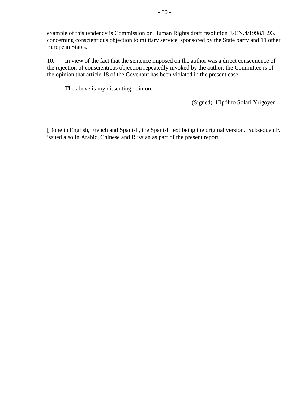example of this tendency is Commission on Human Rights draft resolution E/CN.4/1998/L.93, concerning conscientious objection to military service, sponsored by the State party and 11 other European States.

10. In view of the fact that the sentence imposed on the author was a direct consequence of the rejection of conscientious objection repeatedly invoked by the author, the Committee is of the opinion that article 18 of the Covenant has been violated in the present case.

The above is my dissenting opinion.

(Signed) Hipólito Solari Yrigoyen

[Done in English, French and Spanish, the Spanish text being the original version. Subsequently issued also in Arabic, Chinese and Russian as part of the present report.]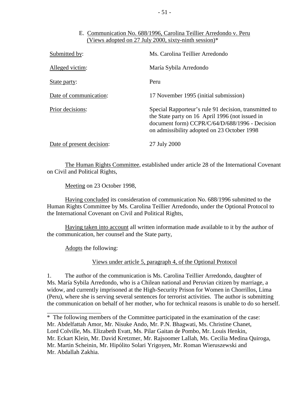### E. Communication No. 688/1996, Carolina Teillier Arredondo v. Peru (Views adopted on 27 July 2000, sixty-ninth session)\*

| Submitted by:             | Ms. Carolina Teillier Arredondo                                                                                                                                                                           |
|---------------------------|-----------------------------------------------------------------------------------------------------------------------------------------------------------------------------------------------------------|
| Alleged victim:           | María Sybila Arredondo                                                                                                                                                                                    |
| State party:              | Peru                                                                                                                                                                                                      |
| Date of communication:    | 17 November 1995 (initial submission)                                                                                                                                                                     |
| Prior decisions:          | Special Rapporteur's rule 91 decision, transmitted to<br>the State party on 16 April 1996 (not issued in<br>document form) CCPR/C/64/D/688/1996 - Decision<br>on admissibility adopted on 23 October 1998 |
| Date of present decision: | 27 July 2000                                                                                                                                                                                              |

The Human Rights Committee, established under article 28 of the International Covenant on Civil and Political Rights,

Meeting on 23 October 1998,

Having concluded its consideration of communication No. 688/1996 submitted to the Human Rights Committee by Ms. Carolina Teillier Arredondo, under the Optional Protocol to the International Covenant on Civil and Political Rights,

Having taken into account all written information made available to it by the author of the communication, her counsel and the State party,

Adopts the following:

 $\overline{a}$ 

Views under article 5, paragraph 4, of the Optional Protocol

1. The author of the communication is Ms. Carolina Teillier Arredondo, daughter of Ms. María Sybila Arredondo, who is a Chilean national and Peruvian citizen by marriage, a widow, and currently imprisoned at the High-Security Prison for Women in Chorrillos, Lima (Peru), where she is serving several sentences for terrorist activities. The author is submitting the communication on behalf of her mother, who for technical reasons is unable to do so herself.

\* The following members of the Committee participated in the examination of the case: Mr. Abdelfattah Amor, Mr. Nisuke Ando, Mr. P.N. Bhagwati, Ms. Christine Chanet, Lord Colville, Ms. Elizabeth Evatt, Ms. Pilar Gaitan de Pombo, Mr. Louis Henkin, Mr. Eckart Klein, Mr. David Kretzmer, Mr. Rajsoomer Lallah, Ms. Cecilia Medina Quiroga, Mr. Martin Scheinin, Mr. Hipólito Solari Yrigoyen, Mr. Roman Wieruszewski and Mr. Abdallah Zakhia.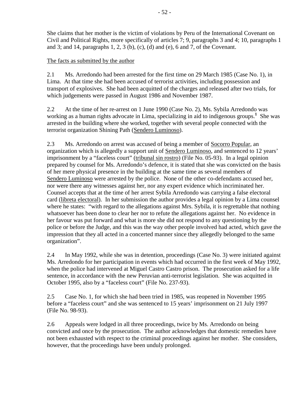She claims that her mother is the victim of violations by Peru of the International Covenant on Civil and Political Rights, more specifically of articles 7; 9, paragraphs 3 and 4; 10, paragraphs 1 and 3; and 14, paragraphs 1, 2, 3 (b), (c), (d) and (e), 6 and 7, of the Covenant.

### The facts as submitted by the author

2.1 Ms. Arredondo had been arrested for the first time on 29 March 1985 (Case No. 1), in Lima. At that time she had been accused of terrorist activities, including possession and transport of explosives. She had been acquitted of the charges and released after two trials, for which judgements were passed in August 1986 and November 1987.

2.2 At the time of her re-arrest on 1 June 1990 (Case No. 2), Ms. Sybila Arredondo was working as a human rights advocate in Lima, specializing in aid to indigenous groups.**<sup>1</sup>** She was arrested in the building where she worked, together with several people connected with the terrorist organization Shining Path (Sendero Luminoso).

2.3 Ms. Arredondo on arrest was accused of being a member of Socorro Popular, an organization which is allegedly a support unit of Sendero Luminoso, and sentenced to 12 years' imprisonment by a "faceless court" (tribunal sin rostro) (File No. 05-93). In a legal opinion prepared by counsel for Ms. Arredondo's defence, it is stated that she was convicted on the basis of her mere physical presence in the building at the same time as several members of Sendero Luminoso were arrested by the police. None of the other co-defendants accused her, nor were there any witnesses against her, nor any expert evidence which incriminated her. Counsel accepts that at the time of her arrest Sybila Arredondo was carrying a false electoral card (libreta electoral). In her submission the author provides a legal opinion by a Lima counsel where he states: "with regard to the allegations against Mrs. Sybila, it is regrettable that nothing whatsoever has been done to clear her nor to refute the allegations against her. No evidence in her favour was put forward and what is more she did not respond to any questioning by the police or before the Judge, and this was the way other people involved had acted, which gave the impression that they all acted in a concerted manner since they allegedly belonged to the same organization".

2.4 In May 1992, while she was in detention, proceedings (Case No. 3) were initiated against Ms. Arredondo for her participation in events which had occurred in the first week of May 1992, when the police had intervened at Miguel Castro Castro prison. The prosecution asked for a life sentence, in accordance with the new Peruvian anti-terrorist legislation. She was acquitted in October 1995, also by a "faceless court" (File No. 237-93).

2.5 Case No. 1, for which she had been tried in 1985, was reopened in November 1995 before a "faceless court" and she was sentenced to 15 years' imprisonment on 21 July 1997 (File No. 98-93).

2.6 Appeals were lodged in all three proceedings, twice by Ms. Arredondo on being convicted and once by the prosecution. The author acknowledges that domestic remedies have not been exhausted with respect to the criminal proceedings against her mother. She considers, however, that the proceedings have been unduly prolonged.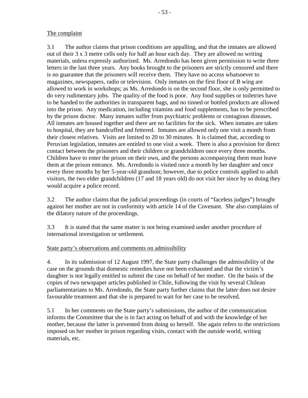### The complaint

3.1 The author claims that prison conditions are appalling, and that the inmates are allowed out of their 3 x 3 metre cells only for half an hour each day. They are allowed no writing materials, unless expressly authorized. Ms. Arredondo has been given permission to write three letters in the last three years. Any books brought to the prisoners are strictly censored and there is no guarantee that the prisoners will receive them. They have no access whatsoever to magazines, newspapers, radio or television. Only inmates on the first floor of B wing are allowed to work in workshops; as Ms. Arredondo is on the second floor, she is only permitted to do very rudimentary jobs. The quality of the food is poor. Any food supplies or toiletries have to be handed to the authorities in transparent bags, and no tinned or bottled products are allowed into the prison. Any medication, including vitamins and food supplements, has to be prescribed by the prison doctor. Many inmates suffer from psychiatric problems or contagious diseases. All inmates are housed together and there are no facilities for the sick. When inmates are taken to hospital, they are handcuffed and fettered. Inmates are allowed only one visit a month from their closest relatives. Visits are limited to 20 to 30 minutes. It is claimed that, according to Peruvian legislation, inmates are entitled to one visit a week. There is also a provision for direct contact between the prisoners and their children or grandchildren once every three months. Children have to enter the prison on their own, and the persons accompanying them must leave them at the prison entrance. Ms. Arredondo is visited once a month by her daughter and once every three months by her 5-year-old grandson; however, due to police controls applied to adult visitors, the two elder grandchildren (17 and 18 years old) do not visit her since by so doing they would acquire a police record.

3.2 The author claims that the judicial proceedings (in courts of "faceless judges") brought against her mother are not in conformity with article 14 of the Covenant. She also complains of the dilatory nature of the proceedings.

3.3 It is stated that the same matter is not being examined under another procedure of international investigation or settlement.

### State party's observations and comments on admissibility

4. In its submission of 12 August 1997, the State party challenges the admissibility of the case on the grounds that domestic remedies have not been exhausted and that the victim's daughter is not legally entitled to submit the case on behalf of her mother. On the basis of the copies of two newspaper articles published in Chile, following the visit by several Chilean parliamentarians to Ms. Arredondo, the State party further claims that the latter does not desire favourable treatment and that she is prepared to wait for her case to be resolved.

5.1 In her comments on the State party's submissions, the author of the communication informs the Committee that she is in fact acting on behalf of and with the knowledge of her mother, because the latter is prevented from doing so herself. She again refers to the restrictions imposed on her mother in prison regarding visits, contact with the outside world, writing materials, etc.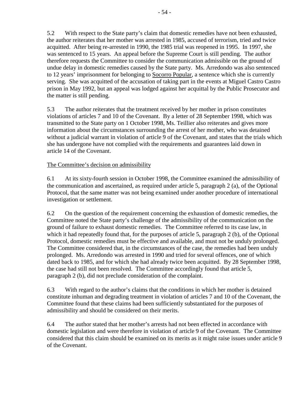5.2 With respect to the State party's claim that domestic remedies have not been exhausted, the author reiterates that her mother was arrested in 1985, accused of terrorism, tried and twice acquitted. After being re-arrested in 1990, the 1985 trial was reopened in 1995. In 1997, she was sentenced to 15 years. An appeal before the Supreme Court is still pending. The author therefore requests the Committee to consider the communication admissible on the ground of undue delay in domestic remedies caused by the State party. Ms. Arredondo was also sentenced to 12 years' imprisonment for belonging to Socorro Popular, a sentence which she is currently serving. She was acquitted of the accusation of taking part in the events at Miguel Castro Castro prison in May 1992, but an appeal was lodged against her acquittal by the Public Prosecutor and the matter is still pending.

5.3 The author reiterates that the treatment received by her mother in prison constitutes violations of articles 7 and 10 of the Covenant. By a letter of 28 September 1998, which was transmitted to the State party on 1 October 1998, Ms. Teillier also reiterates and gives more information about the circumstances surrounding the arrest of her mother, who was detained without a judicial warrant in violation of article 9 of the Covenant, and states that the trials which she has undergone have not complied with the requirements and guarantees laid down in article 14 of the Covenant.

The Committee's decision on admissibility

6.1 At its sixty-fourth session in October 1998, the Committee examined the admissibility of the communication and ascertained, as required under article 5, paragraph 2 (a), of the Optional Protocol, that the same matter was not being examined under another procedure of international investigation or settlement.

6.2 On the question of the requirement concerning the exhaustion of domestic remedies, the Committee noted the State party's challenge of the admissibility of the communication on the ground of failure to exhaust domestic remedies. The Committee referred to its case law, in which it had repeatedly found that, for the purposes of article 5, paragraph 2 (b), of the Optional Protocol, domestic remedies must be effective and available, and must not be unduly prolonged. The Committee considered that, in the circumstances of the case, the remedies had been unduly prolonged. Ms. Arredondo was arrested in 1990 and tried for several offences, one of which dated back to 1985, and for which she had already twice been acquitted. By 28 September 1998, the case had still not been resolved. The Committee accordingly found that article 5, paragraph 2 (b), did not preclude consideration of the complaint.

6.3 With regard to the author's claims that the conditions in which her mother is detained constitute inhuman and degrading treatment in violation of articles 7 and 10 of the Covenant, the Committee found that these claims had been sufficiently substantiated for the purposes of admissibility and should be considered on their merits.

6.4 The author stated that her mother's arrests had not been effected in accordance with domestic legislation and were therefore in violation of article 9 of the Covenant. The Committee considered that this claim should be examined on its merits as it might raise issues under article 9 of the Covenant.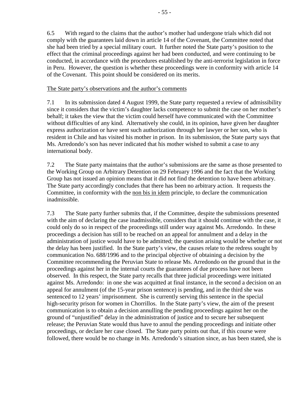6.5 With regard to the claims that the author's mother had undergone trials which did not comply with the guarantees laid down in article 14 of the Covenant, the Committee noted that she had been tried by a special military court. It further noted the State party's position to the effect that the criminal proceedings against her had been conducted, and were continuing to be conducted, in accordance with the procedures established by the anti-terrorist legislation in force in Peru. However, the question is whether these proceedings were in conformity with article 14 of the Covenant. This point should be considered on its merits.

### The State party's observations and the author's comments

7.1 In its submission dated 4 August 1999, the State party requested a review of admissibility since it considers that the victim's daughter lacks competence to submit the case on her mother's behalf; it takes the view that the victim could herself have communicated with the Committee without difficulties of any kind. Alternatively she could, in its opinion, have given her daughter express authorization or have sent such authorization through her lawyer or her son, who is resident in Chile and has visited his mother in prison. In its submission, the State party says that Ms. Arredondo's son has never indicated that his mother wished to submit a case to any international body.

7.2 The State party maintains that the author's submissions are the same as those presented to the Working Group on Arbitrary Detention on 29 February 1996 and the fact that the Working Group has not issued an opinion means that it did not find the detention to have been arbitrary. The State party accordingly concludes that there has been no arbitrary action. It requests the Committee, in conformity with the non bis in idem principle, to declare the communication inadmissible.

7.3 The State party further submits that, if the Committee, despite the submissions presented with the aim of declaring the case inadmissible, considers that it should continue with the case, it could only do so in respect of the proceedings still under way against Ms. Arredondo. In these proceedings a decision has still to be reached on an appeal for annulment and a delay in the administration of justice would have to be admitted; the question arising would be whether or not the delay has been justified. In the State party's view, the causes relate to the redress sought by communication No. 688/1996 and to the principal objective of obtaining a decision by the Committee recommending the Peruvian State to release Ms. Arredondo on the ground that in the proceedings against her in the internal courts the guarantees of due process have not been observed. In this respect, the State party recalls that three judicial proceedings were initiated against Ms. Arredondo: in one she was acquitted at final instance, in the second a decision on an appeal for annulment (of the 15-year prison sentence) is pending, and in the third she was sentenced to 12 years' imprisonment. She is currently serving this sentence in the special high-security prison for women in Chorrillos. In the State party's view, the aim of the present communication is to obtain a decision annulling the pending proceedings against her on the ground of "unjustified" delay in the administration of justice and to secure her subsequent release; the Peruvian State would thus have to annul the pending proceedings and initiate other proceedings, or declare her case closed. The State party points out that, if this course were followed, there would be no change in Ms. Arredondo's situation since, as has been stated, she is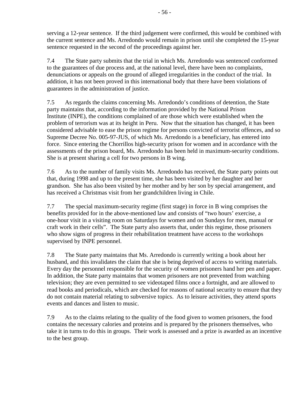serving a 12-year sentence. If the third judgement were confirmed, this would be combined with the current sentence and Ms. Arredondo would remain in prison until she completed the 15-year sentence requested in the second of the proceedings against her.

7.4 The State party submits that the trial in which Ms. Arredondo was sentenced conformed to the guarantees of due process and, at the national level, there have been no complaints, denunciations or appeals on the ground of alleged irregularities in the conduct of the trial. In addition, it has not been proved in this international body that there have been violations of guarantees in the administration of justice.

7.5 As regards the claims concerning Ms. Arredondo's conditions of detention, the State party maintains that, according to the information provided by the National Prison Institute (INPE), the conditions complained of are those which were established when the problem of terrorism was at its height in Peru. Now that the situation has changed, it has been considered advisable to ease the prison regime for persons convicted of terrorist offences, and so Supreme Decree No. 005-97-JUS, of which Ms. Arredondo is a beneficiary, has entered into force. Since entering the Chorrillos high-security prison for women and in accordance with the assessments of the prison board, Ms. Arredondo has been held in maximum-security conditions. She is at present sharing a cell for two persons in B wing.

7.6 As to the number of family visits Ms. Arredondo has received, the State party points out that, during 1998 and up to the present time, she has been visited by her daughter and her grandson. She has also been visited by her mother and by her son by special arrangement, and has received a Christmas visit from her grandchildren living in Chile.

7.7 The special maximum-security regime (first stage) in force in B wing comprises the benefits provided for in the above-mentioned law and consists of "two hours' exercise, a one-hour visit in a visiting room on Saturdays for women and on Sundays for men, manual or craft work in their cells". The State party also asserts that, under this regime, those prisoners who show signs of progress in their rehabilitation treatment have access to the workshops supervised by INPE personnel.

7.8 The State party maintains that Ms. Arredondo is currently writing a book about her husband, and this invalidates the claim that she is being deprived of access to writing materials. Every day the personnel responsible for the security of women prisoners hand her pen and paper. In addition, the State party maintains that women prisoners are not prevented from watching television; they are even permitted to see videotaped films once a fortnight, and are allowed to read books and periodicals, which are checked for reasons of national security to ensure that they do not contain material relating to subversive topics. As to leisure activities, they attend sports events and dances and listen to music.

7.9 As to the claims relating to the quality of the food given to women prisoners, the food contains the necessary calories and proteins and is prepared by the prisoners themselves, who take it in turns to do this in groups. Their work is assessed and a prize is awarded as an incentive to the best group.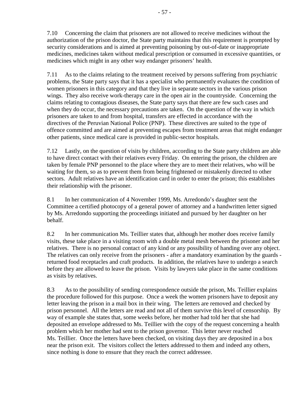7.10 Concerning the claim that prisoners are not allowed to receive medicines without the authorization of the prison doctor, the State party maintains that this requirement is prompted by security considerations and is aimed at preventing poisoning by out-of-date or inappropriate medicines, medicines taken without medical prescription or consumed in excessive quantities, or medicines which might in any other way endanger prisoners' health.

7.11 As to the claims relating to the treatment received by persons suffering from psychiatric problems, the State party says that it has a specialist who permanently evaluates the condition of women prisoners in this category and that they live in separate sectors in the various prison wings. They also receive work-therapy care in the open air in the countryside. Concerning the claims relating to contagious diseases, the State party says that there are few such cases and when they do occur, the necessary precautions are taken. On the question of the way in which prisoners are taken to and from hospital, transfers are effected in accordance with the directives of the Peruvian National Police (PNP). These directives are suited to the type of offence committed and are aimed at preventing escapes from treatment areas that might endanger other patients, since medical care is provided in public-sector hospitals.

7.12 Lastly, on the question of visits by children, according to the State party children are able to have direct contact with their relatives every Friday. On entering the prison, the children are taken by female PNP personnel to the place where they are to meet their relatives, who will be waiting for them, so as to prevent them from being frightened or mistakenly directed to other sectors. Adult relatives have an identification card in order to enter the prison; this establishes their relationship with the prisoner.

8.1 In her communication of 4 November 1999, Ms. Arredondo's daughter sent the Committee a certified photocopy of a general power of attorney and a handwritten letter signed by Ms. Arredondo supporting the proceedings initiated and pursued by her daughter on her behalf.

8.2 In her communication Ms. Teillier states that, although her mother does receive family visits, these take place in a visiting room with a double metal mesh between the prisoner and her relatives. There is no personal contact of any kind or any possibility of handing over any object. The relatives can only receive from the prisoners - after a mandatory examination by the guards returned food receptacles and craft products. In addition, the relatives have to undergo a search before they are allowed to leave the prison. Visits by lawyers take place in the same conditions as visits by relatives.

8.3 As to the possibility of sending correspondence outside the prison, Ms. Teillier explains the procedure followed for this purpose. Once a week the women prisoners have to deposit any letter leaving the prison in a mail box in their wing. The letters are removed and checked by prison personnel. All the letters are read and not all of them survive this level of censorship. By way of example she states that, some weeks before, her mother had told her that she had deposited an envelope addressed to Ms. Teillier with the copy of the request concerning a health problem which her mother had sent to the prison governor. This letter never reached Ms. Teillier. Once the letters have been checked, on visiting days they are deposited in a box near the prison exit. The visitors collect the letters addressed to them and indeed any others, since nothing is done to ensure that they reach the correct addressee.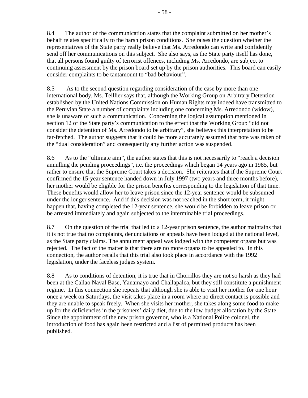8.4 The author of the communication states that the complaint submitted on her mother's behalf relates specifically to the harsh prison conditions. She raises the question whether the representatives of the State party really believe that Ms. Arredondo can write and confidently send off her communications on this subject. She also says, as the State party itself has done, that all persons found guilty of terrorist offences, including Ms. Arredondo, are subject to continuing assessment by the prison board set up by the prison authorities. This board can easily consider complaints to be tantamount to "bad behaviour".

8.5 As to the second question regarding consideration of the case by more than one international body, Ms. Teillier says that, although the Working Group on Arbitrary Detention established by the United Nations Commission on Human Rights may indeed have transmitted to the Peruvian State a number of complaints including one concerning Ms. Arredondo (widow), she is unaware of such a communication. Concerning the logical assumption mentioned in section 12 of the State party's communication to the effect that the Working Group "did not consider the detention of Ms. Arredondo to be arbitrary", she believes this interpretation to be far-fetched. The author suggests that it could be more accurately assumed that note was taken of the "dual consideration" and consequently any further action was suspended.

8.6 As to the "ultimate aim", the author states that this is not necessarily to "reach a decision annulling the pending proceedings", i.e. the proceedings which began 14 years ago in 1985, but rather to ensure that the Supreme Court takes a decision. She reiterates that if the Supreme Court confirmed the 15-year sentence handed down in July 1997 (two years and three months before), her mother would be eligible for the prison benefits corresponding to the legislation of that time. These benefits would allow her to leave prison since the 12-year sentence would be subsumed under the longer sentence. And if this decision was not reached in the short term, it might happen that, having completed the 12-year sentence, she would be forbidden to leave prison or be arrested immediately and again subjected to the interminable trial proceedings.

8.7 On the question of the trial that led to a 12-year prison sentence, the author maintains that it is not true that no complaints, denunciations or appeals have been lodged at the national level, as the State party claims. The annulment appeal was lodged with the competent organs but was rejected. The fact of the matter is that there are no more organs to be appealed to. In this connection, the author recalls that this trial also took place in accordance with the 1992 legislation, under the faceless judges system.

8.8 As to conditions of detention, it is true that in Chorrillos they are not so harsh as they had been at the Callao Naval Base, Yanamayo and Challapalca, but they still constitute a punishment regime. In this connection she repeats that although she is able to visit her mother for one hour once a week on Saturdays, the visit takes place in a room where no direct contact is possible and they are unable to speak freely. When she visits her mother, she takes along some food to make up for the deficiencies in the prisoners' daily diet, due to the low budget allocation by the State. Since the appointment of the new prison governor, who is a National Police colonel, the introduction of food has again been restricted and a list of permitted products has been published.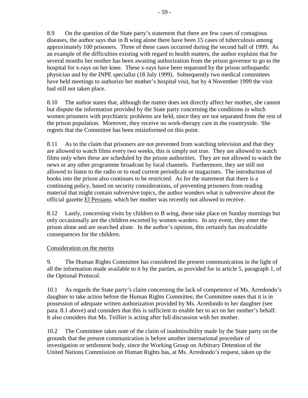8.9 On the question of the State party's statement that there are few cases of contagious diseases, the author says that in B wing alone there have been 15 cases of tuberculosis among approximately 100 prisoners. Three of these cases occurred during the second half of 1999. As an example of the difficulties existing with regard to health matters, the author explains that for several months her mother has been awaiting authorization from the prison governor to go to the hospital for x-rays on her knee. These x-rays have been requested by the prison orthopaedic physician and by the INPE specialist (18 July 1999). Subsequently two medical committees have held meetings to authorize her mother's hospital visit, but by 4 November 1999 the visit had still not taken place.

8.10 The author states that, although the matter does not directly affect her mother, she cannot but dispute the information provided by the State party concerning the conditions in which women prisoners with psychiatric problems are held, since they are not separated from the rest of the prison population. Moreover, they receive no work-therapy care in the countryside. She regrets that the Committee has been misinformed on this point.

8.11 As to the claim that prisoners are not prevented from watching television and that they are allowed to watch films every two weeks, this is simply not true. They are allowed to watch films only when these are scheduled by the prison authorities. They are not allowed to watch the news or any other programme broadcast by local channels. Furthermore, they are still not allowed to listen to the radio or to read current periodicals or magazines. The introduction of books into the prison also continues to be restricted. As for the statement that there is a continuing policy, based on security considerations, of preventing prisoners from reading material that might contain subversive topics, the author wonders what is subversive about the official gazette El Peruano, which her mother was recently not allowed to receive.

8.12 Lastly, concerning visits by children to B wing, these take place on Sunday mornings but only occasionally are the children escorted by women warders. In any event, they enter the prison alone and are searched alone. In the author's opinion, this certainly has incalculable consequences for the children.

# Consideration on the merits

9. The Human Rights Committee has considered the present communication in the light of all the information made available to it by the parties, as provided for in article 5, paragraph 1, of the Optional Protocol.

10.1 As regards the State party's claim concerning the lack of competence of Ms. Arredondo's daughter to take action before the Human Rights Committee, the Committee notes that it is in possession of adequate written authorization provided by Ms. Arredondo to her daughter (see para. 8.1 above) and considers that this is sufficient to enable her to act on her mother's behalf. It also considers that Ms. Teillier is acting after full discussion with her mother.

10.2 The Committee takes note of the claim of inadmissibility made by the State party on the grounds that the present communication is before another international procedure of investigation or settlement body, since the Working Group on Arbitrary Detention of the United Nations Commission on Human Rights has, at Ms. Arredondo's request, taken up the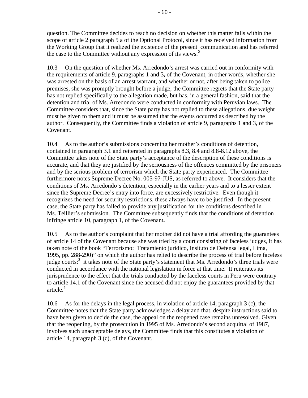question. The Committee decides to reach no decision on whether this matter falls within the scope of article 2 paragraph 5 a of the Optional Protocol, since it has received information from the Working Group that it realized the existence of the presentcommunication and has referred the case to the Committee without any expression of its views.**<sup>2</sup>**

10.3 On the question of whether Ms. Arredondo's arrest was carried out in conformity with the requirements of article 9, paragraphs 1 and 3**,** of the Covenant, in other words, whether she was arrested on the basis of an arrest warrant, and whether or not, after being taken to police premises, she was promptly brought before a judge, the Committee regrets that the State party has not replied specifically to the allegation made, but has, in a general fashion, said that the detention and trial of Ms. Arredondo were conducted in conformity with Peruvian laws. The Committee considers that, since the State party has not replied to these allegations, due weight must be given to them and it must be assumed that the events occurred as described by the author. Consequently, the Committee finds a violation of article 9, paragraphs 1 and 3, of the Covenant.

10.4 As to the author's submissions concerning her mother's conditions of detention, contained in paragraph 3.1 and reiterated in paragraphs 8.3, 8.4 and 8.8-8.12 above, the Committee takes note of the State party's acceptance of the description of these conditions is accurate, and that they are justified by the seriousness of the offences committed by the prisoners and by the serious problem of terrorism which the State party experienced. The Committee furthermore notes Supreme Decree No. 005-97-JUS, as referred to above. It considers that the conditions of Ms. Arredondo's detention, especially in the earlier years and to a lesser extent since the Supreme Decree's entry into force, are excessively restrictive. Even though it recognizes the need for security restrictions, these always have to be justified. In the present case, the State party has failed to provide any justification for the conditions described in Ms. Teillier's submission. The Committee subsequently finds that the conditions of detention infringe article 10, paragraph 1, of the Covenant**.**

10.5 As to the author's complaint that her mother did not have a trial affording the guarantees of article 14 of the Covenant because she was tried by a court consisting of faceless judges, it has taken note of the book "Terrorismo: Tratamiento juridico, Insituto de Defensa legal, Lima, 1995, pp. 288-290)" on which the author has relied to describe the process of trial before faceless judge courts:<sup>3</sup> it takes note of the State party's statement that Ms. Arredondo's three trials were conducted in accordance with the national legislation in force at that time. It reiterates its jurisprudence to the effect that the trials conducted by the faceless courts in Peru were contrary to article 14.1 of the Covenant since the accused did not enjoy the guarantees provided by that article.**<sup>4</sup>**

10.6 As for the delays in the legal process, in violation of article 14, paragraph 3 (c), the Committee notes that the State party acknowledges a delay and that, despite instructions said to have been given to decide the case, the appeal on the reopened case remains unresolved. Given that the reopening, by the prosecution in 1995 of Ms. Arredondo's second acquittal of 1987, involves such unacceptable delays, the Committee finds that this constitutes a violation of article 14, paragraph 3 (c), of the Covenant.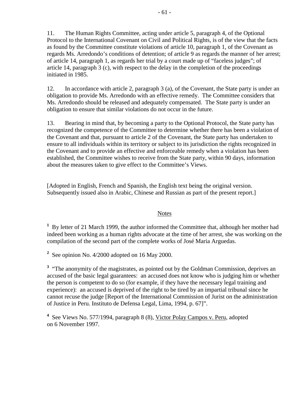11. The Human Rights Committee, acting under article 5, paragraph 4, of the Optional Protocol to the International Covenant on Civil and Political Rights, is of the view that the facts as found by the Committee constitute violations of article 10, paragraph 1, of the Covenant as regards Ms. Arredondo's conditions of detention; of article 9 as regards the manner of her arrest; of article 14, paragraph 1, as regards her trial by a court made up of "faceless judges"; of article 14, paragraph 3 (c), with respect to the delay in the completion of the proceedings initiated in 1985.

12. In accordance with article 2, paragraph 3 (a), of the Covenant, the State party is under an obligation to provide Ms. Arredondo with an effective remedy. The Committee considers that Ms. Arredondo should be released and adequately compensated. The State party is under an obligation to ensure that similar violations do not occur in the future.

13. Bearing in mind that, by becoming a party to the Optional Protocol, the State party has recognized the competence of the Committee to determine whether there has been a violation of the Covenant and that, pursuant to article 2 of the Covenant, the State party has undertaken to ensure to all individuals within its territory or subject to its jurisdiction the rights recognized in the Covenant and to provide an effective and enforceable remedy when a violation has been established, the Committee wishes to receive from the State party, within 90 days, information about the measures taken to give effect to the Committee's Views.

[Adopted in English, French and Spanish, the English text being the original version. Subsequently issued also in Arabic, Chinese and Russian as part of the present report.]

### **Notes**

<sup>1</sup> By letter of 21 March 1999, the author informed the Committee that, although her mother had indeed been working as a human rights advocate at the time of her arrest, she was working on the compilation of the second part of the complete works of José Maria Arguedas.

**2** See opinion No. 4/2000 adopted on 16 May 2000.

<sup>3</sup> "The anonymity of the magistrates, as pointed out by the Goldman Commission, deprives an accused of the basic legal guarantees: an accused does not know who is judging him or whether the person is competent to do so (for example, if they have the necessary legal training and experience): an accused is deprived of the right to be tired by an impartial tribunal since he cannot recuse the judge [Report of the International Commission of Jurist on the administration of Justice in Peru. Instituto de Defensa Legal, Lima, 1994, p. 67]".

**4** See Views No. 577/1994, paragraph 8 (8), Victor Polay Campos v. Peru, adopted on 6 November 1997.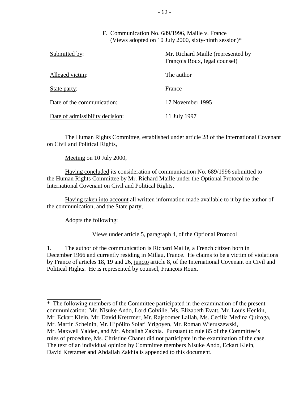### F. Communication No. 689/1996, Maille v. France (Views adopted on 10 July 2000, sixty-ninth session)\*

| Submitted by:                   | Mr. Richard Maille (represented by<br>François Roux, legal counsel) |
|---------------------------------|---------------------------------------------------------------------|
| Alleged victim:                 | The author                                                          |
| State party:                    | France                                                              |
| Date of the communication:      | 17 November 1995                                                    |
| Date of admissibility decision: | 11 July 1997                                                        |

The Human Rights Committee, established under article 28 of the International Covenant on Civil and Political Rights,

Meeting on 10 July 2000,

Having concluded its consideration of communication No. 689/1996 submitted to the Human Rights Committee by Mr. Richard Maille under the Optional Protocol to the International Covenant on Civil and Political Rights,

Having taken into account all written information made available to it by the author of the communication, and the State party,

Adopts the following:

 $\overline{a}$ 

Views under article 5, paragraph 4, of the Optional Protocol

1. The author of the communication is Richard Maille, a French citizen born in December 1966 and currently residing in Millau, France. He claims to be a victim of violations by France of articles 18, 19 and 26, juncto article 8, of the International Covenant on Civil and Political Rights. He is represented by counsel, François Roux.

<sup>\*</sup> The following members of the Committee participated in the examination of the present communication: Mr. Nisuke Ando, Lord Colville, Ms. Elizabeth Evatt, Mr. Louis Henkin, Mr. Eckart Klein, Mr. David Kretzmer, Mr. Rajsoomer Lallah, Ms. Cecilia Medina Quiroga, Mr. Martin Scheinin, Mr. Hipólito Solari Yrigoyen, Mr. Roman Wieruszewski, Mr. Maxwell Yalden, and Mr. Abdallah Zakhia. Pursuant to rule 85 of the Committee's rules of procedure, Ms. Christine Chanet did not participate in the examination of the case. The text of an individual opinion by Committee members Nisuke Ando, Eckart Klein, David Kretzmer and Abdallah Zakhia is appended to this document.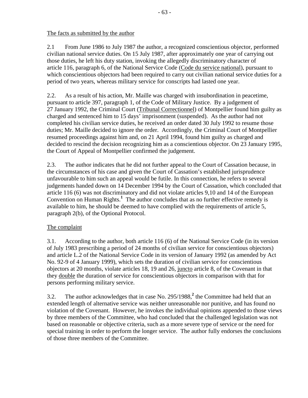# The facts as submitted by the author

2.1 From June 1986 to July 1987 the author, a recognized conscientious objector, performed civilian national service duties. On 15 July 1987, after approximately one year of carrying out those duties, he left his duty station, invoking the allegedly discriminatory character of article 116, paragraph 6, of the National Service Code (Code du service national), pursuant to which conscientious objectors had been required to carry out civilian national service duties for a period of two years, whereas military service for conscripts had lasted one year.

2.2. As a result of his action, Mr. Maille was charged with insubordination in peacetime, pursuant to article 397, paragraph 1, of the Code of Military Justice. By a judgement of 27 January 1992, the Criminal Court (Tribunal Correctionnel) of Montpellier found him guilty as charged and sentenced him to 15 days' imprisonment (suspended). As the author had not completed his civilian service duties, he received an order dated 30 July 1992 to resume those duties; Mr. Maille decided to ignore the order. Accordingly, the Criminal Court of Montpellier resumed proceedings against him and, on 21 April 1994, found him guilty as charged and decided to rescind the decision recognizing him as a conscientious objector. On 23 January 1995, the Court of Appeal of Montpellier confirmed the judgement.

2.3. The author indicates that he did not further appeal to the Court of Cassation because, in the circumstances of his case and given the Court of Cassation's established jurisprudence unfavourable to him such an appeal would be futile. In this connection, he refers to several judgements handed down on 14 December 1994 by the Court of Cassation, which concluded that article 116 (6) was not discriminatory and did not violate articles 9,10 and 14 of the European Convention on Human Rights.<sup>1</sup> The author concludes that as no further effective remedy is available to him, he should be deemed to have complied with the requirements of article 5, paragraph 2(b), of the Optional Protocol.

# The complaint

3.1. According to the author, both article 116 (6) of the National Service Code (in its version of July 1983 prescribing a period of 24 months of civilian service for conscientious objectors) and article L.2 of the National Service Code in its version of January 1992 (as amended by Act No. 92-9 of 4 January 1999), which sets the duration of civilian service for conscientious objectors at 20 months, violate articles 18, 19 and 26, juncto article 8, of the Covenant in that they double the duration of service for conscientious objectors in comparison with that for persons performing military service.

3.2. The author acknowledges that in case No. 295/1988,**<sup>2</sup>** the Committee had held that an extended length of alternative service was neither unreasonable nor punitive, and has found no violation of the Covenant. However, he invokes the individual opinions appended to those views by three members of the Committee, who had concluded that the challenged legislation was not based on reasonable or objective criteria, such as a more severe type of service or the need for special training in order to perform the longer service. The author fully endorses the conclusions of those three members of the Committee.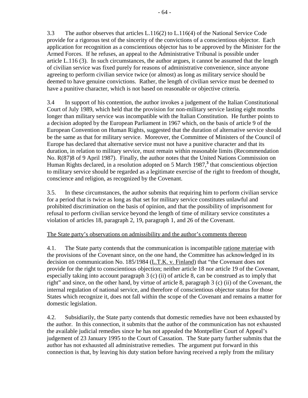3.3 The author observes that articles L.116(2) to L.116(4) of the National Service Code provide for a rigorous test of the sincerity of the convictions of a conscientious objector. Each application for recognition as a conscientious objector has to be approved by the Minister for the Armed Forces. If he refuses, an appeal to the Administrative Tribunal is possible under article L.116 (3). In such circumstances, the author argues, it cannot be assumed that the length of civilian service was fixed purely for reasons of administrative convenience, since anyone agreeing to perform civilian service twice (or almost) as long as military service should be deemed to have genuine convictions. Rather, the length of civilian service must be deemed to have a punitive character, which is not based on reasonable or objective criteria.

3.4 In support of his contention, the author invokes a judgement of the Italian Constitutional Court of July 1989, which held that the provision for non-military service lasting eight months longer than military service was incompatible with the Italian Constitution. He further points to a decision adopted by the European Parliament in 1967 which, on the basis of article 9 of the European Convention on Human Rights, suggested that the duration of alternative service should be the same as that for military service. Moreover, the Committee of Ministers of the Council of Europe has declared that alternative service must not have a punitive character and that its duration, in relation to military service, must remain within reasonable limits (Recommendation No. R(87)8 of 9 April 1987). Finally, the author notes that the United Nations Commission on Human Rights declared, in a resolution adopted on 5 March 1987,**<sup>3</sup>** that conscientious objection to military service should be regarded as a legitimate exercise of the right to freedom of thought, conscience and religion, as recognized by the Covenant.

3.5. In these circumstances, the author submits that requiring him to perform civilian service for a period that is twice as long as that set for military service constitutes unlawful and prohibited discrimination on the basis of opinion, and that the possibility of imprisonment for refusal to perform civilian service beyond the length of time of military service constitutes a violation of articles 18, paragraph 2, 19, paragraph 1, and 26 of the Covenant.

# The State party's observations on admissibility and the author's comments thereon

4.1. The State party contends that the communication is incompatible ratione materiae with the provisions of the Covenant since, on the one hand, the Committee has acknowledged in its decision on communication No. 185/1984 (L.T.K. v. Finland) that "the Covenant does not provide for the right to conscientious objection; neither article 18 nor article 19 of the Covenant, especially taking into account paragraph 3 (c) (ii) of article 8, can be construed as to imply that right" and since, on the other hand, by virtue of article 8, paragraph 3 (c) (ii) of the Covenant, the internal regulation of national service, and therefore of conscientious objector status for those States which recognize it, does not fall within the scope of the Covenant and remains a matter for domestic legislation.

4.2. Subsidiarily, the State party contends that domestic remedies have not been exhausted by the author. In this connection, it submits that the author of the communication has not exhausted the available judicial remedies since he has not appealed the Montpellier Court of Appeal's judgement of 23 January 1995 to the Court of Cassation. The State party further submits that the author has not exhausted all administrative remedies. The argument put forward in this connection is that, by leaving his duty station before having received a reply from the military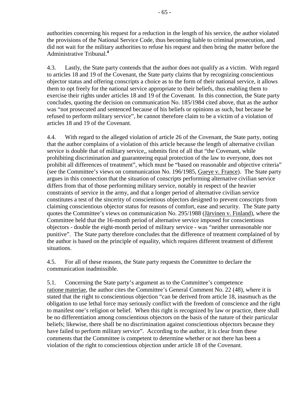authorities concerning his request for a reduction in the length of his service, the author violated the provisions of the National Service Code, thus becoming liable to criminal prosecution, and did not wait for the military authorities to refuse his request and then bring the matter before the Administrative Tribunal.**<sup>4</sup>**

4.3. Lastly, the State party contends that the author does not qualify as a victim. With regard to articles 18 and 19 of the Covenant, the State party claims that by recognizing conscientious objector status and offering conscripts a choice as to the form of their national service, it allows them to opt freely for the national service appropriate to their beliefs, thus enabling them to exercise their rights under articles 18 and 19 of the Covenant. In this connection, the State party concludes, quoting the decision on communication No. 185/1984 cited above, that as the author was "not prosecuted and sentenced because of his beliefs or opinions as such, but because he refused to perform military service", he cannot therefore claim to be a victim of a violation of articles 18 and 19 of the Covenant.

4.4. With regard to the alleged violation of article 26 of the Covenant, the State party, noting that the author complains of a violation of this article because the length of alternative civilian service is double that of military service,, submits first of all that "the Covenant, while prohibiting discrimination and guaranteeing equal protection of the law to everyone, does not prohibit all differences of treatment", which must be "based on reasonable and objective criteria" (see the Committee's views on communication No. 196/1985, Gueye v. France). The State party argues in this connection that the situation of conscripts performing alternative civilian service differs from that of those performing military service, notably in respect of the heavier constraints of service in the army, and that a longer period of alternative civilian service constitutes a test of the sincerity of conscientious objectors designed to prevent conscripts from claiming conscientious objector status for reasons of comfort, ease and security. The State party quotes the Committee's views on communication No. 295/1988 (Järvinen v. Finland), where the Committee held that the 16-month period of alternative service imposed for conscientious objectors - double the eight-month period of military service - was "neither unreasonable nor punitive". The State party therefore concludes that the difference of treatment complained of by the author is based on the principle of equality, which requires different treatment of different situations.

4.5. For all of these reasons, the State party requests the Committee to declare the communication inadmissible.

5.1. Concerning the State party's argument as to the Committee's competence ratione materiae, the author cites the Committee's General Comment No. 22 (48), where it is stated that the right to conscientious objection "can be derived from article 18, inasmuch as the obligation to use lethal force may seriously conflict with the freedom of conscience and the right to manifest one's religion or belief. When this right is recognized by law or practice, there shall be no differentiation among conscientious objectors on the basis of the nature of their particular beliefs; likewise, there shall be no discrimination against conscientious objectors because they have failed to perform military service". According to the author, it is clear from these comments that the Committee is competent to determine whether or not there has been a violation of the right to conscientious objection under article 18 of the Covenant.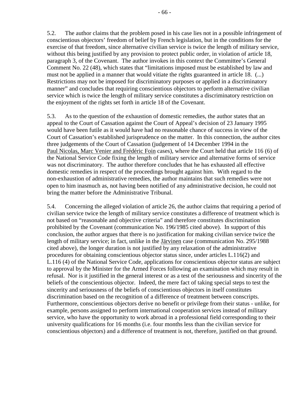5.2. The author claims that the problem posed in his case lies not in a possible infringement of conscientious objectors' freedom of belief by French legislation, but in the conditions for the exercise of that freedom, since alternative civilian service is twice the length of military service, without this being justified by any provision to protect public order, in violation of article 18, paragraph 3, of the Covenant. The author invokes in this context the Committee's General Comment No. 22 (48), which states that "limitations imposed must be established by law and must not be applied in a manner that would vitiate the rights guaranteed in article 18. (...) Restrictions may not be imposed for discriminatory purposes or applied in a discriminatory manner" and concludes that requiring conscientious objectors to perform alternative civilian service which is twice the length of military service constitutes a discriminatory restriction on the enjoyment of the rights set forth in article 18 of the Covenant.

5.3. As to the question of the exhaustion of domestic remedies, the author states that an appeal to the Court of Cassation against the Court of Appeal's decision of 23 January 1995 would have been futile as it would have had no reasonable chance of success in view of the Court of Cassation's established jurisprudence on the matter. In this connection, the author cites three judgements of the Court of Cassation (judgement of 14 December 1994 in the Paul Nicolas, Marc Venier and Frédéric Foin cases), where the Court held that article 116 (6) of the National Service Code fixing the length of military service and alternative forms of service was not discriminatory. The author therefore concludes that he has exhausted all effective domestic remedies in respect of the proceedings brought against him. With regard to the non-exhaustion of administrative remedies, the author maintains that such remedies were not open to him inasmuch as, not having been notified of any administrative decision, he could not bring the matter before the Administrative Tribunal.

5.4. Concerning the alleged violation of article 26, the author claims that requiring a period of civilian service twice the length of military service constitutes a difference of treatment which is not based on "reasonable and objective criteria" and therefore constitutes discrimination prohibited by the Covenant (communication No. 196/1985 cited above). In support of this conclusion, the author argues that there is no justification for making civilian service twice the length of military service; in fact, unlike in the Järvinen case (communication No. 295/1988 cited above), the longer duration is not justified by any relaxation of the administrative procedures for obtaining conscientious objector status since, under articles L.116(2) and L.116 (4) of the National Service Code, applications for conscientious objector status are subject to approval by the Minister for the Armed Forces following an examination which may result in refusal. Nor is it justified in the general interest or as a test of the seriousness and sincerity of the beliefs of the conscientious objector. Indeed, the mere fact of taking special steps to test the sincerity and seriousness of the beliefs of conscientious objectors in itself constitutes discrimination based on the recognition of a difference of treatment between conscripts. Furthermore, conscientious objectors derive no benefit or privilege from their status - unlike, for example, persons assigned to perform international cooperation services instead of military service, who have the opportunity to work abroad in a professional field corresponding to their university qualifications for 16 months (i.e. four months less than the civilian service for conscientious objectors) and a difference of treatment is not, therefore, justified on that ground.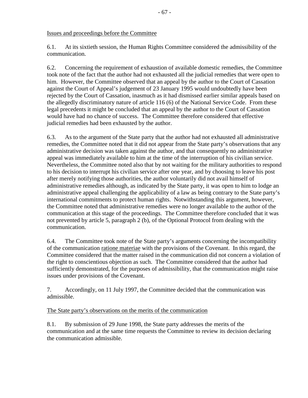6.1. At its sixtieth session, the Human Rights Committee considered the admissibility of the communication.

6.2. Concerning the requirement of exhaustion of available domestic remedies, the Committee took note of the fact that the author had not exhausted all the judicial remedies that were open to him. However, the Committee observed that an appeal by the author to the Court of Cassation against the Court of Appeal's judgement of 23 January 1995 would undoubtedly have been rejected by the Court of Cassation, inasmuch as it had dismissed earlier similar appeals based on the allegedly discriminatory nature of article 116 (6) of the National Service Code. From these legal precedents it might be concluded that an appeal by the author to the Court of Cassation would have had no chance of success. The Committee therefore considered that effective judicial remedies had been exhausted by the author.

6.3. As to the argument of the State party that the author had not exhausted all administrative remedies, the Committee noted that it did not appear from the State party's observations that any administrative decision was taken against the author, and that consequently no administrative appeal was immediately available to him at the time of the interruption of his civilian service. Nevertheless, the Committee noted also that by not waiting for the military authorities to respond to his decision to interrupt his civilian service after one year, and by choosing to leave his post after merely notifying those authorities, the author voluntarily did not avail himself of administrative remedies although, as indicated by the State party, it was open to him to lodge an administrative appeal challenging the applicability of a law as being contrary to the State party's international commitments to protect human rights. Notwithstanding this argument, however, the Committee noted that administrative remedies were no longer available to the author of the communication at this stage of the proceedings. The Committee therefore concluded that it was not prevented by article 5, paragraph 2 (b), of the Optional Protocol from dealing with the communication.

6.4. The Committee took note of the State party's arguments concerning the incompatibility of the communication ratione materiae with the provisions of the Covenant. In this regard, the Committee considered that the matter raised in the communication did not concern a violation of the right to conscientious objection as such. The Committee considered that the author had sufficiently demonstrated, for the purposes of admissibility, that the communication might raise issues under provisions of the Covenant.

7. Accordingly, on 11 July 1997, the Committee decided that the communication was admissible.

The State party's observations on the merits of the communication

8.1. By submission of 29 June 1998, the State party addresses the merits of the communication and at the same time requests the Committee to review its decision declaring the communication admissible.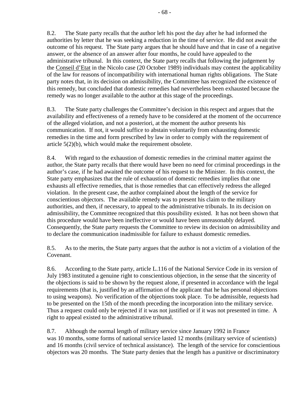8.2. The State party recalls that the author left his post the day after he had informed the authorities by letter that he was seeking a reduction in the time of service. He did not await the outcome of his request. The State party argues that he should have and that in case of a negative answer, or the absence of an answer after four months, he could have appealed to the administrative tribunal. In this context, the State party recalls that following the judgement by the Conseil d'Etat in the Nicolo case (20 October 1989) individuals may contest the applicability of the law for reasons of incompatibility with international human rights obligations. The State party notes that, in its decision on admissibility, the Committee has recognized the existence of this remedy, but concluded that domestic remedies had nevertheless been exhausted because the remedy was no longer available to the author at this stage of the proceedings.

8.3. The State party challenges the Committee's decision in this respect and argues that the availability and effectiveness of a remedy have to be considered at the moment of the occurrence of the alleged violation, and not a posteriori, at the moment the author presents his communication. If not, it would suffice to abstain voluntarily from exhausting domestic remedies in the time and form prescribed by law in order to comply with the requirement of article 5(2)(b), which would make the requirement obsolete.

8.4. With regard to the exhaustion of domestic remedies in the criminal matter against the author, the State party recalls that there would have been no need for criminal proceedings in the author's case, if he had awaited the outcome of his request to the Minister. In this context, the State party emphasizes that the rule of exhaustion of domestic remedies implies that one exhausts all effective remedies, that is those remedies that can effectively redress the alleged violation. In the present case, the author complained about the length of the service for conscientious objectors. The available remedy was to present his claim to the military authorities, and then, if necessary, to appeal to the administrative tribunals. In its decision on admissibility, the Committee recognized that this possibility existed. It has not been shown that this procedure would have been ineffective or would have been unreasonably delayed. Consequently, the State party requests the Committee to review its decision on admissibility and to declare the communication inadmissible for failure to exhaust domestic remedies.

8.5. As to the merits, the State party argues that the author is not a victim of a violation of the Covenant.

8.6. According to the State party, article L.116 of the National Service Code in its version of July 1983 instituted a genuine right to conscientious objection, in the sense that the sincerity of the objections is said to be shown by the request alone, if presented in accordance with the legal requirements (that is, justified by an affirmation of the applicant that he has personal objections to using weapons). No verification of the objections took place. To be admissible, requests had to be presented on the 15th of the month preceding the incorporation into the military service. Thus a request could only be rejected if it was not justified or if it was not presented in time. A right to appeal existed to the administrative tribunal.

8.7. Although the normal length of military service since January 1992 in France was 10 months, some forms of national service lasted 12 months (military service of scientists) and 16 months (civil service of technical assistance). The length of the service for conscientious objectors was 20 months. The State party denies that the length has a punitive or discriminatory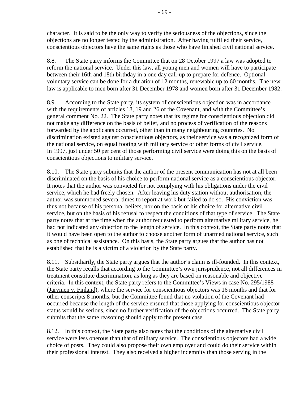character. It is said to be the only way to verify the seriousness of the objections, since the objections are no longer tested by the administration. After having fulfilled their service, conscientious objectors have the same rights as those who have finished civil national service.

8.8. The State party informs the Committee that on 28 October 1997 a law was adopted to reform the national service. Under this law, all young men and women will have to participate between their 16th and 18th birthday in a one day call-up to prepare for defence. Optional voluntary service can be done for a duration of 12 months, renewable up to 60 months. The new law is applicable to men born after 31 December 1978 and women born after 31 December 1982.

8.9. According to the State party, its system of conscientious objection was in accordance with the requirements of articles 18, 19 and 26 of the Covenant, and with the Committee's general comment No. 22. The State party notes that its regime for conscientious objection did not make any difference on the basis of belief, and no process of verification of the reasons forwarded by the applicants occurred, other than in many neighbouring countries. No discrimination existed against conscientious objectors, as their service was a recognized form of the national service, on equal footing with military service or other forms of civil service. In 1997, just under 50 per cent of those performing civil service were doing this on the basis of conscientious objections to military service.

8.10. The State party submits that the author of the present communication has not at all been discriminated on the basis of his choice to perform national service as a conscientious objector. It notes that the author was convicted for not complying with his obligations under the civil service, which he had freely chosen. After leaving his duty station without authorisation, the author was summoned several times to report at work but failed to do so. His conviction was thus not because of his personal beliefs, nor on the basis of his choice for alternative civil service, but on the basis of his refusal to respect the conditions of that type of service. The State party notes that at the time when the author requested to perform alternative military service, he had not indicated any objection to the length of service. In this context, the State party notes that it would have been open to the author to choose another form of unarmed national service, such as one of technical assistance. On this basis, the State party argues that the author has not established that he is a victim of a violation by the State party.

8.11. Subsidiarily, the State party argues that the author's claim is ill-founded. In this context, the State party recalls that according to the Committee's own jurisprudence, not all differences in treatment constitute discrimination, as long as they are based on reasonable and objective criteria. In this context, the State party refers to the Committee's Views in case No. 295/1988 (Järvinen v. Finland), where the service for conscientious objectors was 16 months and that for other conscripts 8 months, but the Committee found that no violation of the Covenant had occurred because the length of the service ensured that those applying for conscientious objector status would be serious, since no further verification of the objections occurred. The State party submits that the same reasoning should apply to the present case.

8.12. In this context, the State party also notes that the conditions of the alternative civil service were less onerous than that of military service. The conscientious objectors had a wide choice of posts. They could also propose their own employer and could do their service within their professional interest. They also received a higher indemnity than those serving in the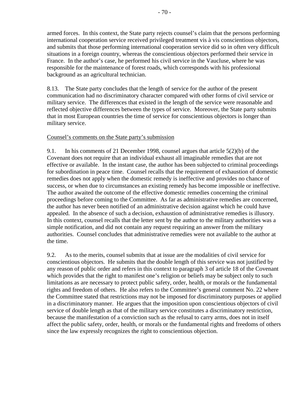armed forces. In this context, the State party rejects counsel's claim that the persons performing international cooperation service received privileged treatment vis à vis conscientious objectors, and submits that those performing international cooperation service did so in often very difficult situations in a foreign country, whereas the conscientious objectors performed their service in France. In the author's case, he performed his civil service in the Vaucluse, where he was responsible for the maintenance of forest roads, which corresponds with his professional background as an agricultural technician.

8.13. The State party concludes that the length of service for the author of the present communication had no discriminatory character compared with other forms of civil service or military service. The differences that existed in the length of the service were reasonable and reflected objective differences between the types of service. Moreover, the State party submits that in most European countries the time of service for conscientious objectors is longer than military service.

### Counsel's comments on the State party's submission

9.1. In his comments of 21 December 1998, counsel argues that article 5(2)(b) of the Covenant does not require that an individual exhaust all imaginable remedies that are not effective or available. In the instant case, the author has been subjected to criminal proceedings for subordination in peace time. Counsel recalls that the requirement of exhaustion of domestic remedies does not apply when the domestic remedy is ineffective and provides no chance of success, or when due to circumstances an existing remedy has become impossible or ineffective. The author awaited the outcome of the effective domestic remedies concerning the criminal proceedings before coming to the Committee. As far as administrative remedies are concerned, the author has never been notified of an administrative decision against which he could have appealed. In the absence of such a decision, exhaustion of administrative remedies is illusory. In this context, counsel recalls that the letter sent by the author to the military authorities was a simple notification, and did not contain any request requiring an answer from the military authorities. Counsel concludes that administrative remedies were not available to the author at the time.

9.2. As to the merits, counsel submits that at issue are the modalities of civil service for conscientious objectors. He submits that the double length of this service was not justified by any reason of public order and refers in this context to paragraph 3 of article 18 of the Covenant which provides that the right to manifest one's religion or beliefs may be subject only to such limitations as are necessary to protect public safety, order, health, or morals or the fundamental rights and freedom of others. He also refers to the Committee's general comment No. 22 where the Committee stated that restrictions may not be imposed for discriminatory purposes or applied in a discriminatory manner. He argues that the imposition upon conscientious objectors of civil service of double length as that of the military service constitutes a discriminatory restriction, because the manifestation of a conviction such as the refusal to carry arms, does not in itself affect the public safety, order, health, or morals or the fundamental rights and freedoms of others since the law expressly recognizes the right to conscientious objection.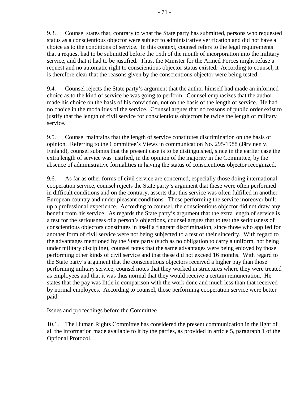9.3. Counsel states that, contrary to what the State party has submitted, persons who requested status as a conscientious objector were subject to administrative verification and did not have a choice as to the conditions of service. In this context, counsel refers to the legal requirements that a request had to be submitted before the 15th of the month of incorporation into the military service, and that it had to be justified. Thus, the Minister for the Armed Forces might refuse a request and no automatic right to conscientious objector status existed. According to counsel, it is therefore clear that the reasons given by the conscientious objector were being tested.

9.4. Counsel rejects the State party's argument that the author himself had made an informed choice as to the kind of service he was going to perform. Counsel emphasizes that the author made his choice on the basis of his conviction, not on the basis of the length of service. He had no choice in the modalities of the service. Counsel argues that no reasons of public order exist to justify that the length of civil service for conscientious objectors be twice the length of military service.

9.5. Counsel maintains that the length of service constitutes discrimination on the basis of opinion. Referring to the Committee's Views in communication No. 295/1988 (Järvinen v. Finland), counsel submits that the present case is to be distinguished, since in the earlier case the extra length of service was justified, in the opinion of the majority in the Committee, by the absence of administrative formalities in having the status of conscientious objector recognized.

9.6. As far as other forms of civil service are concerned, especially those doing international cooperation service, counsel rejects the State party's argument that these were often performed in difficult conditions and on the contrary, asserts that this service was often fulfilled in another European country and under pleasant conditions. Those performing the service moreover built up a professional experience. According to counsel, the conscientious objector did not draw any benefit from his service. As regards the State party's argument that the extra length of service is a test for the seriousness of a person's objections, counsel argues that to test the seriousness of conscientious objectors constitutes in itself a flagrant discrimination, since those who applied for another form of civil service were not being subjected to a test of their sincerity. With regard to the advantages mentioned by the State party (such as no obligation to carry a uniform, not being under military discipline), counsel notes that the same advantages were being enjoyed by those performing other kinds of civil service and that these did not exceed 16 months. With regard to the State party's argument that the conscientious objectors received a higher pay than those performing military service, counsel notes that they worked in structures where they were treated as employees and that it was thus normal that they would receive a certain remuneration. He states that the pay was little in comparison with the work done and much less than that received by normal employees. According to counsel, those performing cooperation service were better paid.

# Issues and proceedings before the Committee

10.1. The Human Rights Committee has considered the present communication in the light of all the information made available to it by the parties, as provided in article 5, paragraph 1 of the Optional Protocol.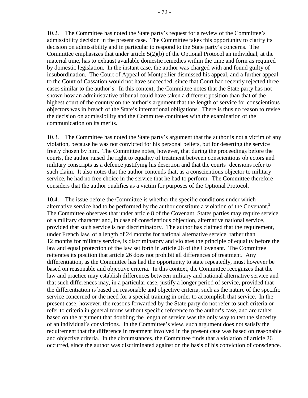10.2. The Committee has noted the State party's request for a review of the Committee's admissibility decision in the present case. The Committee takes this opportunity to clarify its decision on admissibility and in particular to respond to the State party's concerns. The Committee emphasizes that under article 5(2)(b) of the Optional Protocol an individual, at the material time, has to exhaust available domestic remedies within the time and form as required by domestic legislation. In the instant case, the author was charged with and found guilty of insubordination. The Court of Appeal of Montpellier dismissed his appeal, and a further appeal to the Court of Cassation would not have succeeded, since that Court had recently rejected three cases similar to the author's. In this context, the Committee notes that the State party has not shown how an administrative tribunal could have taken a different position than that of the highest court of the country on the author's argument that the length of service for conscientious objectors was in breach of the State's international obligations. There is thus no reason to revise the decision on admissibility and the Committee continues with the examination of the communication on its merits.

10.3. The Committee has noted the State party's argument that the author is not a victim of any violation, because he was not convicted for his personal beliefs, but for deserting the service freely chosen by him. The Committee notes, however, that during the proceedings before the courts, the author raised the right to equality of treatment between conscientious objectors and military conscripts as a defence justifying his desertion and that the courts' decisions refer to such claim. It also notes that the author contends that, as a conscientious objector to military service, he had no free choice in the service that he had to perform. The Committee therefore considers that the author qualifies as a victim for purposes of the Optional Protocol.

10.4. The issue before the Committee is whether the specific conditions under which alternative service had to be performed by the author constitute a violation of the Covenant.**<sup>5</sup>** The Committee observes that under article 8 of the Covenant, States parties may require service of a military character and, in case of conscientious objection, alternative national service, provided that such service is not discriminatory. The author has claimed that the requirement, under French law, of a length of 24 months for national alternative service, rather than 12 months for military service, is discriminatory and violates the principle of equality before the law and equal protection of the law set forth in article 26 of the Covenant. The Committee reiterates its position that article 26 does not prohibit all differences of treatment. Any differentiation, as the Committee has had the opportunity to state repeatedly, must however be based on reasonable and objective criteria. In this context, the Committee recognizes that the law and practice may establish differences between military and national alternative service and that such differences may, in a particular case, justify a longer period of service, provided that the differentiation is based on reasonable and objective criteria, such as the nature of the specific service concerned or the need for a special training in order to accomplish that service. In the present case, however, the reasons forwarded by the State party do not refer to such criteria or refer to criteria in general terms without specific reference to the author's case, and are rather based on the argument that doubling the length of service was the only way to test the sincerity of an individual's convictions. In the Committee's view, such argument does not satisfy the requirement that the difference in treatment involved in the present case was based on reasonable and objective criteria. In the circumstances, the Committee finds that a violation of article 26 occurred, since the author was discriminated against on the basis of his conviction of conscience.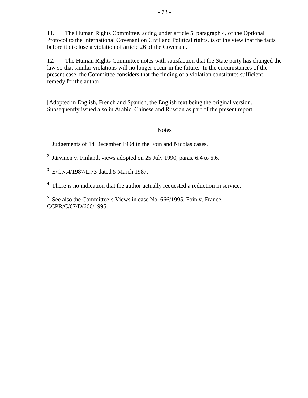11. The Human Rights Committee, acting under article 5, paragraph 4, of the Optional Protocol to the International Covenant on Civil and Political rights, is of the view that the facts before it disclose a violation of article 26 of the Covenant.

12. The Human Rights Committee notes with satisfaction that the State party has changed the law so that similar violations will no longer occur in the future. In the circumstances of the present case, the Committee considers that the finding of a violation constitutes sufficient remedy for the author.

[Adopted in English, French and Spanish, the English text being the original version. Subsequently issued also in Arabic, Chinese and Russian as part of the present report.]

#### Notes

<sup>1</sup> Judgements of 14 December 1994 in the Foin and Nicolas cases.

- <sup>2</sup> Järvinen v. Finland, views adopted on 25 July 1990, paras. 6.4 to 6.6.
- **3** E/CN.4/1987/L.73 dated 5 March 1987.

<sup>4</sup> There is no indication that the author actually requested a reduction in service.

<sup>5</sup> See also the Committee's Views in case No. 666/1995, Foin v. France, CCPR/C/67/D/666/1995.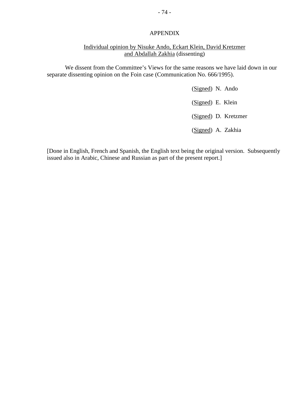#### APPENDIX

#### Individual opinion by Nisuke Ando, Eckart Klein, David Kretzmer and Abdallah Zakhia (dissenting)

We dissent from the Committee's Views for the same reasons we have laid down in our separate dissenting opinion on the Foin case (Communication No. 666/1995).

> (Signed) N. Ando (Signed) E. Klein (Signed) D. Kretzmer (Signed) A. Zakhia

[Done in English, French and Spanish, the English text being the original version. Subsequently issued also in Arabic, Chinese and Russian as part of the present report.]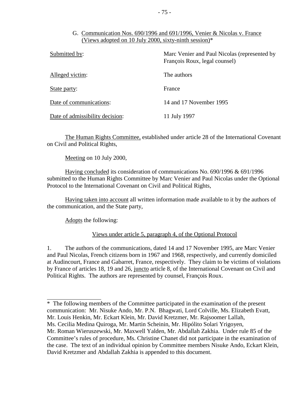#### G. Communication Nos. 690/1996 and 691/1996, Venier & Nicolas v. France (Views adopted on 10 July 2000, sixty-ninth session)\*

| Submitted by:                   | Marc Venier and Paul Nicolas (represented by<br>François Roux, legal counsel) |
|---------------------------------|-------------------------------------------------------------------------------|
| Alleged victim:                 | The authors                                                                   |
| State party:                    | France                                                                        |
| Date of communications:         | 14 and 17 November 1995                                                       |
| Date of admissibility decision: | 11 July 1997                                                                  |

The Human Rights Committee, established under article 28 of the International Covenant on Civil and Political Rights,

Meeting on 10 July 2000,

Having concluded its consideration of communications No. 690/1996 & 691/1996 submitted to the Human Rights Committee by Marc Venier and Paul Nicolas under the Optional Protocol to the International Covenant on Civil and Political Rights,

Having taken into account all written information made available to it by the authors of the communication, and the State party,

Adopts the following:

 $\overline{a}$ 

Views under article 5, paragraph 4, of the Optional Protocol

1. The authors of the communications, dated 14 and 17 November 1995, are Marc Venier and Paul Nicolas, French citizens born in 1967 and 1968, respectively, and currently domiciled at Audincourt, France and Gabarret, France, respectively. They claim to be victims of violations by France of articles 18, 19 and 26, juncto article 8, of the International Covenant on Civil and Political Rights. The authors are represented by counsel, François Roux.

\* The following members of the Committee participated in the examination of the present communication: Mr. Nisuke Ando, Mr. P.N. Bhagwati, Lord Colville, Ms. Elizabeth Evatt, Mr. Louis Henkin, Mr. Eckart Klein, Mr. David Kretzmer, Mr. Rajsoomer Lallah, Ms. Cecilia Medina Quiroga, Mr. Martin Scheinin, Mr. Hipólito Solari Yrigoyen, Mr. Roman Wieruszewski, Mr. Maxwell Yalden, Mr. Abdallah Zakhia. Under rule 85 of the Committee's rules of procedure, Ms. Christine Chanet did not participate in the examination of the case. The text of an individual opinion by Committee members Nisuke Ando, Eckart Klein, David Kretzmer and Abdallah Zakhia is appended to this document.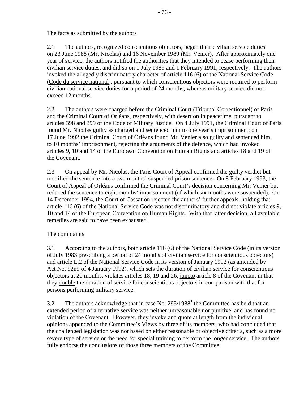# The facts as submitted by the authors

2.1 The authors, recognized conscientious objectors, began their civilian service duties on 23 June 1988 (Mr. Nicolas) and 16 November 1989 (Mr. Venier). After approximately one year of service, the authors notified the authorities that they intended to cease performing their civilian service duties, and did so on 1 July 1989 and 1 February 1991, respectively. The authors invoked the allegedly discriminatory character of article 116 (6) of the National Service Code (Code du service national), pursuant to which conscientious objectors were required to perform civilian national service duties for a period of 24 months, whereas military service did not exceed 12 months.

2.2 The authors were charged before the Criminal Court (Tribunal Correctionnel) of Paris and the Criminal Court of Orléans, respectively, with desertion in peacetime, pursuant to articles 398 and 399 of the Code of Military Justice. On 4 July 1991, the Criminal Court of Paris found Mr. Nicolas guilty as charged and sentenced him to one year's imprisonment; on 17 June 1992 the Criminal Court of Orléans found Mr. Venier also guilty and sentenced him to 10 months' imprisonment, rejecting the arguments of the defence, which had invoked articles 9, 10 and 14 of the European Convention on Human Rights and articles 18 and 19 of the Covenant.

2.3 On appeal by Mr. Nicolas, the Paris Court of Appeal confirmed the guilty verdict but modified the sentence into a two months' suspended prison sentence. On 8 February 1993, the Court of Appeal of Orléans confirmed the Criminal Court's decision concerning Mr. Venier but reduced the sentence to eight months' imprisonment (of which six months were suspended). On 14 December 1994, the Court of Cassation rejected the authors' further appeals, holding that article 116 (6) of the National Service Code was not discriminatory and did not violate articles 9, 10 and 14 of the European Convention on Human Rights. With that latter decision, all available remedies are said to have been exhausted.

# The complaints

3.1 According to the authors, both article 116 (6) of the National Service Code (in its version of July 1983 prescribing a period of 24 months of civilian service for conscientious objectors) and article L.2 of the National Service Code in its version of January 1992 (as amended by Act No. 92n9 of 4 January 1992), which sets the duration of civilian service for conscientious objectors at 20 months, violates articles 18, 19 and 26, juncto article 8 of the Covenant in that they double the duration of service for conscientious objectors in comparison with that for persons performing military service.

3.2 The authors acknowledge that in case No. 295/1988**<sup>1</sup>** the Committee has held that an extended period of alternative service was neither unreasonable nor punitive, and has found no violation of the Covenant. However, they invoke and quote at length from the individual opinions appended to the Committee's Views by three of its members, who had concluded that the challenged legislation was not based on either reasonable or objective criteria, such as a more severe type of service or the need for special training to perform the longer service. The authors fully endorse the conclusions of those three members of the Committee.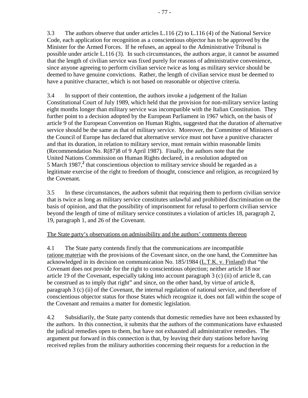3.3 The authors observe that under articles L.116 (2) to L.116 (4) of the National Service Code, each application for recognition as a conscientious objector has to be approved by the Minister for the Armed Forces. If he refuses, an appeal to the Administrative Tribunal is possible under article L.116 (3). In such circumstances, the authors argue, it cannot be assumed that the length of civilian service was fixed purely for reasons of administrative convenience, since anyone agreeing to perform civilian service twice as long as military service should be deemed to have genuine convictions. Rather, the length of civilian service must be deemed to have a punitive character, which is not based on reasonable or objective criteria.

3.4 In support of their contention, the authors invoke a judgement of the Italian Constitutional Court of July 1989, which held that the provision for non-military service lasting eight months longer than military service was incompatible with the Italian Constitution. They further point to a decision adopted by the European Parliament in 1967 which, on the basis of article 9 of the European Convention on Human Rights, suggested that the duration of alternative service should be the same as that of military service. Moreover, the Committee of Ministers of the Council of Europe has declared that alternative service must not have a punitive character and that its duration, in relation to military service, must remain within reasonable limits (Recommendation No. R(87)8 of 9 April 1987). Finally, the authors note that the United Nations Commission on Human Rights declared, in a resolution adopted on 5 March 1987,<sup>2</sup> that conscientious objection to military service should be regarded as a legitimate exercise of the right to freedom of thought, conscience and religion, as recognized by the Covenant.

3.5 In these circumstances, the authors submit that requiring them to perform civilian service that is twice as long as military service constitutes unlawful and prohibited discrimination on the basis of opinion, and that the possibility of imprisonment for refusal to perform civilian service beyond the length of time of military service constitutes a violation of articles 18, paragraph 2, 19, paragraph 1, and 26 of the Covenant.

# The State party's observations on admissibility and the authors' comments thereon

4.1 The State party contends firstly that the communications are incompatible ratione materiae with the provisions of the Covenant since, on the one hand, the Committee has acknowledged in its decision on communication No. 185/1984 (L.T.K. v. Finland) that "the Covenant does not provide for the right to conscientious objection; neither article 18 nor article 19 of the Covenant, especially taking into account paragraph 3 (c) (ii) of article 8, can be construed as to imply that right" and since, on the other hand, by virtue of article 8, paragraph 3 (c) (ii) of the Covenant, the internal regulation of national service, and therefore of conscientious objector status for those States which recognize it, does not fall within the scope of the Covenant and remains a matter for domestic legislation.

4.2 Subsidiarily, the State party contends that domestic remedies have not been exhausted by the authors. In this connection, it submits that the authors of the communications have exhausted the judicial remedies open to them, but have not exhausted all administrative remedies. The argument put forward in this connection is that, by leaving their duty stations before having received replies from the military authorities concerning their requests for a reduction in the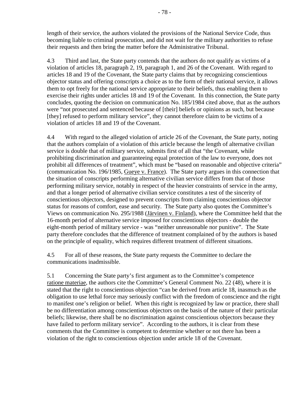length of their service, the authors violated the provisions of the National Service Code, thus becoming liable to criminal prosecution, and did not wait for the military authorities to refuse their requests and then bring the matter before the Administrative Tribunal.

4.3 Third and last, the State party contends that the authors do not qualify as victims of a violation of articles 18, paragraph 2, 19, paragraph 1, and 26 of the Covenant. With regard to articles 18 and 19 of the Covenant, the State party claims that by recognizing conscientious objector status and offering conscripts a choice as to the form of their national service, it allows them to opt freely for the national service appropriate to their beliefs, thus enabling them to exercise their rights under articles 18 and 19 of the Covenant. In this connection, the State party concludes, quoting the decision on communication No. 185/1984 cited above, that as the authors were "not prosecuted and sentenced because of [their] beliefs or opinions as such, but because [they] refused to perform military service", they cannot therefore claim to be victims of a violation of articles 18 and 19 of the Covenant.

4.4 With regard to the alleged violation of article 26 of the Covenant, the State party, noting that the authors complain of a violation of this article because the length of alternative civilian service is double that of military service, submits first of all that "the Covenant, while prohibiting discrimination and guaranteeing equal protection of the law to everyone, does not prohibit all differences of treatment", which must be "based on reasonable and objective criteria" (communication No. 196/1985, Gueye v. France). The State party argues in this connection that the situation of conscripts performing alternative civilian service differs from that of those performing military service, notably in respect of the heavier constraints of service in the army, and that a longer period of alternative civilian service constitutes a test of the sincerity of conscientious objectors, designed to prevent conscripts from claiming conscientious objector status for reasons of comfort, ease and security. The State party also quotes the Committee's Views on communication No. 295/1988 (Järvinen v. Finland), where the Committee held that the 16-month period of alternative service imposed for conscientious objectors - double the eight-month period of military service - was "neither unreasonable nor punitive". The State party therefore concludes that the difference of treatment complained of by the authors is based on the principle of equality, which requires different treatment of different situations.

4.5 For all of these reasons, the State party requests the Committee to declare the communications inadmissible.

5.1 Concerning the State party's first argument as to the Committee's competence ratione materiae, the authors cite the Committee's General Comment No. 22 (48), where it is stated that the right to conscientious objection "can be derived from article 18, inasmuch as the obligation to use lethal force may seriously conflict with the freedom of conscience and the right to manifest one's religion or belief. When this right is recognized by law or practice, there shall be no differentiation among conscientious objectors on the basis of the nature of their particular beliefs; likewise, there shall be no discrimination against conscientious objectors because they have failed to perform military service". According to the authors, it is clear from these comments that the Committee is competent to determine whether or not there has been a violation of the right to conscientious objection under article 18 of the Covenant.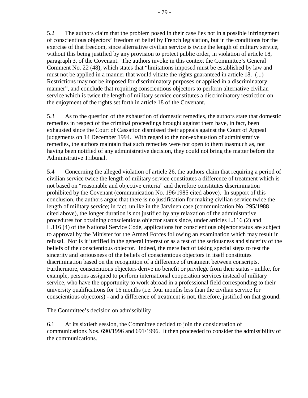5.2 The authors claim that the problem posed in their case lies not in a possible infringement of conscientious objectors' freedom of belief by French legislation, but in the conditions for the exercise of that freedom, since alternative civilian service is twice the length of military service, without this being justified by any provision to protect public order, in violation of article 18, paragraph 3, of the Covenant. The authors invoke in this context the Committee's General Comment No. 22 (48), which states that "limitations imposed must be established by law and must not be applied in a manner that would vitiate the rights guaranteed in article 18. (...) Restrictions may not be imposed for discriminatory purposes or applied in a discriminatory manner", and conclude that requiring conscientious objectors to perform alternative civilian service which is twice the length of military service constitutes a discriminatory restriction on the enjoyment of the rights set forth in article 18 of the Covenant.

5.3 As to the question of the exhaustion of domestic remedies, the authors state that domestic remedies in respect of the criminal proceedings brought against them have, in fact, been exhausted since the Court of Cassation dismissed their appeals against the Court of Appeal judgements on 14 December 1994. With regard to the non-exhaustion of administrative remedies, the authors maintain that such remedies were not open to them inasmuch as, not having been notified of any administrative decision, they could not bring the matter before the Administrative Tribunal.

5.4 Concerning the alleged violation of article 26, the authors claim that requiring a period of civilian service twice the length of military service constitutes a difference of treatment which is not based on "reasonable and objective criteria" and therefore constitutes discrimination prohibited by the Covenant (communication No. 196/1985 cited above). In support of this conclusion, the authors argue that there is no justification for making civilian service twice the length of military service; in fact, unlike in the Järvinen case (communication No. 295/1988 cited above), the longer duration is not justified by any relaxation of the administrative procedures for obtaining conscientious objector status since, under articles L.116 (2) and L.116 (4) of the National Service Code, applications for conscientious objector status are subject to approval by the Minister for the Armed Forces following an examination which may result in refusal. Nor is it justified in the general interest or as a test of the seriousness and sincerity of the beliefs of the conscientious objector. Indeed, the mere fact of taking special steps to test the sincerity and seriousness of the beliefs of conscientious objectors in itself constitutes discrimination based on the recognition of a difference of treatment between conscripts. Furthermore, conscientious objectors derive no benefit or privilege from their status - unlike, for example, persons assigned to perform international cooperation services instead of military service, who have the opportunity to work abroad in a professional field corresponding to their university qualifications for 16 months (i.e. four months less than the civilian service for conscientious objectors) - and a difference of treatment is not, therefore, justified on that ground.

# The Committee's decision on admissibility

6.1 At its sixtieth session, the Committee decided to join the consideration of communications Nos. 690/1996 and 691/1996. It then proceeded to consider the admissibility of the communications.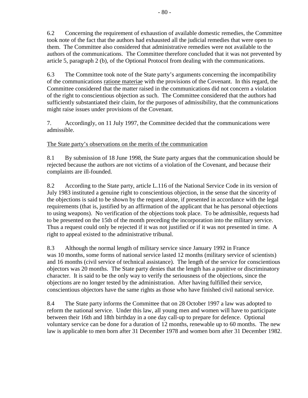6.2 Concerning the requirement of exhaustion of available domestic remedies, the Committee took note of the fact that the authors had exhausted all the judicial remedies that were open to them. The Committee also considered that administrative remedies were not available to the authors of the communications. The Committee therefore concluded that it was not prevented by article 5, paragraph 2 (b), of the Optional Protocol from dealing with the communications.

6.3 The Committee took note of the State party's arguments concerning the incompatibility of the communications ratione materiae with the provisions of the Covenant. In this regard, the Committee considered that the matter raised in the communications did not concern a violation of the right to conscientious objection as such. The Committee considered that the authors had sufficiently substantiated their claim, for the purposes of admissibility, that the communications might raise issues under provisions of the Covenant.

7. Accordingly, on 11 July 1997, the Committee decided that the communications were admissible.

The State party's observations on the merits of the communication

8.1 By submission of 18 June 1998, the State party argues that the communication should be rejected because the authors are not victims of a violation of the Covenant, and because their complaints are ill-founded.

8.2 According to the State party, article L.116 of the National Service Code in its version of July 1983 instituted a genuine right to conscientious objection, in the sense that the sincerity of the objections is said to be shown by the request alone, if presented in accordance with the legal requirements (that is, justified by an affirmation of the applicant that he has personal objections to using weapons). No verification of the objections took place. To be admissible, requests had to be presented on the 15th of the month preceding the incorporation into the military service. Thus a request could only be rejected if it was not justified or if it was not presented in time. A right to appeal existed to the administrative tribunal.

8.3 Although the normal length of military service since January 1992 in France was 10 months, some forms of national service lasted 12 months (military service of scientists) and 16 months (civil service of technical assistance). The length of the service for conscientious objectors was 20 months. The State party denies that the length has a punitive or discriminatory character. It is said to be the only way to verify the seriousness of the objections, since the objections are no longer tested by the administration. After having fulfilled their service, conscientious objectors have the same rights as those who have finished civil national service.

8.4 The State party informs the Committee that on 28 October 1997 a law was adopted to reform the national service. Under this law, all young men and women will have to participate between their 16th and 18th birthday in a one day call-up to prepare for defence. Optional voluntary service can be done for a duration of 12 months, renewable up to 60 months. The new law is applicable to men born after 31 December 1978 and women born after 31 December 1982.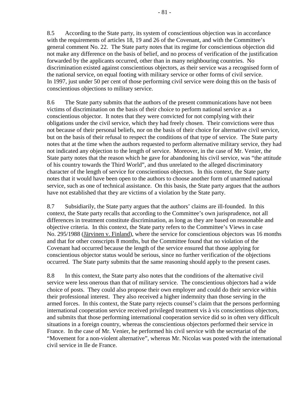8.5 According to the State party, its system of conscientious objection was in accordance with the requirements of articles 18, 19 and 26 of the Covenant, and with the Committee's general comment No. 22. The State party notes that its regime for conscientious objection did not make any difference on the basis of belief, and no process of verification of the justification forwarded by the applicants occurred, other than in many neighbouring countries. No discrimination existed against conscientious objectors, as their service was a recognised form of the national service, on equal footing with military service or other forms of civil service. In 1997, just under 50 per cent of those performing civil service were doing this on the basis of conscientious objections to military service.

8.6 The State party submits that the authors of the present communications have not been victims of discrimination on the basis of their choice to perform national service as a conscientious objector. It notes that they were convicted for not complying with their obligations under the civil service, which they had freely chosen. Their convictions were thus not because of their personal beliefs, nor on the basis of their choice for alternative civil service, but on the basis of their refusal to respect the conditions of that type of service. The State party notes that at the time when the authors requested to perform alternative military service, they had not indicated any objection to the length of service. Moreover, in the case of Mr. Venier, the State party notes that the reason which he gave for abandoning his civil service, was "the attitude of his country towards the Third World", and thus unrelated to the alleged discriminatory character of the length of service for conscientious objectors. In this context, the State party notes that it would have been open to the authors to choose another form of unarmed national service, such as one of technical assistance. On this basis, the State party argues that the authors have not established that they are victims of a violation by the State party.

8.7 Subsidiarily, the State party argues that the authors' claims are ill-founded. In this context, the State party recalls that according to the Committee's own jurisprudence, not all differences in treatment constitute discrimination, as long as they are based on reasonable and objective criteria. In this context, the State party refers to the Committee's Views in case No. 295/1988 (Järvinen v. Finland), where the service for conscientious objectors was 16 months and that for other conscripts 8 months, but the Committee found that no violation of the Covenant had occurred because the length of the service ensured that those applying for conscientious objector status would be serious, since no further verification of the objections occurred. The State party submits that the same reasoning should apply to the present cases.

8.8 In this context, the State party also notes that the conditions of the alternative civil service were less onerous than that of military service. The conscientious objectors had a wide choice of posts. They could also propose their own employer and could do their service within their professional interest. They also received a higher indemnity than those serving in the armed forces. In this context, the State party rejects counsel's claim that the persons performing international cooperation service received privileged treatment vis à vis conscientious objectors, and submits that those performing international cooperation service did so in often very difficult situations in a foreign country, whereas the conscientious objectors performed their service in France. In the case of Mr. Venier, he performed his civil service with the secretariat of the "Movement for a non-violent alternative", whereas Mr. Nicolas was posted with the international civil service in Ile de France.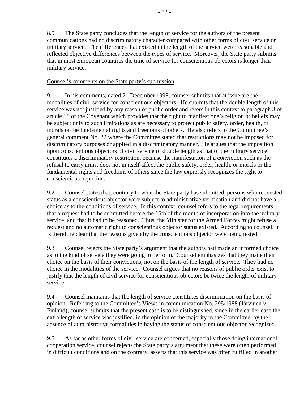8.9 The State party concludes that the length of service for the authors of the present communications had no discriminatory character compared with other forms of civil service or military service. The differences that existed in the length of the service were reasonable and reflected objective differences between the types of service. Moreover, the State party submits that in most European countries the time of service for conscientious objectors is longer than military service.

# Counsel's comments on the State party's submission

9.1 In his comments, dated 21 December 1998, counsel submits that at issue are the modalities of civil service for conscientious objectors. He submits that the double length of this service was not justified by any reason of public order and refers in this context to paragraph 3 of article 18 of the Covenant which provides that the right to manifest one's religion or beliefs may be subject only to such limitations as are necessary to protect public safety, order, health, or morals or the fundamental rights and freedoms of others. He also refers to the Committee's general comment No. 22 where the Committee stated that restrictions may not be imposed for discriminatory purposes or applied in a discriminatory manner. He argues that the imposition upon conscientious objectors of civil service of double length as that of the military service constitutes a discriminatory restriction, because the manifestation of a conviction such as the refusal to carry arms, does not in itself affect the public safety, order, health, or morals or the fundamental rights and freedoms of others since the law expressly recognizes the right to conscientious objection.

9.2 Counsel states that, contrary to what the State party has submitted, persons who requested status as a conscientious objector were subject to administrative verification and did not have a choice as to the conditions of service. In this context, counsel refers to the legal requirements that a request had to be submitted before the 15th of the month of incorporation into the military service, and that it had to be reasoned. Thus, the Minister for the Armed Forces might refuse a request and no automatic right to conscientious objector status existed. According to counsel, it is therefore clear that the reasons given by the conscientious objector were being tested.

9.3 Counsel rejects the State party's argument that the authors had made an informed choice as to the kind of service they were going to perform. Counsel emphasizes that they made their choice on the basis of their convictions, not on the basis of the length of service. They had no choice in the modalities of the service. Counsel argues that no reasons of public order exist to justify that the length of civil service for conscientious objectors be twice the length of military service.

9.4 Counsel maintains that the length of service constitutes discrimination on the basis of opinion. Referring to the Committee's Views in communication No. 295/1988 (Järvinen v. Finland), counsel submits that the present case is to be distinguished, since in the earlier case the extra length of service was justified, in the opinion of the majority in the Committee, by the absence of administrative formalities in having the status of conscientious objector recognized.

9.5 As far as other forms of civil service are concerned, especially those doing international cooperation service, counsel rejects the State party's argument that these were often performed in difficult conditions and on the contrary, asserts that this service was often fulfilled in another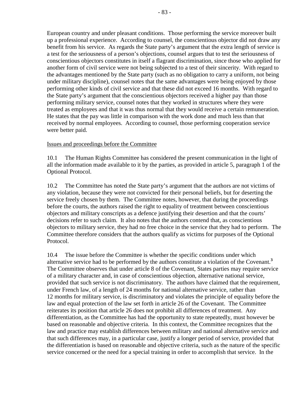European country and under pleasant conditions. Those performing the service moreover built up a professional experience. According to counsel, the conscientious objector did not draw any benefit from his service. As regards the State party's argument that the extra length of service is a test for the seriousness of a person's objections, counsel argues that to test the seriousness of conscientious objectors constitutes in itself a flagrant discrimination, since those who applied for another form of civil service were not being subjected to a test of their sincerity. With regard to the advantages mentioned by the State party (such as no obligation to carry a uniform, not being under military discipline), counsel notes that the same advantages were being enjoyed by those performing other kinds of civil service and that these did not exceed 16 months. With regard to the State party's argument that the conscientious objectors received a higher pay than those performing military service, counsel notes that they worked in structures where they were treated as employees and that it was thus normal that they would receive a certain remuneration. He states that the pay was little in comparison with the work done and much less than that received by normal employees. According to counsel, those performing cooperation service were better paid.

#### Issues and proceedings before the Committee

10.1 The Human Rights Committee has considered the present communication in the light of all the information made available to it by the parties, as provided in article 5, paragraph 1 of the Optional Protocol.

10.2 The Committee has noted the State party's argument that the authors are not victims of any violation, because they were not convicted for their personal beliefs, but for deserting the service freely chosen by them. The Committee notes, however, that during the proceedings before the courts, the authors raised the right to equality of treatment between conscientious objectors and military conscripts as a defence justifying their desertion and that the courts' decisions refer to such claim. It also notes that the authors contend that, as conscientious objectors to military service, they had no free choice in the service that they had to perform. The Committee therefore considers that the authors qualify as victims for purposes of the Optional Protocol.

10.4 The issue before the Committee is whether the specific conditions under which alternative service had to be performed by the authors constitute a violation of the Covenant.**<sup>3</sup>** The Committee observes that under article 8 of the Covenant, States parties may require service of a military character and, in case of conscientious objection, alternative national service, provided that such service is not discriminatory. The authors have claimed that the requirement, under French law, of a length of 24 months for national alternative service, rather than 12 months for military service, is discriminatory and violates the principle of equality before the law and equal protection of the law set forth in article 26 of the Covenant. The Committee reiterates its position that article 26 does not prohibit all differences of treatment. Any differentiation, as the Committee has had the opportunity to state repeatedly, must however be based on reasonable and objective criteria. In this context, the Committee recognizes that the law and practice may establish differences between military and national alternative service and that such differences may, in a particular case, justify a longer period of service, provided that the differentiation is based on reasonable and objective criteria, such as the nature of the specific service concerned or the need for a special training in order to accomplish that service. In the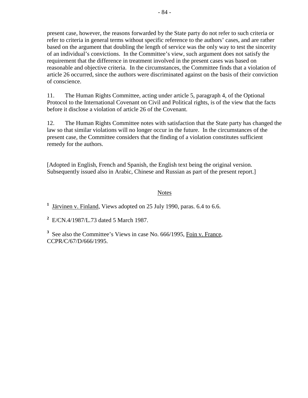present case, however, the reasons forwarded by the State party do not refer to such criteria or refer to criteria in general terms without specific reference to the authors' cases, and are rather based on the argument that doubling the length of service was the only way to test the sincerity of an individual's convictions. In the Committee's view, such argument does not satisfy the requirement that the difference in treatment involved in the present cases was based on reasonable and objective criteria. In the circumstances, the Committee finds that a violation of article 26 occurred, since the authors were discriminated against on the basis of their conviction of conscience.

11. The Human Rights Committee, acting under article 5, paragraph 4, of the Optional Protocol to the International Covenant on Civil and Political rights, is of the view that the facts before it disclose a violation of article 26 of the Covenant.

12. The Human Rights Committee notes with satisfaction that the State party has changed the law so that similar violations will no longer occur in the future. In the circumstances of the present case, the Committee considers that the finding of a violation constitutes sufficient remedy for the authors.

[Adopted in English, French and Spanish, the English text being the original version. Subsequently issued also in Arabic, Chinese and Russian as part of the present report.]

#### Notes

<sup>1</sup> Järvinen v. Finland, Views adopted on 25 July 1990, paras. 6.4 to 6.6.

**2** E/CN.4/1987/L.73 dated 5 March 1987.

<sup>3</sup> See also the Committee's Views in case No. 666/1995, Foin v. France, CCPR/C/67/D/666/1995.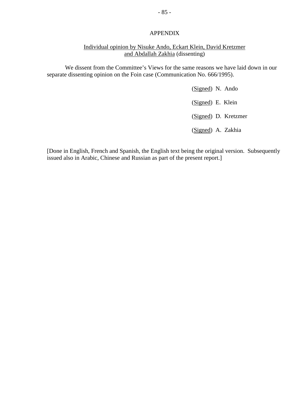#### APPENDIX

#### Individual opinion by Nisuke Ando, Eckart Klein, David Kretzmer and Abdallah Zakhia (dissenting)

We dissent from the Committee's Views for the same reasons we have laid down in our separate dissenting opinion on the Foin case (Communication No. 666/1995).

> (Signed) N. Ando (Signed) E. Klein (Signed) D. Kretzmer (Signed) A. Zakhia

[Done in English, French and Spanish, the English text being the original version. Subsequently issued also in Arabic, Chinese and Russian as part of the present report.]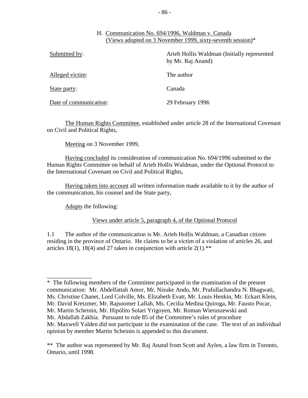#### H. Communication No. 694/1996, Waldman v. Canada (Views adopted on 3 November 1999, sixty-seventh session)\*

| Submitted by:          | Arieh Hollis Waldman (Initially represented<br>by Mr. Raj Anand) |
|------------------------|------------------------------------------------------------------|
| Alleged victim:        | The author                                                       |
| State party:           | Canada                                                           |
| Date of communication: | 29 February 1996                                                 |

The Human Rights Committee, established under article 28 of the International Covenant on Civil and Political Rights,

Meeting on 3 November 1999,

Having concluded its consideration of communication No. 694/1996 submitted to the Human Rights Committee on behalf of Arieh Hollis Waldman, under the Optional Protocol to the International Covenant on Civil and Political Rights,

Having taken into account all written information made available to it by the author of the communication, his counsel and the State party,

Adopts the following:

\_\_\_\_\_\_\_\_\_\_\_\_\_\_\_

# Views under article 5, paragraph 4, of the Optional Protocol

1.1 The author of the communication is Mr. Arieh Hollis Waldman, a Canadian citizen residing in the province of Ontario. He claims to be a victim of a violation of articles 26, and articles 18(1), 18(4) and 27 taken in conjunction with article  $2(1)$ .<sup>\*\*</sup>

<sup>\*</sup> The following members of the Committee participated in the examination of the present communication: Mr. Abdelfattah Amor, Mr. Nisuke Ando, Mr. Prafullachandra N. Bhagwati, Ms. Christine Chanet, Lord Colville, Ms. Elizabeth Evatt, Mr. Louis Henkin, Mr. Eckart Klein, Mr. David Kretzmer, Mr. Rajsoomer Lallah, Ms. Cecilia Medina Quiroga, Mr. Fausto Pocar, Mr. Martin Scheinin, Mr. Hipólito Solari Yrigoyen, Mr. Roman Wieruszewski and Mr. Abdallah Zakhia. Pursuant to rule 85 of the Committee's rules of procedure Mr. Maxwell Yalden did not participate in the examination of the case. The text of an individual opinion by member Martin Scheinin is appended to this document.

<sup>\*\*</sup> The author was represented by Mr. Raj Anand from Scott and Aylen, a law firm in Toronto, Ontario, until 1998.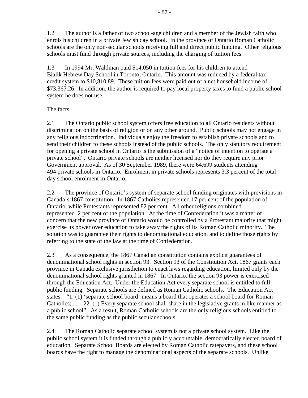1.2 The author is a father of two school-age children and a member of the Jewish faith who enrols his children in a private Jewish day school. In the province of Ontario Roman Catholic schools are the only non-secular schools receiving full and direct public funding. Other religious schools must fund through private sources, including the charging of tuition fees.

1.3 In 1994 Mr. Waldman paid \$14,050 in tuition fees for his children to attend Bialik Hebrew Day School in Toronto, Ontario. This amount was reduced by a federal tax credit system to \$10,810.89. These tuition fees were paid out of a net household income of \$73,367.26. In addition, the author is required to pay local property taxes to fund a public school system he does not use.

# The facts

2.1 The Ontario public school system offers free education to all Ontario residents without discrimination on the basis of religion or on any other ground. Public schools may not engage in any religious indoctrination. Individuals enjoy the freedom to establish private schools and to send their children to these schools instead of the public schools. The only statutory requirement for opening a private school in Ontario is the submission of a "notice of intention to operate a private school". Ontario private schools are neither licensed nor do they require any prior Government approval. As of 30 September 1989, there were 64,699 students attending 494 private schools in Ontario. Enrolment in private schools represents 3.3 percent of the total day school enrolment in Ontario.

2.2 The province of Ontario's system of separate school funding originates with provisions in Canada's 1867 constitution. In 1867 Catholics represented 17 per cent of the population of Ontario, while Protestants represented 82 per cent. All other religions combined represented .2 per cent of the population. At the time of Confederation it was a matter of concern that the new province of Ontario would be controlled by a Protestant majority that might exercise its power over education to take away the rights of its Roman Catholic minority. The solution was to guarantee their rights to denominational education, and to define those rights by referring to the state of the law at the time of Confederation.

2.3 As a consequence, the 1867 Canadian constitution contains explicit guarantees of denominational school rights in section 93. Section 93 of the Constitution Act, 1867 grants each province in Canada exclusive jurisdiction to enact laws regarding education, limited only by the denominational school rights granted in 1867. In Ontario, the section 93 power is exercised through the Education Act. Under the Education Act every separate school is entitled to full public funding. Separate schools are defined as Roman Catholic schools. The Education Act states: "1. (1) 'separate school board' means a board that operates a school board for Roman Catholics; ... 122. (1) Every separate school shall share in the legislative grants in like manner as a public school". As a result, Roman Catholic schools are the only religious schools entitled to the same public funding as the public secular schools.

2.4 The Roman Catholic separate school system is not a private school system. Like the public school system it is funded through a publicly accountable, democratically elected board of education. Separate School Boards are elected by Roman Catholic ratepayers, and these school boards have the right to manage the denominational aspects of the separate schools. Unlike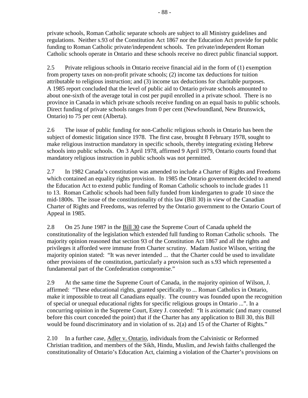private schools, Roman Catholic separate schools are subject to all Ministry guidelines and regulations. Neither s.93 of the Constitution Act 1867 nor the Education Act provide for public funding to Roman Catholic private/independent schools. Ten private/independent Roman Catholic schools operate in Ontario and these schools receive no direct public financial support.

2.5 Private religious schools in Ontario receive financial aid in the form of (1) exemption from property taxes on non-profit private schools; (2) income tax deductions for tuition attributable to religious instruction; and (3) income tax deductions for charitable purposes. A 1985 report concluded that the level of public aid to Ontario private schools amounted to about one-sixth of the average total in cost per pupil enrolled in a private school. There is no province in Canada in which private schools receive funding on an equal basis to public schools. Direct funding of private schools ranges from 0 per cent (Newfoundland, New Brunswick, Ontario) to 75 per cent (Alberta).

2.6 The issue of public funding for non-Catholic religious schools in Ontario has been the subject of domestic litigation since 1978. The first case, brought 8 February 1978, sought to make religious instruction mandatory in specific schools, thereby integrating existing Hebrew schools into public schools. On 3 April 1978, affirmed 9 April 1979, Ontario courts found that mandatory religious instruction in public schools was not permitted.

2.7 In 1982 Canada's constitution was amended to include a Charter of Rights and Freedoms which contained an equality rights provision. In 1985 the Ontario government decided to amend the Education Act to extend public funding of Roman Catholic schools to include grades 11 to 13. Roman Catholic schools had been fully funded from kindergarten to grade 10 since the mid-1800s. The issue of the constitutionality of this law (Bill 30) in view of the Canadian Charter of Rights and Freedoms, was referred by the Ontario government to the Ontario Court of Appeal in 1985.

2.8 On 25 June 1987 in the Bill 30 case the Supreme Court of Canada upheld the constitutionality of the legislation which extended full funding to Roman Catholic schools. The majority opinion reasoned that section 93 of the Constitution Act 1867 and all the rights and privileges it afforded were immune from Charter scrutiny. Madam Justice Wilson, writing the majority opinion stated: "It was never intended ... that the Charter could be used to invalidate other provisions of the constitution, particularly a provision such as s.93 which represented a fundamental part of the Confederation compromise."

2.9 At the same time the Supreme Court of Canada, in the majority opinion of Wilson, J. affirmed: "These educational rights, granted specifically to ... Roman Catholics in Ontario, make it impossible to treat all Canadians equally. The country was founded upon the recognition of special or unequal educational rights for specific religious groups in Ontario ...". In a concurring opinion in the Supreme Court, Estey J. conceded: "It is axiomatic (and many counsel before this court conceded the point) that if the Charter has any application to Bill 30, this Bill would be found discriminatory and in violation of ss. 2(a) and 15 of the Charter of Rights."

2.10 In a further case, Adler v. Ontario, individuals from the Calvinistic or Reformed Christian tradition, and members of the Sikh, Hindu, Muslim, and Jewish faiths challenged the constitutionality of Ontario's Education Act, claiming a violation of the Charter's provisions on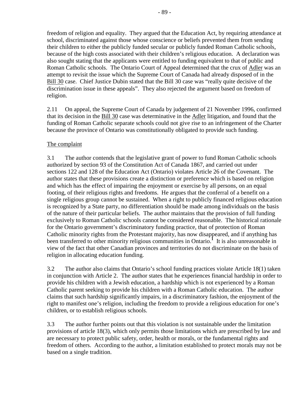freedom of religion and equality. They argued that the Education Act, by requiring attendance at school, discriminated against those whose conscience or beliefs prevented them from sending their children to either the publicly funded secular or publicly funded Roman Catholic schools, because of the high costs associated with their children's religious education. A declaration was also sought stating that the applicants were entitled to funding equivalent to that of public and Roman Catholic schools. The Ontario Court of Appeal determined that the crux of Adler was an attempt to revisit the issue which the Supreme Court of Canada had already disposed of in the Bill 30 case. Chief Justice Dubin stated that the Bill 30 case was "really quite decisive of the discrimination issue in these appeals". They also rejected the argument based on freedom of religion.

2.11 On appeal, the Supreme Court of Canada by judgement of 21 November 1996, confirmed that its decision in the Bill 30 case was determinative in the Adler litigation, and found that the funding of Roman Catholic separate schools could not give rise to an infringement of the Charter because the province of Ontario was constitutionally obligated to provide such funding.

# The complaint

3.1 The author contends that the legislative grant of power to fund Roman Catholic schools authorized by section 93 of the Constitution Act of Canada 1867, and carried out under sections 122 and 128 of the Education Act (Ontario) violates Article 26 of the Covenant. The author states that these provisions create a distinction or preference which is based on religion and which has the effect of impairing the enjoyment or exercise by all persons, on an equal footing, of their religious rights and freedoms. He argues that the conferral of a benefit on a single religious group cannot be sustained. When a right to publicly financed religious education is recognized by a State party, no differentiation should be made among individuals on the basis of the nature of their particular beliefs. The author maintains that the provision of full funding exclusively to Roman Catholic schools cannot be considered reasonable. The historical rationale for the Ontario government's discriminatory funding practice, that of protection of Roman Catholic minority rights from the Protestant majority, has now disappeared, and if anything has been transferred to other minority religious communities in Ontario.<sup>1</sup> It is also unreasonable in view of the fact that other Canadian provinces and territories do not discriminate on the basis of religion in allocating education funding.

3.2 The author also claims that Ontario's school funding practices violate Article 18(1) taken in conjunction with Article 2. The author states that he experiences financial hardship in order to provide his children with a Jewish education, a hardship which is not experienced by a Roman Catholic parent seeking to provide his children with a Roman Catholic education. The author claims that such hardship significantly impairs, in a discriminatory fashion, the enjoyment of the right to manifest one's religion, including the freedom to provide a religious education for one's children, or to establish religious schools.

3.3 The author further points out that this violation is not sustainable under the limitation provisions of article 18(3), which only permits those limitations which are prescribed by law and are necessary to protect public safety, order, health or morals, or the fundamental rights and freedom of others. According to the author, a limitation established to protect morals may not be based on a single tradition.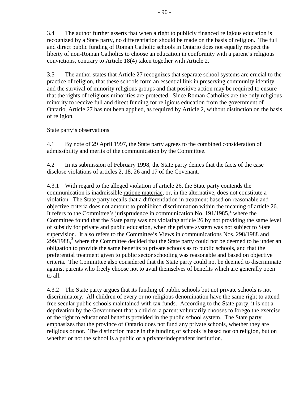3.4 The author further asserts that when a right to publicly financed religious education is recognized by a State party, no differentiation should be made on the basis of religion. The full and direct public funding of Roman Catholic schools in Ontario does not equally respect the liberty of non-Roman Catholics to choose an education in conformity with a parent's religious convictions, contrary to Article 18(4) taken together with Article 2.

3.5 The author states that Article 27 recognizes that separate school systems are crucial to the practice of religion, that these schools form an essential link in preserving community identity and the survival of minority religious groups and that positive action may be required to ensure that the rights of religious minorities are protected. Since Roman Catholics are the only religious minority to receive full and direct funding for religious education from the government of Ontario, Article 27 has not been applied, as required by Article 2, without distinction on the basis of religion.

# State party's observations

4.1 By note of 29 April 1997, the State party agrees to the combined consideration of admissibility and merits of the communication by the Committee.

4.2 In its submission of February 1998, the State party denies that the facts of the case disclose violations of articles 2, 18, 26 and 17 of the Covenant.

4.3.1 With regard to the alleged violation of article 26, the State party contends the communication is inadmissible ratione materiae, or, in the alternative, does not constitute a violation. The State party recalls that a differentiation in treatment based on reasonable and objective criteria does not amount to prohibited discrimination within the meaning of article 26. It refers to the Committee's jurisprudence in communication No. 191/1985,<sup>2</sup> where the Committee found that the State party was not violating article 26 by not providing the same level of subsidy for private and public education, when the private system was not subject to State supervision. It also refers to the Committee's Views in communications Nos. 298/1988 and 299/1988,**<sup>3</sup>** where the Committee decided that the State party could not be deemed to be under an obligation to provide the same benefits to private schools as to public schools, and that the preferential treatment given to public sector schooling was reasonable and based on objective criteria. The Committee also considered that the State party could not be deemed to discriminate against parents who freely choose not to avail themselves of benefits which are generally open to all.

4.3.2 The State party argues that its funding of public schools but not private schools is not discriminatory. All children of every or no religious denomination have the same right to attend free secular public schools maintained with tax funds. According to the State party, it is not a deprivation by the Government that a child or a parent voluntarily chooses to forego the exercise of the right to educational benefits provided in the public school system. The State party emphasizes that the province of Ontario does not fund any private schools, whether they are religious or not. The distinction made in the funding of schools is based not on religion, but on whether or not the school is a public or a private/independent institution.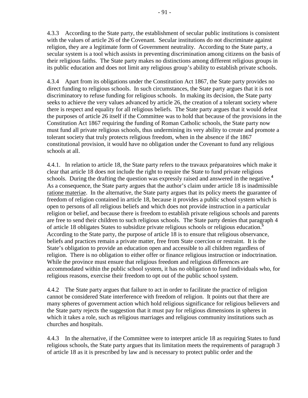4.3.3 According to the State party, the establishment of secular public institutions is consistent with the values of article 26 of the Covenant. Secular institutions do not discriminate against religion, they are a legitimate form of Government neutrality. According to the State party, a secular system is a tool which assists in preventing discrimination among citizens on the basis of their religious faiths. The State party makes no distinctions among different religious groups in its public education and does not limit any religious group's ability to establish private schools.

4.3.4 Apart from its obligations under the Constitution Act 1867, the State party provides no direct funding to religious schools. In such circumstances, the State party argues that it is not discriminatory to refuse funding for religious schools. In making its decision, the State party seeks to achieve the very values advanced by article 26, the creation of a tolerant society where there is respect and equality for all religious beliefs. The State party argues that it would defeat the purposes of article 26 itself if the Committee was to hold that because of the provisions in the Constitution Act 1867 requiring the funding of Roman Catholic schools, the State party now must fund all private religious schools, thus undermining its very ability to create and promote a tolerant society that truly protects religious freedom, when in the absence if the 1867 constitutional provision, it would have no obligation under the Covenant to fund any religious schools at all.

4.4.1. In relation to article 18, the State party refers to the travaux préparatoires which make it clear that article 18 does not include the right to require the State to fund private religious schools. During the drafting the question was expressly raised and answered in the negative.**<sup>4</sup>** As a consequence, the State party argues that the author's claim under article 18 is inadmissible ratione materiae. In the alternative, the State party argues that its policy meets the guarantee of freedom of religion contained in article 18, because it provides a public school system which is open to persons of all religious beliefs and which does not provide instruction in a particular religion or belief, and because there is freedom to establish private religious schools and parents are free to send their children to such religious schools. The State party denies that paragraph 4 of article 18 obligates States to subsidize private religious schools or religious education.**<sup>5</sup>** According to the State party, the purpose of article 18 is to ensure that religious observance, beliefs and practices remain a private matter, free from State coercion or restraint. It is the State's obligation to provide an education open and accessible to all children regardless of religion. There is no obligation to either offer or finance religious instruction or indoctrination. While the province must ensure that religious freedom and religious differences are accommodated within the public school system, it has no obligation to fund individuals who, for religious reasons, exercise their freedom to opt out of the public school system.

4.4.2 The State party argues that failure to act in order to facilitate the practice of religion cannot be considered State interference with freedom of religion. It points out that there are many spheres of government action which hold religious significance for religious believers and the State party rejects the suggestion that it must pay for religious dimensions in spheres in which it takes a role, such as religious marriages and religious community institutions such as churches and hospitals.

4.4.3 In the alternative, if the Committee were to interpret article 18 as requiring States to fund religious schools, the State party argues that its limitation meets the requirements of paragraph 3 of article 18 as it is prescribed by law and is necessary to protect public order and the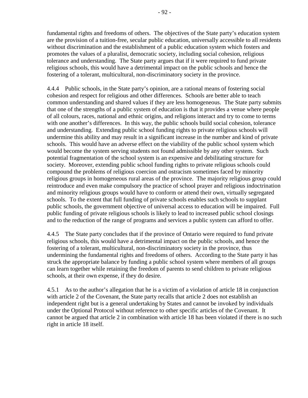fundamental rights and freedoms of others. The objectives of the State party's education system are the provision of a tuition-free, secular public education, universally accessible to all residents without discrimination and the establishment of a public education system which fosters and promotes the values of a pluralist, democratic society, including social cohesion, religious tolerance and understanding. The State party argues that if it were required to fund private religious schools, this would have a detrimental impact on the public schools and hence the fostering of a tolerant, multicultural, non-discriminatory society in the province.

4.4.4 Public schools, in the State party's opinion, are a rational means of fostering social cohesion and respect for religious and other differences. Schools are better able to teach common understanding and shared values if they are less homogeneous. The State party submits that one of the strengths of a public system of education is that it provides a venue where people of all colours, races, national and ethnic origins, and religions interact and try to come to terms with one another's differences. In this way, the public schools build social cohesion, tolerance and understanding. Extending public school funding rights to private religious schools will undermine this ability and may result in a significant increase in the number and kind of private schools. This would have an adverse effect on the viability of the public school system which would become the system serving students not found admissible by any other system. Such potential fragmentation of the school system is an expensive and debilitating structure for society. Moreover, extending public school funding rights to private religious schools could compound the problems of religious coercion and ostracism sometimes faced by minority religious groups in homogeneous rural areas of the province. The majority religious group could reintroduce and even make compulsory the practice of school prayer and religious indoctrination and minority religious groups would have to conform or attend their own, virtually segregated schools. To the extent that full funding of private schools enables such schools to supplant public schools, the government objective of universal access to education will be impaired. Full public funding of private religious schools is likely to lead to increased public school closings and to the reduction of the range of programs and services a public system can afford to offer.

4.4.5 The State party concludes that if the province of Ontario were required to fund private religious schools, this would have a detrimental impact on the public schools, and hence the fostering of a tolerant, multicultural, non-discriminatory society in the province, thus undermining the fundamental rights and freedoms of others. According to the State party it has struck the appropriate balance by funding a public school system where members of all groups can learn together while retaining the freedom of parents to send children to private religious schools, at their own expense, if they do desire.

4.5.1 As to the author's allegation that he is a victim of a violation of article 18 in conjunction with article 2 of the Covenant, the State party recalls that article 2 does not establish an independent right but is a general undertaking by States and cannot be invoked by individuals under the Optional Protocol without reference to other specific articles of the Covenant. It cannot be argued that article 2 in combination with article 18 has been violated if there is no such right in article 18 itself.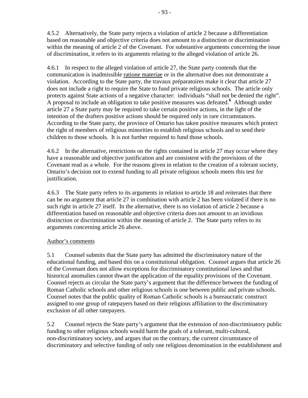4.5.2 Alternatively, the State party rejects a violation of article 2 because a differentiation based on reasonable and objective criteria does not amount to a distinction or discrimination within the meaning of article 2 of the Covenant. For substantive arguments concerning the issue of discrimination, it refers to its arguments relating to the alleged violation of article 26.

4.6.1 In respect to the alleged violation of article 27, the State party contends that the communication is inadmissible ratione materiae or in the alternative does not demonstrate a violation. According to the State party, the travaux préparatoires make it clear that article 27 does not include a right to require the State to fund private religious schools. The article only protects against State actions of a negative character: individuals "shall not be denied the right". A proposal to include an obligation to take positive measures was defeated.**<sup>6</sup>** Although under article 27 a State party may be required to take certain positive actions, in the light of the intention of the drafters positive actions should be required only in rare circumstances. According to the State party, the province of Ontario has taken positive measures which protect the right of members of religious minorities to establish religious schools and to send their children to those schools. It is not further required to fund those schools.

4.6.2 In the alternative, restrictions on the rights contained in article 27 may occur where they have a reasonable and objective justification and are consistent with the provisions of the Covenant read as a whole. For the reasons given in relation to the creation of a tolerant society, Ontario's decision not to extend funding to all private religious schools meets this test for justification.

4.6.3 The State party refers to its arguments in relation to article 18 and reiterates that there can be no argument that article 27 in combination with article 2 has been violated if there is no such right in article 27 itself. In the alternative, there is no violation of article 2 because a differentiation based on reasonable and objective criteria does not amount to an invidious distinction or discrimination within the meaning of article 2. The State party refers to its arguments concerning article 26 above.

# Author's comments

5.1 Counsel submits that the State party has admitted the discriminatory nature of the educational funding, and based this on a constitutional obligation. Counsel argues that article 26 of the Covenant does not allow exceptions for discriminatory constitutional laws and that historical anomalies cannot thwart the application of the equality provisions of the Covenant. Counsel rejects as circular the State party's argument that the difference between the funding of Roman Catholic schools and other religious schools is one between public and private schools. Counsel notes that the public quality of Roman Catholic schools is a bureaucratic construct assigned to one group of ratepayers based on their religious affiliation to the discriminatory exclusion of all other ratepayers.

5.2 Counsel rejects the State party's argument that the extension of non-discriminatory public funding to other religious schools would harm the goals of a tolerant, multi-cultural, non-discriminatory society, and argues that on the contrary, the current circumstance of discriminatory and selective funding of only one religious denomination in the establishment and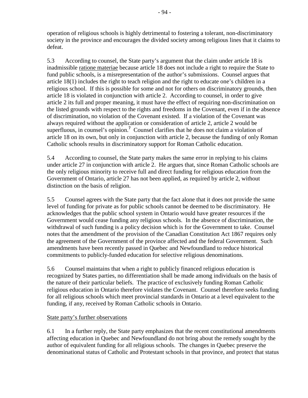operation of religious schools is highly detrimental to fostering a tolerant, non-discriminatory society in the province and encourages the divided society among religious lines that it claims to defeat.

5.3 According to counsel, the State party's argument that the claim under article 18 is inadmissible ratione materiae because article 18 does not include a right to require the State to fund public schools, is a misrepresentation of the author's submissions. Counsel argues that article 18(1) includes the right to teach religion and the right to educate one's children in a religious school. If this is possible for some and not for others on discriminatory grounds, then article 18 is violated in conjunction with article 2. According to counsel, in order to give article 2 its full and proper meaning, it must have the effect of requiring non-discrimination on the listed grounds with respect to the rights and freedoms in the Covenant, even if in the absence of discrimination, no violation of the Covenant existed. If a violation of the Covenant was always required without the application or consideration of article 2, article 2 would be superfluous, in counsel's opinion.**<sup>7</sup>** Counsel clarifies that he does not claim a violation of article 18 on its own, but only in conjunction with article 2, because the funding of only Roman Catholic schools results in discriminatory support for Roman Catholic education.

5.4 According to counsel, the State party makes the same error in replying to his claims under article 27 in conjunction with article 2. He argues that, since Roman Catholic schools are the only religious minority to receive full and direct funding for religious education from the Government of Ontario, article 27 has not been applied, as required by article 2, without distinction on the basis of religion.

5.5 Counsel agrees with the State party that the fact alone that it does not provide the same level of funding for private as for public schools cannot be deemed to be discriminatory. He acknowledges that the public school system in Ontario would have greater resources if the Government would cease funding any religious schools. In the absence of discrimination, the withdrawal of such funding is a policy decision which is for the Government to take. Counsel notes that the amendment of the provision of the Canadian Constitution Act 1867 requires only the agreement of the Government of the province affected and the federal Government. Such amendments have been recently passed in Quebec and Newfoundland to reduce historical commitments to publicly-funded education for selective religious denominations.

5.6 Counsel maintains that when a right to publicly financed religious education is recognized by States parties, no differentiation shall be made among individuals on the basis of the nature of their particular beliefs. The practice of exclusively funding Roman Catholic religious education in Ontario therefore violates the Covenant. Counsel therefore seeks funding for all religious schools which meet provincial standards in Ontario at a level equivalent to the funding, if any, received by Roman Catholic schools in Ontario.

# State party's further observations

6.1 In a further reply, the State party emphasizes that the recent constitutional amendments affecting education in Quebec and Newfoundland do not bring about the remedy sought by the author of equivalent funding for all religious schools. The changes in Quebec preserve the denominational status of Catholic and Protestant schools in that province, and protect that status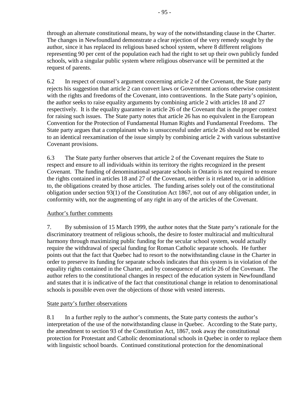through an alternate constitutional means, by way of the notwithstanding clause in the Charter. The changes in Newfoundland demonstrate a clear rejection of the very remedy sought by the author, since it has replaced its religious based school system, where 8 different religions representing 90 per cent of the population each had the right to set up their own publicly funded schools, with a singular public system where religious observance will be permitted at the request of parents.

6.2 In respect of counsel's argument concerning article 2 of the Covenant, the State party rejects his suggestion that article 2 can convert laws or Government actions otherwise consistent with the rights and freedoms of the Covenant, into contraventions. In the State party's opinion, the author seeks to raise equality arguments by combining article 2 with articles 18 and 27 respectively. It is the equality guarantee in article 26 of the Covenant that is the proper context for raising such issues. The State party notes that article 26 has no equivalent in the European Convention for the Protection of Fundamental Human Rights and Fundamental Freedoms. The State party argues that a complainant who is unsuccessful under article 26 should not be entitled to an identical reexamination of the issue simply by combining article 2 with various substantive Covenant provisions.

6.3 The State party further observes that article 2 of the Covenant requires the State to respect and ensure to all individuals within its territory the rights recognized in the present Covenant. The funding of denominational separate schools in Ontario is not required to ensure the rights contained in articles 18 and 27 of the Covenant, neither is it related to, or in addition to, the obligations created by those articles. The funding arises solely out of the constitutional obligation under section 93(1) of the Constitution Act 1867, not out of any obligation under, in conformity with, nor the augmenting of any right in any of the articles of the Covenant.

# Author's further comments

7. By submission of 15 March 1999, the author notes that the State party's rationale for the discriminatory treatment of religious schools, the desire to foster multiracial and multicultural harmony through maximizing public funding for the secular school system, would actually require the withdrawal of special funding for Roman Catholic separate schools. He further points out that the fact that Quebec had to resort to the notwithstanding clause in the Charter in order to preserve its funding for separate schools indicates that this system is in violation of the equality rights contained in the Charter, and by consequence of article 26 of the Covenant. The author refers to the constitutional changes in respect of the education system in Newfoundland and states that it is indicative of the fact that constitutional change in relation to denominational schools is possible even over the objections of those with vested interests.

#### State party's further observations

8.1 In a further reply to the author's comments, the State party contests the author's interpretation of the use of the notwithstanding clause in Quebec. According to the State party, the amendment to section 93 of the Constitution Act, 1867, took away the constitutional protection for Protestant and Catholic denominational schools in Quebec in order to replace them with linguistic school boards. Continued constitutional protection for the denominational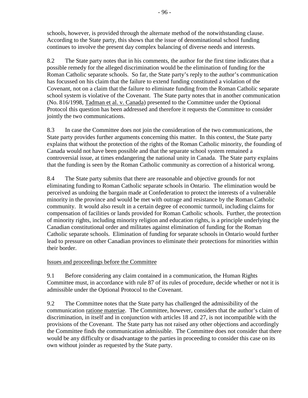schools, however, is provided through the alternate method of the notwithstanding clause. According to the State party, this shows that the issue of denominational school funding continues to involve the present day complex balancing of diverse needs and interests.

8.2 The State party notes that in his comments, the author for the first time indicates that a possible remedy for the alleged discrimination would be the elimination of funding for the Roman Catholic separate schools. So far, the State party's reply to the author's communication has focussed on his claim that the failure to extend funding constituted a violation of the Covenant, not on a claim that the failure to eliminate funding from the Roman Catholic separate school system is violative of the Covenant. The State party notes that in another communication (No. 816/1998, Tadman et al. v. Canada) presented to the Committee under the Optional Protocol this question has been addressed and therefore it requests the Committee to consider jointly the two communications.

8.3 In case the Committee does not join the consideration of the two communications, the State party provides further arguments concerning this matter. In this context, the State party explains that without the protection of the rights of the Roman Catholic minority, the founding of Canada would not have been possible and that the separate school system remained a controversial issue, at times endangering the national unity in Canada. The State party explains that the funding is seen by the Roman Catholic community as correction of a historical wrong.

8.4 The State party submits that there are reasonable and objective grounds for not eliminating funding to Roman Catholic separate schools in Ontario. The elimination would be perceived as undoing the bargain made at Confederation to protect the interests of a vulnerable minority in the province and would be met with outrage and resistance by the Roman Catholic community. It would also result in a certain degree of economic turmoil, including claims for compensation of facilities or lands provided for Roman Catholic schools. Further, the protection of minority rights, including minority religion and education rights, is a principle underlying the Canadian constitutional order and militates against elimination of funding for the Roman Catholic separate schools. Elimination of funding for separate schools in Ontario would further lead to pressure on other Canadian provinces to eliminate their protections for minorities within their border.

# Issues and proceedings before the Committee

9.1 Before considering any claim contained in a communication, the Human Rights Committee must, in accordance with rule 87 of its rules of procedure, decide whether or not it is admissible under the Optional Protocol to the Covenant.

9.2 The Committee notes that the State party has challenged the admissibility of the communication ratione materiae. The Committee, however, considers that the author's claim of discrimination, in itself and in conjunction with articles 18 and 27, is not incompatible with the provisions of the Covenant. The State party has not raised any other objections and accordingly the Committee finds the communication admissible. The Committee does not consider that there would be any difficulty or disadvantage to the parties in proceeding to consider this case on its own without joinder as requested by the State party.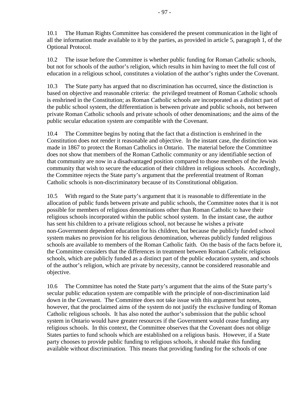10.1 The Human Rights Committee has considered the present communication in the light of all the information made available to it by the parties, as provided in article 5, paragraph 1, of the Optional Protocol.

10.2 The issue before the Committee is whether public funding for Roman Catholic schools, but not for schools of the author's religion, which results in him having to meet the full cost of education in a religious school, constitutes a violation of the author's rights under the Covenant.

10.3 The State party has argued that no discrimination has occurred, since the distinction is based on objective and reasonable criteria: the privileged treatment of Roman Catholic schools is enshrined in the Constitution; as Roman Catholic schools are incorporated as a distinct part of the public school system, the differentiation is between private and public schools, not between private Roman Catholic schools and private schools of other denominations; and the aims of the public secular education system are compatible with the Covenant.

10.4 The Committee begins by noting that the fact that a distinction is enshrined in the Constitution does not render it reasonable and objective. In the instant case, the distinction was made in 1867 to protect the Roman Catholics in Ontario. The material before the Committee does not show that members of the Roman Catholic community or any identifiable section of that community are now in a disadvantaged position compared to those members of the Jewish community that wish to secure the education of their children in religious schools. Accordingly, the Committee rejects the State party's argument that the preferential treatment of Roman Catholic schools is non-discriminatory because of its Constitutional obligation.

10.5 With regard to the State party's argument that it is reasonable to differentiate in the allocation of public funds between private and public schools, the Committee notes that it is not possible for members of religious denominations other than Roman Catholic to have their religious schools incorporated within the public school system. In the instant case, the author has sent his children to a private religious school, not because he wishes a private non-Government dependent education for his children, but because the publicly funded school system makes no provision for his religious denomination, whereas publicly funded religious schools are available to members of the Roman Catholic faith. On the basis of the facts before it, the Committee considers that the differences in treatment between Roman Catholic religious schools, which are publicly funded as a distinct part of the public education system, and schools of the author's religion, which are private by necessity, cannot be considered reasonable and objective.

10.6 The Committee has noted the State party's argument that the aims of the State party's secular public education system are compatible with the principle of non-discrimination laid down in the Covenant. The Committee does not take issue with this argument but notes, however, that the proclaimed aims of the system do not justify the exclusive funding of Roman Catholic religious schools. It has also noted the author's submission that the public school system in Ontario would have greater resources if the Government would cease funding any religious schools. In this context, the Committee observes that the Covenant does not oblige States parties to fund schools which are established on a religious basis. However, if a State party chooses to provide public funding to religious schools, it should make this funding available without discrimination. This means that providing funding for the schools of one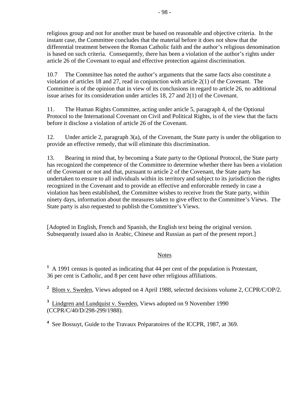religious group and not for another must be based on reasonable and objective criteria. In the instant case, the Committee concludes that the material before it does not show that the differential treatment between the Roman Catholic faith and the author's religious denomination is based on such criteria. Consequently, there has been a violation of the author's rights under article 26 of the Covenant to equal and effective protection against discrimination.

10.7 The Committee has noted the author's arguments that the same facts also constitute a violation of articles 18 and 27, read in conjunction with article 2(1) of the Covenant. The Committee is of the opinion that in view of its conclusions in regard to article 26, no additional issue arises for its consideration under articles 18, 27 and 2(1) of the Covenant.

11. The Human Rights Committee, acting under article 5, paragraph 4, of the Optional Protocol to the International Covenant on Civil and Political Rights, is of the view that the facts before it disclose a violation of article 26 of the Covenant.

12. Under article 2, paragraph 3(a), of the Covenant, the State party is under the obligation to provide an effective remedy, that will eliminate this discrimination.

13. Bearing in mind that, by becoming a State party to the Optional Protocol, the State party has recognized the competence of the Committee to determine whether there has been a violation of the Covenant or not and that, pursuant to article 2 of the Covenant, the State party has undertaken to ensure to all individuals within its territory and subject to its jurisdiction the rights recognized in the Covenant and to provide an effective and enforceable remedy in case a violation has been established, the Committee wishes to receive from the State party, within ninety days, information about the measures taken to give effect to the Committee's Views. The State party is also requested to publish the Committee's Views.

[Adopted in English, French and Spanish, the English text being the original version. Subsequently issued also in Arabic, Chinese and Russian as part of the present report.]

#### Notes

<sup>1</sup> A 1991 census is quoted as indicating that 44 per cent of the population is Protestant, 36 per cent is Catholic, and 8 per cent have other religious affiliations.

<sup>2</sup> Blom v. Sweden, Views adopted on 4 April 1988, selected decisions volume 2, CCPR/C/OP/2.

<sup>3</sup> Lindgren and Lundquist v. Sweden, Views adopted on 9 November 1990 (CCPR/C/40/D/298-299/1988).

**4** See Bossuyt, Guide to the Travaux Préparatoires of the ICCPR, 1987, at 369.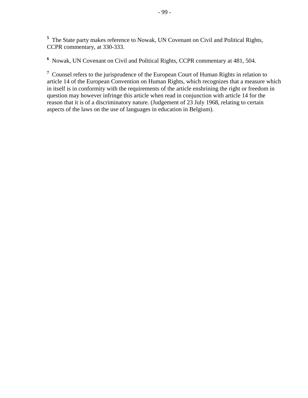<sup>5</sup> The State party makes reference to Nowak, UN Covenant on Civil and Political Rights, CCPR commentary, at 330-333.

**6** Nowak, UN Covenant on Civil and Political Rights, CCPR commentary at 481, 504.

<sup>7</sup> Counsel refers to the jurisprudence of the European Court of Human Rights in relation to article 14 of the European Convention on Human Rights, which recognizes that a measure which in itself is in conformity with the requirements of the article enshrining the right or freedom in question may however infringe this article when read in conjunction with article 14 for the reason that it is of a discriminatory nature. (Judgement of 23 July 1968, relating to certain aspects of the laws on the use of languages in education in Belgium).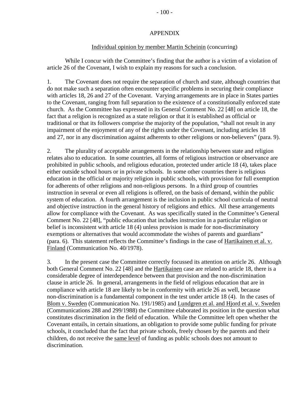#### APPENDIX

#### Individual opinion by member Martin Scheinin (concurring)

While I concur with the Committee's finding that the author is a victim of a violation of article 26 of the Covenant, I wish to explain my reasons for such a conclusion.

1. The Covenant does not require the separation of church and state, although countries that do not make such a separation often encounter specific problems in securing their compliance with articles 18, 26 and 27 of the Covenant. Varying arrangements are in place in States parties to the Covenant, ranging from full separation to the existence of a constitutionally enforced state church. As the Committee has expressed in its General Comment No. 22 [48] on article 18, the fact that a religion is recognized as a state religion or that it is established as official or traditional or that its followers comprise the majority of the population, "shall not result in any impairment of the enjoyment of any of the rights under the Covenant, including articles 18 and 27, nor in any discrimination against adherents to other religions or non-believers" (para. 9).

2. The plurality of acceptable arrangements in the relationship between state and religion relates also to education. In some countries, all forms of religious instruction or observance are prohibited in public schools, and religious education, protected under article 18 (4), takes place either outside school hours or in private schools. In some other countries there is religious education in the official or majority religion in public schools, with provision for full exemption for adherents of other religions and non-religious persons. In a third group of countries instruction in several or even all religions is offered, on the basis of demand, within the public system of education. A fourth arrangement is the inclusion in public school curricula of neutral and objective instruction in the general history of religions and ethics. All these arrangements allow for compliance with the Covenant. As was specifically stated in the Committee's General Comment No. 22 [48], "public education that includes instruction in a particular religion or belief is inconsistent with article 18 (4) unless provision is made for non-discriminatory exemptions or alternatives that would accommodate the wishes of parents and guardians" (para. 6). This statement reflects the Committee's findings in the case of Hartikainen et al. v. Finland (Communication No. 40/1978).

3. In the present case the Committee correctly focussed its attention on article 26. Although both General Comment No. 22 [48] and the Hartikainen case are related to article 18, there is a considerable degree of interdependence between that provision and the non-discrimination clause in article 26. In general, arrangements in the field of religious education that are in compliance with article 18 are likely to be in conformity with article 26 as well, because non-discrimination is a fundamental component in the test under article 18 (4). In the cases of Blom v. Sweden (Communication No. 191/1985) and Lundgren et al. and Hjord et al. v. Sweden (Communications 288 and 299/1988) the Committee elaborated its position in the question what constitutes discrimination in the field of education. While the Committee left open whether the Covenant entails, in certain situations, an obligation to provide some public funding for private schools, it concluded that the fact that private schools, freely chosen by the parents and their children, do not receive the same level of funding as public schools does not amount to discrimination.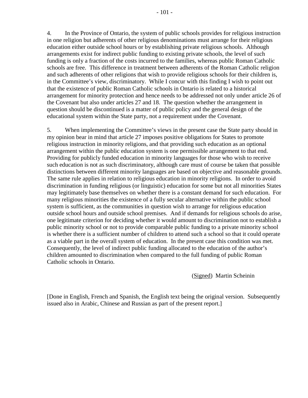4. In the Province of Ontario, the system of public schools provides for religious instruction in one religion but adherents of other religious denominations must arrange for their religious education either outside school hours or by establishing private religious schools. Although arrangements exist for indirect public funding to existing private schools, the level of such funding is only a fraction of the costs incurred to the families, whereas public Roman Catholic schools are free. This difference in treatment between adherents of the Roman Catholic religion and such adherents of other religions that wish to provide religious schools for their children is, in the Committee's view, discriminatory. While I concur with this finding I wish to point out that the existence of public Roman Catholic schools in Ontario is related to a historical arrangement for minority protection and hence needs to be addressed not only under article 26 of the Covenant but also under articles 27 and 18. The question whether the arrangement in question should be discontinued is a matter of public policy and the general design of the educational system within the State party, not a requirement under the Covenant.

5. When implementing the Committee's views in the present case the State party should in my opinion bear in mind that article 27 imposes positive obligations for States to promote religious instruction in minority religions, and that providing such education as an optional arrangement within the public education system is one permissible arrangement to that end. Providing for publicly funded education in minority languages for those who wish to receive such education is not as such discriminatory, although care must of course be taken that possible distinctions between different minority languages are based on objective and reasonable grounds. The same rule applies in relation to religious education in minority religions. In order to avoid discrimination in funding religious (or linguistic) education for some but not all minorities States may legitimately base themselves on whether there is a constant demand for such education. For many religious minorities the existence of a fully secular alternative within the public school system is sufficient, as the communities in question wish to arrange for religious education outside school hours and outside school premises. And if demands for religious schools do arise, one legitimate criterion for deciding whether it would amount to discrimination not to establish a public minority school or not to provide comparable public funding to a private minority school is whether there is a sufficient number of children to attend such a school so that it could operate as a viable part in the overall system of education. In the present case this condition was met. Consequently, the level of indirect public funding allocated to the education of the author's children amounted to discrimination when compared to the full funding of public Roman Catholic schools in Ontario.

(Signed) Martin Scheinin

[Done in English, French and Spanish, the English text being the original version. Subsequently issued also in Arabic, Chinese and Russian as part of the present report.]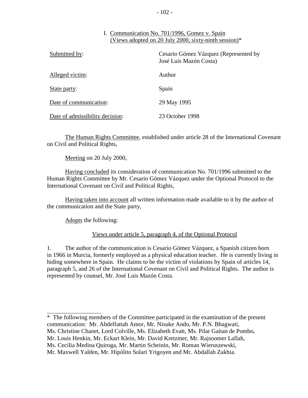#### I. Communication No. 701/1996, Gomez v. Spain (Views adopted on 20 July 2000, sixty-ninth session)\*

| Submitted by:                   | Cesario Gómez Vázquez (Represented by<br>José Luis Mazón Costa) |
|---------------------------------|-----------------------------------------------------------------|
| Alleged victim:                 | Author                                                          |
| State party:                    | Spain                                                           |
| Date of communication:          | 29 May 1995                                                     |
| Date of admissibility decision: | 23 October 1998                                                 |

The Human Rights Committee, established under article 28 of the International Covenant on Civil and Political Rights,

Meeting on 20 July 2000,

Having concluded its consideration of communication No. 701/1996 submitted to the Human Rights Committee by Mr. Cesario Gómez Vázquez under the Optional Protocol to the International Covenant on Civil and Political Rights,

Having taken into account all written information made available to it by the author of the communication and the State party,

Adopts the following:

 $\overline{a}$ 

Views under article 5, paragraph 4, of the Optional Protocol

1. The author of the communication is Cesario Gómez Vázquez, a Spanish citizen born in 1966 in Murcia, formerly employed as a physical education teacher. He is currently living in hiding somewhere in Spain. He claims to be the victim of violations by Spain of articles 14, paragraph 5, and 26 of the International Covenant on Civil and Political Rights. The author is represented by counsel, Mr. José Luis Mazón Costa.

\* The following members of the Committee participated in the examination of the present communication: Mr. Abdelfattah Amor, Mr. Nisuke Ando, Mr. P.N. Bhagwati,

Ms. Christine Chanet, Lord Colville, Ms. Elizabeth Evatt, Ms. Pilar Gaitan de Pombo,

Mr. Louis Henkin, Mr. Eckart Klein, Mr. David Kretzmer, Mr. Rajsoomer Lallah,

Ms. Cecilia Medina Quiroga, Mr. Martin Scheinin, Mr. Roman Wieruszewski,

Mr. Maxwell Yalden, Mr. Hipólito Solari Yrigoyen and Mr. Abdallah Zakhia.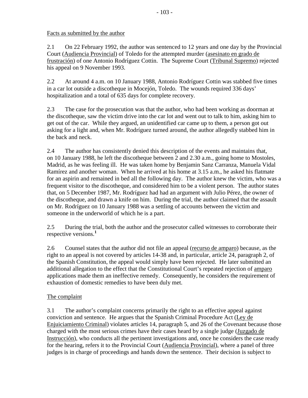# Facts as submitted by the author

2.1 On 22 February 1992, the author was sentenced to 12 years and one day by the Provincial Court (Audiencia Provincial) of Toledo for the attempted murder (asesinato en grado de frustración) of one Antonio Rodríguez Cottin. The Supreme Court (Tribunal Supremo) rejected his appeal on 9 November 1993.

2.2 At around 4 a.m. on 10 January 1988, Antonio Rodríguez Cottin was stabbed five times in a car lot outside a discotheque in Mocejón, Toledo. The wounds required 336 days' hospitalization and a total of 635 days for complete recovery.

2.3 The case for the prosecution was that the author, who had been working as doorman at the discotheque, saw the victim drive into the car lot and went out to talk to him, asking him to get out of the car. While they argued, an unidentified car came up to them, a person got out asking for a light and, when Mr. Rodríguez turned around, the author allegedly stabbed him in the back and neck.

2.4 The author has consistently denied this description of the events and maintains that, on 10 January 1988, he left the discotheque between 2 and 2.30 a.m., going home to Mostoles, Madrid, as he was feeling ill. He was taken home by Benjamin Sanz Carranza, Manuela Vidal Ramírez and another woman. When he arrived at his home at 3.15 a.m., he asked his flatmate for an aspirin and remained in bed all the following day. The author knew the victim, who was a frequent visitor to the discotheque, and considered him to be a violent person. The author states that, on 5 December 1987, Mr. Rodríguez had had an argument with Julio Pérez, the owner of the discotheque, and drawn a knife on him. During the trial, the author claimed that the assault on Mr. Rodríguez on 10 January 1988 was a settling of accounts between the victim and someone in the underworld of which he is a part.

2.5 During the trial, both the author and the prosecutor called witnesses to corroborate their respective versions.**<sup>1</sup>**

2.6 Counsel states that the author did not file an appeal (recurso de amparo) because, as the right to an appeal is not covered by articles 14-38 and, in particular, article 24, paragraph 2, of the Spanish Constitution, the appeal would simply have been rejected. He later submitted an additional allegation to the effect that the Constitutional Court's repeated rejection of amparo applications made them an ineffective remedy. Consequently, he considers the requirement of exhaustion of domestic remedies to have been duly met.

# The complaint

3.1 The author's complaint concerns primarily the right to an effective appeal against conviction and sentence. He argues that the Spanish Criminal Procedure Act (Ley de Enjuiciamiento Criminal) violates articles 14, paragraph 5, and 26 of the Covenant because those charged with the most serious crimes have their cases heard by a single judge (Juzgado de Instrucción), who conducts all the pertinent investigations and, once he considers the case ready for the hearing, refers it to the Provincial Court (Audiencia Provincial), where a panel of three judges is in charge of proceedings and hands down the sentence. Their decision is subject to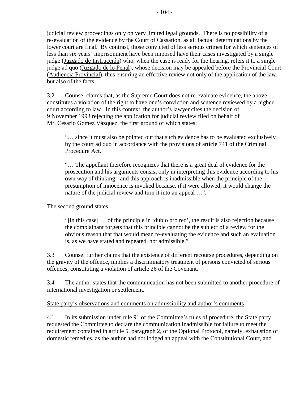judicial review proceedings only on very limited legal grounds. There is no possibility of a re-evaluation of the evidence by the Court of Cassation, as all factual determinations by the lower court are final. By contrast, those convicted of less serious crimes for which sentences of less than six years' imprisonment have been imposed have their cases investigated by a single judge (Juzgado de Instrucción) who, when the case is ready for the hearing, refers it to a single judge ad quo (Juzgado de lo Penal), whose decision may be appealed before the Provincial Court (Audiencia Provincial), thus ensuring an effective review not only of the application of the law, but also of the facts.

3.2 Counsel claims that, as the Supreme Court does not re-evaluate evidence, the above constitutes a violation of the right to have one's conviction and sentence reviewed by a higher court according to law. In this context, the author's lawyer cites the decision of 9 November 1993 rejecting the application for judicial review filed on behalf of Mr. Cesario Gómez Vázquez, the first ground of which states:

"… since it must also be pointed out that such evidence has to be evaluated exclusively by the court ad quo in accordance with the provisions of article 741 of the Criminal Procedure Act.

"… The appellant therefore recognizes that there is a great deal of evidence for the prosecution and his arguments consist only in interpreting this evidence according to his own way of thinking - and this approach is inadmissible when the principle of the presumption of innocence is invoked because, if it were allowed, it would change the nature of the judicial review and turn it into an appeal ...".

The second ground states:

"[in this case] … of the principle in 'dubio pro reo', the result is also rejection because the complainant forgets that this principle cannot be the subject of a review for the obvious reason that that would mean re-evaluating the evidence and such an evaluation is, as we have stated and repeated, not admissible."

3.3 Counsel further claims that the existence of different recourse procedures, depending on the gravity of the offence, implies a discriminatory treatment of persons convicted of serious offences, constituting a violation of article 26 of the Covenant.

3.4 The author states that the communication has not been submitted to another procedure of international investigation or settlement.

#### State party's observations and comments on admissibility and author's comments

4.1 In its submission under rule 91 of the Committee's rules of procedure, the State party requested the Committee to declare the communication inadmissible for failure to meet the requirement contained in article 5, paragraph 2, of the Optional Protocol, namely, exhaustion of domestic remedies, as the author had not lodged an appeal with the Constitutional Court, and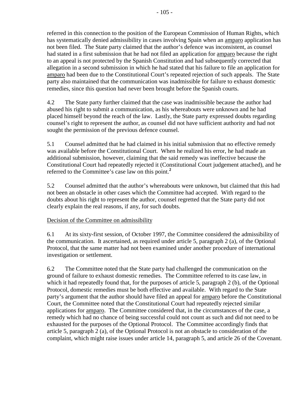referred in this connection to the position of the European Commission of Human Rights, which has systematically denied admissibility in cases involving Spain when an amparo application has not been filed. The State party claimed that the author's defence was inconsistent, as counsel had stated in a first submission that he had not filed an application for amparo because the right to an appeal is not protected by the Spanish Constitution and had subsequently corrected that allegation in a second submission in which he had stated that his failure to file an application for amparo had been due to the Constitutional Court's repeated rejection of such appeals. The State party also maintained that the communication was inadmissible for failure to exhaust domestic remedies, since this question had never been brought before the Spanish courts.

4.2 The State party further claimed that the case was inadmissible because the author had abused his right to submit a communication, as his whereabouts were unknown and he had placed himself beyond the reach of the law. Lastly, the State party expressed doubts regarding counsel's right to represent the author, as counsel did not have sufficient authority and had not sought the permission of the previous defence counsel.

5.1 Counsel admitted that he had claimed in his initial submission that no effective remedy was available before the Constitutional Court. When he realized his error, he had made an additional submission, however, claiming that the said remedy was ineffective because the Constitutional Court had repeatedly rejected it (Constitutional Court judgement attached), and he referred to the Committee's case law on this point.**<sup>2</sup>**

5.2 Counsel admitted that the author's whereabouts were unknown, but claimed that this had not been an obstacle in other cases which the Committee had accepted. With regard to the doubts about his right to represent the author, counsel regretted that the State party did not clearly explain the real reasons, if any, for such doubts.

# Decision of the Committee on admissibility

6.1 At its sixty-first session, of October 1997, the Committee considered the admissibility of the communication. It ascertained, as required under article 5, paragraph 2 (a), of the Optional Protocol, that the same matter had not been examined under another procedure of international investigation or settlement.

6.2 The Committee noted that the State party had challenged the communication on the ground of failure to exhaust domestic remedies. The Committee referred to its case law, in which it had repeatedly found that, for the purposes of article 5, paragraph 2 (b), of the Optional Protocol, domestic remedies must be both effective and available. With regard to the State party's argument that the author should have filed an appeal for amparo before the Constitutional Court, the Committee noted that the Constitutional Court had repeatedly rejected similar applications for amparo. The Committee considered that, in the circumstances of the case, a remedy which had no chance of being successful could not count as such and did not need to be exhausted for the purposes of the Optional Protocol. The Committee accordingly finds that article 5, paragraph 2 (a), of the Optional Protocol is not an obstacle to consideration of the complaint, which might raise issues under article 14, paragraph 5, and article 26 of the Covenant.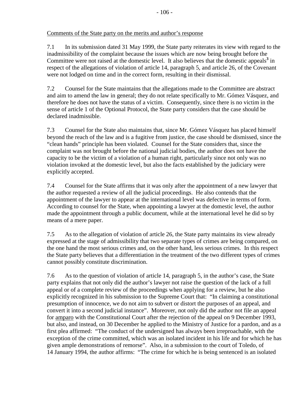# Comments of the State party on the merits and author's response

7.1 In its submission dated 31 May 1999, the State party reiterates its view with regard to the inadmissibility of the complaint because the issues which are now being brought before the Committee were not raised at the domestic level. It also believes that the domestic appeals<sup>3</sup> in respect of the allegations of violation of article 14, paragraph 5, and article 26, of the Covenant were not lodged on time and in the correct form, resulting in their dismissal.

7.2 Counsel for the State maintains that the allegations made to the Committee are abstract and aim to amend the law in general; they do not relate specifically to Mr. Gómez Vásquez, and therefore he does not have the status of a victim. Consequently, since there is no victim in the sense of article 1 of the Optional Protocol, the State party considers that the case should be declared inadmissible.

7.3 Counsel for the State also maintains that, since Mr. Gómez Vásquez has placed himself beyond the reach of the law and is a fugitive from justice, the case should be dismissed, since the "clean hands" principle has been violated. Counsel for the State considers that, since the complaint was not brought before the national judicial bodies, the author does not have the capacity to be the victim of a violation of a human right, particularly since not only was no violation invoked at the domestic level, but also the facts established by the judiciary were explicitly accepted.

7.4 Counsel for the State affirms that it was only after the appointment of a new lawyer that the author requested a review of all the judicial proceedings. He also contends that the appointment of the lawyer to appear at the international level was defective in terms of form. According to counsel for the State, when appointing a lawyer at the domestic level, the author made the appointment through a public document, while at the international level he did so by means of a mere paper.

7.5 As to the allegation of violation of article 26, the State party maintains its view already expressed at the stage of admissibility that two separate types of crimes are being compared, on the one hand the most serious crimes and, on the other hand, less serious crimes. In this respect the State party believes that a differentiation in the treatment of the two different types of crimes cannot possibly constitute discrimination.

7.6 As to the question of violation of article 14, paragraph 5, in the author's case, the State party explains that not only did the author's lawyer not raise the question of the lack of a full appeal or of a complete review of the proceedings when applying for a review, but he also explicitly recognized in his submission to the Supreme Court that: "In claiming a constitutional presumption of innocence, we do not aim to subvert or distort the purposes of an appeal, and convert it into a second judicial instance". Moreover, not only did the author not file an appeal for amparo with the Constitutional Court after the rejection of the appeal on 9 December 1993, but also, and instead, on 30 December he applied to the Ministry of Justice for a pardon, and as a first plea affirmed: "The conduct of the undersigned has always been irreproachable, with the exception of the crime committed, which was an isolated incident in his life and for which he has given ample demonstrations of remorse". Also, in a submission to the court of Toledo, of 14 January 1994, the author affirms: "The crime for which he is being sentenced is an isolated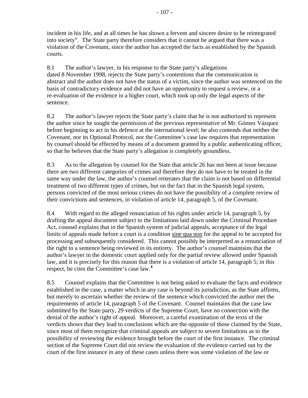incident in his life, and at all times he has shown a fervent and sincere desire to be reintegrated into society". The State party therefore considers that it cannot be argued that there was a violation of the Covenant, since the author has accepted the facts as established by the Spanish courts.

8.1 The author's lawyer, in his response to the State party's allegations dated 8 November 1998, rejects the State party's contentions that the communication is abstract and the author does not have the status of a victim, since the author was sentenced on the basis of contradictory evidence and did not have an opportunity to request a review, or a re-evaluation of the evidence in a higher court, which took up only the legal aspects of the sentence.

8.2 The author's lawyer rejects the State party's claim that he is not authorized to represent the author since he sought the permission of the previous representative of Mr. Gómez Vázquez before beginning to act in his defence at the international level; he also contends that neither the Covenant, nor its Optional Protocol, nor the Committee's case law requires that representation by counsel should be effected by means of a document granted by a public authenticating officer, so that he believes that the State party's allegation is completely groundless.

8.3 As to the allegation by counsel for the State that article 26 has not been at issue because there are two different categories of crimes and therefore they do not have to be treated in the same way under the law, the author's counsel reiterates that the claim is not based on differential treatment of two different types of crimes, but on the fact that in the Spanish legal system, persons convicted of the most serious crimes do not have the possibility of a complete review of their convictions and sentences, in violation of article 14, paragraph 5, of the Covenant.

8.4 With regard to the alleged renunciation of his rights under article 14, paragraph 5, by drafting the appeal document subject to the limitations laid down under the Criminal Procedure Act, counsel explains that in the Spanish system of judicial appeals, acceptance of the legal limits of appeals made before a court is a condition sine qua non for the appeal to be accepted for processing and subsequently considered. This cannot possibly be interpreted as a renunciation of the right to a sentence being reviewed in its entirety. The author's counsel maintains that the author's lawyer in the domestic court applied only for the partial review allowed under Spanish law, and it is precisely for this reason that there is a violation of article 14, paragraph 5; in this respect, he cites the Committee's case law.**<sup>4</sup>**

8.5 Counsel explains that the Committee is not being asked to evaluate the facts and evidence established in the case, a matter which in any case is beyond its jurisdiction, as the State affirms, but merely to ascertain whether the review of the sentence which convicted the author met the requirements of article 14, paragraph 5 of the Covenant. Counsel maintains that the case law submitted by the State party, 29 verdicts of the Supreme Court, have no connection with the denial of the author's right of appeal. Moreover, a careful examination of the texts of the verdicts shows that they lead to conclusions which are the opposite of those claimed by the State, since most of them recognize that criminal appeals are subject to severe limitations as to the possibility of reviewing the evidence brought before the court of the first instance. The criminal section of the Supreme Court did not review the evaluation of the evidence carried out by the court of the first instance in any of these cases unless there was some violation of the law or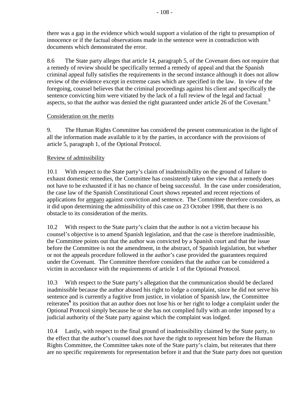there was a gap in the evidence which would support a violation of the right to presumption of innocence or if the factual observations made in the sentence were in contradiction with documents which demonstrated the error.

8.6 The State party alleges that article 14, paragraph 5, of the Covenant does not require that a remedy of review should be specifically termed a remedy of appeal and that the Spanish criminal appeal fully satisfies the requirements in the second instance although it does not allow review of the evidence except in extreme cases which are specified in the law. In view of the foregoing, counsel believes that the criminal proceedings against his client and specifically the sentence convicting him were vitiated by the lack of a full review of the legal and factual aspects, so that the author was denied the right guaranteed under article 26 of the Covenant.**<sup>5</sup>**

## Consideration on the merits

9. The Human Rights Committee has considered the present communication in the light of all the information made available to it by the parties, in accordance with the provisions of article 5, paragraph 1, of the Optional Protocol.

## Review of admissibility

10.1 With respect to the State party's claim of inadmissibility on the ground of failure to exhaust domestic remedies, the Committee has consistently taken the view that a remedy does not have to be exhausted if it has no chance of being successful. In the case under consideration, the case law of the Spanish Constitutional Court shows repeated and recent rejections of applications for amparo against conviction and sentence. The Committee therefore considers, as it did upon determining the admissibility of this case on 23 October 1998, that there is no obstacle to its consideration of the merits.

10.2 With respect to the State party's claim that the author is not a victim because his counsel's objective is to amend Spanish legislation, and that the case is therefore inadmissible, the Committee points out that the author was convicted by a Spanish court and that the issue before the Committee is not the amendment, in the abstract, of Spanish legislation, but whether or not the appeals procedure followed in the author's case provided the guarantees required under the Covenant. The Committee therefore considers that the author can be considered a victim in accordance with the requirements of article 1 of the Optional Protocol.

10.3 With respect to the State party's allegation that the communication should be declared inadmissible because the author abused his right to lodge a complaint, since he did not serve his sentence and is currently a fugitive from justice, in violation of Spanish law, the Committee reiterates<sup>6</sup> its position that an author does not lose his or her right to lodge a complaint under the Optional Protocol simply because he or she has not complied fully with an order imposed by a judicial authority of the State party against which the complaint was lodged.

10.4 Lastly, with respect to the final ground of inadmissibility claimed by the State party, to the effect that the author's counsel does not have the right to represent him before the Human Rights Committee, the Committee takes note of the State party's claim, but reiterates that there are no specific requirements for representation before it and that the State party does not question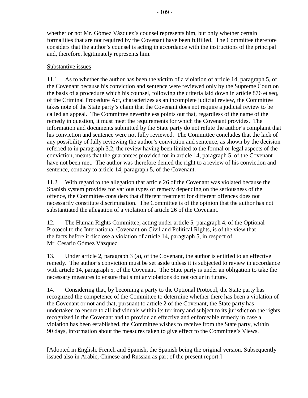whether or not Mr. Gómez Vázquez's counsel represents him, but only whether certain formalities that are not required by the Covenant have been fulfilled. The Committee therefore considers that the author's counsel is acting in accordance with the instructions of the principal and, therefore, legitimately represents him.

## Substantive issues

11.1 As to whether the author has been the victim of a violation of article 14, paragraph 5, of the Covenant because his conviction and sentence were reviewed only by the Supreme Court on the basis of a procedure which his counsel, following the criteria laid down in article 876 et seq, of the Criminal Procedure Act, characterizes as an incomplete judicial review, the Committee takes note of the State party's claim that the Covenant does not require a judicial review to be called an appeal. The Committee nevertheless points out that, regardless of the name of the remedy in question, it must meet the requirements for which the Covenant provides. The information and documents submitted by the State party do not refute the author's complaint that his conviction and sentence were not fully reviewed. The Committee concludes that the lack of any possibility of fully reviewing the author's conviction and sentence, as shown by the decision referred to in paragraph 3.2, the review having been limited to the formal or legal aspects of the conviction, means that the guarantees provided for in article 14, paragraph 5, of the Covenant have not been met. The author was therefore denied the right to a review of his conviction and sentence, contrary to article 14, paragraph 5, of the Covenant.

11.2 With regard to the allegation that article 26 of the Covenant was violated because the Spanish system provides for various types of remedy depending on the seriousness of the offence, the Committee considers that different treatment for different offences does not necessarily constitute discrimination. The Committee is of the opinion that the author has not substantiated the allegation of a violation of article 26 of the Covenant.

12. The Human Rights Committee, acting under article 5, paragraph 4, of the Optional Protocol to the International Covenant on Civil and Political Rights, is of the view that the facts before it disclose a violation of article 14, paragraph 5, in respect of Mr. Cesario Gómez Vázquez.

13. Under article 2, paragraph 3 (a), of the Covenant, the author is entitled to an effective remedy. The author's conviction must be set aside unless it is subjected to review in accordance with article 14, paragraph 5, of the Covenant. The State party is under an obligation to take the necessary measures to ensure that similar violations do not occur in future.

14. Considering that, by becoming a party to the Optional Protocol, the State party has recognized the competence of the Committee to determine whether there has been a violation of the Covenant or not and that, pursuant to article 2 of the Covenant, the State party has undertaken to ensure to all individuals within its territory and subject to its jurisdiction the rights recognized in the Covenant and to provide an effective and enforceable remedy in case a violation has been established, the Committee wishes to receive from the State party, within 90 days, information about the measures taken to give effect to the Committee's Views.

[Adopted in English, French and Spanish, the Spanish being the original version. Subsequently issued also in Arabic, Chinese and Russian as part of the present report.]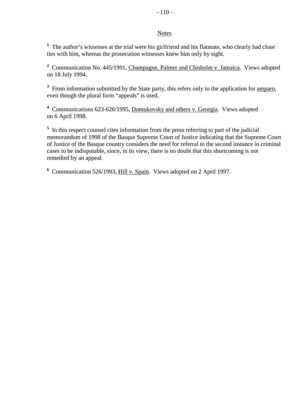## Notes

<sup>1</sup> The author's witnesses at the trial were his girlfriend and his flatmate, who clearly had close ties with him, whereas the prosecution witnesses knew him only by sight.

<sup>2</sup> Communication No. 445/1991, Champagne, Palmer and Chisholm v. Jamaica. Views adopted on 18 July 1994.

<sup>3</sup> From information submitted by the State party, this refers only to the application for <u>amparo</u>, even though the plural form "appeals" is used.

**4** Communications 623-626/1995, Domukovsky and others v. Georgia. Views adopted on 6 April 1998.

<sup>5</sup> In this respect counsel cites information from the press referring to part of the judicial memorandum of 1998 of the Basque Supreme Court of Justice indicating that the Supreme Court of Justice of the Basque country considers the need for referral to the second instance in criminal cases to be indisputable, since, in its view, there is no doubt that this shortcoming is not remedied by an appeal.

<sup>6</sup> Communication 526/1993, Hill v. Spain. Views adopted on 2 April 1997.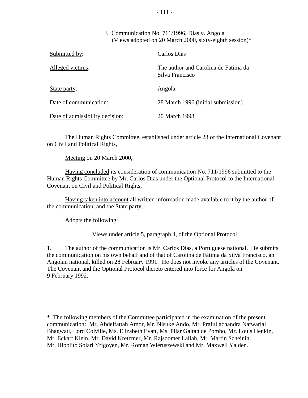#### - 111 -

## J. Communication No. 711/1996, Dias v. Angola (Views adopted on 20 March 2000, sixty-eighth session)\*

| Submitted by:                   | Carlos Dias                                             |
|---------------------------------|---------------------------------------------------------|
| Alleged victims:                | The author and Carolina de Fatima da<br>Silva Francisco |
| State party:                    | Angola                                                  |
| Date of communication:          | 28 March 1996 (initial submission)                      |
| Date of admissibility decision: | 20 March 1998                                           |

The Human Rights Committee, established under article 28 of the International Covenant on Civil and Political Rights,

Meeting on 20 March 2000,

Having concluded its consideration of communication No. 711/1996 submitted to the Human Rights Committee by Mr. Carlos Dias under the Optional Protocol to the International Covenant on Civil and Political Rights,

Having taken into account all written information made available to it by the author of the communication, and the State party,

Adopts the following:

 $\overline{a}$ 

Views under article 5, paragraph 4, of the Optional Protocol

1. The author of the communication is Mr. Carlos Dias, a Portuguese national. He submits the communication on his own behalf and of that of Carolina de Fátima da Silva Francisco, an Angolan national, killed on 28 February 1991. He does not invoke any articles of the Covenant. The Covenant and the Optional Protocol thereto entered into force for Angola on 9 February 1992.

<sup>\*</sup> The following members of the Committee participated in the examination of the present communication: Mr. Abdelfattah Amor, Mr. Nisuke Ando, Mr. Prafullachandra Natwarlal Bhagwati, Lord Colville, Ms. Elizabeth Evatt, Ms. Pilar Gaitan de Pombo, Mr. Louis Henkin, Mr. Eckart Klein, Mr. David Kretzmer, Mr. Rajsoomer Lallah, Mr. Martin Scheinin, Mr. Hipólito Solari Yrigoyen, Mr. Roman Wieruszewski and Mr. Maxwell Yalden.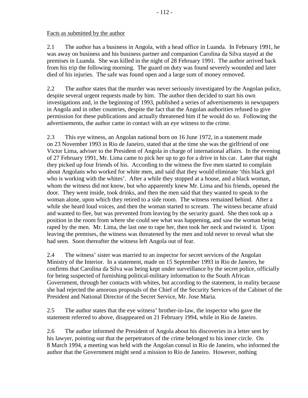## Facts as submitted by the author

2.1 The author has a business in Angola, with a head office in Luanda. In February 1991, he was away on business and his business partner and companion Carolina da Silva stayed at the premises in Luanda. She was killed in the night of 28 February 1991. The author arrived back from his trip the following morning. The guard on duty was found severely wounded and later died of his injuries. The safe was found open and a large sum of money removed.

2.2 The author states that the murder was never seriously investigated by the Angolan police, despite several urgent requests made by him. The author then decided to start his own investigations and, in the beginning of 1993, published a series of advertisements in newspapers in Angola and in other countries, despite the fact that the Angolan authorities refused to give permission for these publications and actually threatened him if he would do so. Following the advertisements, the author came in contact with an eye witness to the crime.

2.3 This eye witness, an Angolan national born on 16 June 1972, in a statement made on 23 November 1993 in Rio de Janeiro, stated that at the time she was the girlfriend of one Victor Lima, adviser to the President of Angola in charge of international affairs. In the evening of 27 February 1991, Mr. Lima came to pick her up to go for a drive in his car. Later that night they picked up four friends of his. According to the witness the five men started to complain about Angolans who worked for white men, and said that they would eliminate 'this black girl who is working with the whites'. After a while they stopped at a house, and a black woman, whom the witness did not know, but who apparently knew Mr. Lima and his friends, opened the door. They went inside, took drinks, and then the men said that they wanted to speak to the woman alone, upon which they retired to a side room. The witness remained behind. After a while she heard loud voices, and then the woman started to scream. The witness became afraid and wanted to flee, but was prevented from leaving by the security guard. She then took up a position in the room from where she could see what was happening, and saw the woman being raped by the men. Mr. Lima, the last one to rape her, then took her neck and twisted it. Upon leaving the premises, the witness was threatened by the men and told never to reveal what she had seen. Soon thereafter the witness left Angola out of fear.

2.4 The witness' sister was married to an inspector for secret services of the Angolan Ministry of the Interior. In a statement, made on 15 September 1993 in Rio de Janeiro, he confirms that Carolina da Silva was being kept under surveillance by the secret police, officially for being suspected of furnishing political-military information to the South African Government, through her contacts with whites, but according to the statement, in reality because she had rejected the amorous proposals of the Chief of the Security Services of the Cabinet of the President and National Director of the Secret Service, Mr. Jose Maria.

2.5 The author states that the eye witness' brother-in-law, the inspector who gave the statement referred to above, disappeared on 21 February 1994, while in Rio de Janeiro.

2.6 The author informed the President of Angola about his discoveries in a letter sent by his lawyer, pointing out that the perpetrators of the crime belonged to his inner circle. On 8 March 1994, a meeting was held with the Angolan consul in Rio de Janeiro, who informed the author that the Government might send a mission to Rio de Janeiro. However, nothing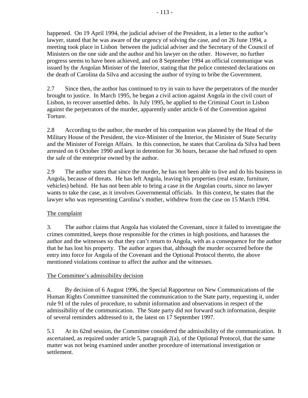happened. On 19 April 1994, the judicial adviser of the President, in a letter to the author's lawyer, stated that he was aware of the urgency of solving the case, and on 26 June 1994, a meeting took place in Lisbon between the judicial adviser and the Secretary of the Council of Ministers on the one side and the author and his lawyer on the other. However, no further progress seems to have been achieved, and on 8 September 1994 an official communique was issued by the Angolan Minister of the Interior, stating that the police contested declarations on the death of Carolina da Silva and accusing the author of trying to bribe the Government.

2.7 Since then, the author has continued to try in vain to have the perpetrators of the murder brought to justice. In March 1995, he began a civil action against Angola in the civil court of Lisbon, to recover unsettled debts. In July 1995, he applied to the Criminal Court in Lisbon against the perpetrators of the murder, apparently under article 6 of the Convention against Torture.

2.8 According to the author, the murder of his companion was planned by the Head of the Military House of the President, the vice-Minister of the Interior, the Minister of State Security and the Minister of Foreign Affairs. In this connection, he states that Carolina da Silva had been arrested on 6 October 1990 and kept in detention for 36 hours, because she had refused to open the safe of the enterprise owned by the author.

2.9 The author states that since the murder, he has not been able to live and do his business in Angola, because of threats. He has left Angola, leaving his properties (real estate, furniture, vehicles) behind. He has not been able to bring a case in the Angolan courts, since no lawyer wants to take the case, as it involves Governmental officials. In this context, he states that the lawyer who was representing Carolina's mother, withdrew from the case on 15 March 1994.

## The complaint

3. The author claims that Angola has violated the Covenant, since it failed to investigate the crimes committed, keeps those responsible for the crimes in high positions, and harasses the author and the witnesses so that they can't return to Angola, with as a consequence for the author that he has lost his property. The author argues that, although the murder occurred before the entry into force for Angola of the Covenant and the Optional Protocol thereto, the above mentioned violations continue to affect the author and the witnesses.

#### The Committee's admissibility decision

4. By decision of 6 August 1996, the Special Rapporteur on New Communications of the Human Rights Committee transmitted the communication to the State party, requesting it, under rule 91 of the rules of procedure, to submit information and observations in respect of the admissibility of the communication. The State party did not forward such information, despite of several reminders addressed to it, the latest on 17 September 1997.

5.1 At its 62nd session, the Committee considered the admissibility of the communication. It ascertained, as required under article 5, paragraph 2(a), of the Optional Protocol, that the same matter was not being examined under another procedure of international investigation or settlement.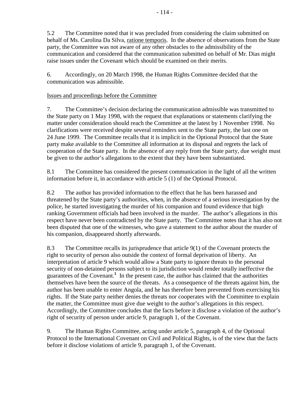5.2 The Committee noted that it was precluded from considering the claim submitted on behalf of Ms. Carolina Da Silva, ratione temporis. In the absence of observations from the State party, the Committee was not aware of any other obstacles to the admissibility of the communication and considered that the communication submitted on behalf of Mr. Dias might raise issues under the Covenant which should be examined on their merits.

6. Accordingly, on 20 March 1998, the Human Rights Committee decided that the communication was admissible.

## Issues and proceedings before the Committee

7. The Committee's decision declaring the communication admissible was transmitted to the State party on 1 May 1998, with the request that explanations or statements clarifying the matter under consideration should reach the Committee at the latest by 1 November 1998. No clarifications were received despite several reminders sent to the State party, the last one on 24 June 1999. The Committee recalls that it is implicit in the Optional Protocol that the State party make available to the Committee all information at its disposal and regrets the lack of cooperation of the State party. In the absence of any reply from the State party, due weight must be given to the author's allegations to the extent that they have been substantiated.

8.1 The Committee has considered the present communication in the light of all the written information before it, in accordance with article 5 (1) of the Optional Protocol.

8.2 The author has provided information to the effect that he has been harassed and threatened by the State party's authorities, when, in the absence of a serious investigation by the police, he started investigating the murder of his companion and found evidence that high ranking Government officials had been involved in the murder. The author's allegations in this respect have never been contradicted by the State party. The Committee notes that it has also not been disputed that one of the witnesses, who gave a statement to the author about the murder of his companion, disappeared shortly afterwards.

8.3 The Committee recalls its jurisprudence that article 9(1) of the Covenant protects the right to security of person also outside the context of formal deprivation of liberty. An interpretation of article 9 which would allow a State party to ignore threats to the personal security of non-detained persons subject to its jurisdiction would render totally ineffective the guarantees of the Covenant.**<sup>1</sup>** In the present case, the author has claimed that the authorities themselves have been the source of the threats. As a consequence of the threats against him, the author has been unable to enter Angola, and he has therefore been prevented from exercising his rights. If the State party neither denies the threats nor cooperates with the Committee to explain the matter, the Committee must give due weight to the author's allegations in this respect. Accordingly, the Committee concludes that the facts before it disclose a violation of the author's right of security of person under article 9, paragraph 1, of the Covenant.

9. The Human Rights Committee, acting under article 5, paragraph 4, of the Optional Protocol to the International Covenant on Civil and Political Rights, is of the view that the facts before it disclose violations of article 9, paragraph 1, of the Covenant.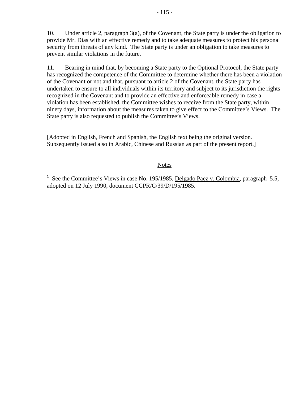10. Under article 2, paragraph 3(a), of the Covenant, the State party is under the obligation to provide Mr. Dias with an effective remedy and to take adequate measures to protect his personal security from threats of any kind. The State party is under an obligation to take measures to prevent similar violations in the future.

11. Bearing in mind that, by becoming a State party to the Optional Protocol, the State party has recognized the competence of the Committee to determine whether there has been a violation of the Covenant or not and that, pursuant to article 2 of the Covenant, the State party has undertaken to ensure to all individuals within its territory and subject to its jurisdiction the rights recognized in the Covenant and to provide an effective and enforceable remedy in case a violation has been established, the Committee wishes to receive from the State party, within ninety days, information about the measures taken to give effect to the Committee's Views. The State party is also requested to publish the Committee's Views.

[Adopted in English, French and Spanish, the English text being the original version. Subsequently issued also in Arabic, Chinese and Russian as part of the present report.]

#### Notes

<sup>1</sup> See the Committee's Views in case No. 195/1985, Delgado Paez v. Colombia, paragraph 5.5, adopted on 12 July 1990, document CCPR/C/39/D/195/1985.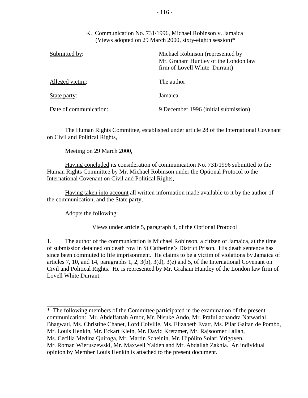#### - 116 -

#### K. Communication No. 731/1996, Michael Robinson v. Jamaica (Views adopted on 29 March 2000, sixty-eighth session)\*

| Submitted by:          | Michael Robinson (represented by<br>Mr. Graham Huntley of the London law<br>firm of Lovell White Durrant) |
|------------------------|-----------------------------------------------------------------------------------------------------------|
| Alleged victim:        | The author                                                                                                |
| State party:           | Jamaica                                                                                                   |
| Date of communication: | 9 December 1996 (initial submission)                                                                      |

The Human Rights Committee, established under article 28 of the International Covenant on Civil and Political Rights,

Meeting on 29 March 2000,

Having concluded its consideration of communication No. 731/1996 submitted to the Human Rights Committee by Mr. Michael Robinson under the Optional Protocol to the International Covenant on Civil and Political Rights,

Having taken into account all written information made available to it by the author of the communication, and the State party,

Adopts the following:

 $\overline{a}$ 

## Views under article 5, paragraph 4, of the Optional Protocol

1. The author of the communication is Michael Robinson, a citizen of Jamaica, at the time of submission detained on death row in St Catherine's District Prison. His death sentence has since been commuted to life imprisonment. He claims to be a victim of violations by Jamaica of articles 7, 10, and 14, paragraphs 1, 2, 3(b), 3(d), 3(e) and 5, of the International Covenant on Civil and Political Rights. He is represented by Mr. Graham Huntley of the London law firm of Lovell White Durrant.

<sup>\*</sup> The following members of the Committee participated in the examination of the present communication: Mr. Abdelfattah Amor, Mr. Nisuke Ando, Mr. Prafullachandra Natwarlal Bhagwati, Ms. Christine Chanet, Lord Colville, Ms. Elizabeth Evatt, Ms. Pilar Gaitan de Pombo, Mr. Louis Henkin, Mr. Eckart Klein, Mr. David Kretzmer, Mr. Rajsoomer Lallah, Ms. Cecilia Medina Quiroga, Mr. Martin Scheinin, Mr. Hipólito Solari Yrigoyen, Mr. Roman Wieruszewski, Mr. Maxwell Yalden and Mr. Abdallah Zakhia. An individual opinion by Member Louis Henkin is attached to the present document.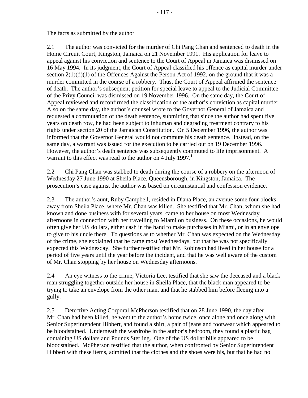#### The facts as submitted by the author

2.1 The author was convicted for the murder of Chi Pang Chan and sentenced to death in the Home Circuit Court, Kingston, Jamaica on 21 November 1991. His application for leave to appeal against his conviction and sentence to the Court of Appeal in Jamaica was dismissed on 16 May 1994. In its judgment, the Court of Appeal classified his offence as capital murder under section  $2(1)(d)(1)$  of the Offences Against the Person Act of 1992, on the ground that it was a murder committed in the course of a robbery. Thus, the Court of Appeal affirmed the sentence of death. The author's subsequent petition for special leave to appeal to the Judicial Committee of the Privy Council was dismissed on 19 November 1996. On the same day, the Court of Appeal reviewed and reconfirmed the classification of the author's conviction as capital murder. Also on the same day, the author's counsel wrote to the Governor General of Jamaica and requested a commutation of the death sentence, submitting that since the author had spent five years on death row, he had been subject to inhuman and degrading treatment contrary to his rights under section 20 of the Jamaican Constitution. On 5 December 1996, the author was informed that the Governor General would not commute his death sentence. Instead, on the same day, a warrant was issued for the execution to be carried out on 19 December 1996. However, the author's death sentence was subsequently commuted to life imprisonment. A warrant to this effect was read to the author on 4 July 1997.**<sup>1</sup>**

2.2 Chi Pang Chan was stabbed to death during the course of a robbery on the afternoon of Wednesday 27 June 1990 at Sheila Place, Queensborough, in Kingston, Jamaica. The prosecution's case against the author was based on circumstantial and confession evidence.

2.3 The author's aunt, Ruby Campbell, resided in Diana Place, an avenue some four blocks away from Sheila Place, where Mr. Chan was killed. She testified that Mr. Chan, whom she had known and done business with for several years, came to her house on most Wednesday afternoons in connection with her travelling to Miami on business. On these occasions, he would often give her US dollars, either cash in the hand to make purchases in Miami, or in an envelope to give to his uncle there. To questions as to whether Mr. Chan was expected on the Wednesday of the crime, she explained that he came most Wednesdays, but that he was not specifically expected this Wednesday. She further testified that Mr. Robinson had lived in her house for a period of five years until the year before the incident, and that he was well aware of the custom of Mr. Chan stopping by her house on Wednesday afternoons.

2.4 An eye witness to the crime, Victoria Lee, testified that she saw the deceased and a black man struggling together outside her house in Sheila Place, that the black man appeared to be trying to take an envelope from the other man, and that he stabbed him before fleeing into a gully.

2.5 Detective Acting Corporal McPherson testified that on 28 June 1990, the day after Mr. Chan had been killed, he went to the author's home twice, once alone and once along with Senior Superintendent Hibbert, and found a shirt, a pair of jeans and footwear which appeared to be bloodstained. Underneath the wardrobe in the author's bedroom, they found a plastic bag containing US dollars and Pounds Sterling. One of the US dollar bills appeared to be bloodstained. McPherson testified that the author, when confronted by Senior Superintendent Hibbert with these items, admitted that the clothes and the shoes were his, but that he had no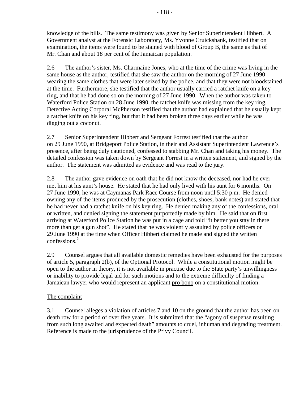knowledge of the bills. The same testimony was given by Senior Superintendent Hibbert. A Government analyst at the Forensic Laboratory, Ms. Yvonne Cruickshank, testified that on examination, the items were found to be stained with blood of Group B, the same as that of Mr. Chan and about 18 per cent of the Jamaican population.

2.6 The author's sister, Ms. Charmaine Jones, who at the time of the crime was living in the same house as the author, testified that she saw the author on the morning of 27 June 1990 wearing the same clothes that were later seized by the police, and that they were not bloodstained at the time. Furthermore, she testified that the author usually carried a ratchet knife on a key ring, and that he had done so on the morning of 27 June 1990. When the author was taken to Waterford Police Station on 28 June 1990, the ratchet knife was missing from the key ring. Detective Acting Corporal McPherson testified that the author had explained that he usually kept a ratchet knife on his key ring, but that it had been broken three days earlier while he was digging out a coconut.

2.7 Senior Superintendent Hibbert and Sergeant Forrest testified that the author on 29 June 1990, at Bridgeport Police Station, in their and Assistant Superintendent Lawrence's presence, after being duly cautioned, confessed to stabbing Mr. Chan and taking his money. The detailed confession was taken down by Sergeant Forrest in a written statement, and signed by the author. The statement was admitted as evidence and was read to the jury.

2.8 The author gave evidence on oath that he did not know the deceased, nor had he ever met him at his aunt's house. He stated that he had only lived with his aunt for 6 months. On 27 June 1990, he was at Caymanas Park Race Course from noon until 5:30 p.m. He denied owning any of the items produced by the prosecution (clothes, shoes, bank notes) and stated that he had never had a ratchet knife on his key ring. He denied making any of the confessions, oral or written, and denied signing the statement purportedly made by him. He said that on first arriving at Waterford Police Station he was put in a cage and told "it better you stay in there more than get a gun shot". He stated that he was violently assaulted by police officers on 29 June 1990 at the time when Officer Hibbert claimed he made and signed the written confessions.**<sup>2</sup>**

2.9 Counsel argues that all available domestic remedies have been exhausted for the purposes of article 5, paragraph 2(b), of the Optional Protocol. While a constitutional motion might be open to the author in theory, it is not available in practise due to the State party's unwillingness or inability to provide legal aid for such motions and to the extreme difficulty of finding a Jamaican lawyer who would represent an applicant pro bono on a constitutional motion.

## The complaint

3.1 Counsel alleges a violation of articles 7 and 10 on the ground that the author has been on death row for a period of over five years. It is submitted that the "agony of suspense resulting from such long awaited and expected death" amounts to cruel, inhuman and degrading treatment. Reference is made to the jurisprudence of the Privy Council.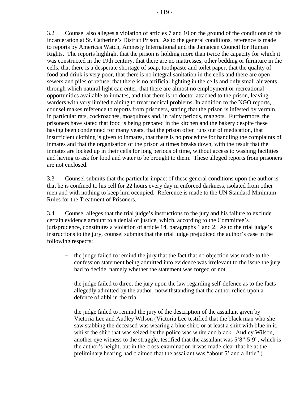3.2 Counsel also alleges a violation of articles 7 and 10 on the ground of the conditions of his incarceration at St. Catherine's District Prison. As to the general conditions, reference is made to reports by Americas Watch, Amnesty International and the Jamaican Council for Human Rights. The reports highlight that the prison is holding more than twice the capacity for which it was constructed in the 19th century, that there are no mattresses, other bedding or furniture in the cells, that there is a desperate shortage of soap, toothpaste and toilet paper, that the quality of food and drink is very poor, that there is no integral sanitation in the cells and there are open sewers and piles of refuse, that there is no artificial lighting in the cells and only small air vents through which natural light can enter, that there are almost no employment or recreational opportunities available to inmates, and that there is no doctor attached to the prison, leaving warders with very limited training to treat medical problems. In addition to the NGO reports, counsel makes reference to reports from prisoners, stating that the prison is infested by vermin, in particular rats, cockroaches, mosquitoes and, in rainy periods, maggots. Furthermore, the prisoners have stated that food is being prepared in the kitchen and the bakery despite these having been condemned for many years, that the prison often runs out of medication, that insufficient clothing is given to inmates, that there is no procedure for handling the complaints of inmates and that the organisation of the prison at times breaks down, with the result that the inmates are locked up in their cells for long periods of time, without access to washing facilities and having to ask for food and water to be brought to them. These alleged reports from prisoners are not enclosed.

3.3 Counsel submits that the particular impact of these general conditions upon the author is that he is confined to his cell for 22 hours every day in enforced darkness, isolated from other men and with nothing to keep him occupied. Reference is made to the UN Standard Minimum Rules for the Treatment of Prisoners.

3.4 Counsel alleges that the trial judge's instructions to the jury and his failure to exclude certain evidence amount to a denial of justice, which, according to the Committee's jurisprudence, constitutes a violation of article 14, paragraphs 1 and 2. As to the trial judge's instructions to the jury, counsel submits that the trial judge prejudiced the author's case in the following respects:

- − the judge failed to remind the jury that the fact that no objection was made to the confession statement being admitted into evidence was irrelevant to the issue the jury had to decide, namely whether the statement was forged or not
- − the judge failed to direct the jury upon the law regarding self-defence as to the facts allegedly admitted by the author, notwithstanding that the author relied upon a defence of alibi in the trial
- the judge failed to remind the jury of the description of the assailant given by Victoria Lee and Audley Wilson (Victoria Lee testified that the black man who she saw stabbing the deceased was wearing a blue shirt, or at least a shirt with blue in it, whilst the shirt that was seized by the police was white and black. Audley Wilson, another eye witness to the struggle, testified that the assailant was 5'8"-5'9", which is the author's height, but in the cross-examination it was made clear that he at the preliminary hearing had claimed that the assailant was "about 5' and a little".)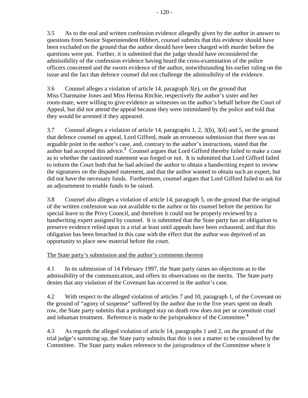3.5 As to the oral and written confession evidence allegedly given by the author in answer to questions from Senior Superintendent Hibbert, counsel submits that this evidence should have been excluded on the ground that the author should have been charged with murder before the questions were put. Further, it is submitted that the judge should have reconsidered the admissibility of the confession evidence having heard the cross-examination of the police officers concerned and the sworn evidence of the author, notwithstanding his earlier ruling on the issue and the fact that defence counsel did not challenge the admissibility of the evidence.

3.6 Counsel alleges a violation of article 14, paragraph 3(e), on the ground that Miss Charmaine Jones and Miss Herma Ritchie, respectively the author's sister and her room-mate, were willing to give evidence as witnesses on the author's behalf before the Court of Appeal, but did not attend the appeal because they were intimidated by the police and told that they would be arrested if they appeared.

3.7 Counsel alleges a violation of article 14, paragraphs 1, 2, 3(b), 3(d) and 5, on the ground that defence counsel on appeal, Lord Gifford, made an erroneous submission that there was no arguable point in the author's case, and, contrary to the author's instructions, stated that the author had accepted this advice.**<sup>3</sup>** Counsel argues that Lord Gifford thereby failed to make a case as to whether the cautioned statement was forged or not. It is submitted that Lord Gifford failed to inform the Court both that he had advised the author to obtain a handwriting expert to review the signatures on the disputed statement, and that the author wanted to obtain such an expert, but did not have the necessary funds. Furthermore, counsel argues that Lord Gifford failed to ask for an adjournment to enable funds to be raised.

3.8 Counsel also alleges a violation of article 14, paragraph 5, on the ground that the original of the written confession was not available to the author or his counsel before the petition for special leave to the Privy Council, and therefore it could not be properly reviewed by a handwriting expert assigned by counsel. It is submitted that the State party has an obligation to preserve evidence relied upon in a trial at least until appeals have been exhausted, and that this obligation has been breached in this case with the effect that the author was deprived of an opportunity to place new material before the court.

## The State party's submission and the author's comments thereon

4.1 In its submission of 14 February 1997, the State party raises no objections as to the admissibility of the communication, and offers its observations on the merits. The State party denies that any violation of the Covenant has occurred in the author's case.

4.2 With respect to the alleged violation of articles 7 and 10, paragraph 1, of the Covenant on the ground of "agony of suspense" suffered by the author due to the five years spent on death row, the State party submits that a prolonged stay on death row does not per se constitute cruel and inhuman treatment. Reference is made to the jurisprudence of the Committee.**<sup>4</sup>**

4.3 As regards the alleged violation of article 14, paragraphs 1 and 2, on the ground of the trial judge's summing up, the State party submits that this is not a matter to be considered by the Committee. The State party makes reference to the jurisprudence of the Committee where it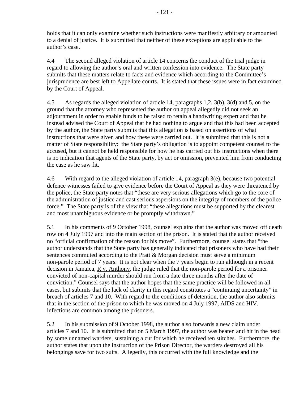holds that it can only examine whether such instructions were manifestly arbitrary or amounted to a denial of justice. It is submitted that neither of these exceptions are applicable to the author's case.

4.4 The second alleged violation of article 14 concerns the conduct of the trial judge in regard to allowing the author's oral and written confession into evidence. The State party submits that these matters relate to facts and evidence which according to the Committee's jurisprudence are best left to Appellate courts. It is stated that these issues were in fact examined by the Court of Appeal.

4.5 As regards the alleged violation of article 14, paragraphs 1,2, 3(b), 3(d) and 5, on the ground that the attorney who represented the author on appeal allegedly did not seek an adjournment in order to enable funds to be raised to retain a handwriting expert and that he instead advised the Court of Appeal that he had nothing to argue and that this had been accepted by the author, the State party submits that this allegation is based on assertions of what instructions that were given and how these were carried out. It is submitted that this is not a matter of State responsibility: the State party's obligation is to appoint competent counsel to the accused, but it cannot be held responsible for how he has carried out his instructions when there is no indication that agents of the State party, by act or omission, prevented him from conducting the case as he saw fit.

4.6 With regard to the alleged violation of article 14, paragraph 3(e), because two potential defence witnesses failed to give evidence before the Court of Appeal as they were threatened by the police, the State party notes that "these are very serious allegations which go to the core of the administration of justice and cast serious aspersions on the integrity of members of the police force." The State party is of the view that "these allegations must be supported by the clearest and most unambiguous evidence or be promptly withdrawn."

5.1 In his comments of 9 October 1998, counsel explains that the author was moved off death row on 4 July 1997 and into the main section of the prison. It is stated that the author received no "official confirmation of the reason for his move". Furthermore, counsel states that "the author understands that the State party has generally indicated that prisoners who have had their sentences commuted according to the Pratt & Morgan decision must serve a minimum non-parole period of 7 years. It is not clear when the 7 years begin to run although in a recent decision in Jamaica, R v. Anthony, the judge ruled that the non-parole period for a prisoner convicted of non-capital murder should run from a date three months after the date of conviction." Counsel says that the author hopes that the same practice will be followed in all cases, but submits that the lack of clarity in this regard constitutes a "continuing uncertainty" in breach of articles 7 and 10. With regard to the conditions of detention, the author also submits that in the section of the prison to which he was moved on 4 July 1997, AIDS and HIV. infections are common among the prisoners.

5.2 In his submission of 9 October 1998, the author also forwards a new claim under articles 7 and 10. It is submitted that on 5 March 1997, the author was beaten and hit in the head by some unnamed warders, sustaining a cut for which he received ten stitches. Furthermore, the author states that upon the instruction of the Prison Director, the warders destroyed all his belongings save for two suits. Allegedly, this occurred with the full knowledge and the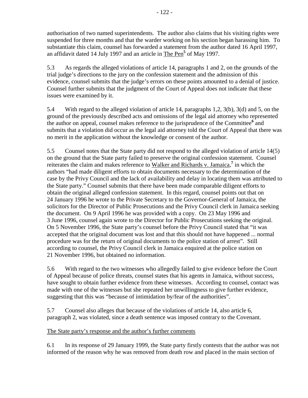authorisation of two named superintendents. The author also claims that his visiting rights were suspended for three months and that the warder working on his section began harassing him. To substantiate this claim, counsel has forwarded a statement from the author dated 16 April 1997, an affidavit dated 14 July 1997 and an article in The Pen**<sup>5</sup>** of May 1997.

5.3 As regards the alleged violations of article 14, paragraphs 1 and 2, on the grounds of the trial judge's directions to the jury on the confession statement and the admission of this evidence, counsel submits that the judge's errors on these points amounted to a denial of justice. Counsel further submits that the judgment of the Court of Appeal does not indicate that these issues were examined by it.

5.4 With regard to the alleged violation of article 14, paragraphs 1,2, 3(b), 3(d) and 5, on the ground of the previously described acts and omissions of the legal aid attorney who represented the author on appeal, counsel makes reference to the jurisprudence of the Committee**<sup>6</sup>** and submits that a violation did occur as the legal aid attorney told the Court of Appeal that there was no merit in the application without the knowledge or consent of the author.

5.5 Counsel notes that the State party did not respond to the alleged violation of article 14(5) on the ground that the State party failed to preserve the original confession statement. Counsel reiterates the claim and makes reference to Walker and Richards v. Jamaica,**<sup>7</sup>** in which the authors "had made diligent efforts to obtain documents necessary to the determination of the case by the Privy Council and the lack of availability and delay in locating them was attributed to the State party." Counsel submits that there have been made comparable diligent efforts to obtain the original alleged confession statement. In this regard, counsel points out that on 24 January 1996 he wrote to the Private Secretary to the Governor-General of Jamaica, the solicitors for the Director of Public Prosecutions and the Privy Council clerk in Jamaica seeking the document. On 9 April 1996 he was provided with a copy. On 23 May 1996 and 3 June 1996, counsel again wrote to the Director for Public Prosecutions seeking the original. On 5 November 1996, the State party's counsel before the Privy Council stated that "it was accepted that the original document was lost and that this should not have happened ... normal procedure was for the return of original documents to the police station of arrest". Still according to counsel, the Privy Council clerk in Jamaica enquired at the police station on 21 November 1996, but obtained no information.

5.6 With regard to the two witnesses who allegedly failed to give evidence before the Court of Appeal because of police threats, counsel states that his agents in Jamaica, without success, have sought to obtain further evidence from these witnesses. According to counsel, contact was made with one of the witnesses but she repeated her unwillingness to give further evidence, suggesting that this was "because of intimidation by/fear of the authorities".

5.7 Counsel also alleges that because of the violations of article 14, also article 6, paragraph 2, was violated, since a death sentence was imposed contrary to the Covenant.

## The State party's response and the author's further comments

6.1 In its response of 29 January 1999, the State party firstly contests that the author was not informed of the reason why he was removed from death row and placed in the main section of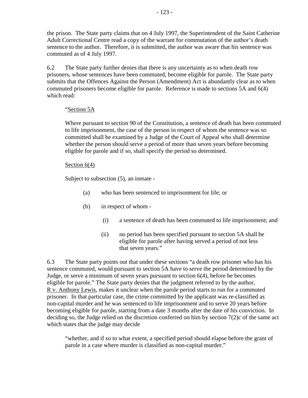the prison. The State party claims that on 4 July 1997, the Superintendent of the Saint Catherine Adult Correctional Centre read a copy of the warrant for commutation of the author's death sentence to the author. Therefore, it is submitted, the author was aware that his sentence was commuted as of 4 July 1997.

6.2 The State party further denies that there is any uncertainty as to when death row prisoners, whose sentences have been commuted, become eligible for parole. The State party submits that the Offences Against the Person (Amendment) Act is abundantly clear as to when commuted prisoners become eligible for parole. Reference is made to sections 5A and 6(4) which read:

## "Section 5A

Where pursuant to section 90 of the Constitution, a sentence of death has been commuted to life imprisonment, the case of the person in respect of whom the sentence was so committed shall be examined by a Judge of the Court of Appeal who shall determine whether the person should serve a period of more than seven years before becoming eligible for parole and if so, shall specify the period so determined.

#### Section  $6(4)$

Subject to subsection (5), an inmate -

- (a) who has been sentenced to imprisonment for life; or
- (b) in respect of whom
	- (i) a sentence of death has been commuted to life imprisonment; and
	- (ii) no period has been specified pursuant to section 5A shall be eligible for parole after having served a period of not less that seven years."

6.3 The State party points out that under these sections "a death row prisoner who has his sentence commuted, would pursuant to section 5A have to serve the period determined by the Judge, or serve a minimum of seven years pursuant to section 6(4), before he becomes eligible for parole." The State party denies that the judgment referred to by the author, R v. Anthony Lewis, makes it unclear when the parole period starts to run for a commuted prisoner. In that particular case, the crime committed by the applicant was re-classified as non-capital murder and he was sentenced to life imprisonment and to serve 20 years before becoming eligible for parole, starting from a date 3 months after the date of his conviction. In deciding so, the Judge relied on the discretion conferred on him by section 7(2)c of the same act which states that the judge may decide

"whether, and if so to what extent, a specified period should elapse before the grant of parole in a case where murder is classified as non-capital murder."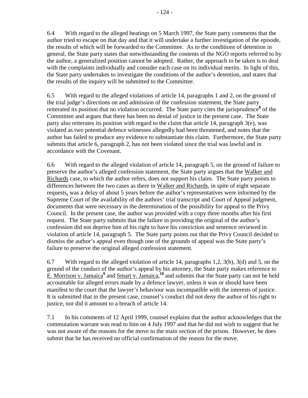6.4 With regard to the alleged beatings on 5 March 1997, the State party comments that the author tried to escape on that day and that it will undertake a further investigation of the episode, the results of which will be forwarded to the Committee. As to the conditions of detention in general, the State party states that notwithstanding the contents of the NGO reports referred to by the author, a generalized position cannot be adopted. Rather, the approach to be taken is to deal with the complaints individually and consider each case on its individual merits. In light of this, the State party undertakes to investigate the conditions of the author's detention, and states that the results of the inquiry will be submitted to the Committee.

6.5 With regard to the alleged violations of article 14, paragraphs 1 and 2, on the ground of the trial judge's directions on and admission of the confession statement, the State party reiterated its position that no violation occurred. The State party cites the jurisprudence<sup>8</sup> of the Committee and argues that there has been no denial of justice in the present case. The State party also reiterates its position with regard to the claim that article 14, paragraph 3(e), was violated as two potential defence witnesses allegedly had been threatened, and notes that the author has failed to produce any evidence to substantiate this claim. Furthermore, the State party submits that article 6, paragraph 2, has not been violated since the trial was lawful and in accordance with the Covenant.

6.6 With regard to the alleged violation of article 14, paragraph 5, on the ground of failure to preserve the author's alleged confession statement, the State party argues that the Walker and Richards case, to which the author refers, does not support his claim. The State party points to differences between the two cases as there in Walker and Richards, in spite of eight separate requests, was a delay of about 5 years before the author's representatives were informed by the Supreme Court of the availability of the authors' trial transcript and Court of Appeal judgment, documents that were necessary in the determination of the possibility for appeal to the Privy Council. In the present case, the author was provided with a copy three months after his first request. The State party submits that the failure in providing the original of the author's confession did not deprive him of his right to have his conviction and sentence reviewed in violation of article 14, paragraph 5. The State party points out that the Privy Council decided to dismiss the author's appeal even though one of the grounds of appeal was the State party's failure to preserve the original alleged confession statement.

6.7 With regard to the alleged violation of article 14, paragraphs 1,2, 3(b), 3(d) and 5, on the ground of the conduct of the author's appeal by his attorney, the State party makes reference to E. Morrison v. Jamaica<sup>9</sup> and Smart v. Jamaica,<sup>10</sup> and submits that the State party can not be held accountable for alleged errors made by a defence lawyer, unless it was or should have been manifest to the court that the lawyer's behaviour was incompatible with the interests of justice. It is submitted that in the present case, counsel's conduct did not deny the author of his right to justice, nor did it amount to a breach of article 14.

7.1 In his comments of 12 April 1999, counsel explains that the author acknowledges that the commutation warrant was read to him on 4 July 1997 and that he did not wish to suggest that he was not aware of the reasons for the move to the main section of the prison. However, he does submit that he has received no official confirmation of the reason for the move.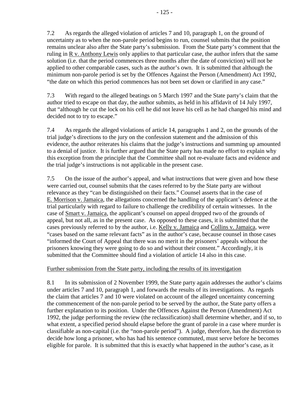7.2 As regards the alleged violation of articles 7 and 10, paragraph 1, on the ground of uncertainty as to when the non-parole period begins to run, counsel submits that the position remains unclear also after the State party's submission. From the State party's comment that the ruling in R v. Anthony Lewis only applies to that particular case, the author infers that the same solution (i.e. that the period commences three months after the date of conviction) will not be applied to other comparable cases, such as the author's own. It is submitted that although the minimum non-parole period is set by the Offences Against the Person (Amendment) Act 1992, "the date on which this period commences has not been set down or clarified in any case."

7.3 With regard to the alleged beatings on 5 March 1997 and the State party's claim that the author tried to escape on that day, the author submits, as held in his affidavit of 14 July 1997, that "although he cut the lock on his cell he did not leave his cell as he had changed his mind and decided not to try to escape."

7.4 As regards the alleged violations of article 14, paragraphs 1 and 2, on the grounds of the trial judge's directions to the jury on the confession statement and the admission of this evidence, the author reiterates his claims that the judge's instructions and summing up amounted to a denial of justice. It is further argued that the State party has made no effort to explain why this exception from the principle that the Committee shall not re-evaluate facts and evidence and the trial judge's instructions is not applicable in the present case.

7.5 On the issue of the author's appeal, and what instructions that were given and how these were carried out, counsel submits that the cases referred to by the State party are without relevance as they "can be distinguished on their facts." Counsel asserts that in the case of E. Morrison v. Jamaica, the allegations concerned the handling of the applicant's defence at the trial particularly with regard to failure to challenge the credibility of certain witnesses. In the case of Smart v. Jamaica, the applicant's counsel on appeal dropped two of the grounds of appeal, but not all, as in the present case. As opposed to these cases, it is submitted that the cases previously referred to by the author, i.e. Kelly v. Jamaica and Collins v. Jamaica, were "cases based on the same relevant facts" as in the author's case, because counsel in those cases "informed the Court of Appeal that there was no merit in the prisoners' appeals without the prisoners knowing they were going to do so and without their consent." Accordingly, it is submitted that the Committee should find a violation of article 14 also in this case.

## Further submission from the State party, including the results of its investigation

8.1 In its submission of 2 November 1999, the State party again addresses the author's claims under articles 7 and 10, paragraph 1, and forwards the results of its investigations. As regards the claim that articles 7 and 10 were violated on account of the alleged uncertainty concerning the commencement of the non-parole period to be served by the author, the State party offers a further explanation to its position. Under the Offences Against the Person (Amendment) Act 1992, the judge performing the review (the reclassification) shall determine whether, and if so, to what extent, a specified period should elapse before the grant of parole in a case where murder is classifiable as non-capital (i.e. the "non-parole period"). A judge, therefore, has the discretion to decide how long a prisoner, who has had his sentence commuted, must serve before he becomes eligible for parole. It is submitted that this is exactly what happened in the author's case, as it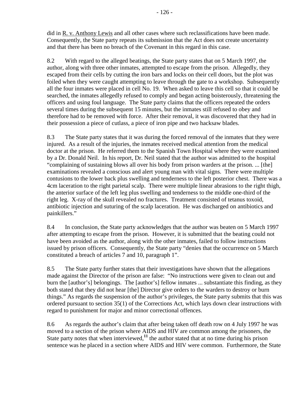did in R. v. Anthony Lewis and all other cases where such reclassifications have been made. Consequently, the State party repeats its submission that the Act does not create uncertainty and that there has been no breach of the Covenant in this regard in this case.

8.2 With regard to the alleged beatings, the State party states that on 5 March 1997, the author, along with three other inmates, attempted to escape from the prison. Allegedly, they escaped from their cells by cutting the iron bars and locks on their cell doors, but the plot was foiled when they were caught attempting to leave through the gate to a workshop. Subsequently all the four inmates were placed in cell No. 19. When asked to leave this cell so that it could be searched, the inmates allegedly refused to comply and began acting boisterously, threatening the officers and using foul language. The State party claims that the officers repeated the orders several times during the subsequent 15 minutes, but the inmates still refused to obey and therefore had to be removed with force. After their removal, it was discovered that they had in their possession a piece of cutlass, a piece of iron pipe and two hacksaw blades.

8.3 The State party states that it was during the forced removal of the inmates that they were injured. As a result of the injuries, the inmates received medical attention from the medical doctor at the prison. He referred them to the Spanish Town Hospital where they were examined by a Dr. Donald Neil. In his report, Dr. Neil stated that the author was admitted to the hospital "complaining of sustaining blows all over his body from prison warders at the prison. ... [the] examinations revealed a conscious and alert young man with vital signs. There were multiple contusions to the lower back plus swelling and tenderness to the left posterior chest. There was a 4cm laceration to the right parietal scalp. There were multiple linear abrasions to the right thigh, the anterior surface of the left leg plus swelling and tenderness to the middle one-third of the right leg. X-ray of the skull revealed no fractures. Treatment consisted of tetanus toxoid, antibiotic injection and suturing of the scalp laceration. He was discharged on antibiotics and painkillers."

8.4 In conclusion, the State party acknowledges that the author was beaten on 5 March 1997 after attempting to escape from the prison. However, it is submitted that the beating could not have been avoided as the author, along with the other inmates, failed to follow instructions issued by prison officers. Consequently, the State party "denies that the occurrence on 5 March constituted a breach of articles 7 and 10, paragraph 1".

8.5 The State party further states that their investigations have shown that the allegations made against the Director of the prison are false: "No instructions were given to clean out and burn the [author's] belongings. The [author's] fellow inmates ... substantiate this finding, as they both stated that they did not hear [the] Director give orders to the warders to destroy or burn things." As regards the suspension of the author's privileges, the State party submits that this was ordered pursuant to section 35(1) of the Corrections Act, which lays down clear instructions with regard to punishment for major and minor correctional offences.

8.6 As regards the author's claim that after being taken off death row on 4 July 1997 he was moved to a section of the prison where AIDS and HIV are common among the prisoners, the State party notes that when interviewed,**<sup>11</sup>** the author stated that at no time during his prison sentence was he placed in a section where AIDS and HIV were common. Furthermore, the State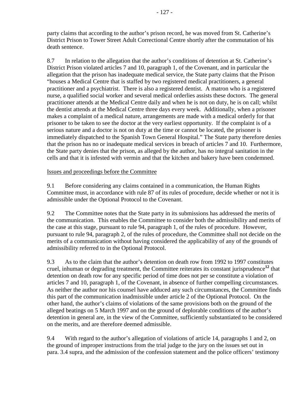party claims that according to the author's prison record, he was moved from St. Catherine's District Prison to Tower Street Adult Correctional Centre shortly after the commutation of his death sentence.

8.7 In relation to the allegation that the author's conditions of detention at St. Catherine's District Prison violated articles 7 and 10, paragraph 1, of the Covenant, and in particular the allegation that the prison has inadequate medical service, the State party claims that the Prison "houses a Medical Centre that is staffed by two registered medical practitioners, a general practitioner and a psychiatrist. There is also a registered dentist. A matron who is a registered nurse, a qualified social worker and several medical orderlies assists these doctors. The general practitioner attends at the Medical Centre daily and when he is not on duty, he is on call; whilst the dentist attends at the Medical Centre three days every week. Additionally, when a prisoner makes a complaint of a medical nature, arrangements are made with a medical orderly for that prisoner to be taken to see the doctor at the very earliest opportunity. If the complaint is of a serious nature and a doctor is not on duty at the time or cannot be located, the prisoner is immediately dispatched to the Spanish Town General Hospital." The State party therefore denies that the prison has no or inadequate medical services in breach of articles 7 and 10. Furthermore, the State party denies that the prison, as alleged by the author, has no integral sanitation in the cells and that it is infested with vermin and that the kitchen and bakery have been condemned.

#### Issues and proceedings before the Committee

9.1 Before considering any claims contained in a communication, the Human Rights Committee must, in accordance with rule 87 of its rules of procedure, decide whether or not it is admissible under the Optional Protocol to the Covenant.

9.2 The Committee notes that the State party in its submissions has addressed the merits of the communication. This enables the Committee to consider both the admissibility and merits of the case at this stage, pursuant to rule 94, paragraph 1, of the rules of procedure. However, pursuant to rule 94, paragraph 2, of the rules of procedure, the Committee shall not decide on the merits of a communication without having considered the applicability of any of the grounds of admissibility referred to in the Optional Protocol.

9.3 As to the claim that the author's detention on death row from 1992 to 1997 constitutes cruel, inhuman or degrading treatment, the Committee reiterates its constant jurisprudence**<sup>12</sup>** that detention on death row for any specific period of time does not per se constitute a violation of articles 7 and 10, paragraph 1, of the Covenant, in absence of further compelling circumstances. As neither the author nor his counsel have adduced any such circumstances, the Committee finds this part of the communication inadmissible under article 2 of the Optional Protocol. On the other hand, the author's claims of violations of the same provisions both on the ground of the alleged beatings on 5 March 1997 and on the ground of deplorable conditions of the author's detention in general are, in the view of the Committee, sufficiently substantiated to be considered on the merits, and are therefore deemed admissible.

9.4 With regard to the author's allegation of violations of article 14, paragraphs 1 and 2, on the ground of improper instructions from the trial judge to the jury on the issues set out in para. 3.4 supra, and the admission of the confession statement and the police officers' testimony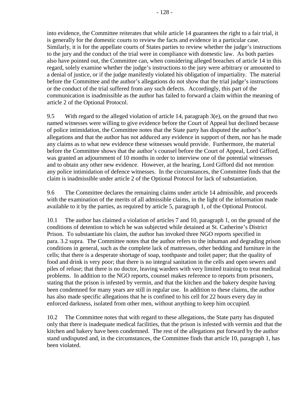into evidence, the Committee reiterates that while article 14 guarantees the right to a fair trial, it is generally for the domestic courts to review the facts and evidence in a particular case. Similarly, it is for the appellate courts of States parties to review whether the judge's instructions to the jury and the conduct of the trial were in compliance with domestic law. As both parties also have pointed out, the Committee can, when considering alleged breaches of article 14 in this regard, solely examine whether the judge's instructions to the jury were arbitrary or amounted to a denial of justice, or if the judge manifestly violated his obligation of impartiality. The material before the Committee and the author's allegations do not show that the trial judge's instructions or the conduct of the trial suffered from any such defects. Accordingly, this part of the communication is inadmissible as the author has failed to forward a claim within the meaning of article 2 of the Optional Protocol.

9.5 With regard to the alleged violation of article 14, paragraph 3(e), on the ground that two named witnesses were willing to give evidence before the Court of Appeal but declined because of police intimidation, the Committee notes that the State party has disputed the author's allegations and that the author has not adduced any evidence in support of them, nor has he made any claims as to what new evidence these witnesses would provide. Furthermore, the material before the Committee shows that the author's counsel before the Court of Appeal, Lord Gifford, was granted an adjournment of 10 months in order to interview one of the potential witnesses and to obtain any other new evidence. However, at the hearing, Lord Gifford did not mention any police intimidation of defence witnesses. In the circumstances, the Committee finds that the claim is inadmissible under article 2 of the Optional Protocol for lack of substantiation.

9.6 The Committee declares the remaining claims under article 14 admissible, and proceeds with the examination of the merits of all admissible claims, in the light of the information made available to it by the parties, as required by article 5, paragraph 1, of the Optional Protocol.

10.1 The author has claimed a violation of articles 7 and 10, paragraph 1, on the ground of the conditions of detention to which he was subjected while detained at St. Catherine's District Prison. To substantiate his claim, the author has invoked three NGO reports specified in para. 3.2 supra. The Committee notes that the author refers to the inhuman and degrading prison conditions in general, such as the complete lack of mattresses, other bedding and furniture in the cells; that there is a desperate shortage of soap, toothpaste and toilet paper; that the quality of food and drink is very poor; that there is no integral sanitation in the cells and open sewers and piles of refuse; that there is no doctor, leaving warders with very limited training to treat medical problems. In addition to the NGO reports, counsel makes reference to reports from prisoners, stating that the prison is infested by vermin, and that the kitchen and the bakery despite having been condemned for many years are still in regular use. In addition to these claims, the author has also made specific allegations that he is confined to his cell for 22 hours every day in enforced darkness, isolated from other men, without anything to keep him occupied.

10.2 The Committee notes that with regard to these allegations, the State party has disputed only that there is inadequate medical facilities, that the prison is infested with vermin and that the kitchen and bakery have been condemned. The rest of the allegations put forward by the author stand undisputed and, in the circumstances, the Committee finds that article 10, paragraph 1, has been violated.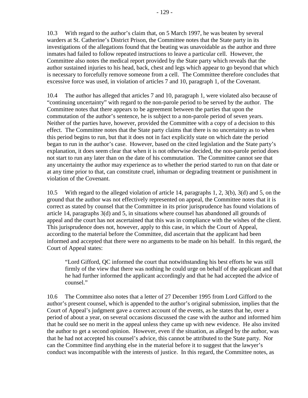10.3 With regard to the author's claim that, on 5 March 1997, he was beaten by several warders at St. Catherine's District Prison, the Committee notes that the State party in its investigations of the allegations found that the beating was unavoidable as the author and three inmates had failed to follow repeated instructions to leave a particular cell. However, the Committee also notes the medical report provided by the State party which reveals that the author sustained injuries to his head, back, chest and legs which appear to go beyond that which is necessary to forcefully remove someone from a cell. The Committee therefore concludes that excessive force was used, in violation of articles 7 and 10, paragraph 1, of the Covenant.

10.4 The author has alleged that articles 7 and 10, paragraph 1, were violated also because of "continuing uncertainty" with regard to the non-parole period to be served by the author. The Committee notes that there appears to be agreement between the parties that upon the commutation of the author's sentence, he is subject to a non-parole period of seven years. Neither of the parties have, however, provided the Committee with a copy of a decision to this effect. The Committee notes that the State party claims that there is no uncertainty as to when this period begins to run, but that it does not in fact explicitly state on which date the period began to run in the author's case. However, based on the cited legislation and the State party's explanation, it does seem clear that when it is not otherwise decided, the non-parole period does not start to run any later than on the date of his commutation. The Committee cannot see that any uncertainty the author may experience as to whether the period started to run on that date or at any time prior to that, can constitute cruel, inhuman or degrading treatment or punishment in violation of the Covenant.

10.5 With regard to the alleged violation of article 14, paragraphs 1, 2, 3(b), 3(d) and 5, on the ground that the author was not effectively represented on appeal, the Committee notes that it is correct as stated by counsel that the Committee in its prior jurisprudence has found violations of article 14, paragraphs 3(d) and 5, in situations where counsel has abandoned all grounds of appeal and the court has not ascertained that this was in compliance with the wishes of the client. This jurisprudence does not, however, apply to this case, in which the Court of Appeal, according to the material before the Committee, did ascertain that the applicant had been informed and accepted that there were no arguments to be made on his behalf. In this regard, the Court of Appeal states:

"Lord Gifford, QC informed the court that notwithstanding his best efforts he was still firmly of the view that there was nothing he could urge on behalf of the applicant and that he had further informed the applicant accordingly and that he had accepted the advice of counsel."

10.6 The Committee also notes that a letter of 27 December 1995 from Lord Gifford to the author's present counsel, which is appended to the author's original submission, implies that the Court of Appeal's judgment gave a correct account of the events, as he states that he, over a period of about a year, on several occasions discussed the case with the author and informed him that he could see no merit in the appeal unless they came up with new evidence. He also invited the author to get a second opinion. However, even if the situation, as alleged by the author, was that he had not accepted his counsel's advice, this cannot be attributed to the State party. Nor can the Committee find anything else in the material before it to suggest that the lawyer's conduct was incompatible with the interests of justice. In this regard, the Committee notes, as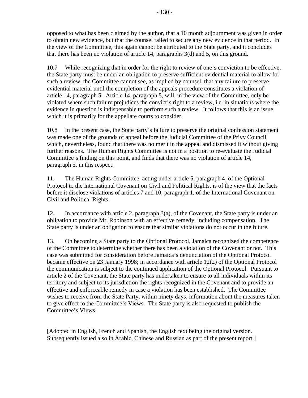opposed to what has been claimed by the author, that a 10 month adjournment was given in order to obtain new evidence, but that the counsel failed to secure any new evidence in that period. In the view of the Committee, this again cannot be attributed to the State party, and it concludes that there has been no violation of article 14, paragraphs 3(d) and 5, on this ground.

10.7 While recognizing that in order for the right to review of one's conviction to be effective, the State party must be under an obligation to preserve sufficient evidential material to allow for such a review, the Committee cannot see, as implied by counsel, that any failure to preserve evidential material until the completion of the appeals procedure constitutes a violation of article 14, paragraph 5. Article 14, paragraph 5, will, in the view of the Committee, only be violated where such failure prejudices the convict's right to a review, i.e. in situations where the evidence in question is indispensable to perform such a review. It follows that this is an issue which it is primarily for the appellate courts to consider.

10.8 In the present case, the State party's failure to preserve the original confession statement was made one of the grounds of appeal before the Judicial Committee of the Privy Council which, nevertheless, found that there was no merit in the appeal and dismissed it without giving further reasons. The Human Rights Committee is not in a position to re-evaluate the Judicial Committee's finding on this point, and finds that there was no violation of article 14, paragraph 5, in this respect.

11. The Human Rights Committee, acting under article 5, paragraph 4, of the Optional Protocol to the International Covenant on Civil and Political Rights, is of the view that the facts before it disclose violations of articles 7 and 10, paragraph 1, of the International Covenant on Civil and Political Rights.

12. In accordance with article 2, paragraph 3(a), of the Covenant, the State party is under an obligation to provide Mr. Robinson with an effective remedy, including compensation. The State party is under an obligation to ensure that similar violations do not occur in the future.

13. On becoming a State party to the Optional Protocol, Jamaica recognized the competence of the Committee to determine whether there has been a violation of the Covenant or not. This case was submitted for consideration before Jamaica's denunciation of the Optional Protocol became effective on 23 January 1998; in accordance with article 12(2) of the Optional Protocol the communication is subject to the continued application of the Optional Protocol. Pursuant to article 2 of the Covenant, the State party has undertaken to ensure to all individuals within its territory and subject to its jurisdiction the rights recognized in the Covenant and to provide an effective and enforceable remedy in case a violation has been established. The Committee wishes to receive from the State Party, within ninety days, information about the measures taken to give effect to the Committee's Views. The State party is also requested to publish the Committee's Views.

[Adopted in English, French and Spanish, the English text being the original version. Subsequently issued also in Arabic, Chinese and Russian as part of the present report.]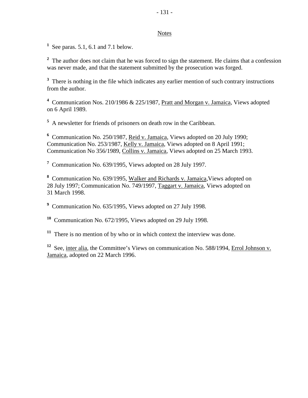# - 131 -

#### Notes

**1** See paras. 5.1, 6.1 and 7.1 below.

<sup>2</sup> The author does not claim that he was forced to sign the statement. He claims that a confession was never made, and that the statement submitted by the prosecution was forged.

<sup>3</sup> There is nothing in the file which indicates any earlier mention of such contrary instructions from the author.

<sup>4</sup> Communication Nos. 210/1986 & 225/1987, Pratt and Morgan v. Jamaica, Views adopted on 6 April 1989.

<sup>5</sup> A newsletter for friends of prisoners on death row in the Caribbean.

**6** Communication No. 250/1987, Reid v. Jamaica, Views adopted on 20 July 1990; Communication No. 253/1987, Kelly v. Jamaica, Views adopted on 8 April 1991; Communication No 356/1989, Collins v. Jamaica, Views adopted on 25 March 1993.

**7** Communication No. 639/1995, Views adopted on 28 July 1997.

**8** Communication No. 639/1995, Walker and Richards v. Jamaica,Views adopted on 28 July 1997; Communication No. 749/1997, Taggart v. Jamaica, Views adopted on 31 March 1998.

<sup>9</sup> Communication No. 635/1995, Views adopted on 27 July 1998.

**<sup>10</sup>** Communication No. 672/1995, Views adopted on 29 July 1998.

<sup>11</sup> There is no mention of by who or in which context the interview was done.

<sup>12</sup> See, inter alia, the Committee's Views on communication No. 588/1994, Errol Johnson v. Jamaica, adopted on 22 March 1996.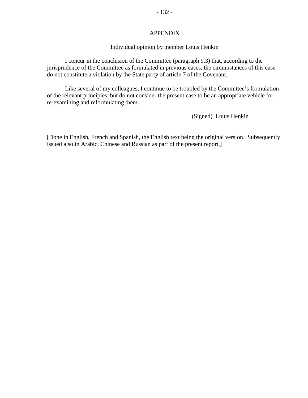## APPENDIX

#### Individual opinion by member Louis Henkin

I concur in the conclusion of the Committee (paragraph 9.3) that, according to the jurisprudence of the Committee as formulated in previous cases, the circumstances of this case do not constitute a violation by the State party of article 7 of the Covenant.

Like several of my colleagues, I continue to be troubled by the Committee's formulation of the relevant principles, but do not consider the present case to be an appropriate vehicle for re-examining and reformulating them.

(Signed) Louis Henkin

[Done in English, French and Spanish, the English text being the original version. Subsequently issued also in Arabic, Chinese and Russian as part of the present report.]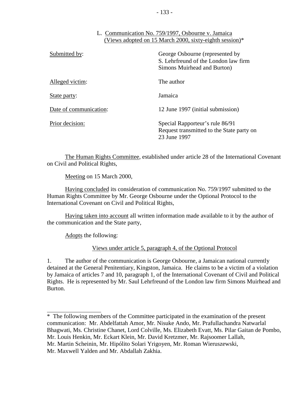#### L. Communication No. 759/1997, Osbourne v. Jamaica (Views adopted on 15 March 2000, sixty-eighth session)\*

| Submitted by:          | George Osbourne (represented by<br>S. Lehrfreund of the London law firm<br>Simons Muirhead and Burton) |
|------------------------|--------------------------------------------------------------------------------------------------------|
| Alleged victim:        | The author                                                                                             |
| State party:           | Jamaica                                                                                                |
| Date of communication: | 12 June 1997 (initial submission)                                                                      |
| Prior decision:        | Special Rapporteur's rule 86/91<br>Request transmitted to the State party on<br>23 June 1997           |

The Human Rights Committee, established under article 28 of the International Covenant on Civil and Political Rights,

Meeting on 15 March 2000,

Having concluded its consideration of communication No. 759/1997 submitted to the Human Rights Committee by Mr. George Osbourne under the Optional Protocol to the International Covenant on Civil and Political Rights,

Having taken into account all written information made available to it by the author of the communication and the State party,

Adopts the following:

 $\overline{a}$ 

Views under article 5, paragraph 4, of the Optional Protocol

1. The author of the communication is George Osbourne, a Jamaican national currently detained at the General Penitentiary, Kingston, Jamaica. He claims to be a victim of a violation by Jamaica of articles 7 and 10, paragraph 1, of the International Covenant of Civil and Political Rights. He is represented by Mr. Saul Lehrfreund of the London law firm Simons Muirhead and Burton.

<sup>\*</sup> The following members of the Committee participated in the examination of the present communication: Mr. Abdelfattah Amor, Mr. Nisuke Ando, Mr. Prafullachandra Natwarlal Bhagwati, Ms. Christine Chanet, Lord Colville, Ms. Elizabeth Evatt, Ms. Pilar Gaitan de Pombo, Mr. Louis Henkin, Mr. Eckart Klein, Mr. David Kretzmer, Mr. Rajsoomer Lallah, Mr. Martin Scheinin, Mr. Hipólito Solari Yrigoyen, Mr. Roman Wieruszewski, Mr. Maxwell Yalden and Mr. Abdallah Zakhia.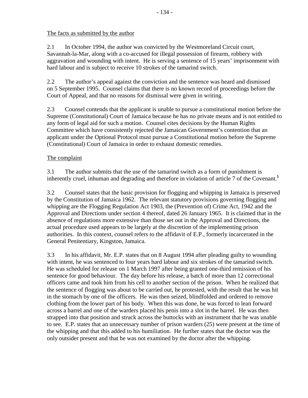## The facts as submitted by the author

2.1 In October 1994, the author was convicted by the Westmoreland Circuit court, Savannah-la-Mar, along with a co-accused for illegal possession of firearm, robbery with aggravation and wounding with intent. He is serving a sentence of 15 years' imprisonment with hard labour and is subject to receive 10 strokes of the tamarind switch.

2.2 The author's appeal against the conviction and the sentence was heard and dismissed on 5 September 1995. Counsel claims that there is no known record of proceedings before the Court of Appeal, and that no reasons for dismissal were given in writing.

2.3 Counsel contends that the applicant is unable to pursue a constitutional motion before the Supreme (Constitutional) Court of Jamaica because he has no private means and is not entitled to any form of legal aid for such a motion. Counsel cites decisions by the Human Rights Committee which have consistently rejected the Jamaican Government's contention that an applicant under the Optional Protocol must pursue a Constitutional motion before the Supreme (Constitutional) Court of Jamaica in order to exhaust domestic remedies.

## The complaint

3.1 The author submits that the use of the tamarind switch as a form of punishment is inherently cruel, inhuman and degrading and therefore in violation of article 7 of the Covenant.**<sup>1</sup>**

3.2 Counsel states that the basic provision for flogging and whipping in Jamaica is preserved by the Constitution of Jamaica 1962. The relevant statutory provisions governing flogging and whipping are the Flogging Regulation Act 1903, the (Prevention of) Crime Act, 1942 and the Approval and Directions under section 4 thereof, dated 26 January 1965. It is claimed that in the absence of regulations more extensive than those set out in the Approval and Directions, the actual procedure used appears to be largely at the discretion of the implementing prison authorities. In this context, counsel refers to the affidavit of E.P., formerly incarcerated in the General Penitentiary, Kingston, Jamaica.

3.3 In his affidavit, Mr. E.P. states that on 8 August 1994 after pleading guilty to wounding with intent, he was sentenced to four years hard labour and six strokes of the tamarind switch. He was scheduled for release on 1 March 1997 after being granted one-third remission of his sentence for good behaviour. The day before his release, a batch of more than 12 correctional officers came and took him from his cell to another section of the prison. When he realized that the sentence of flogging was about to be carried out, he protested, with the result that he was hit in the stomach by one of the officers. He was then seized, blindfolded and ordered to remove clothing from the lower part of his body. When this was done, he was forced to lean forward across a barrel and one of the warders placed his penis into a slot in the barrel. He was then strapped into that position and struck across the buttocks with an instrument that he was unable to see. E.P. states that an unnecessary number of prison warders (25) were present at the time of the whipping and that this added to his humiliation. He further states that the doctor was the only outsider present and that he was not examined by the doctor after the whipping.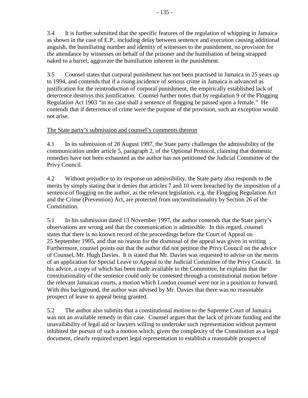3.4 It is further submitted that the specific features of the regulation of whipping in Jamaica as shown in the case of E.P., including delay between sentence and execution causing additional anguish, the humiliating number and identity of witnesses to the punishment, no provision for the attendance by witnesses on behalf of the prisoner and the humiliation of being strapped naked to a barrel, aggravate the humiliation inherent in the punishment.

3.5 Counsel states that corporal punishment has not been practised in Jamaica in 25 years up to 1994, and contends that if a rising incidence of serious crime in Jamaica is advanced as justification for the reintroduction of corporal punishment, the empirically established lack of deterrence destroys this justification. Counsel further notes that by regulation 9 of the Flogging Regulation Act 1903 "in no case shall a sentence of flogging be passed upon a female." He contends that if deterrence of crime were the purpose of the provision, such an exception would not arise.

# The State party's submission and counsel's comments thereon

4.1 In its submission of 28 August 1997, the State party challenges the admissibility of the communication under article 5, paragraph 2, of the Optional Protocol, claiming that domestic remedies have not been exhausted as the author has not petitioned the Judicial Committee of the Privy Council.

4.2 Without prejudice to its response on admissibility, the State party also responds to the merits by simply stating that it denies that articles 7 and 10 were breached by the imposition of a sentence of flogging on the author, as the relevant legislation, e.g. the Flogging Regulation Act and the Crime (Prevention) Act, are protected from unconstitutionality by Section 26 of the Constitution.

5.1 In his submission dated 13 November 1997, the author contends that the State party's observations are wrong and that the communication is admissible. In this regard, counsel states that there is no known record of the proceedings before the Court of Appeal on 25 September 1995, and that no reason for the dismissal of the appeal was given in writing. Furthermore, counsel points out that the author did not petition the Privy Council on the advice of Counsel, Mr. Hugh Davies. It is stated that Mr. Davies was requested to advise on the merits of an application for Special Leave to Appeal to the Judicial Committee of the Privy Council. In his advice, a copy of which has been made available to the Committee, he explains that the constitutionality of the sentence could only be contested through a constitutional motion before the relevant Jamaican courts, a motion which London counsel were not in a position to forward. With this background, the author was advised by Mr. Davies that there was no reasonable prospect of leave to appeal being granted.

5.2 The author also submits that a constitutional motion to the Supreme Court of Jamaica was not an available remedy in this case. Counsel argues that the lack of private funding and the unavailability of legal aid or lawyers willing to undertake such representation without payment inhibited the pursuit of such a motion which, given the complexity of the Constitution as a legal document, clearly required expert legal representation to establish a reasonable prospect of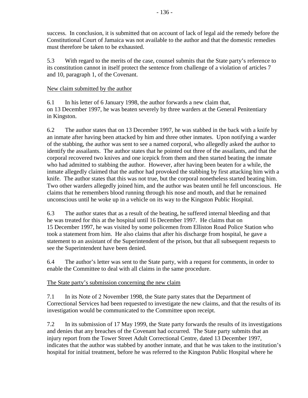success. In conclusion, it is submitted that on account of lack of legal aid the remedy before the Constitutional Court of Jamaica was not available to the author and that the domestic remedies must therefore be taken to be exhausted.

5.3 With regard to the merits of the case, counsel submits that the State party's reference to its constitution cannot in itself protect the sentence from challenge of a violation of articles 7 and 10, paragraph 1, of the Covenant.

# New claim submitted by the author

6.1 In his letter of 6 January 1998, the author forwards a new claim that, on 13 December 1997, he was beaten severely by three warders at the General Penitentiary in Kingston.

6.2 The author states that on 13 December 1997, he was stabbed in the back with a knife by an inmate after having been attacked by him and three other inmates. Upon notifying a warder of the stabbing, the author was sent to see a named corporal, who allegedly asked the author to identify the assailants. The author states that he pointed out three of the assailants, and that the corporal recovered two knives and one icepick from them and then started beating the inmate who had admitted to stabbing the author. However, after having been beaten for a while, the inmate allegedly claimed that the author had provoked the stabbing by first attacking him with a knife. The author states that this was not true, but the corporal nonetheless started beating him. Two other warders allegedly joined him, and the author was beaten until he fell unconscious. He claims that he remembers blood running through his nose and mouth, and that he remained unconscious until he woke up in a vehicle on its way to the Kingston Public Hospital.

6.3 The author states that as a result of the beating, he suffered internal bleeding and that he was treated for this at the hospital until 16 December 1997. He claims that on 15 December 1997, he was visited by some policemen from Elliston Road Police Station who took a statement from him. He also claims that after his discharge from hospital, he gave a statement to an assistant of the Superintendent of the prison, but that all subsequent requests to see the Superintendent have been denied.

6.4 The author's letter was sent to the State party, with a request for comments, in order to enable the Committee to deal with all claims in the same procedure.

# The State party's submission concerning the new claim

7.1 In its Note of 2 November 1998, the State party states that the Department of Correctional Services had been requested to investigate the new claims, and that the results of its investigation would be communicated to the Committee upon receipt.

7.2 In its submission of 17 May 1999, the State party forwards the results of its investigations and denies that any breaches of the Covenant had occurred. The State party submits that an injury report from the Tower Street Adult Correctional Centre, dated 13 December 1997, indicates that the author was stabbed by another inmate, and that he was taken to the institution's hospital for initial treatment, before he was referred to the Kingston Public Hospital where he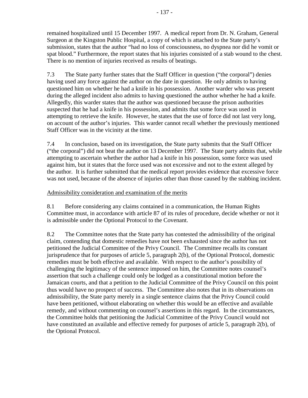remained hospitalized until 15 December 1997. A medical report from Dr. N. Graham, General Surgeon at the Kingston Public Hospital, a copy of which is attached to the State party's submission, states that the author "had no loss of consciousness, no dyspnea nor did he vomit or spat blood." Furthermore, the report states that his injuries consisted of a stab wound to the chest. There is no mention of injuries received as results of beatings.

7.3 The State party further states that the Staff Officer in question ("the corporal") denies having used any force against the author on the date in question. He only admits to having questioned him on whether he had a knife in his possession. Another warder who was present during the alleged incident also admits to having questioned the author whether he had a knife. Allegedly, this warder states that the author was questioned because the prison authorities suspected that he had a knife in his possession, and admits that some force was used in attempting to retrieve the knife. However, he states that the use of force did not last very long, on account of the author's injuries. This warder cannot recall whether the previously mentioned Staff Officer was in the vicinity at the time.

7.4 In conclusion, based on its investigation, the State party submits that the Staff Officer ("the corporal") did not beat the author on 13 December 1997. The State party admits that, while attempting to ascertain whether the author had a knife in his possession, some force was used against him, but it states that the force used was not excessive and not to the extent alleged by the author. It is further submitted that the medical report provides evidence that excessive force was not used, because of the absence of injuries other than those caused by the stabbing incident.

## Admissibility consideration and examination of the merits

8.1 Before considering any claims contained in a communication, the Human Rights Committee must, in accordance with article 87 of its rules of procedure, decide whether or not it is admissible under the Optional Protocol to the Covenant.

8.2 The Committee notes that the State party has contested the admissibility of the original claim, contending that domestic remedies have not been exhausted since the author has not petitioned the Judicial Committee of the Privy Council. The Committee recalls its constant jurisprudence that for purposes of article 5, paragraph 2(b), of the Optional Protocol, domestic remedies must be both effective and available. With respect to the author's possibility of challenging the legitimacy of the sentence imposed on him, the Committee notes counsel's assertion that such a challenge could only be lodged as a constitutional motion before the Jamaican courts, and that a petition to the Judicial Committee of the Privy Council on this point thus would have no prospect of success. The Committee also notes that in its observations on admissibility, the State party merely in a single sentence claims that the Privy Council could have been petitioned, without elaborating on whether this would be an effective and available remedy, and without commenting on counsel's assertions in this regard. In the circumstances, the Committee holds that petitioning the Judicial Committee of the Privy Council would not have constituted an available and effective remedy for purposes of article 5, paragraph 2(b), of the Optional Protocol.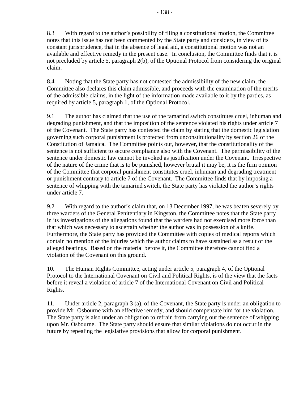8.3 With regard to the author's possibility of filing a constitutional motion, the Committee notes that this issue has not been commented by the State party and considers, in view of its constant jurisprudence, that in the absence of legal aid, a constitutional motion was not an available and effective remedy in the present case. In conclusion, the Committee finds that it is not precluded by article 5, paragraph 2(b), of the Optional Protocol from considering the original claim.

8.4 Noting that the State party has not contested the admissibility of the new claim, the Committee also declares this claim admissible, and proceeds with the examination of the merits of the admissible claims, in the light of the information made available to it by the parties, as required by article 5, paragraph 1, of the Optional Protocol.

9.1 The author has claimed that the use of the tamarind switch constitutes cruel, inhuman and degrading punishment, and that the imposition of the sentence violated his rights under article 7 of the Covenant. The State party has contested the claim by stating that the domestic legislation governing such corporal punishment is protected from unconstitutionality by section 26 of the Constitution of Jamaica. The Committee points out, however, that the constitutionality of the sentence is not sufficient to secure compliance also with the Covenant. The permissibility of the sentence under domestic law cannot be invoked as justification under the Covenant. Irrespective of the nature of the crime that is to be punished, however brutal it may be, it is the firm opinion of the Committee that corporal punishment constitutes cruel, inhuman and degrading treatment or punishment contrary to article 7 of the Covenant. The Committee finds that by imposing a sentence of whipping with the tamarind switch, the State party has violated the author's rights under article 7.

9.2 With regard to the author's claim that, on 13 December 1997, he was beaten severely by three warders of the General Penitentiary in Kingston, the Committee notes that the State party in its investigations of the allegations found that the warders had not exercised more force than that which was necessary to ascertain whether the author was in possession of a knife. Furthermore, the State party has provided the Committee with copies of medical reports which contain no mention of the injuries which the author claims to have sustained as a result of the alleged beatings. Based on the material before it, the Committee therefore cannot find a violation of the Covenant on this ground.

10. The Human Rights Committee, acting under article 5, paragraph 4, of the Optional Protocol to the International Covenant on Civil and Political Rights, is of the view that the facts before it reveal a violation of article 7 of the International Covenant on Civil and Political Rights.

11. Under article 2, paragraph 3 (a), of the Covenant, the State party is under an obligation to provide Mr. Osbourne with an effective remedy, and should compensate him for the violation. The State party is also under an obligation to refrain from carrying out the sentence of whipping upon Mr. Osbourne. The State party should ensure that similar violations do not occur in the future by repealing the legislative provisions that allow for corporal punishment.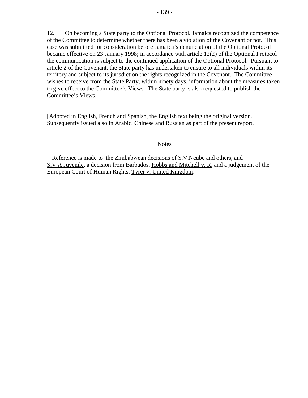12. On becoming a State party to the Optional Protocol, Jamaica recognized the competence of the Committee to determine whether there has been a violation of the Covenant or not. This case was submitted for consideration before Jamaica's denunciation of the Optional Protocol became effective on 23 January 1998; in accordance with article 12(2) of the Optional Protocol the communication is subject to the continued application of the Optional Protocol. Pursuant to article 2 of the Covenant, the State party has undertaken to ensure to all individuals within its territory and subject to its jurisdiction the rights recognized in the Covenant. The Committee wishes to receive from the State Party, within ninety days, information about the measures taken to give effect to the Committee's Views. The State party is also requested to publish the Committee's Views.

[Adopted in English, French and Spanish, the English text being the original version. Subsequently issued also in Arabic, Chinese and Russian as part of the present report.]

#### **Notes**

<sup>1</sup> Reference is made to the Zimbabwean decisions of <u>S.V.Ncube and others</u>, and S.V.A Juvenile, a decision from Barbados, Hobbs and Mitchell v. R. and a judgement of the European Court of Human Rights, Tyrer v. United Kingdom.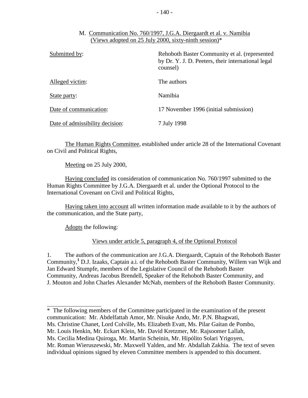#### $-140-$

#### M. Communication No. 760/1997, J.G.A. Diergaardt et al. v. Namibia (Views adopted on 25 July 2000, sixty-ninth session)\*

| Submitted by:                   | Rehoboth Baster Community et al. (represented<br>by Dr. Y. J. D. Peeters, their international legal<br>counsel) |
|---------------------------------|-----------------------------------------------------------------------------------------------------------------|
| Alleged victim:                 | The authors                                                                                                     |
| State party:                    | Namibia                                                                                                         |
| Date of communication:          | 17 November 1996 (initial submission)                                                                           |
| Date of admissibility decision: | 7 July 1998                                                                                                     |

The Human Rights Committee, established under article 28 of the International Covenant on Civil and Political Rights,

Meeting on 25 July 2000,

Having concluded its consideration of communication No. 760/1997 submitted to the Human Rights Committee by J.G.A. Diergaardt et al. under the Optional Protocol to the International Covenant on Civil and Political Rights,

Having taken into account all written information made available to it by the authors of the communication, and the State party,

Adopts the following:

 $\overline{a}$ 

Views under article 5, paragraph 4, of the Optional Protocol

1. The authors of the communication are J.G.A. Diergaardt, Captain of the Rehoboth Baster Community,<sup>1</sup> D.J. Izaaks, Captain a.i. of the Rehoboth Baster Community, Willem van Wijk and Jan Edward Stumpfe, members of the Legislative Council of the Rehoboth Baster Community, Andreas Jacobus Brendell, Speaker of the Rehoboth Baster Community, and J. Mouton and John Charles Alexander McNab, members of the Rehoboth Baster Community.

\* The following members of the Committee participated in the examination of the present communication: Mr. Abdelfattah Amor, Mr. Nisuke Ando, Mr. P.N. Bhagwati,

Ms. Christine Chanet, Lord Colville, Ms. Elizabeth Evatt, Ms. Pilar Gaitan de Pombo,

Mr. Louis Henkin, Mr. Eckart Klein, Mr. David Kretzmer, Mr. Rajsoomer Lallah,

Ms. Cecilia Medina Quiroga, Mr. Martin Scheinin, Mr. Hipólito Solari Yrigoyen,

Mr. Roman Wieruszewski, Mr. Maxwell Yalden, and Mr. Abdallah Zakhia. The text of seven individual opinions signed by eleven Committee members is appended to this document.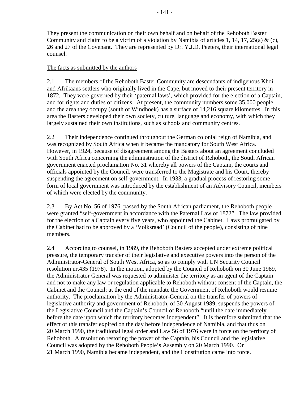They present the communication on their own behalf and on behalf of the Rehoboth Baster Community and claim to be a victim of a violation by Namibia of articles 1, 14, 17, 25(a)  $\&$  (c), 26 and 27 of the Covenant. They are represented by Dr. Y.J.D. Peeters, their international legal counsel.

## The facts as submitted by the authors

2.1 The members of the Rehoboth Baster Community are descendants of indigenous Khoi and Afrikaans settlers who originally lived in the Cape, but moved to their present territory in 1872. They were governed by their 'paternal laws', which provided for the election of a Captain, and for rights and duties of citizens. At present, the community numbers some 35,000 people and the area they occupy (south of Windhoek) has a surface of 14,216 square kilometres. In this area the Basters developed their own society, culture, language and economy, with which they largely sustained their own institutions, such as schools and community centres.

2.2 Their independence continued throughout the German colonial reign of Namibia, and was recognized by South Africa when it became the mandatory for South West Africa. However, in 1924, because of disagreement among the Basters about an agreement concluded with South Africa concerning the administration of the district of Rehoboth, the South African government enacted proclamation No. 31 whereby all powers of the Captain, the courts and officials appointed by the Council, were transferred to the Magistrate and his Court, thereby suspending the agreement on self-government. In 1933, a gradual process of restoring some form of local government was introduced by the establishment of an Advisory Council, members of which were elected by the community.

2.3 By Act No. 56 of 1976, passed by the South African parliament, the Rehoboth people were granted "self-government in accordance with the Paternal Law of 1872". The law provided for the election of a Captain every five years, who appointed the Cabinet. Laws promulgated by the Cabinet had to be approved by a 'Volksraad' (Council of the people), consisting of nine members.

2.4 According to counsel, in 1989, the Rehoboth Basters accepted under extreme political pressure, the temporary transfer of their legislative and executive powers into the person of the Administrator-General of South West Africa, so as to comply with UN Security Council resolution nr.435 (1978). In the motion, adopted by the Council of Rehoboth on 30 June 1989, the Administrator General was requested to administer the territory as an agent of the Captain and not to make any law or regulation applicable to Rehoboth without consent of the Captain, the Cabinet and the Council; at the end of the mandate the Government of Rehoboth would resume authority. The proclamation by the Administrator-General on the transfer of powers of legislative authority and government of Rehoboth, of 30 August 1989, suspends the powers of the Legislative Council and the Captain's Council of Rehoboth "until the date immediately before the date upon which the territory becomes independent". It is therefore submitted that the effect of this transfer expired on the day before independence of Namibia, and that thus on 20 March 1990, the traditional legal order and Law 56 of 1976 were in force on the territory of Rehoboth. A resolution restoring the power of the Captain, his Council and the legislative Council was adopted by the Rehoboth People's Assembly on 20 March 1990. On 21 March 1990, Namibia became independent, and the Constitution came into force.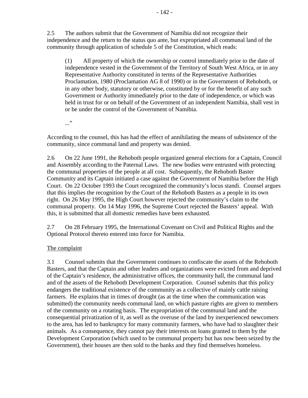2.5 The authors submit that the Government of Namibia did not recognize their independence and the return to the status quo ante, but expropriated all communal land of the community through application of schedule 5 of the Constitution, which reads:

(1) All property of which the ownership or control immediately prior to the date of independence vested in the Government of the Territory of South West Africa, or in any Representative Authority constituted in terms of the Representative Authorities Proclamation, 1980 (Proclamation AG 8 of 1990) or in the Government of Rehoboth, or in any other body, statutory or otherwise, constituted by or for the benefit of any such Government or Authority immediately prior to the date of independence, or which was held in trust for or on behalf of the Government of an independent Namibia, shall vest in or be under the control of the Government of Namibia.

..."

According to the counsel, this has had the effect of annihilating the means of subsistence of the community, since communal land and property was denied.

2.6 On 22 June 1991, the Rehoboth people organized general elections for a Captain, Council and Assembly according to the Paternal Laws. The new bodies were entrusted with protecting the communal properties of the people at all cost. Subsequently, the Rehoboth Baster Community and its Captain initiated a case against the Government of Namibia before the High Court. On 22 October 1993 the Court recognized the community's locus standi. Counsel argues that this implies the recognition by the Court of the Rehoboth Basters as a people in its own right. On 26 May 1995, the High Court however rejected the community's claim to the communal property. On 14 May 1996, the Supreme Court rejected the Basters' appeal. With this, it is submitted that all domestic remedies have been exhausted.

2.7 On 28 February 1995, the International Covenant on Civil and Political Rights and the Optional Protocol thereto entered into force for Namibia.

# The complaint

3.1 Counsel submits that the Government continues to confiscate the assets of the Rehoboth Basters, and that the Captain and other leaders and organizations were evicted from and deprived of the Captain's residence, the administrative offices, the community hall, the communal land and of the assets of the Rehoboth Development Corporation. Counsel submits that this policy endangers the traditional existence of the community as a collective of mainly cattle raising farmers. He explains that in times of drought (as at the time when the communication was submitted) the community needs communal land, on which pasture rights are given to members of the community on a rotating basis. The expropriation of the communal land and the consequential privatization of it, as well as the overuse of the land by inexperienced newcomers to the area, has led to bankruptcy for many community farmers, who have had to slaughter their animals. As a consequence, they cannot pay their interests on loans granted to them by the Development Corporation (which used to be communal property but has now been seized by the Government), their houses are then sold to the banks and they find themselves homeless.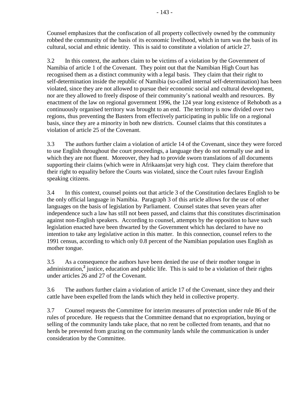Counsel emphasizes that the confiscation of all property collectively owned by the community robbed the community of the basis of its economic livelihood, which in turn was the basis of its cultural, social and ethnic identity. This is said to constitute a violation of article 27.

3.2 In this context, the authors claim to be victims of a violation by the Government of Namibia of article 1 of the Covenant. They point out that the Namibian High Court has recognised them as a distinct community with a legal basis. They claim that their right to self-determination inside the republic of Namibia (so-called internal self-determination) has been violated, since they are not allowed to pursue their economic social and cultural development, nor are they allowed to freely dispose of their community's national wealth and resources. By enactment of the law on regional government 1996, the 124 year long existence of Rehoboth as a continuously organised territory was brought to an end. The territory is now divided over two regions, thus preventing the Basters from effectively participating in public life on a regional basis, since they are a minority in both new districts. Counsel claims that this constitutes a violation of article 25 of the Covenant.

3.3 The authors further claim a violation of article 14 of the Covenant, since they were forced to use English throughout the court proceedings, a language they do not normally use and in which they are not fluent. Moreover, they had to provide sworn translations of all documents supporting their claims (which were in Afrikaans)at very high cost. They claim therefore that their right to equality before the Courts was violated, since the Court rules favour English speaking citizens.

3.4 In this context, counsel points out that article 3 of the Constitution declares English to be the only official language in Namibia. Paragraph 3 of this article allows for the use of other languages on the basis of legislation by Parliament. Counsel states that seven years after independence such a law has still not been passed, and claims that this constitutes discrimination against non-English speakers. According to counsel, attempts by the opposition to have such legislation enacted have been thwarted by the Government which has declared to have no intention to take any legislative action in this matter. In this connection, counsel refers to the 1991 census, according to which only 0.8 percent of the Namibian population uses English as mother tongue.

3.5 As a consequence the authors have been denied the use of their mother tongue in administration,<sup>2</sup> justice, education and public life. This is said to be a violation of their rights under articles 26 and 27 of the Covenant.

3.6 The authors further claim a violation of article 17 of the Covenant, since they and their cattle have been expelled from the lands which they held in collective property.

3.7 Counsel requests the Committee for interim measures of protection under rule 86 of the rules of procedure. He requests that the Committee demand that no expropriation, buying or selling of the community lands take place, that no rent be collected from tenants, and that no herds be prevented from grazing on the community lands while the communication is under consideration by the Committee.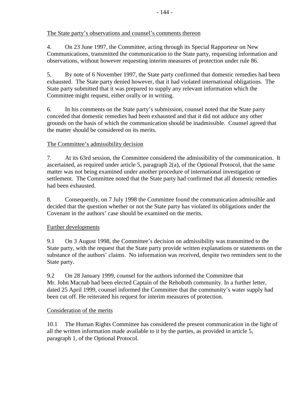# The State party's observations and counsel's comments thereon

4. On 23 June 1997, the Committee, acting through its Special Rapporteur on New Communications, transmitted the communication to the State party, requesting information and observations, without however requesting interim measures of protection under rule 86.

5. By note of 6 November 1997, the State party confirmed that domestic remedies had been exhausted. The State party denied however, that it had violated international obligations. The State party submitted that it was prepared to supply any relevant information which the Committee might request, either orally or in writing.

6. In his comments on the State party's submission, counsel noted that the State party conceded that domestic remedies had been exhausted and that it did not adduce any other grounds on the basis of which the communication should be inadmissible. Counsel agreed that the matter should be considered on its merits.

# The Committee's admissibility decision

7. At its 63rd session, the Committee considered the admissibility of the communication. It ascertained, as required under article 5, paragraph 2(a), of the Optional Protocol, that the same matter was not being examined under another procedure of international investigation or settlement. The Committee noted that the State party had confirmed that all domestic remedies had been exhausted.

8. Consequently, on 7 July 1998 the Committee found the communication admissible and decided that the question whether or not the State party has violated its obligations under the Covenant in the authors' case should be examined on the merits.

# Further developments

9.1 On 3 August 1998, the Committee's decision on admissibility was transmitted to the State party, with the request that the State party provide written explanations or statements on the substance of the authors' claims. No information was received, despite two reminders sent to the State party.

9.2 On 28 January 1999, counsel for the authors informed the Committee that Mr. John Macnab had been elected Captain of the Rehoboth community. In a further letter, dated 25 April 1999, counsel informed the Committee that the community's water supply had been cut off. He reiterated his request for interim measures of protection.

## Consideration of the merits

10.1 The Human Rights Committee has considered the present communication in the light of all the written information made available to it by the parties, as provided in article 5, paragraph 1, of the Optional Protocol.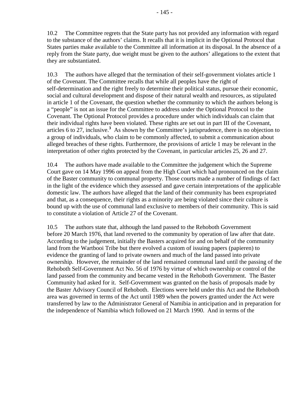10.2 The Committee regrets that the State party has not provided any information with regard to the substance of the authors' claims. It recalls that it is implicit in the Optional Protocol that States parties make available to the Committee all information at its disposal. In the absence of a reply from the State party, due weight must be given to the authors' allegations to the extent that they are substantiated.

10.3 The authors have alleged that the termination of their self-government violates article 1 of the Covenant. The Committee recalls that while all peoples have the right of self-determination and the right freely to determine their political status, pursue their economic, social and cultural development and dispose of their natural wealth and resources, as stipulated in article 1 of the Covenant, the question whether the community to which the authors belong is a "people" is not an issue for the Committee to address under the Optional Protocol to the Covenant. The Optional Protocol provides a procedure under which individuals can claim that their individual rights have been violated. These rights are set out in part III of the Covenant, articles 6 to 27, inclusive.**<sup>3</sup>** As shown by the Committee's jurisprudence, there is no objection to a group of individuals, who claim to be commonly affected, to submit a communication about alleged breaches of these rights. Furthermore, the provisions of article 1 may be relevant in the interpretation of other rights protected by the Covenant, in particular articles 25, 26 and 27.

10.4 The authors have made available to the Committee the judgement which the Supreme Court gave on 14 May 1996 on appeal from the High Court which had pronounced on the claim of the Baster community to communal property. Those courts made a number of findings of fact in the light of the evidence which they assessed and gave certain interpretations of the applicable domestic law. The authors have alleged that the land of their community has been expropriated and that, as a consequence, their rights as a minority are being violated since their culture is bound up with the use of communal land exclusive to members of their community. This is said to constitute a violation of Article 27 of the Covenant.

10.5 The authors state that, although the land passed to the Rehoboth Government before 20 March 1976, that land reverted to the community by operation of law after that date. According to the judgement, initially the Basters acquired for and on behalf of the community land from the Wartbooi Tribe but there evolved a custom of issuing papers (papieren) to evidence the granting of land to private owners and much of the land passed into private ownership. However, the remainder of the land remained communal land until the passing of the Rehoboth Self-Government Act No. 56 of 1976 by virtue of which ownership or control of the land passed from the community and became vested in the Rehoboth Government. The Baster Community had asked for it. Self-Government was granted on the basis of proposals made by the Baster Advisory Council of Rehoboth. Elections were held under this Act and the Rehoboth area was governed in terms of the Act until 1989 when the powers granted under the Act were transferred by law to the Administrator General of Namibia in anticipation and in preparation for the independence of Namibia which followed on 21 March 1990. And in terms of the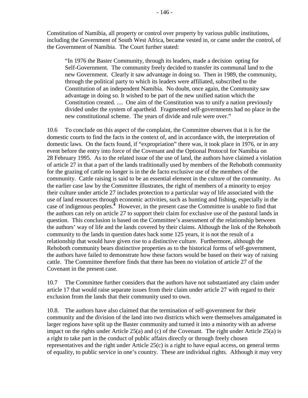Constitution of Namibia, all property or control over property by various public institutions, including the Government of South West Africa, became vested in, or came under the control, of the Government of Namibia. The Court further stated:

"In 1976 the Baster Community, through its leaders, made a decision opting for Self-Government. The community freely decided to transfer its communal land to the new Government. Clearly it saw advantage in doing so. Then in 1989, the community, through the political party to which its leaders were affiliated, subscribed to the Constitution of an independent Namibia. No doubt, once again, the Community saw advantage in doing so. It wished to be part of the new unified nation which the Constitution created. .... One aim of the Constitution was to unify a nation previously divided under the system of apartheid. Fragmented self-governments had no place in the new constitutional scheme. The years of divide and rule were over."

10.6 To conclude on this aspect of the complaint, the Committee observes that it is for the domestic courts to find the facts in the context of, and in accordance with, the interpretation of domestic laws. On the facts found, if "expropriation" there was, it took place in 1976, or in any event before the entry into force of the Covenant and the Optional Protocol for Namibia on 28 February 1995. As to the related issue of the use of land, the authors have claimed a violation of article 27 in that a part of the lands traditionally used by members of the Rehoboth community for the grazing of cattle no longer is in the de facto exclusive use of the members of the community. Cattle raising is said to be an essential element in the culture of the community. As the earlier case law by the Committee illustrates, the right of members of a minority to enjoy their culture under article 27 includes protection to a particular way of life associated with the use of land resources through economic activities, such as hunting and fishing, especially in the case of indigenous peoples.**<sup>4</sup>** However, in the present case the Committee is unable to find that the authors can rely on article 27 to support their claim for exclusive use of the pastoral lands in question. This conclusion is based on the Committee's assessment of the relationship between the authors' way of life and the lands covered by their claims. Although the link of the Rehoboth community to the lands in question dates back some 125 years, it is not the result of a relationship that would have given rise to a distinctive culture. Furthermore, although the Rehoboth community bears distinctive properties as to the historical forms of self-government, the authors have failed to demonstrate how these factors would be based on their way of raising cattle. The Committee therefore finds that there has been no violation of article 27 of the Covenant in the present case.

10.7 The Committee further considers that the authors have not substantiated any claim under article 17 that would raise separate issues from their claim under article 27 with regard to their exclusion from the lands that their community used to own.

10.8. The authors have also claimed that the termination of self-government for their community and the division of the land into two districts which were themselves amalgamated in larger regions have split up the Baster community and turned it into a minority with an adverse impact on the rights under Article 25(a) and (c) of the Covenant. The right under Article 25(a) is a right to take part in the conduct of public affairs directly or through freely chosen representatives and the right under Article 25(c) is a right to have equal access, on general terms of equality, to public service in one's country. These are individual rights. Although it may very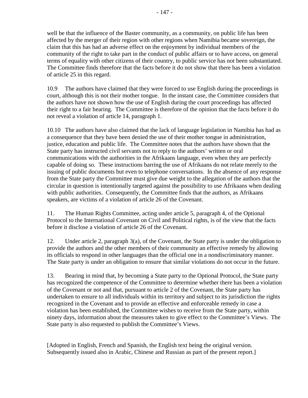well be that the influence of the Baster community, as a community, on public life has been affected by the merger of their region with other regions when Namibia became sovereign, the claim that this has had an adverse effect on the enjoyment by individual members of the community of the right to take part in the conduct of public affairs or to have access, on general terms of equality with other citizens of their country, to public service has not been substantiated. The Committee finds therefore that the facts before it do not show that there has been a violation of article 25 in this regard.

10.9 The authors have claimed that they were forced to use English during the proceedings in court, although this is not their mother tongue. In the instant case, the Committee considers that the authors have not shown how the use of English during the court proceedings has affected their right to a fair hearing. The Committee is therefore of the opinion that the facts before it do not reveal a violation of article 14, paragraph 1.

10.10 The authors have also claimed that the lack of language legislation in Namibia has had as a consequence that they have been denied the use of their mother tongue in administration, justice, education and public life. The Committee notes that the authors have shown that the State party has instructed civil servants not to reply to the authors' written or oral communications with the authorities in the Afrikaans language, even when they are perfectly capable of doing so. These instructions barring the use of Afrikaans do not relate merely to the issuing of public documents but even to telephone conversations. In the absence of any response from the State party the Committee must give due weight to the allegation of the authors that the circular in question is intentionally targeted against the possibility to use Afrikaans when dealing with public authorities. Consequently, the Committee finds that the authors, as Afrikaans speakers, are victims of a violation of article 26 of the Covenant.

11. The Human Rights Committee, acting under article 5, paragraph 4, of the Optional Protocol to the International Covenant on Civil and Political rights, is of the view that the facts before it disclose a violation of article 26 of the Covenant.

12. Under article 2, paragraph 3(a), of the Covenant, the State party is under the obligation to provide the authors and the other members of their community an effective remedy by allowing its officials to respond in other languages than the official one in a nondiscriminatory manner. The State party is under an obligation to ensure that similar violations do not occur in the future.

13. Bearing in mind that, by becoming a State party to the Optional Protocol, the State party has recognized the competence of the Committee to determine whether there has been a violation of the Covenant or not and that, pursuant to article 2 of the Covenant, the State party has undertaken to ensure to all individuals within its territory and subject to its jurisdiction the rights recognized in the Covenant and to provide an effective and enforceable remedy in case a violation has been established, the Committee wishes to receive from the State party, within ninety days, information about the measures taken to give effect to the Committee's Views. The State party is also requested to publish the Committee's Views.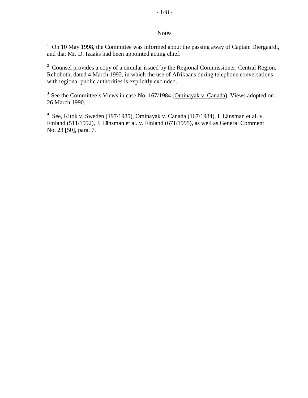### Notes

<sup>1</sup> On 10 May 1998, the Committee was informed about the passing away of Captain Diergaardt, and that Mr. D. Izaaks had been appointed acting chief.

<sup>2</sup> Counsel provides a copy of a circular issued by the Regional Commissioner, Central Region, Rehoboth, dated 4 March 1992, in which the use of Afrikaans during telephone conversations with regional public authorities is explicitly excluded.

<sup>3</sup> See the Committee's Views in case No. 167/1984 (*Ominayak v. Canada*), Views adopted on 26 March 1990.

**<sup>4</sup>** See, Kitok v. Sweden (197/1985), Ominayak v. Canada (167/1984), I. Länsman et al. v. Finland (511/1992), J. Länsman et al. v. Finland (671/1995), as well as General Comment No. 23 [50], para. 7.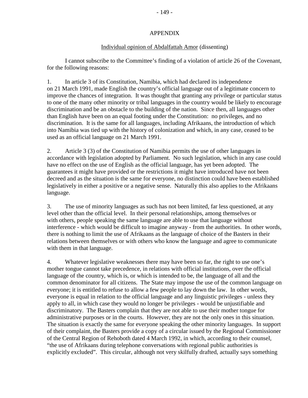### APPENDIX

#### Individual opinion of Abdalfattah Amor (dissenting)

I cannot subscribe to the Committee's finding of a violation of article 26 of the Covenant, for the following reasons:

1. In article 3 of its Constitution, Namibia, which had declared its independence on 21 March 1991, made English the country's official language out of a legitimate concern to improve the chances of integration. It was thought that granting any privilege or particular status to one of the many other minority or tribal languages in the country would be likely to encourage discrimination and be an obstacle to the building of the nation. Since then, all languages other than English have been on an equal footing under the Constitution: no privileges, and no discrimination. It is the same for all languages, including Afrikaans, the introduction of which into Namibia was tied up with the history of colonization and which, in any case, ceased to be used as an official language on 21 March 1991.

2. Article 3 (3) of the Constitution of Namibia permits the use of other languages in accordance with legislation adopted by Parliament. No such legislation, which in any case could have no effect on the use of English as the official language, has yet been adopted. The guarantees it might have provided or the restrictions it might have introduced have not been decreed and as the situation is the same for everyone, no distinction could have been established legislatively in either a positive or a negative sense. Naturally this also applies to the Afrikaans language.

3. The use of minority languages as such has not been limited, far less questioned, at any level other than the official level. In their personal relationships, among themselves or with others, people speaking the same language are able to use that language without interference - which would be difficult to imagine anyway - from the authorities. In other words, there is nothing to limit the use of Afrikaans as the language of choice of the Basters in their relations between themselves or with others who know the language and agree to communicate with them in that language.

4. Whatever legislative weaknesses there may have been so far, the right to use one's mother tongue cannot take precedence, in relations with official institutions, over the official language of the country, which is, or which is intended to be, the language of all and the common denominator for all citizens. The State may impose the use of the common language on everyone; it is entitled to refuse to allow a few people to lay down the law. In other words, everyone is equal in relation to the official language and any linguistic privileges - unless they apply to all, in which case they would no longer be privileges - would be unjustifiable and discriminatory. The Basters complain that they are not able to use their mother tongue for administrative purposes or in the courts. However, they are not the only ones in this situation. The situation is exactly the same for everyone speaking the other minority languages. In support of their complaint, the Basters provide a copy of a circular issued by the Regional Commissioner of the Central Region of Rehoboth dated 4 March 1992, in which, according to their counsel, "the use of Afrikaans during telephone conversations with regional public authorities is explicitly excluded". This circular, although not very skilfully drafted, actually says something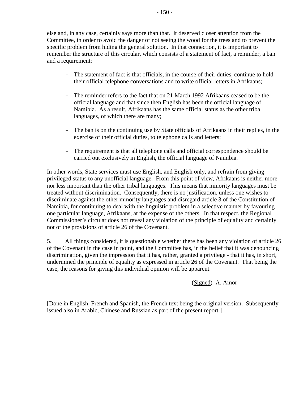else and, in any case, certainly says more than that. It deserved closer attention from the Committee, in order to avoid the danger of not seeing the wood for the trees and to prevent the specific problem from hiding the general solution. In that connection, it is important to remember the structure of this circular, which consists of a statement of fact, a reminder, a ban and a requirement:

- The statement of fact is that officials, in the course of their duties, continue to hold their official telephone conversations and to write official letters in Afrikaans;
- The reminder refers to the fact that on 21 March 1992 Afrikaans ceased to be the official language and that since then English has been the official language of Namibia. As a result, Afrikaans has the same official status as the other tribal languages, of which there are many;
- The ban is on the continuing use by State officials of Afrikaans in their replies, in the exercise of their official duties, to telephone calls and letters;
- The requirement is that all telephone calls and official correspondence should be carried out exclusively in English, the official language of Namibia.

In other words, State services must use English, and English only, and refrain from giving privileged status to any unofficial language. From this point of view, Afrikaans is neither more nor less important than the other tribal languages. This means that minority languages must be treated without discrimination. Consequently, there is no justification, unless one wishes to discriminate against the other minority languages and disregard article 3 of the Constitution of Namibia, for continuing to deal with the linguistic problem in a selective manner by favouring one particular language, Afrikaans, at the expense of the others. In that respect, the Regional Commissioner's circular does not reveal any violation of the principle of equality and certainly not of the provisions of article 26 of the Covenant.

5. All things considered, it is questionable whether there has been any violation of article 26 of the Covenant in the case in point, and the Committee has, in the belief that it was denouncing discrimination, given the impression that it has, rather, granted a privilege - that it has, in short, undermined the principle of equality as expressed in article 26 of the Covenant. That being the case, the reasons for giving this individual opinion will be apparent.

(Signed) A. Amor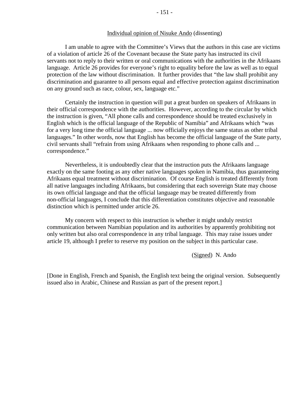#### Individual opinion of Nisuke Ando (dissenting)

I am unable to agree with the Committee's Views that the authors in this case are victims of a violation of article 26 of the Covenant because the State party has instructed its civil servants not to reply to their written or oral communications with the authorities in the Afrikaans language. Article 26 provides for everyone's right to equality before the law as well as to equal protection of the law without discrimination. It further provides that "the law shall prohibit any discrimination and guarantee to all persons equal and effective protection against discrimination on any ground such as race, colour, sex, language etc."

Certainly the instruction in question will put a great burden on speakers of Afrikaans in their official correspondence with the authorities. However, according to the circular by which the instruction is given, "All phone calls and correspondence should be treated exclusively in English which is the official language of the Republic of Namibia" and Afrikaans which "was for a very long time the official language ... now officially enjoys the same status as other tribal languages." In other words, now that English has become the official language of the State party, civil servants shall "refrain from using Afrikaans when responding to phone calls and ... correspondence."

Nevertheless, it is undoubtedly clear that the instruction puts the Afrikaans language exactly on the same footing as any other native languages spoken in Namibia, thus guaranteeing Afrikaans equal treatment without discrimination. Of course English is treated differently from all native languages including Afrikaans, but considering that each sovereign State may choose its own official language and that the official language may be treated differently from non-official languages, I conclude that this differentiation constitutes objective and reasonable distinction which is permitted under article 26.

My concern with respect to this instruction is whether it might unduly restrict communication between Namibian population and its authorities by apparently prohibiting not only written but also oral correspondence in any tribal language. This may raise issues under article 19, although I prefer to reserve my position on the subject in this particular case.

(Signed) N. Ando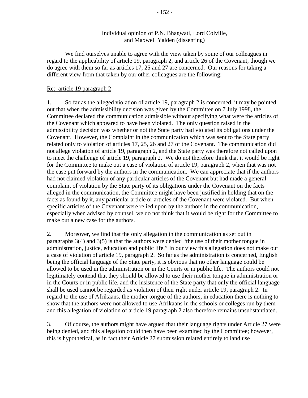### Individual opinion of P.N. Bhagwati, Lord Colville, and Maxwell Yalden (dissenting)

We find ourselves unable to agree with the view taken by some of our colleagues in regard to the applicability of article 19, paragraph 2, and article 26 of the Covenant, though we do agree with them so far as articles 17, 25 and 27 are concerned. Our reasons for taking a different view from that taken by our other colleagues are the following:

#### Re: article 19 paragraph 2

1. So far as the alleged violation of article 19, paragraph 2 is concerned, it may be pointed out that when the admissibility decision was given by the Committee on 7 July 1998, the Committee declared the communication admissible without specifying what were the articles of the Covenant which appeared to have been violated. The only question raised in the admissibility decision was whether or not the State party had violated its obligations under the Covenant. However, the Complaint in the communication which was sent to the State party related only to violation of articles 17, 25, 26 and 27 of the Covenant. The communication did not allege violation of article 19, paragraph 2, and the State party was therefore not called upon to meet the challenge of article 19, paragraph 2. We do not therefore think that it would be right for the Committee to make out a case of violation of article 19, paragraph 2, when that was not the case put forward by the authors in the communication. We can appreciate that if the authors had not claimed violation of any particular articles of the Covenant but had made a general complaint of violation by the State party of its obligations under the Covenant on the facts alleged in the communication, the Committee might have been justified in holding that on the facts as found by it, any particular article or articles of the Covenant were violated. But when specific articles of the Covenant were relied upon by the authors in the communication, especially when advised by counsel, we do not think that it would be right for the Committee to make out a new case for the authors.

2. Moreover, we find that the only allegation in the communication as set out in paragraphs 3(4) and 3(5) is that the authors were denied "the use of their mother tongue in administration, justice, education and public life." In our view this allegation does not make out a case of violation of article 19, paragraph 2. So far as the administration is concerned, English being the official language of the State party, it is obvious that no other language could be allowed to be used in the administration or in the Courts or in public life. The authors could not legitimately contend that they should be allowed to use their mother tongue in administration or in the Courts or in public life, and the insistence of the State party that only the official language shall be used cannot be regarded as violation of their right under article 19, paragraph 2. In regard to the use of Afrikaans, the mother tongue of the authors, in education there is nothing to show that the authors were not allowed to use Afrikaans in the schools or colleges run by them and this allegation of violation of article 19 paragraph 2 also therefore remains unsubstantiated.

3. Of course, the authors might have argued that their language rights under Article 27 were being denied, and this allegation could then have been examined by the Committee; however, this is hypothetical, as in fact their Article 27 submission related entirely to land use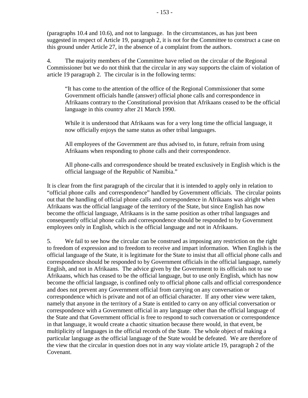(paragraphs 10.4 and 10.6), and not to language. In the circumstances, as has just been suggested in respect of Article 19, paragraph 2, it is not for the Committee to construct a case on this ground under Article 27, in the absence of a complaint from the authors.

4. The majority members of the Committee have relied on the circular of the Regional Commissioner but we do not think that the circular in any way supports the claim of violation of article 19 paragraph 2. The circular is in the following terms:

"It has come to the attention of the office of the Regional Commissioner that some Government officials handle (answer) official phone calls and correspondence in Afrikaans contrary to the Constitutional provision that Afrikaans ceased to be the official language in this country after 21 March 1990.

While it is understood that Afrikaans was for a very long time the official language, it now officially enjoys the same status as other tribal languages.

All employees of the Government are thus advised to, in future, refrain from using Afrikaans when responding to phone calls and their correspondence.

All phone-calls and correspondence should be treated exclusively in English which is the official language of the Republic of Namibia."

It is clear from the first paragraph of the circular that it is intended to apply only in relation to "official phone calls and correspondence" handled by Government officials. The circular points out that the handling of official phone calls and correspondence in Afrikaans was alright when Afrikaans was the official language of the territory of the State, but since English has now become the official language, Afrikaans is in the same position as other tribal languages and consequently official phone calls and correspondence should be responded to by Government employees only in English, which is the official language and not in Afrikaans.

5. We fail to see how the circular can be construed as imposing any restriction on the right to freedom of expression and to freedom to receive and impart information. When English is the official language of the State, it is legitimate for the State to insist that all official phone calls and correspondence should be responded to by Government officials in the official language, namely English, and not in Afrikaans. The advice given by the Government to its officials not to use Afrikaans, which has ceased to be the official language, but to use only English, which has now become the official language, is confined only to official phone calls and official correspondence and does not prevent any Government official from carrying on any conversation or correspondence which is private and not of an official character. If any other view were taken, namely that anyone in the territory of a State is entitled to carry on any official conversation or correspondence with a Government official in any language other than the official language of the State and that Government official is free to respond to such conversation or correspondence in that language, it would create a chaotic situation because there would, in that event, be multiplicity of languages in the official records of the State. The whole object of making a particular language as the official language of the State would be defeated. We are therefore of the view that the circular in question does not in any way violate article 19, paragraph 2 of the Covenant.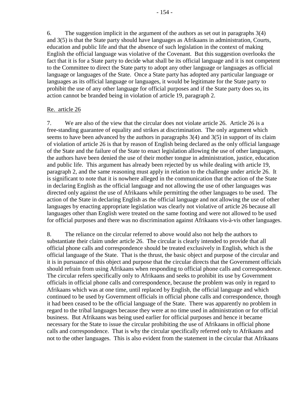6. The suggestion implicit in the argument of the authors as set out in paragraphs 3(4) and 3(5) is that the State party should have languages as Afrikaans in administration, Courts, education and public life and that the absence of such legislation in the context of making English the official language was violative of the Covenant. But this suggestion overlooks the fact that it is for a State party to decide what shall be its official language and it is not competent to the Committee to direct the State party to adopt any other language or languages as official language or languages of the State. Once a State party has adopted any particular language or languages as its official language or languages, it would be legitimate for the State party to prohibit the use of any other language for official purposes and if the State party does so, its action cannot be branded being in violation of article 19, paragraph 2.

#### Re. article 26

7. We are also of the view that the circular does not violate article 26. Article 26 is a free-standing guarantee of equality and strikes at discrimination. The only argument which seems to have been advanced by the authors in paragraphs 3(4) and 3(5) in support of its claim of violation of article 26 is that by reason of English being declared as the only official language of the State and the failure of the State to enact legislation allowing the use of other languages, the authors have been denied the use of their mother tongue in administration, justice, education and public life. This argument has already been rejected by us while dealing with article 19, paragraph 2, and the same reasoning must apply in relation to the challenge under article 26. It is significant to note that it is nowhere alleged in the communication that the action of the State in declaring English as the official language and not allowing the use of other languages was directed only against the use of Afrikaans while permitting the other languages to be used. The action of the State in declaring English as the official language and not allowing the use of other languages by enacting appropriate legislation was clearly not violative of article 26 because all languages other than English were treated on the same footing and were not allowed to be used for official purposes and there was no discrimination against Afrikaans vis-à-vis other languages.

8. The reliance on the circular referred to above would also not help the authors to substantiate their claim under article 26. The circular is clearly intended to provide that all official phone calls and correspondence should be treated exclusively in English, which is the official language of the State. That is the thrust, the basic object and purpose of the circular and it is in pursuance of this object and purpose that the circular directs that the Government officials should refrain from using Afrikaans when responding to official phone calls and correspondence. The circular refers specifically only to Afrikaans and seeks to prohibit its use by Government officials in official phone calls and correspondence, because the problem was only in regard to Afrikaans which was at one time, until replaced by English, the official language and which continued to be used by Government officials in official phone calls and correspondence, though it had been ceased to be the official language of the State. There was apparently no problem in regard to the tribal languages because they were at no time used in administration or for official business. But Afrikaans was being used earlier for official purposes and hence it became necessary for the State to issue the circular prohibiting the use of Afrikaans in official phone calls and correspondence. That is why the circular specifically referred only to Afrikaans and not to the other languages. This is also evident from the statement in the circular that Afrikaans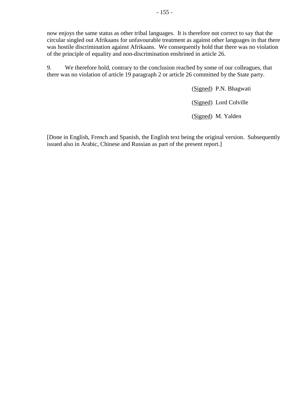now enjoys the same status as other tribal languages. It is therefore not correct to say that the circular singled out Afrikaans for unfavourable treatment as against other languages in that there was hostile discrimination against Afrikaans. We consequently hold that there was no violation of the principle of equality and non-discrimination enshrined in article 26.

9. We therefore hold, contrary to the conclusion reached by some of our colleagues, that there was no violation of article 19 paragraph 2 or article 26 committed by the State party.

> (Signed) P.N. Bhagwati (Signed) Lord Colville (Signed) M. Yalden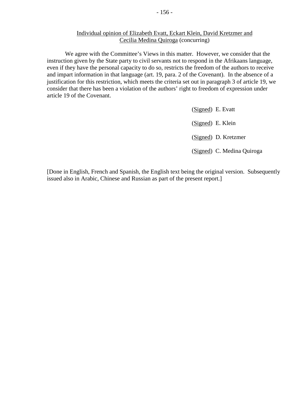### Individual opinion of Elizabeth Evatt, Eckart Klein, David Kretzmer and Cecilia Medina Quiroga (concurring)

We agree with the Committee's Views in this matter. However, we consider that the instruction given by the State party to civil servants not to respond in the Afrikaans language, even if they have the personal capacity to do so, restricts the freedom of the authors to receive and impart information in that language (art. 19, para. 2 of the Covenant). In the absence of a justification for this restriction, which meets the criteria set out in paragraph 3 of article 19, we consider that there has been a violation of the authors' right to freedom of expression under article 19 of the Covenant.

> (Signed) E. Evatt (Signed) E. Klein (Signed) D. Kretzmer (Signed) C. Medina Quiroga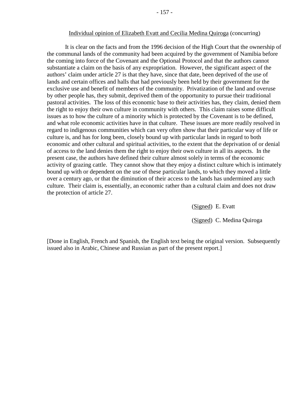#### Individual opinion of Elizabeth Evatt and Cecilia Medina Quiroga (concurring)

It is clear on the facts and from the 1996 decision of the High Court that the ownership of the communal lands of the community had been acquired by the government of Namibia before the coming into force of the Covenant and the Optional Protocol and that the authors cannot substantiate a claim on the basis of any expropriation. However, the significant aspect of the authors' claim under article 27 is that they have, since that date, been deprived of the use of lands and certain offices and halls that had previously been held by their government for the exclusive use and benefit of members of the community. Privatization of the land and overuse by other people has, they submit, deprived them of the opportunity to pursue their traditional pastoral activities. The loss of this economic base to their activities has, they claim, denied them the right to enjoy their own culture in community with others. This claim raises some difficult issues as to how the culture of a minority which is protected by the Covenant is to be defined, and what role economic activities have in that culture. These issues are more readily resolved in regard to indigenous communities which can very often show that their particular way of life or culture is, and has for long been, closely bound up with particular lands in regard to both economic and other cultural and spiritual activities, to the extent that the deprivation of or denial of access to the land denies them the right to enjoy their own culture in all its aspects. In the present case, the authors have defined their culture almost solely in terms of the economic activity of grazing cattle. They cannot show that they enjoy a distinct culture which is intimately bound up with or dependent on the use of these particular lands, to which they moved a little over a century ago, or that the diminution of their access to the lands has undermined any such culture. Their claim is, essentially, an economic rather than a cultural claim and does not draw the protection of article 27.

(Signed) E. Evatt

(Signed) C. Medina Quiroga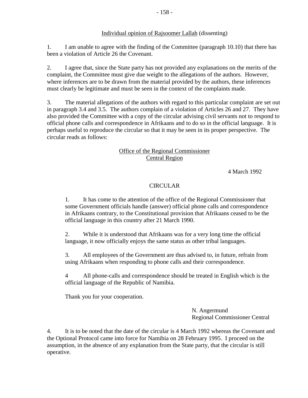### Individual opinion of Rajsoomer Lallah (dissenting)

1. I am unable to agree with the finding of the Committee (paragraph 10.10) that there has been a violation of Article 26 the Covenant.

2. I agree that, since the State party has not provided any explanations on the merits of the complaint, the Committee must give due weight to the allegations of the authors. However, where inferences are to be drawn from the material provided by the authors, these inferences must clearly be legitimate and must be seen in the context of the complaints made.

3. The material allegations of the authors with regard to this particular complaint are set out in paragraph 3.4 and 3.5. The authors complain of a violation of Articles 26 and 27. They have also provided the Committee with a copy of the circular advising civil servants not to respond to official phone calls and correspondence in Afrikaans and to do so in the official language. It is perhaps useful to reproduce the circular so that it may be seen in its proper perspective. The circular reads as follows:

### Office of the Regional Commissioner Central Region

4 March 1992

### CIRCULAR

1. It has come to the attention of the office of the Regional Commissioner that some Government officials handle (answer) official phone calls and correspondence in Afrikaans contrary, to the Constitutional provision that Afrikaans ceased to be the official language in this country after 21 March 1990.

2. While it is understood that Afrikaans was for a very long time the official language, it now officially enjoys the same status as other tribal languages.

3. All employees of the Government are thus advised to, in future, refrain from using Afrikaans when responding to phone calls and their correspondence.

4 All phone-calls and correspondence should be treated in English which is the official language of the Republic of Namibia.

Thank you for your cooperation.

N. Angermund Regional Commissioner Central

4. It is to be noted that the date of the circular is 4 March 1992 whereas the Covenant and the Optional Protocol came into force for Namibia on 28 February 1995. I proceed on the assumption, in the absence of any explanation from the State party, that the circular is still operative.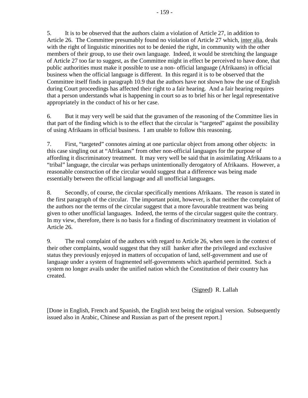5. It is to be observed that the authors claim a violation of Article 27, in addition to Article 26. The Committee presumably found no violation of Article 27 which, inter alia, deals with the right of linguistic minorities not to be denied the right, in community with the other members of their group, to use their own language. Indeed, it would be stretching the language of Article 27 too far to suggest, as the Committee might in effect be perceived to have done, that public authorities must make it possible to use a non- official language (Afrikaans) in official business when the official language is different. In this regard it is to be observed that the Committee itself finds in paragraph 10.9 that the authors have not shown how the use of English during Court proceedings has affected their right to a fair hearing. And a fair hearing requires that a person understands what is happening in court so as to brief his or her legal representative appropriately in the conduct of his or her case.

6. But it may very well be said that the gravamen of the reasoning of the Committee lies in that part of the finding which is to the effect that the circular is "targeted" against the possibility of using Afrikaans in official business. I am unable to follow this reasoning.

7. First, "targeted" connotes aiming at one particular object from among other objects: in this case singling out at "Afrikaans" from other non-official languages for the purpose of affording it discriminatory treatment. It may very well be said that in assimilating Afrikaans to a "tribal" language, the circular was perhaps unintentionally derogatory of Afrikaans. However, a reasonable construction of the circular would suggest that a difference was being made essentially between the official language and all unofficial languages.

8. Secondly, of course, the circular specifically mentions Afrikaans. The reason is stated in the first paragraph of the circular. The important point, however, is that neither the complaint of the authors nor the terms of the circular suggest that a more favourable treatment was being given to other unofficial languages. Indeed, the terms of the circular suggest quite the contrary. In my view, therefore, there is no basis for a finding of discriminatory treatment in violation of Article 26.

9. The real complaint of the authors with regard to Article 26, when seen in the context of their other complaints, would suggest that they still hanker after the privileged and exclusive status they previously enjoyed in matters of occupation of land, self-government and use of language under a system of fragmented self-governments which apartheid permitted. Such a system no longer avails under the unified nation which the Constitution of their country has created.

(Signed) R. Lallah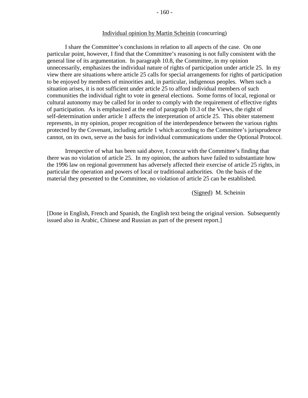#### Individual opinion by Martin Scheinin (concurring)

I share the Committee's conclusions in relation to all aspects of the case. On one particular point, however, I find that the Committee's reasoning is not fully consistent with the general line of its argumentation. In paragraph 10.8, the Committee, in my opinion unnecessarily, emphasizes the individual nature of rights of participation under article 25. In my view there are situations where article 25 calls for special arrangements for rights of participation to be enjoyed by members of minorities and, in particular, indigenous peoples. When such a situation arises, it is not sufficient under article 25 to afford individual members of such communities the individual right to vote in general elections. Some forms of local, regional or cultural autonomy may be called for in order to comply with the requirement of effective rights of participation. As is emphasized at the end of paragraph 10.3 of the Views, the right of self-determination under article 1 affects the interpretation of article 25. This obiter statement represents, in my opinion, proper recognition of the interdependence between the various rights protected by the Covenant, including article 1 which according to the Committee's jurisprudence cannot, on its own, serve as the basis for individual communications under the Optional Protocol.

Irrespective of what has been said above, I concur with the Committee's finding that there was no violation of article 25. In my opinion, the authors have failed to substantiate how the 1996 law on regional government has adversely affected their exercise of article 25 rights, in particular the operation and powers of local or traditional authorities. On the basis of the material they presented to the Committee, no violation of article 25 can be established.

(Signed) M. Scheinin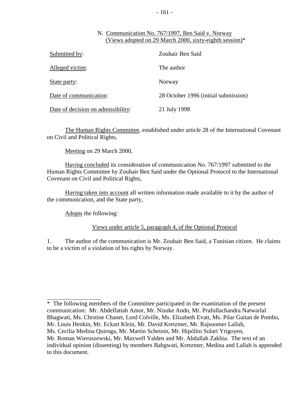#### - 161 -

### N. Communication No. 767/1997, Ben Said v. Norway (Views adopted on 29 March 2000, sixty-eighth session)\*

| Submitted by:                      | Zouhair Ben Said                     |
|------------------------------------|--------------------------------------|
| Alleged victim:                    | The author                           |
| State party:                       | Norway                               |
| Date of communication:             | 28 October 1996 (initial submission) |
| Date of decision on admissibility: | 21 July 1998                         |

The Human Rights Committee, established under article 28 of the International Covenant on Civil and Political Rights,

Meeting on 29 March 2000,

Having concluded its consideration of communication No. 767/1997 submitted to the Human Rights Committee by Zouhair Ben Said under the Optional Protocol to the International Covenant on Civil and Political Rights,

Having taken into account all written information made available to it by the author of the communication, and the State party,

Adopts the following:

 $\overline{a}$ 

Views under article 5, paragraph 4, of the Optional Protocol

1. The author of the communication is Mr. Zouhair Ben Said, a Tunisian citizen. He claims to be a victim of a violation of his rights by Norway.

\* The following members of the Committee participated in the examination of the present communication: Mr. Abdelfattah Amor, Mr. Nisuke Ando, Mr. Prafullachandra Natwarlal Bhagwati, Ms. Chrstine Chanet, Lord Colville, Ms. Elizabeth Evatt, Ms. Pilar Gaitan de Pombo, Mr. Louis Henkin, Mr. Eckart Klein, Mr. David Kretzmer, Mr. Rajsoomer Lallah, Ms. Cecilia Medina Quiroga, Mr. Martin Scheinin, Mr. Hipólito Solari Yrigoyen, Mr. Roman Wieruszewski, Mr. Maxwell Yalden and Mr. Abdallah Zakhia. The text of an individual opinion (dissenting) by members Bahgwati, Kretzmer, Medina and Lallah is appended to this document.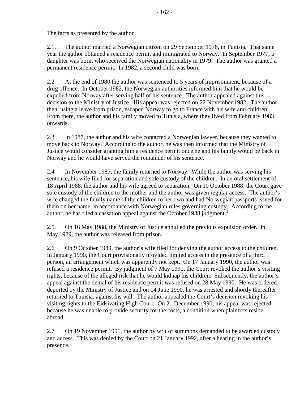## The facts as presented by the author

2.1. The author married a Norwegian citizen on 29 September 1976, in Tunisia. That same year the author obtained a residence permit and immigrated to Norway. In September 1977, a daughter was born, who received the Norwegian nationality in 1979. The author was granted a permanent residence permit. In 1982, a second child was born.

2.2 At the end of 1980 the author was sentenced to 5 years of imprisonment, because of a drug offence. In October 1982, the Norwegian authorities informed him that he would be expelled from Norway after serving half of his sentence. The author appealed against this decision to the Ministry of Justice. His appeal was rejected on 22 November 1982. The author then, using a leave from prison, escaped Norway to go to France with his wife and children. From there, the author and his family moved to Tunisia, where they lived from February 1983 onwards.

2.3 In 1987, the author and his wife contacted a Norwegian lawyer, because they wanted to move back to Norway. According to the author, he was then informed that the Ministry of Justice would consider granting him a residence permit once he and his family would be back in Norway and he would have served the remainder of his sentence.

2.4 In November 1987, the family returned to Norway. While the author was serving his sentence, his wife filed for separation and sole custody of the children. In an oral settlement of 18 April 1988, the author and his wife agreed to separation. On 10 October 1988, the Court gave sole custody of the children to the mother and the author was given regular access. The author's wife changed the family name of the children to her own and had Norwegian passports issued for them on her name, in accordance with Norwegian rules governing custody. According to the author, he has filed a cassation appeal against the October 1988 judgment.**<sup>1</sup>**

2.5 On 16 May 1988, the Ministry of Justice annulled the previous expulsion order. In May 1989, the author was released from prison.

2.6 On 9 October 1989, the author's wife filed for denying the author access to the children. In January 1990, the Court provisionally provided limited access in the presence of a third person, an arrangement which was apparently not kept. On 17 January 1990, the author was refused a residence permit. By judgment of 7 May 1990, the Court revoked the author's visiting rights, because of the alleged risk that he would kidnap his children. Subsequently, the author's appeal against the denial of his residence permit was refused on 28 May 1990. He was ordered deported by the Ministry of Justice and on 14 June 1990, he was arrested and shortly thereafter returned to Tunisia, against his will. The author appealed the Court's decision revoking his visiting rights to the Eidsivating High Court. On 21 December 1990, his appeal was rejected because he was unable to provide security for the costs, a condition when plaintiffs reside abroad.

2.7 On 19 November 1991, the author by writ of summons demanded to be awarded custody and access. This was denied by the Court on 21 January 1992, after a hearing in the author's presence.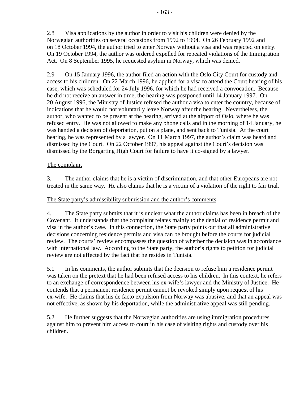- 163 -

2.8 Visa applications by the author in order to visit his children were denied by the Norwegian authorities on several occasions from 1992 to 1994. On 26 February 1992 and on 18 October 1994, the author tried to enter Norway without a visa and was rejected on entry. On 19 October 1994, the author was ordered expelled for repeated violations of the Immigration Act. On 8 September 1995, he requested asylum in Norway, which was denied.

2.9 On 15 January 1996, the author filed an action with the Oslo City Court for custody and access to his children. On 22 March 1996, he applied for a visa to attend the Court hearing of his case, which was scheduled for 24 July 1996, for which he had received a convocation. Because he did not receive an answer in time, the hearing was postponed until 14 January 1997. On 20 August 1996, the Ministry of Justice refused the author a visa to enter the country, because of indications that he would not voluntarily leave Norway after the hearing. Nevertheless, the author, who wanted to be present at the hearing, arrived at the airport of Oslo, where he was refused entry. He was not allowed to make any phone calls and in the morning of 14 January, he was handed a decision of deportation, put on a plane, and sent back to Tunisia. At the court hearing, he was represented by a lawyer. On 11 March 1997, the author's claim was heard and dismissed by the Court. On 22 October 1997, his appeal against the Court's decision was dismissed by the Borgarting High Court for failure to have it co-signed by a lawyer.

## The complaint

3. The author claims that he is a victim of discrimination, and that other Europeans are not treated in the same way. He also claims that he is a victim of a violation of the right to fair trial.

## The State party's admissibility submission and the author's comments

4. The State party submits that it is unclear what the author claims has been in breach of the Covenant. It understands that the complaint relates mainly to the denial of residence permit and visa in the author's case. In this connection, the State party points out that all administrative decisions concerning residence permits and visa can be brought before the courts for judicial review. The courts' review encompasses the question of whether the decision was in accordance with international law. According to the State party, the author's rights to petition for judicial review are not affected by the fact that he resides in Tunisia.

5.1 In his comments, the author submits that the decision to refuse him a residence permit was taken on the pretext that he had been refused access to his children. In this context, he refers to an exchange of correspondence between his ex-wife's lawyer and the Ministry of Justice. He contends that a permanent residence permit cannot be revoked simply upon request of his ex-wife. He claims that his de facto expulsion from Norway was abusive, and that an appeal was not effective, as shown by his deportation, while the administrative appeal was still pending.

5.2 He further suggests that the Norwegian authorities are using immigration procedures against him to prevent him access to court in his case of visiting rights and custody over his children.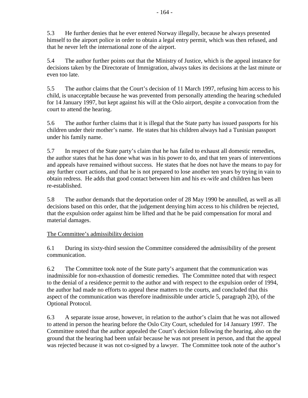5.3 He further denies that he ever entered Norway illegally, because he always presented himself to the airport police in order to obtain a legal entry permit, which was then refused, and that he never left the international zone of the airport.

5.4 The author further points out that the Ministry of Justice, which is the appeal instance for decisions taken by the Directorate of Immigration, always takes its decisions at the last minute or even too late.

5.5 The author claims that the Court's decision of 11 March 1997, refusing him access to his child, is unacceptable because he was prevented from personally attending the hearing scheduled for 14 January 1997, but kept against his will at the Oslo airport, despite a convocation from the court to attend the hearing.

5.6 The author further claims that it is illegal that the State party has issued passports for his children under their mother's name. He states that his children always had a Tunisian passport under his family name.

5.7 In respect of the State party's claim that he has failed to exhaust all domestic remedies, the author states that he has done what was in his power to do, and that ten years of interventions and appeals have remained without success. He states that he does not have the means to pay for any further court actions, and that he is not prepared to lose another ten years by trying in vain to obtain redress. He adds that good contact between him and his ex-wife and children has been re-established.

5.8 The author demands that the deportation order of 28 May 1990 be annulled, as well as all decisions based on this order, that the judgement denying him access to his children be rejected, that the expulsion order against him be lifted and that he be paid compensation for moral and material damages.

## The Committee's admissibility decision

6.1 During its sixty-third session the Committee considered the admissibility of the present communication.

6.2 The Committee took note of the State party's argument that the communication was inadmissible for non-exhaustion of domestic remedies. The Committee noted that with respect to the denial of a residence permit to the author and with respect to the expulsion order of 1994, the author had made no efforts to appeal these matters to the courts, and concluded that this aspect of the communication was therefore inadmissible under article 5, paragraph 2(b), of the Optional Protocol.

6.3 A separate issue arose, however, in relation to the author's claim that he was not allowed to attend in person the hearing before the Oslo City Court, scheduled for 14 January 1997. The Committee noted that the author appealed the Court's decision following the hearing, also on the ground that the hearing had been unfair because he was not present in person, and that the appeal was rejected because it was not co-signed by a lawyer. The Committee took note of the author's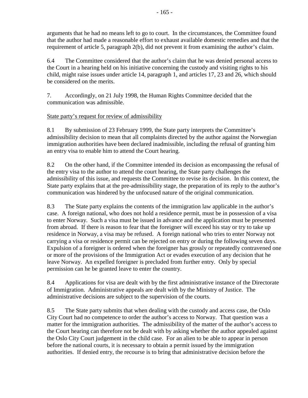arguments that he had no means left to go to court. In the circumstances, the Committee found that the author had made a reasonable effort to exhaust available domestic remedies and that the requirement of article 5, paragraph 2(b), did not prevent it from examining the author's claim.

6.4 The Committee considered that the author's claim that he was denied personal access to the Court in a hearing held on his initiative concerning the custody and visiting rights to his child, might raise issues under article 14, paragraph 1, and articles 17, 23 and 26, which should be considered on the merits.

7. Accordingly, on 21 July 1998, the Human Rights Committee decided that the communication was admissible.

## State party's request for review of admissibility

8.1 By submission of 23 February 1999, the State party interprets the Committee's admissibility decision to mean that all complaints directed by the author against the Norwegian immigration authorities have been declared inadmissible, including the refusal of granting him an entry visa to enable him to attend the Court hearing.

8.2 On the other hand, if the Committee intended its decision as encompassing the refusal of the entry visa to the author to attend the court hearing, the State party challenges the admissibility of this issue, and requests the Committee to revise its decision. In this context, the State party explains that at the pre-admissibility stage, the preparation of its reply to the author's communication was hindered by the unfocused nature of the original communication.

8.3 The State party explains the contents of the immigration law applicable in the author's case. A foreign national, who does not hold a residence permit, must be in possession of a visa to enter Norway. Such a visa must be issued in advance and the application must be presented from abroad. If there is reason to fear that the foreigner will exceed his stay or try to take up residence in Norway, a visa may be refused. A foreign national who tries to enter Norway not carrying a visa or residence permit can be rejected on entry or during the following seven days. Expulsion of a foreigner is ordered when the foreigner has grossly or repeatedly contravened one or more of the provisions of the Immigration Act or evades execution of any decision that he leave Norway. An expelled foreigner is precluded from further entry. Only by special permission can he be granted leave to enter the country.

8.4 Applications for visa are dealt with by the first administrative instance of the Directorate of Immigration. Administrative appeals are dealt with by the Ministry of Justice. The administrative decisions are subject to the supervision of the courts.

8.5 The State party submits that when dealing with the custody and access case, the Oslo City Court had no competence to order the author's access to Norway. That question was a matter for the immigration authorities. The admissibility of the matter of the author's access to the Court hearing can therefore not be dealt with by asking whether the author appealed against the Oslo City Court judgement in the child case. For an alien to be able to appear in person before the national courts, it is necessary to obtain a permit issued by the immigration authorities. If denied entry, the recourse is to bring that administrative decision before the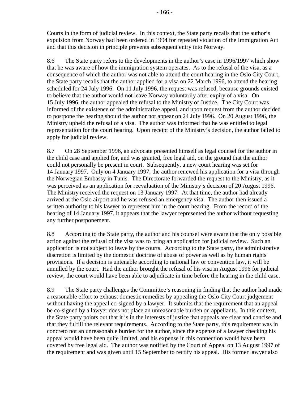Courts in the form of judicial review. In this context, the State party recalls that the author's expulsion from Norway had been ordered in 1994 for repeated violation of the Immigration Act and that this decision in principle prevents subsequent entry into Norway.

8.6 The State party refers to the developments in the author's case in 1996/1997 which show that he was aware of how the immigration system operates. As to the refusal of the visa, as a consequence of which the author was not able to attend the court hearing in the Oslo City Court, the State party recalls that the author applied for a visa on 22 March 1996, to attend the hearing scheduled for 24 July 1996. On 11 July 1996, the request was refused, because grounds existed to believe that the author would not leave Norway voluntarily after expiry of a visa. On 15 July 1996, the author appealed the refusal to the Ministry of Justice. The City Court was informed of the existence of the administrative appeal, and upon request from the author decided to postpone the hearing should the author not appear on 24 July 1996. On 20 August 1996, the Ministry upheld the refusal of a visa. The author was informed that he was entitled to legal representation for the court hearing. Upon receipt of the Ministry's decision, the author failed to apply for judicial review.

8.7 On 28 September 1996, an advocate presented himself as legal counsel for the author in the child case and applied for, and was granted, free legal aid, on the ground that the author could not personally be present in court. Subsequently, a new court hearing was set for 14 January 1997. Only on 4 January 1997, the author renewed his application for a visa through the Norwegian Embassy in Tunis. The Directorate forwarded the request to the Ministry, as it was perceived as an application for reevaluation of the Ministry's decision of 20 August 1996. The Ministry received the request on 13 January 1997. At that time, the author had already arrived at the Oslo airport and he was refused an emergency visa. The author then issued a written authority to his lawyer to represent him in the court hearing. From the record of the hearing of 14 January 1997, it appears that the lawyer represented the author without requesting any further postponement.

8.8 According to the State party, the author and his counsel were aware that the only possible action against the refusal of the visa was to bring an application for judicial review. Such an application is not subject to leave by the courts. According to the State party, the administrative discretion is limited by the domestic doctrine of abuse of power as well as by human rights provisions. If a decision is untenable according to national law or convention law, it will be annulled by the court. Had the author brought the refusal of his visa in August 1996 for judicial review, the court would have been able to adjudicate in time before the hearing in the child case.

8.9 The State party challenges the Committee's reasoning in finding that the author had made a reasonable effort to exhaust domestic remedies by appealing the Oslo City Court judgement without having the appeal co-signed by a lawyer. It submits that the requirement that an appeal be co-signed by a lawyer does not place an unreasonable burden on appellants. In this context, the State party points out that it is in the interests of justice that appeals are clear and concise and that they fulfill the relevant requirements. According to the State party, this requirement was in concreto not an unreasonable burden for the author, since the expense of a lawyer checking his appeal would have been quite limited, and his expense in this connection would have been covered by free legal aid. The author was notified by the Court of Appeal on 13 August 1997 of the requirement and was given until 15 September to rectify his appeal. His former lawyer also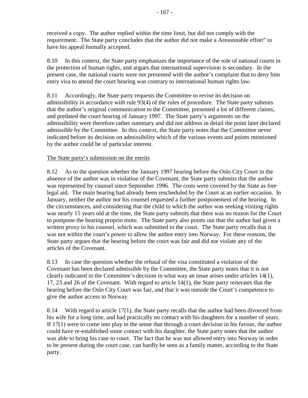received a copy. The author replied within the time limit, but did not comply with the requirement. The State party concludes that the author did not make a Areasonable effort" to have his appeal formally accepted.

8.10 In this context, the State party emphasizes the importance of the role of national courts in the protection of human rights, and argues that international supervision is secondary. In the present case, the national courts were not presented with the author's complaint that to deny him entry visa to attend the court hearing was contrary to international human rights law.

8.11 Accordingly, the State party requests the Committee to revise its decision on admissibility in accordance with rule 93(4) of the rules of procedure. The State party submits that the author's original communication to the Committee, presented a lot of different claims, and predated the court hearing of January 1997. The State party's arguments on the admissibility were therefore rather summary and did not address in detail the point later declared admissible by the Committee. In this context, the State party notes that the Committee never indicated before its decision on admissibility which of the various events and points mentioned by the author could be of particular interest.

# The State party's submission on the merits

8.12 As to the question whether the January 1997 hearing before the Oslo City Court in the absence of the author was in violation of the Covenant, the State party submits that the author was represented by counsel since September 1996. The costs were covered by the State as free legal aid. The main hearing had already been rescheduled by the Court at an earlier occasion. In January, neither the author nor his counsel requested a further postponement of the hearing. In the circumstances, and considering that the child to which the author was seeking visiting rights was nearly 15 years old at the time, the State party submits that there was no reason for the Court to postpone the hearing proprio motu. The State party also points out that the author had given a written proxy to his counsel, which was submitted to the court. The State party recalls that it was not within the court's power to allow the author entry into Norway. For these reasons, the State party argues that the hearing before the court was fair and did not violate any of the articles of the Covenant.

8.13 In case the question whether the refusal of the visa constituted a violation of the Covenant has been declared admissible by the Committee, the State party notes that it is not clearly indicated in the Committee's decision in what way an issue arises under articles 14(1), 17, 23 and 26 of the Covenant. With regard to article 14(1), the State party reiterates that the hearing before the Oslo City Court was fair, and that it was outside the Court's competence to give the author access to Norway.

8.14 With regard to article 17(1), the State party recalls that the author had been divorced from his wife for a long time, and had practically no contact with his daughters for a number of years. If 17(1) were to come into play in the sense that through a court decision in his favour, the author could have re-established some contact with his daughter, the State party notes that the author was able to bring his case to court. The fact that he was not allowed entry into Norway in order to be present during the court case, can hardly be seen as a family matter, according to the State party.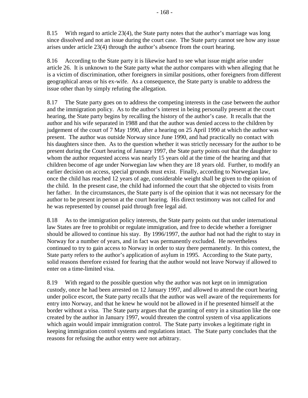8.15 With regard to article 23(4), the State party notes that the author's marriage was long since dissolved and not an issue during the court case. The State party cannot see how any issue arises under article 23(4) through the author's absence from the court hearing.

8.16 According to the State party it is likewise hard to see what issue might arise under article 26. It is unknown to the State party what the author compares with when alleging that he is a victim of discrimination, other foreigners in similar positions, other foreigners from different geographical areas or his ex-wife. As a consequence, the State party is unable to address the issue other than by simply refuting the allegation.

8.17 The State party goes on to address the competing interests in the case between the author and the immigration policy. As to the author's interest in being personally present at the court hearing, the State party begins by recalling the history of the author's case. It recalls that the author and his wife separated in 1988 and that the author was denied access to the children by judgement of the court of 7 May 1990, after a hearing on 25 April 1990 at which the author was present. The author was outside Norway since June 1990, and had practically no contact with his daughters since then. As to the question whether it was strictly necessary for the author to be present during the Court hearing of January 1997, the State party points out that the daughter to whom the author requested access was nearly 15 years old at the time of the hearing and that children become of age under Norwegian law when they are 18 years old. Further, to modify an earlier decision on access, special grounds must exist. Finally, according to Norwegian law, once the child has reached 12 years of age, considerable weight shall be given to the opinion of the child. In the present case, the child had informed the court that she objected to visits from her father. In the circumstances, the State party is of the opinion that it was not necessary for the author to be present in person at the court hearing. His direct testimony was not called for and he was represented by counsel paid through free legal aid.

8.18 As to the immigration policy interests, the State party points out that under international law States are free to prohibit or regulate immigration, and free to decide whether a foreigner should be allowed to continue his stay. By 1996/1997, the author had not had the right to stay in Norway for a number of years, and in fact was permanently excluded. He nevertheless continued to try to gain access to Norway in order to stay there permanently. In this context, the State party refers to the author's application of asylum in 1995. According to the State party, solid reasons therefore existed for fearing that the author would not leave Norway if allowed to enter on a time-limited visa.

8.19 With regard to the possible question why the author was not kept on in immigration custody, once he had been arrested on 12 January 1997, and allowed to attend the court hearing under police escort, the State party recalls that the author was well aware of the requirements for entry into Norway, and that he knew he would not be allowed in if he presented himself at the border without a visa. The State party argues that the granting of entry in a situation like the one created by the author in January 1997, would threaten the control system of visa applications which again would impair immigration control. The State party invokes a legitimate right in keeping immigration control systems and regulations intact. The State party concludes that the reasons for refusing the author entry were not arbitrary.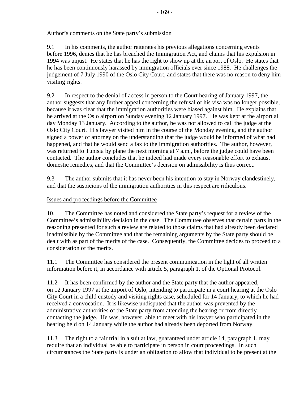### Author's comments on the State party's submission

9.1 In his comments, the author reiterates his previous allegations concerning events before 1996, denies that he has breached the Immigration Act, and claims that his expulsion in 1994 was unjust. He states that he has the right to show up at the airport of Oslo. He states that he has been continuously harassed by immigration officials ever since 1988. He challenges the judgement of 7 July 1990 of the Oslo City Court, and states that there was no reason to deny him visiting rights.

9.2 In respect to the denial of access in person to the Court hearing of January 1997, the author suggests that any further appeal concerning the refusal of his visa was no longer possible, because it was clear that the immigration authorities were biased against him. He explains that he arrived at the Oslo airport on Sunday evening 12 January 1997. He was kept at the airport all day Monday 13 January. According to the author, he was not allowed to call the judge at the Oslo City Court. His lawyer visited him in the course of the Monday evening, and the author signed a power of attorney on the understanding that the judge would be informed of what had happened, and that he would send a fax to the Immigration authorities. The author, however, was returned to Tunisia by plane the next morning at 7 a.m., before the judge could have been contacted. The author concludes that he indeed had made every reasonable effort to exhaust domestic remedies, and that the Committee's decision on admissibility is thus correct.

9.3 The author submits that it has never been his intention to stay in Norway clandestinely, and that the suspicions of the immigration authorities in this respect are ridiculous.

### Issues and proceedings before the Committee

10. The Committee has noted and considered the State party's request for a review of the Committee's admissibility decision in the case. The Committee observes that certain parts in the reasoning presented for such a review are related to those claims that had already been declared inadmissible by the Committee and that the remaining arguments by the State party should be dealt with as part of the merits of the case. Consequently, the Committee decides to proceed to a consideration of the merits.

11.1 The Committee has considered the present communication in the light of all written information before it, in accordance with article 5, paragraph 1, of the Optional Protocol.

11.2 It has been confirmed by the author and the State party that the author appeared, on 12 January 1997 at the airport of Oslo, intending to participate in a court hearing at the Oslo City Court in a child custody and visiting rights case, scheduled for 14 January, to which he had received a convocation. It is likewise undisputed that the author was prevented by the administrative authorities of the State party from attending the hearing or from directly contacting the judge. He was, however, able to meet with his lawyer who participated in the hearing held on 14 January while the author had already been deported from Norway.

11.3 The right to a fair trial in a suit at law, guaranteed under article 14, paragraph 1, may require that an individual be able to participate in person in court proceedings. In such circumstances the State party is under an obligation to allow that individual to be present at the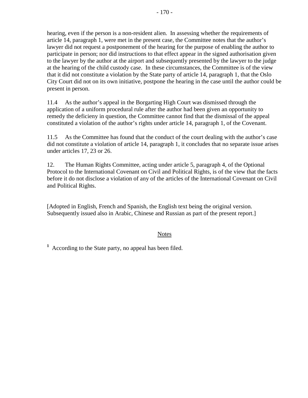hearing, even if the person is a non-resident alien. In assessing whether the requirements of article 14, paragraph 1, were met in the present case, the Committee notes that the author's lawyer did not request a postponement of the hearing for the purpose of enabling the author to participate in person; nor did instructions to that effect appear in the signed authorisation given to the lawyer by the author at the airport and subsequently presented by the lawyer to the judge at the hearing of the child custody case. In these circumstances, the Committee is of the view that it did not constitute a violation by the State party of article 14, paragraph 1, that the Oslo City Court did not on its own initiative, postpone the hearing in the case until the author could be present in person.

11.4 As the author's appeal in the Borgarting High Court was dismissed through the application of a uniform procedural rule after the author had been given an opportunity to remedy the deficieny in question, the Committee cannot find that the dismissal of the appeal constituted a violation of the author's rights under article 14, paragraph 1, of the Covenant.

11.5 As the Committee has found that the conduct of the court dealing with the author's case did not constitute a violation of article 14, paragraph 1, it concludes that no separate issue arises under articles 17, 23 or 26.

12. The Human Rights Committee, acting under article 5, paragraph 4, of the Optional Protocol to the International Covenant on Civil and Political Rights, is of the view that the facts before it do not disclose a violation of any of the articles of the International Covenant on Civil and Political Rights.

[Adopted in English, French and Spanish, the English text being the original version. Subsequently issued also in Arabic, Chinese and Russian as part of the present report.]

## Notes

<sup>1</sup> According to the State party, no appeal has been filed.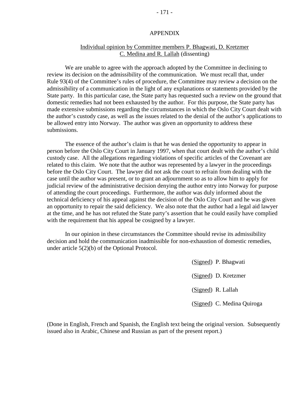#### APPENDIX

### Individual opinion by Committee members P. Bhagwati, D. Kretzmer C. Medina and R. Lallah (dissenting)

We are unable to agree with the approach adopted by the Committee in declining to review its decision on the admissibility of the communication. We must recall that, under Rule 93(4) of the Committee's rules of procedure, the Committee may review a decision on the admissibility of a communication in the light of any explanations or statements provided by the State party. In this particular case, the State party has requested such a review on the ground that domestic remedies had not been exhausted by the author. For this purpose, the State party has made extensive submissions regarding the circumstances in which the Oslo City Court dealt with the author's custody case, as well as the issues related to the denial of the author's applications to be allowed entry into Norway. The author was given an opportunity to address these submissions.

The essence of the author's claim is that he was denied the opportunity to appear in person before the Oslo City Court in January 1997, when that court dealt with the author's child custody case. All the allegations regarding violations of specific articles of the Covenant are related to this claim. We note that the author was represented by a lawyer in the proceedings before the Oslo City Court. The lawyer did not ask the court to refrain from dealing with the case until the author was present, or to grant an adjournment so as to allow him to apply for judicial review of the administrative decision denying the author entry into Norway for purpose of attending the court proceedings. Furthermore, the author was duly informed about the technical deficiency of his appeal against the decision of the Oslo City Court and he was given an opportunity to repair the said deficiency. We also note that the author had a legal aid lawyer at the time, and he has not refuted the State party's assertion that he could easily have complied with the requirement that his appeal be cosigned by a lawyer.

In our opinion in these circumstances the Committee should revise its admissibility decision and hold the communication inadmissible for non-exhaustion of domestic remedies, under article 5(2)(b) of the Optional Protocol.

> (Signed) P. Bhagwati (Signed) D. Kretzmer (Signed) R. Lallah (Signed) C. Medina Quiroga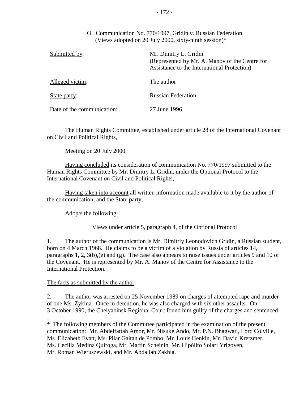### - 172 -

### O. Communication No. 770/1997, Gridin v. Russian Federation (Views adopted on 20 July 2000, sixty-ninth session)\*

| Submitted by:              | Mr. Dimitry L. Gridin<br>(Represented by Mr. A. Manov of the Centre for<br>Assistance to the International Protection) |
|----------------------------|------------------------------------------------------------------------------------------------------------------------|
| Alleged victim:            | The author                                                                                                             |
| State party:               | <b>Russian Federation</b>                                                                                              |
| Date of the communication: | 27 June 1996                                                                                                           |

The Human Rights Committee, established under article 28 of the International Covenant on Civil and Political Rights,

Meeting on 20 July 2000,

Having concluded its consideration of communication No. 770/1997 submitted to the Human Rights Committee by Mr. Dimitry L. Gridin, under the Optional Protocol to the International Covenant on Civil and Political Rights,

Having taken into account all written information made available to it by the author of the communication, and the State party,

Adopts the following:

## Views under article 5, paragraph 4, of the Optional Protocol

1. The author of the communication is Mr. Dimitriy Leonodovich Gridin, a Russian student, born on 4 March 1968. He claims to be a victim of a violation by Russia of articles 14, paragraphs 1, 2, 3(b),(e) and (g). The case also appears to raise issues under articles 9 and 10 of the Covenant. He is represented by Mr. A. Manov of the Centre for Assistance to the International Protection.

### The facts as submitted by the author

 $\overline{a}$ 

2. The author was arrested on 25 November 1989 on charges of attempted rape and murder of one Ms. Zykina. Once in detention, he was also charged with six other assaults. On 3 October 1990, the Chelyabinsk Regional Court found him guilty of the charges and sentenced

<sup>\*</sup> The following members of the Committee participated in the examination of the present communication: Mr. Abdelfattah Amor, Mr. Nisuke Ando, Mr. P.N. Bhagwati, Lord Colville, Ms. Elizabeth Evatt, Ms. Pilar Gaitan de Pombo, Mr. Louis Henkin, Mr. David Kretzmer, Ms. Cecilia Medina Quiroga, Mr. Martin Scheinin, Mr. Hipólito Solari Yrigoyen, Mr. Roman Wieruszewski, and Mr. Abdallah Zakhia.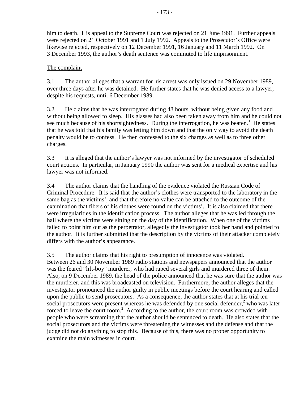him to death. His appeal to the Supreme Court was rejected on 21 June 1991. Further appeals were rejected on 21 October 1991 and 1 July 1992. Appeals to the Prosecutor's Office were likewise rejected, respectively on 12 December 1991, 16 January and 11 March 1992. On 3 December 1993, the author's death sentence was commuted to life imprisonment.

# The complaint

3.1 The author alleges that a warrant for his arrest was only issued on 29 November 1989, over three days after he was detained. He further states that he was denied access to a lawyer, despite his requests, until 6 December 1989.

3.2 He claims that he was interrogated during 48 hours, without being given any food and without being allowed to sleep. His glasses had also been taken away from him and he could not see much because of his shortsightedness. During the interrogation, he was beaten.<sup>1</sup> He states that he was told that his family was letting him down and that the only way to avoid the death penalty would be to confess. He then confessed to the six charges as well as to three other charges.

3.3 It is alleged that the author's lawyer was not informed by the investigator of scheduled court actions. In particular, in January 1990 the author was sent for a medical expertise and his lawyer was not informed.

3.4 The author claims that the handling of the evidence violated the Russian Code of Criminal Procedure. It is said that the author's clothes were transported to the laboratory in the same bag as the victims', and that therefore no value can be attached to the outcome of the examination that fibers of his clothes were found on the victims'. It is also claimed that there were irregularities in the identification process. The author alleges that he was led through the hall where the victims were sitting on the day of the identification. When one of the victims failed to point him out as the perpetrator, allegedly the investigator took her hand and pointed to the author. It is further submitted that the description by the victims of their attacker completely differs with the author's appearance.

3.5 The author claims that his right to presumption of innocence was violated. Between 26 and 30 November 1989 radio stations and newspapers announced that the author was the feared "lift-boy" murderer, who had raped several girls and murdered three of them. Also, on 9 December 1989, the head of the police announced that he was sure that the author was the murderer, and this was broadcasted on television. Furthermore, the author alleges that the investigator pronounced the author guilty in public meetings before the court hearing and called upon the public to send prosecutors. As a consequence, the author states that at his trial ten social prosecutors were present whereas he was defended by one social defender,**<sup>2</sup>** who was later forced to leave the court room.<sup>3</sup> According to the author, the court room was crowded with people who were screaming that the author should be sentenced to death. He also states that the social prosecutors and the victims were threatening the witnesses and the defense and that the judge did not do anything to stop this. Because of this, there was no proper opportunity to examine the main witnesses in court.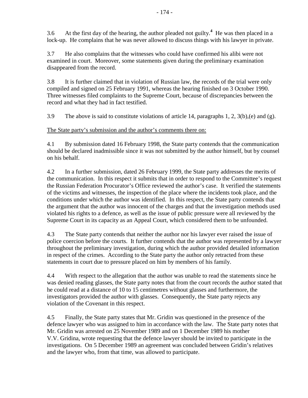3.6 At the first day of the hearing, the author pleaded not guilty.**<sup>4</sup>** He was then placed in a lock-up. He complains that he was never allowed to discuss things with his lawyer in private.

3.7 He also complains that the witnesses who could have confirmed his alibi were not examined in court. Moreover, some statements given during the preliminary examination disappeared from the record.

3.8 It is further claimed that in violation of Russian law, the records of the trial were only compiled and signed on 25 February 1991, whereas the hearing finished on 3 October 1990. Three witnesses filed complaints to the Supreme Court, because of discrepancies between the record and what they had in fact testified.

3.9 The above is said to constitute violations of article 14, paragraphs 1, 2, 3(b),(e) and (g).

The State party's submission and the author's comments there on:

4.1 By submission dated 16 February 1998, the State party contends that the communication should be declared inadmissible since it was not submitted by the author himself, but by counsel on his behalf.

4.2 In a further submission, dated 26 February 1999, the State party addresses the merits of the communication. In this respect it submits that in order to respond to the Committee's request the Russian Federation Procurator's Office reviewed the author's case. It verified the statements of the victims and witnesses, the inspection of the place where the incidents took place, and the conditions under which the author was identified. In this respect, the State party contends that the argument that the author was innocent of the charges and that the investigation methods used violated his rights to a defence, as well as the issue of public pressure were all reviewed by the Supreme Court in its capacity as an Appeal Court, which considered them to be unfounded.

4.3 The State party contends that neither the author nor his lawyer ever raised the issue of police coercion before the courts. It further contends that the author was represented by a lawyer throughout the preliminary investigation, during which the author provided detailed information in respect of the crimes. According to the State party the author only retracted from these statements in court due to pressure placed on him by members of his family.

4.4 With respect to the allegation that the author was unable to read the statements since he was denied reading glasses, the State party notes that from the court records the author stated that he could read at a distance of 10 to 15 centimetres without glasses and furthermore, the investigators provided the author with glasses. Consequently, the State party rejects any violation of the Covenant in this respect.

4.5 Finally, the State party states that Mr. Gridin was questioned in the presence of the defence lawyer who was assigned to him in accordance with the law. The State party notes that Mr. Gridin was arrested on 25 November 1989 and on 1 December 1989 his mother V.V. Gridina, wrote requesting that the defence lawyer should be invited to participate in the investigations. On 5 December 1989 an agreement was concluded between Gridin's relatives and the lawyer who, from that time, was allowed to participate.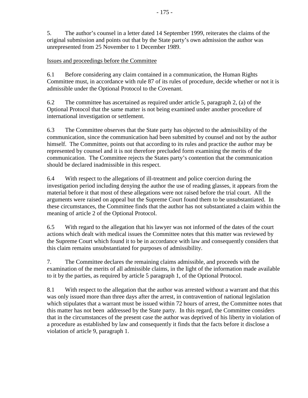5. The author's counsel in a letter dated 14 September 1999, reiterates the claims of the original submission and points out that by the State party's own admission the author was unrepresented from 25 November to 1 December 1989.

# Issues and proceedings before the Committee

6.1 Before considering any claim contained in a communication, the Human Rights Committee must, in accordance with rule 87 of its rules of procedure, decide whether or not it is admissible under the Optional Protocol to the Covenant.

6.2 The committee has ascertained as required under article 5, paragraph 2, (a) of the Optional Protocol that the same matter is not being examined under another procedure of international investigation or settlement.

6.3 The Committee observes that the State party has objected to the admissibility of the communication, since the communication had been submitted by counsel and not by the author himself. The Committee, points out that according to its rules and practice the author may be represented by counsel and it is not therefore precluded form examining the merits of the communication. The Committee rejects the States party's contention that the communication should be declared inadmissible in this respect.

6.4 With respect to the allegations of ill-treatment and police coercion during the investigation period including denying the author the use of reading glasses, it appears from the material before it that most of these allegations were not raised before the trial court. All the arguments were raised on appeal but the Supreme Court found them to be unsubstantiated. In these circumstances, the Committee finds that the author has not substantiated a claim within the meaning of article 2 of the Optional Protocol.

6.5 With regard to the allegation that his lawyer was not informed of the dates of the court actions which dealt with medical issues the Committee notes that this matter was reviewed by the Supreme Court which found it to be in accordance with law and consequently considers that this claim remains unsubstantiated for purposes of admissibility.

7. The Committee declares the remaining claims admissible, and proceeds with the examination of the merits of all admissible claims, in the light of the information made available to it by the parties, as required by article 5 paragraph 1, of the Optional Protocol.

8.1 With respect to the allegation that the author was arrested without a warrant and that this was only issued more than three days after the arrest, in contravention of national legislation which stipulates that a warrant must be issued within 72 hours of arrest, the Committee notes that this matter has not been addressed by the State party. In this regard, the Committee considers that in the circumstances of the present case the author was deprived of his liberty in violation of a procedure as established by law and consequently it finds that the facts before it disclose a violation of article 9, paragraph 1.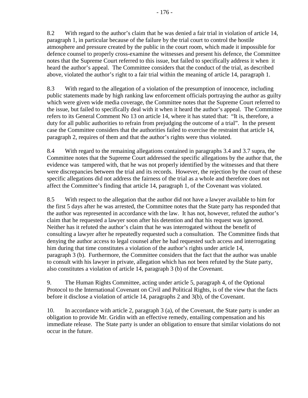8.2 With regard to the author's claim that he was denied a fair trial in violation of article 14, paragraph 1, in particular because of the failure by the trial court to control the hostile atmosphere and pressure created by the public in the court room, which made it impossible for defence counsel to properly cross-examine the witnesses and present his defence, the Committee notes that the Supreme Court referred to this issue, but failed to specifically address it when it heard the author's appeal. The Committee considers that the conduct of the trial, as described above, violated the author's right to a fair trial within the meaning of article 14, paragraph 1.

8.3 With regard to the allegation of a violation of the presumption of innocence, including public statements made by high ranking law enforcement officials portraying the author as guilty which were given wide media coverage, the Committee notes that the Supreme Court referred to the issue, but failed to specifically deal with it when it heard the author's appeal. The Committee refers to its General Comment No 13 on article 14, where it has stated that: "It is, therefore, a duty for all public authorities to refrain from prejudging the outcome of a trial". In the present case the Committee considers that the authorities failed to exercise the restraint that article 14, paragraph 2, requires of them and that the author's rights were thus violated.

8.4 With regard to the remaining allegations contained in paragraphs 3.4 and 3.7 supra, the Committee notes that the Supreme Court addressed the specific allegations by the author that, the evidence was tampered with, that he was not properly identified by the witnesses and that there were discrepancies between the trial and its records. However, the rejection by the court of these specific allegations did not address the fairness of the trial as a whole and therefore does not affect the Committee's finding that article 14, paragraph 1, of the Covenant was violated.

8.5 With respect to the allegation that the author did not have a lawyer available to him for the first 5 days after he was arrested, the Committee notes that the State party has responded that the author was represented in accordance with the law. It has not, however, refuted the author's claim that he requested a lawyer soon after his detention and that his request was ignored. Neither has it refuted the author's claim that he was interrogated without the benefit of consulting a lawyer after he repeatedly requested such a consultation. The Committee finds that denying the author access to legal counsel after he had requested such access and interrogating him during that time constitutes a violation of the author's rights under article 14, paragraph 3 (b). Furthermore, the Committee considers that the fact that the author was unable to consult with his lawyer in private, allegation which has not been refuted by the State party, also constitutes a violation of article 14, paragraph 3 (b) of the Covenant.

9. The Human Rights Committee, acting under article 5, paragraph 4, of the Optional Protocol to the International Covenant on Civil and Political Rights, is of the view that the facts before it disclose a violation of article 14, paragraphs 2 and 3(b), of the Covenant.

10. In accordance with article 2, paragraph 3 (a), of the Covenant, the State party is under an obligation to provide Mr. Gridin with an effective remedy, entailing compensation and his immediate release. The State party is under an obligation to ensure that similar violations do not occur in the future.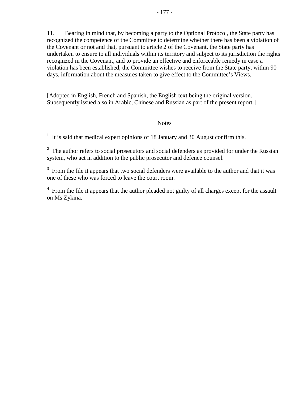11. Bearing in mind that, by becoming a party to the Optional Protocol, the State party has recognized the competence of the Committee to determine whether there has been a violation of the Covenant or not and that, pursuant to article 2 of the Covenant, the State party has undertaken to ensure to all individuals within its territory and subject to its jurisdiction the rights recognized in the Covenant, and to provide an effective and enforceable remedy in case a violation has been established, the Committee wishes to receive from the State party, within 90 days, information about the measures taken to give effect to the Committee's Views.

[Adopted in English, French and Spanish, the English text being the original version. Subsequently issued also in Arabic, Chinese and Russian as part of the present report.]

## Notes

<sup>1</sup> It is said that medical expert opinions of 18 January and 30 August confirm this.

<sup>2</sup> The author refers to social prosecutors and social defenders as provided for under the Russian system, who act in addition to the public prosecutor and defence counsel.

<sup>3</sup> From the file it appears that two social defenders were available to the author and that it was one of these who was forced to leave the court room.

<sup>4</sup> From the file it appears that the author pleaded not guilty of all charges except for the assault on Ms Zykina.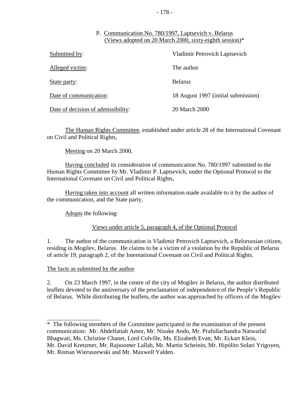### - 178 -

#### P. Communication No. 780/1997, Laptsevich v. Belarus (Views adopted on 20 March 2000, sixty-eighth session)\*

| Submitted by:                      | Vladimir Petrovich Laptsevich       |
|------------------------------------|-------------------------------------|
| Alleged victim:                    | The author                          |
| State party:                       | <b>Belarus</b>                      |
| Date of communication:             | 18 August 1997 (initial submission) |
| Date of decision of admissibility: | 20 March 2000                       |

The Human Rights Committee, established under article 28 of the International Covenant on Civil and Political Rights,

Meeting on 20 March 2000,

Having concluded its consideration of communication No. 780/1997 submitted to the Human Rights Committee by Mr. Vladimir P. Laptsevich, under the Optional Protocol to the International Covenant on Civil and Political Rights,

Having taken into account all written information made available to it by the author of the communication, and the State party,

Adopts the following:

Views under article 5, paragraph 4, of the Optional Protocol

1. The author of the communication is Vladimir Petrovich Laptsevich, a Belorussian citizen, residing in Mogilev, Belarus. He claims to be a victim of a violation by the Republic of Belarus of article 19, paragraph 2, of the International Covenant on Civil and Political Rights.

The facts as submitted by the author

 $\overline{a}$ 

2. On 23 March 1997, in the centre of the city of Mogilev in Belarus, the author distributed leaflets devoted to the anniversary of the proclamation of independence of the People's Republic of Belarus. While distributing the leaflets, the author was approached by officers of the Mogilev

<sup>\*</sup> The following members of the Committee participated in the examination of the present communication: Mr. Abdelfattah Amor, Mr. Nisuke Ando, Mr. Prafullachandra Natwarlal Bhagwati, Ms. Christine Chanet, Lord Colville, Ms. Elizabeth Evatt, Mr. Eckart Klein, Mr. David Kretzmer, Mr. Rajsoomer Lallah, Mr. Martin Scheinin, Mr. Hipólito Solari Yrigoyen, Mr. Roman Wieruszewski and Mr. Maxwell Yalden.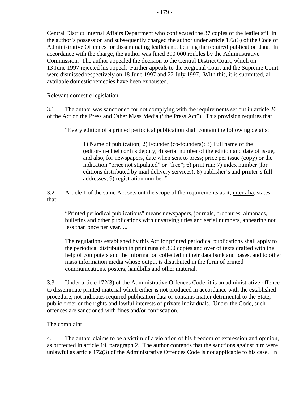Central District Internal Affairs Department who confiscated the 37 copies of the leaflet still in the author's possession and subsequently charged the author under article 172(3) of the Code of Administrative Offences for disseminating leaflets not bearing the required publication data. In accordance with the charge, the author was fined 390 000 roubles by the Administrative Commission. The author appealed the decision to the Central District Court, which on 13 June 1997 rejected his appeal. Further appeals to the Regional Court and the Supreme Court were dismissed respectively on 18 June 1997 and 22 July 1997. With this, it is submitted, all available domestic remedies have been exhausted.

## Relevant domestic legislation

3.1 The author was sanctioned for not complying with the requirements set out in article 26 of the Act on the Press and Other Mass Media ("the Press Act"). This provision requires that

"Every edition of a printed periodical publication shall contain the following details:

1) Name of publication; 2) Founder (co-founders); 3) Full name of the (editor-in-chief) or his deputy; 4) serial number of the edition and date of issue, and also, for newspapers, date when sent to press; price per issue (copy) or the indication "price not stipulated" or "free"; 6) print run; 7) index number (for editions distributed by mail delivery services); 8) publisher's and printer's full addresses; 9) registration number."

3.2 Article 1 of the same Act sets out the scope of the requirements as it, inter alia, states that:

"Printed periodical publications" means newspapers, journals, brochures, almanacs, bulletins and other publications with unvarying titles and serial numbers, appearing not less than once per year. ...

The regulations established by this Act for printed periodical publications shall apply to the periodical distribution in print runs of 300 copies and over of texts drafted with the help of computers and the information collected in their data bank and bases, and to other mass information media whose output is distributed in the form of printed communications, posters, handbills and other material."

3.3 Under article 172(3) of the Administrative Offences Code, it is an administrative offence to disseminate printed material which either is not produced in accordance with the established procedure, not indicates required publication data or contains matter detrimental to the State, public order or the rights and lawful interests of private individuals. Under the Code, such offences are sanctioned with fines and/or confiscation.

# The complaint

4. The author claims to be a victim of a violation of his freedom of expression and opinion, as protected in article 19, paragraph 2. The author contends that the sanctions against him were unlawful as article 172(3) of the Administrative Offences Code is not applicable to his case. In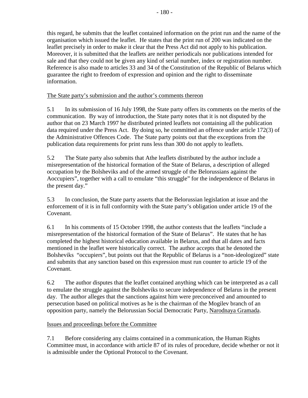this regard, he submits that the leaflet contained information on the print run and the name of the organisation which issued the leaflet. He states that the print run of 200 was indicated on the leaflet precisely in order to make it clear that the Press Act did not apply to his publication. Moreover, it is submitted that the leaflets are neither periodicals nor publications intended for sale and that they could not be given any kind of serial number, index or registration number. Reference is also made to articles 33 and 34 of the Constitution of the Republic of Belarus which guarantee the right to freedom of expression and opinion and the right to disseminate information.

# The State party's submission and the author's comments thereon

5.1 In its submission of 16 July 1998, the State party offers its comments on the merits of the communication. By way of introduction, the State party notes that it is not disputed by the author that on 23 March 1997 he distributed printed leaflets not containing all the publication data required under the Press Act. By doing so, he committed an offence under article 172(3) of the Administrative Offences Code. The State party points out that the exceptions from the publication data requirements for print runs less than 300 do not apply to leaflets.

5.2 The State party also submits that Athe leaflets distributed by the author include a misrepresentation of the historical formation of the State of Belarus, a description of alleged occupation by the Bolsheviks and of the armed struggle of the Belorussians against the Aoccupiers", together with a call to emulate "this struggle" for the independence of Belarus in the present day."

5.3 In conclusion, the State party asserts that the Belorussian legislation at issue and the enforcement of it is in full conformity with the State party's obligation under article 19 of the Covenant.

6.1 In his comments of 15 October 1998, the author contests that the leaflets "include a misrepresentation of the historical formation of the State of Belarus". He states that he has completed the highest historical education available in Belarus, and that all dates and facts mentioned in the leaflet were historically correct. The author accepts that he denoted the Bolsheviks "occupiers", but points out that the Republic of Belarus is a "non-ideologized" state and submits that any sanction based on this expression must run counter to article 19 of the Covenant.

6.2 The author disputes that the leaflet contained anything which can be interpreted as a call to emulate the struggle against the Bolsheviks to secure independence of Belarus in the present day. The author alleges that the sanctions against him were preconceived and amounted to persecution based on political motives as he is the chairman of the Mogilev branch of an opposition party, namely the Belorussian Social Democratic Party, Narodnaya Gramada.

# Issues and proceedings before the Committee

7.1 Before considering any claims contained in a communication, the Human Rights Committee must, in accordance with article 87 of its rules of procedure, decide whether or not it is admissible under the Optional Protocol to the Covenant.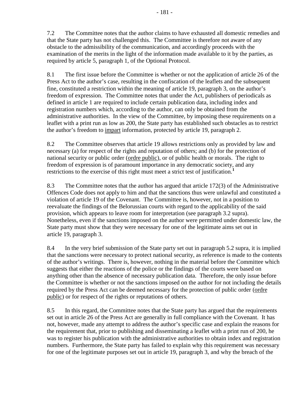7.2 The Committee notes that the author claims to have exhausted all domestic remedies and that the State party has not challenged this. The Committee is therefore not aware of any obstacle to the admissibility of the communication, and accordingly proceeds with the examination of the merits in the light of the information made available to it by the parties, as required by article 5, paragraph 1, of the Optional Protocol.

8.1 The first issue before the Committee is whether or not the application of article 26 of the Press Act to the author's case, resulting in the confiscation of the leaflets and the subsequent fine, constituted a restriction within the meaning of article 19, paragraph 3, on the author's freedom of expression. The Committee notes that under the Act, publishers of periodicals as defined in article 1 are required to include certain publication data, including index and registration numbers which, according to the author, can only be obtained from the administrative authorities. In the view of the Committee, by imposing these requirements on a leaflet with a print run as low as 200, the State party has established such obstacles as to restrict the author's freedom to impart information, protected by article 19, paragraph 2.

8.2 The Committee observes that article 19 allows restrictions only as provided by law and necessary (a) for respect of the rights and reputation of others; and (b) for the protection of national security or public order (ordre public), or of public health or morals. The right to freedom of expression is of paramount importance in any democratic society, and any restrictions to the exercise of this right must meet a strict test of justification.**<sup>1</sup>**

8.3 The Committee notes that the author has argued that article 172(3) of the Administrative Offences Code does not apply to him and that the sanctions thus were unlawful and constituted a violation of article 19 of the Covenant. The Committee is, however, not in a position to reevaluate the findings of the Belorussian courts with regard to the applicability of the said provision, which appears to leave room for interpretation (see paragraph 3.2 supra). Nonetheless, even if the sanctions imposed on the author were permitted under domestic law, the State party must show that they were necessary for one of the legitimate aims set out in article 19, paragraph 3.

8.4 In the very brief submission of the State party set out in paragraph 5.2 supra, it is implied that the sanctions were necessary to protect national security, as reference is made to the contents of the author's writings. There is, however, nothing in the material before the Committee which suggests that either the reactions of the police or the findings of the courts were based on anything other than the absence of necessary publication data. Therefore, the only issue before the Committee is whether or not the sanctions imposed on the author for not including the details required by the Press Act can be deemed necessary for the protection of public order (ordre public) or for respect of the rights or reputations of others.

8.5 In this regard, the Committee notes that the State party has argued that the requirements set out in article 26 of the Press Act are generally in full compliance with the Covenant. It has not, however, made any attempt to address the author's specific case and explain the reasons for the requirement that, prior to publishing and disseminating a leaflet with a print run of 200, he was to register his publication with the administrative authorities to obtain index and registration numbers. Furthermore, the State party has failed to explain why this requirement was necessary for one of the legitimate purposes set out in article 19, paragraph 3, and why the breach of the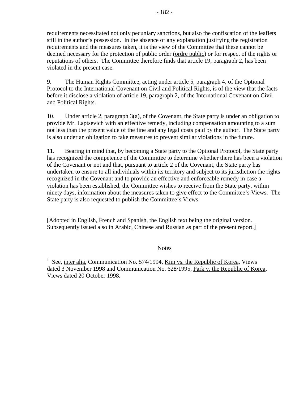requirements necessitated not only pecuniary sanctions, but also the confiscation of the leaflets still in the author's possession. In the absence of any explanation justifying the registration requirements and the measures taken, it is the view of the Committee that these cannot be deemed necessary for the protection of public order (ordre public) or for respect of the rights or reputations of others. The Committee therefore finds that article 19, paragraph 2, has been violated in the present case.

9. The Human Rights Committee, acting under article 5, paragraph 4, of the Optional Protocol to the International Covenant on Civil and Political Rights, is of the view that the facts before it disclose a violation of article 19, paragraph 2, of the International Covenant on Civil and Political Rights.

10. Under article 2, paragraph 3(a), of the Covenant, the State party is under an obligation to provide Mr. Laptsevich with an effective remedy, including compensation amounting to a sum not less than the present value of the fine and any legal costs paid by the author. The State party is also under an obligation to take measures to prevent similar violations in the future.

11. Bearing in mind that, by becoming a State party to the Optional Protocol, the State party has recognized the competence of the Committee to determine whether there has been a violation of the Covenant or not and that, pursuant to article 2 of the Covenant, the State party has undertaken to ensure to all individuals within its territory and subject to its jurisdiction the rights recognized in the Covenant and to provide an effective and enforceable remedy in case a violation has been established, the Committee wishes to receive from the State party, within ninety days, information about the measures taken to give effect to the Committee's Views. The State party is also requested to publish the Committee's Views.

[Adopted in English, French and Spanish, the English text being the original version. Subsequently issued also in Arabic, Chinese and Russian as part of the present report.]

#### Notes

<sup>1</sup> See, inter alia, Communication No. 574/1994, <u>Kim vs. the Republic of Korea</u>, Views dated 3 November 1998 and Communication No. 628/1995, Park v. the Republic of Korea, Views dated 20 October 1998.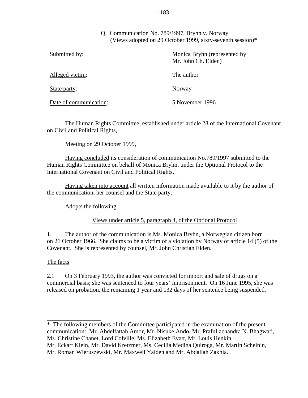### Q. Communication No. 789/1997, Bryhn v. Norway (Views adopted on 29 October 1999, sixty-seventh session)\*

| Submitted by:          | Monica Bryhn (represented by<br>Mr. John Ch. Elden) |
|------------------------|-----------------------------------------------------|
| Alleged victim:        | The author                                          |
| State party:           | Norway                                              |
| Date of communication: | 5 November 1996                                     |

The Human Rights Committee, established under article 28 of the International Covenant on Civil and Political Rights,

Meeting on 29 October 1999,

Having concluded its consideration of communication No.789/1997 submitted to the Human Rights Committee on behalf of Monica Bryhn, under the Optional Protocol to the International Covenant on Civil and Political Rights,

Having taken into account all written information made available to it by the author of the communication, her counsel and the State party,

Adopts the following:

Views under article 5, paragraph 4, of the Optional Protocol

1. The author of the communication is Ms. Monica Bryhn, a Norwegian citizen born on 21 October 1966. She claims to be a victim of a violation by Norway of article 14 (5) of the Covenant. She is represented by counsel, Mr. John Christian Elden.

# The facts

 $\overline{a}$ 

2.1 On 3 February 1993, the author was convicted for import and sale of drugs on a commercial basis; she was sentenced to four years' imprisonment. On 16 June 1995, she was released on probation, the remaining 1 year and 132 days of her sentence being suspended.

\* The following members of the Committee participated in the examination of the present communication: Mr. Abdelfattah Amor, Mr. Nisuke Ando, Mr. Prafullachandra N. Bhagwati, Ms. Christine Chanet, Lord Colville, Ms. Elizabeth Evatt, Mr. Louis Henkin,

Mr. Eckart Klein, Mr. David Kretzmer, Ms. Cecilia Medina Quiroga, Mr. Martin Scheinin,

Mr. Roman Wieruszewski, Mr. Maxwell Yalden and Mr. Abdallah Zakhia.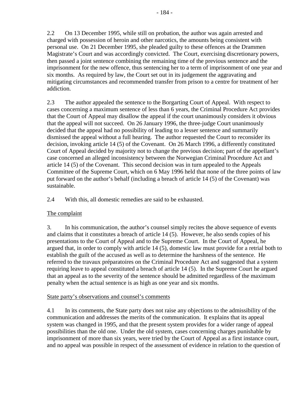2.2 On 13 December 1995, while still on probation, the author was again arrested and charged with possession of heroin and other narcotics, the amounts being consistent with personal use. On 21 December 1995, she pleaded guilty to these offences at the Drammen Magistrate's Court and was accordingly convicted. The Court, exercising discretionary powers, then passed a joint sentence combining the remaining time of the previous sentence and the imprisonment for the new offence, thus sentencing her to a term of imprisonment of one year and six months. As required by law, the Court set out in its judgement the aggravating and mitigating circumstances and recommended transfer from prison to a centre for treatment of her addiction.

2.3 The author appealed the sentence to the Borgarting Court of Appeal. With respect to cases concerning a maximum sentence of less than 6 years, the Criminal Procedure Act provides that the Court of Appeal may disallow the appeal if the court unanimously considers it obvious that the appeal will not succeed. On 26 January 1996, the three-judge Court unanimously decided that the appeal had no possibility of leading to a lesser sentence and summarily dismissed the appeal without a full hearing. The author requested the Court to reconsider its decision, invoking article 14 (5) of the Covenant. On 26 March 1996, a differently constituted Court of Appeal decided by majority not to change the previous decision; part of the appellant's case concerned an alleged inconsistency between the Norwegian Criminal Procedure Act and article 14 (5) of the Covenant. This second decision was in turn appealed to the Appeals Committee of the Supreme Court, which on 6 May 1996 held that none of the three points of law put forward on the author's behalf (including a breach of article 14 (5) of the Covenant) was sustainable.

2.4 With this, all domestic remedies are said to be exhausted.

# The complaint

3. In his communication, the author's counsel simply recites the above sequence of events and claims that it constitutes a breach of article 14 (5). However, he also sends copies of his presentations to the Court of Appeal and to the Supreme Court. In the Court of Appeal, he argued that, in order to comply with article 14 (5), domestic law must provide for a retrial both to establish the guilt of the accused as well as to determine the harshness of the sentence. He referred to the travaux préparatoires on the Criminal Procedure Act and suggested that a system requiring leave to appeal constituted a breach of article 14 (5). In the Supreme Court he argued that an appeal as to the severity of the sentence should be admitted regardless of the maximum penalty when the actual sentence is as high as one year and six months.

# State party's observations and counsel's comments

4.1 In its comments, the State party does not raise any objections to the admissibility of the communication and addresses the merits of the communication. It explains that its appeal system was changed in 1995, and that the present system provides for a wider range of appeal possibilities than the old one. Under the old system, cases concerning charges punishable by imprisonment of more than six years, were tried by the Court of Appeal as a first instance court, and no appeal was possible in respect of the assessment of evidence in relation to the question of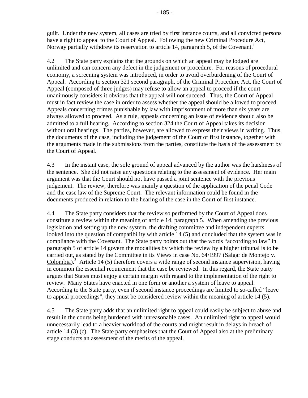guilt. Under the new system, all cases are tried by first instance courts, and all convicted persons have a right to appeal to the Court of Appeal. Following the new Criminal Procedure Act, Norway partially withdrew its reservation to article 14, paragraph 5, of the Covenant.**<sup>1</sup>**

4.2 The State party explains that the grounds on which an appeal may be lodged are unlimited and can concern any defect in the judgement or procedure. For reasons of procedural economy, a screening system was introduced, in order to avoid overburdening of the Court of Appeal. According to section 321 second paragraph, of the Criminal Procedure Act, the Court of Appeal (composed of three judges) may refuse to allow an appeal to proceed if the court unanimously considers it obvious that the appeal will not succeed. Thus, the Court of Appeal must in fact review the case in order to assess whether the appeal should be allowed to proceed. Appeals concerning crimes punishable by law with imprisonment of more than six years are always allowed to proceed. As a rule, appeals concerning an issue of evidence should also be admitted to a full hearing. According to section 324 the Court of Appeal takes its decision without oral hearings. The parties, however, are allowed to express their views in writing. Thus, the documents of the case, including the judgement of the Court of first instance, together with the arguments made in the submissions from the parties, constitute the basis of the assessment by the Court of Appeal.

4.3 In the instant case, the sole ground of appeal advanced by the author was the harshness of the sentence. She did not raise any questions relating to the assessment of evidence. Her main argument was that the Court should not have passed a joint sentence with the previous judgement. The review, therefore was mainly a question of the application of the penal Code and the case law of the Supreme Court. The relevant information could be found in the documents produced in relation to the hearing of the case in the Court of first instance.

4.4 The State party considers that the review so performed by the Court of Appeal does constitute a review within the meaning of article 14, paragraph 5. When amending the previous legislation and setting up the new system, the drafting committee and independent experts looked into the question of compatibility with article 14 (5) and concluded that the system was in compliance with the Covenant. The State party points out that the words "according to law" in paragraph 5 of article 14 govern the modalities by which the review by a higher tribunal is to be carried out, as stated by the Committee in its Views in case No. 64/1997 (Salgar de Montejo v. Colombia).**<sup>2</sup>** Article 14 (5) therefore covers a wide range of second instance supervision, having in common the essential requirement that the case be reviewed. In this regard, the State party argues that States must enjoy a certain margin with regard to the implementation of the right to review. Many States have enacted in one form or another a system of leave to appeal. According to the State party, even if second instance proceedings are limited to so-called "leave to appeal proceedings", they must be considered review within the meaning of article 14 (5).

4.5 The State party adds that an unlimited right to appeal could easily be subject to abuse and result in the courts being burdened with unreasonable cases. An unlimited right to appeal would unnecessarily lead to a heavier workload of the courts and might result in delays in breach of article 14 (3) (c). The State party emphasizes that the Court of Appeal also at the preliminary stage conducts an assessment of the merits of the appeal.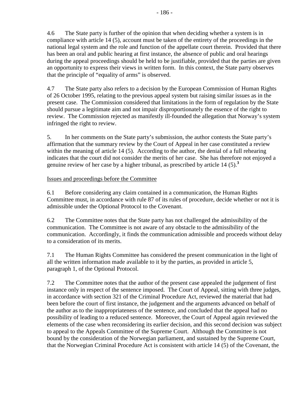4.6 The State party is further of the opinion that when deciding whether a system is in compliance with article 14 (5), account must be taken of the entirety of the proceedings in the national legal system and the role and function of the appellate court therein. Provided that there has been an oral and public hearing at first instance, the absence of public and oral hearings during the appeal proceedings should be held to be justifiable, provided that the parties are given an opportunity to express their views in written form. In this context, the State party observes that the principle of "equality of arms" is observed.

4.7 The State party also refers to a decision by the European Commission of Human Rights of 26 October 1995, relating to the previous appeal system but raising similar issues as in the present case. The Commission considered that limitations in the form of regulation by the State should pursue a legitimate aim and not impair disproportionately the essence of the right to review. The Commission rejected as manifestly ill-founded the allegation that Norway's system infringed the right to review.

5. In her comments on the State party's submission, the author contests the State party's affirmation that the summary review by the Court of Appeal in her case constituted a review within the meaning of article 14 (5). According to the author, the denial of a full rehearing indicates that the court did not consider the merits of her case. She has therefore not enjoyed a genuine review of her case by a higher tribunal, as prescribed by article 14 (5).**<sup>3</sup>**

### Issues and proceedings before the Committee

6.1 Before considering any claim contained in a communication, the Human Rights Committee must, in accordance with rule 87 of its rules of procedure, decide whether or not it is admissible under the Optional Protocol to the Covenant.

6.2 The Committee notes that the State party has not challenged the admissibility of the communication. The Committee is not aware of any obstacle to the admissibility of the communication. Accordingly, it finds the communication admissible and proceeds without delay to a consideration of its merits.

7.1 The Human Rights Committee has considered the present communication in the light of all the written information made available to it by the parties, as provided in article 5, paragraph 1, of the Optional Protocol.

7.2 The Committee notes that the author of the present case appealed the judgement of first instance only in respect of the sentence imposed. The Court of Appeal, sitting with three judges, in accordance with section 321 of the Criminal Procedure Act, reviewed the material that had been before the court of first instance, the judgement and the arguments advanced on behalf of the author as to the inappropriateness of the sentence, and concluded that the appeal had no possibility of leading to a reduced sentence. Moreover, the Court of Appeal again reviewed the elements of the case when reconsidering its earlier decision, and this second decision was subject to appeal to the Appeals Committee of the Supreme Court. Although the Committee is not bound by the consideration of the Norwegian parliament, and sustained by the Supreme Court, that the Norwegian Criminal Procedure Act is consistent with article 14 (5) of the Covenant, the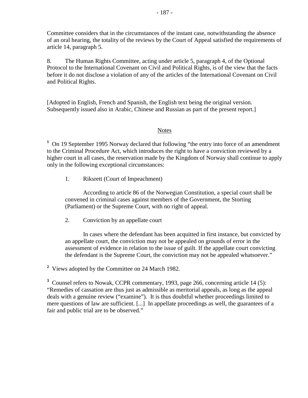Committee considers that in the circumstances of the instant case, notwithstanding the absence of an oral hearing, the totality of the reviews by the Court of Appeal satisfied the requirements of article 14, paragraph 5.

8. The Human Rights Committee, acting under article 5, paragraph 4, of the Optional Protocol to the International Covenant on Civil and Political Rights, is of the view that the facts before it do not disclose a violation of any of the articles of the International Covenant on Civil and Political Rights.

[Adopted in English, French and Spanish, the English text being the original version. Subsequently issued also in Arabic, Chinese and Russian as part of the present report.]

#### Notes

<sup>1</sup> On 19 September 1995 Norway declared that following "the entry into force of an amendment to the Criminal Procedure Act, which introduces the right to have a conviction reviewed by a higher court in all cases, the reservation made by the Kingdom of Norway shall continue to apply only in the following exceptional circumstances:

1. Riksrett (Court of Impeachment)

According to article 86 of the Norwegian Constitution, a special court shall be convened in criminal cases against members of the Government, the Storting (Parliament) or the Supreme Court, with no right of appeal.

2. Conviction by an appellate court

In cases where the defendant has been acquitted in first instance, but convicted by an appellate court, the conviction may not be appealed on grounds of error in the assessment of evidence in relation to the issue of guilt. If the appellate court convicting the defendant is the Supreme Court, the conviction may not be appealed whatsoever."

<sup>2</sup> Views adopted by the Committee on 24 March 1982.

<sup>3</sup> Counsel refers to Nowak, CCPR commentary, 1993, page 266, concerning article 14 (5): "Remedies of cassation are thus just as admissible as meritorial appeals, as long as the appeal deals with a genuine review ("examine"). It is thus doubtful whether proceedings limited to mere questions of law are sufficient. [...] In appellate proceedings as well, the guarantees of a fair and public trial are to be observed."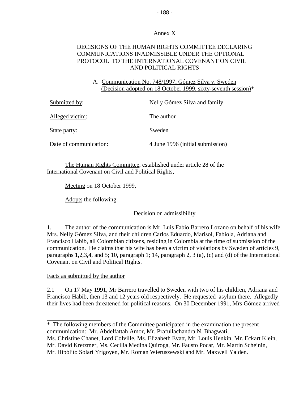# Annex X

### DECISIONS OF THE HUMAN RIGHTS COMMITTEE DECLARING COMMUNICATIONS INADMISSIBLE UNDER THE OPTIONAL PROTOCOL TO THE INTERNATIONAL COVENANT ON CIVIL AND POLITICAL RIGHTS

A. Communication No. 748/1997, Gómez Silva v. Sweden (Decision adopted on 18 October 1999, sixty-seventh session)\*

| Submitted by:          | Nelly Gómez Silva and family     |
|------------------------|----------------------------------|
| Alleged victim:        | The author                       |
| State party:           | Sweden                           |
| Date of communication: | 4 June 1996 (initial submission) |

The Human Rights Committee, established under article 28 of the International Covenant on Civil and Political Rights,

Meeting on 18 October 1999,

Adopts the following:

# Decision on admissibility

1. The author of the communication is Mr. Luis Fabio Barrero Lozano on behalf of his wife Mrs. Nelly Gómez Silva, and their children Carlos Eduardo, Marisol, Fabiola, Adriana and Francisco Habib, all Colombian citizens, residing in Colombia at the time of submission of the communication. He claims that his wife has been a victim of violations by Sweden of articles 9, paragraphs 1,2,3,4, and 5; 10, paragraph 1; 14, paragraph 2, 3 (a), (c) and (d) of the International Covenant on Civil and Political Rights.

# Facts as submitted by the author

 $\overline{a}$ 

2.1 On 17 May 1991, Mr Barrero travelled to Sweden with two of his children, Adriana and Francisco Habib, then 13 and 12 years old respectively. He requested asylum there. Allegedly their lives had been threatened for political reasons. On 30 December 1991, Mrs Gómez arrived

\* The following members of the Committee participated in the examination the present communication: Mr. Abdelfattah Amor, Mr. Prafullachandra N. Bhagwati,

- Ms. Christine Chanet, Lord Colville, Ms. Elizabeth Evatt, Mr. Louis Henkin, Mr. Eckart Klein,
- Mr. David Kretzmer, Ms. Cecilia Medina Quiroga, Mr. Fausto Pocar, Mr. Martin Scheinin,

Mr. Hipólito Solari Yrigoyen, Mr. Roman Wieruszewski and Mr. Maxwell Yalden.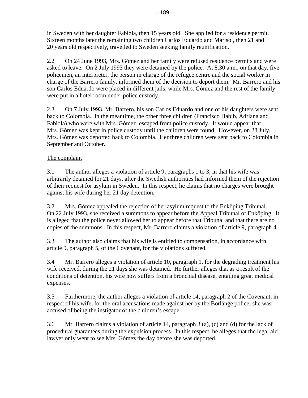in Sweden with her daughter Fabiola, then 15 years old. She applied for a residence permit. Sixteen months later the remaining two children Carlos Eduardo and Marisol, then 21 and 20 years old respectively, travelled to Sweden seeking family reunification.

2.2 On 24 June 1993, Mrs. Gómez and her family were refused residence permits and were asked to leave. On 2 July 1993 they were detained by the police. At 8.30 a.m., on that day, five policemen, an interpreter, the person in charge of the refugee centre and the social worker in charge of the Barrero family, informed them of the decision to deport them. Mr. Barrero and his son Carlos Eduardo were placed in different jails, while Mrs. Gómez and the rest of the family were put in a hotel room under police custody.

2.3 On 7 July 1993, Mr. Barrero, his son Carlos Eduardo and one of his daughters were sent back to Colombia. In the meantime, the other three children (Francisco Habib, Adriana and Fabiola) who were with Mrs. Gómez, escaped from police custody. It would appear that Mrs. Gómez was kept in police custody until the children were found. However, on 28 July, Mrs. Gómez was deported back to Colombia. Her three children were sent back to Colombia in September and October.

# The complaint

3.1 The author alleges a violation of article 9, paragraphs 1 to 3, in that his wife was arbitrarily detained for 21 days, after the Swedish authorities had informed them of the rejection of their request for asylum in Sweden. In this respect, he claims that no charges were brought against his wife during her 21 day detention.

3.2 Mrs. Gómez appealed the rejection of her asylum request to the Enköping Tribunal. On 22 July 1993, she received a summons to appear before the Appeal Tribunal of Enköping. It is alleged that the police never allowed her to appear before that Tribunal and that there are no copies of the summons. In this respect, Mr. Barrero claims a violation of article 9, paragraph 4.

3.3 The author also claims that his wife is entitled to compensation, in accordance with article 9, paragraph 5, of the Covenant, for the violations suffered.

3.4 Mr. Barrero alleges a violation of article 10, paragraph 1, for the degrading treatment his wife received, during the 21 days she was detained. He further alleges that as a result of the conditions of detention, his wife now suffers from a bronchial disease, entailing great medical expenses.

3.5 Furthermore, the author alleges a violation of article 14, paragraph 2 of the Covenant, in respect of his wife, for the oral accusations made against her by the Borlänge police; she was accused of being the instigator of the children's escape.

3.6 Mr. Barrero claims a violation of article 14, paragraph 3 (a), (c) and (d) for the lack of procedural guarantees during the expulsion process. In this respect, he alleges that the legal aid lawyer only went to see Mrs. Gómez the day before she was deported.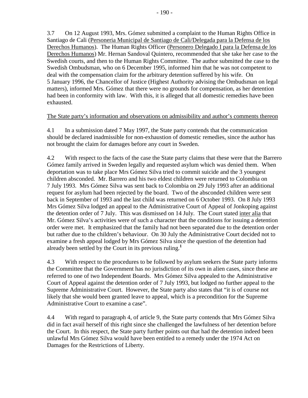3.7 On 12 August 1993, Mrs. Gómez submitted a complaint to the Human Rights Office in Santiago de Cali (Personeria Municipal de Santiago de Cali/Delegada para la Defensa de los Derechos Humanos). The Human Rights Officer (Personero Delegado I para la Defensa de los Derechos Humanos) Mr. Hernan Sandoval Quintero, recommended that she take her case to the Swedish courts, and then to the Human Rights Committee. The author submitted the case to the Swedish Ombudsman, who on 6 December 1995, informed him that he was not competent to deal with the compensation claim for the arbitrary detention suffered by his wife. On 5 January 1996, the Chancellor of Justice (Highest Authority advising the Ombudsman on legal matters), informed Mrs. Gómez that there were no grounds for compensation, as her detention had been in conformity with law. With this, it is alleged that all domestic remedies have been exhausted.

#### The State party's information and observations on admissibility and author's comments thereon

4.1 In a submission dated 7 May 1997, the State party contends that the communication should be declared inadmissible for non-exhaustion of domestic remedies, since the author has not brought the claim for damages before any court in Sweden.

4.2 With respect to the facts of the case the State party claims that these were that the Barrero Gómez family arrived in Sweden legally and requested asylum which was denied them. When deportation was to take place Mrs Gómez Silva tried to commit suicide and the 3 youngest children absconded. Mr. Barrero and his two eldest children were returned to Colombia on 7 July 1993. Mrs Gómez Silva was sent back to Colombia on 29 July 1993 after an additional request for asylum had been rejected by the board. Two of the absconded children were sent back in September of 1993 and the last child was returned on 6 October 1993. On 8 July 1993 Mrs Gómez Silva lodged an appeal to the Administrative Court of Appeal of Jonkoping against the detention order of 7 July. This was dismissed on 14 July. The Court stated inter alia that Mr. Gómez Silva's activities were of such a character that the conditions for issuing a detention order were met. It emphasized that the family had not been separated due to the detention order but rather due to the children's behaviour. On 30 July the Administrative Court decided not to examine a fresh appeal lodged by Mrs Gómez Silva since the question of the detention had already been settled by the Court in its previous ruling.**<sup>1</sup>**

4.3 With respect to the procedures to be followed by asylum seekers the State party informs the Committee that the Government has no jurisdiction of its own in alien cases, since these are referred to one of two Independent Boards. Mrs Gómez Silva appealed to the Administrative Court of Appeal against the detention order of 7 July 1993, but lodged no further appeal to the Supreme Administrative Court. However, the State party also states that "it is of course not likely that she would been granted leave to appeal, which is a precondition for the Supreme Administrative Court to examine a case".

4.4 With regard to paragraph 4, of article 9, the State party contends that Mrs Gómez Silva did in fact avail herself of this right since she challenged the lawfulness of her detention before the Court. In this respect, the State party further points out that had the detention indeed been unlawful Mrs Gómez Silva would have been entitled to a remedy under the 1974 Act on Damages for the Restrictions of Liberty.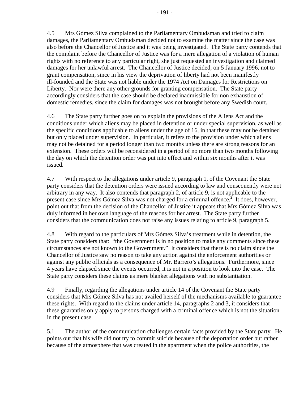4.5 Mrs Gómez Silva complained to the Parliamentary Ombudsman and tried to claim damages, the Parliamentary Ombudsman decided not to examine the matter since the case was also before the Chancellor of Justice and it was being investigated. The State party contends that the complaint before the Chancellor of Justice was for a mere allegation of a violation of human rights with no reference to any particular right, she just requested an investigation and claimed damages for her unlawful arrest. The Chancellor of Justice decided, on 5 January 1996, not to grant compensation, since in his view the deprivation of liberty had not been manifestly ill-founded and the State was not liable under the 1974 Act on Damages for Restrictions on Liberty. Nor were there any other grounds for granting compensation. The State party accordingly considers that the case should be declared inadmissible for non exhaustion of domestic remedies, since the claim for damages was not brought before any Swedish court.

4.6 The State party further goes on to explain the provisions of the Aliens Act and the conditions under which aliens may be placed in detention or under special supervision, as well as the specific conditions applicable to aliens under the age of 16, in that these may not be detained but only placed under supervision. In particular, it refers to the provision under which aliens may not be detained for a period longer than two months unless there are strong reasons for an extension. These orders will be reconsidered in a period of no more than two months following the day on which the detention order was put into effect and within six months after it was issued.

4.7 With respect to the allegations under article 9, paragraph 1, of the Covenant the State party considers that the detention orders were issued according to law and consequently were not arbitrary in any way. It also contends that paragraph 2, of article 9, is not applicable to the present case since Mrs Gómez Silva was not charged for a criminal offence.**<sup>2</sup>** It does, however, point out that from the decision of the Chancellor of Justice it appears that Mrs Gómez Silva was duly informed in her own language of the reasons for her arrest. The State party further considers that the communication does not raise any issues relating to article 9, paragraph 5.

4.8 With regard to the particulars of Mrs Gómez Silva's treatment while in detention, the State party considers that: "the Government is in no position to make any comments since these circumstances are not known to the Government." It considers that there is no claim since the Chancellor of Justice saw no reason to take any action against the enforcement authorities or against any public officials as a consequence of Mr. Barrero's allegations. Furthermore, since 4 years have elapsed since the events occurred, it is not in a position to look into the case. The State party considers these claims as mere blanket allegations with no substantiation.

4.9 Finally, regarding the allegations under article 14 of the Covenant the State party considers that Mrs Gómez Silva has not availed herself of the mechanisms available to guarantee these rights. With regard to the claims under article 14, paragraphs 2 and 3, it considers that these guaranties only apply to persons charged with a criminal offence which is not the situation in the present case.

5.1 The author of the communication challenges certain facts provided by the State party. He points out that his wife did not try to commit suicide because of the deportation order but rather because of the atmosphere that was created in the apartment when the police authorities, the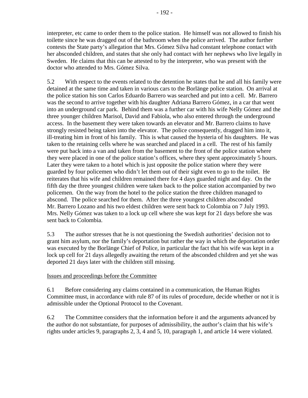interpreter, etc came to order them to the police station. He himself was not allowed to finish his toilette since he was dragged out of the bathroom when the police arrived. The author further contests the State party's allegation that Mrs. Gómez Silva had constant telephone contact with her absconded children, and states that she only had contact with her nephews who live legally in Sweden. He claims that this can be attested to by the interpreter, who was present with the doctor who attended to Mrs. Gómez Silva.

5.2 With respect to the events related to the detention he states that he and all his family were detained at the same time and taken in various cars to the Borlänge police station. On arrival at the police station his son Carlos Eduardo Barrero was searched and put into a cell. Mr. Barrero was the second to arrive together with his daughter Adriana Barrero Gómez, in a car that went into an underground car park. Behind them was a further car with his wife Nelly Gómez and the three younger children Marisol, David and Fabiola, who also entered through the underground access. In the basement they were taken towards an elevator and Mr. Barrero claims to have strongly resisted being taken into the elevator. The police consequently, dragged him into it, ill-treating him in front of his family. This is what caused the hysteria of his daughters. He was taken to the retaining cells where he was searched and placed in a cell. The rest of his family were put back into a van and taken from the basement to the front of the police station where they were placed in one of the police station's offices, where they spent approximately 5 hours. Later they were taken to a hotel which is just opposite the police station where they were guarded by four policemen who didn't let them out of their sight even to go to the toilet. He reiterates that his wife and children remained there for 4 days guarded night and day. On the fifth day the three youngest children were taken back to the police station accompanied by two policemen. On the way from the hotel to the police station the three children managed to abscond. The police searched for them. After the three youngest children absconded Mr. Barrero Lozano and his two eldest children were sent back to Colombia on 7 July 1993. Mrs. Nelly Gómez was taken to a lock up cell where she was kept for 21 days before she was sent back to Colombia.

5.3 The author stresses that he is not questioning the Swedish authorities' decision not to grant him asylum, nor the family's deportation but rather the way in which the deportation order was executed by the Borlänge Chief of Police, in particular the fact that his wife was kept in a lock up cell for 21 days allegedly awaiting the return of the absconded children and yet she was deported 21 days later with the children still missing.

#### Issues and proceedings before the Committee

6.1 Before considering any claims contained in a communication, the Human Rights Committee must, in accordance with rule 87 of its rules of procedure, decide whether or not it is admissible under the Optional Protocol to the Covenant.

6.2 The Committee considers that the information before it and the arguments advanced by the author do not substantiate, for purposes of admissibility, the author's claim that his wife's rights under articles 9, paragraphs 2, 3, 4 and 5, 10, paragraph 1, and article 14 were violated.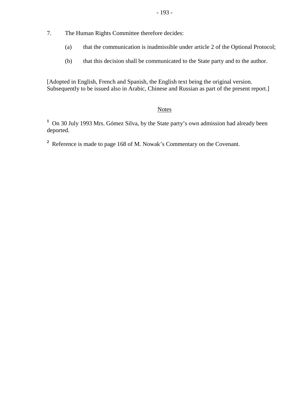- 7. The Human Rights Committee therefore decides:
	- (a) that the communication is inadmissible under article 2 of the Optional Protocol;
	- (b) that this decision shall be communicated to the State party and to the author.

[Adopted in English, French and Spanish, the English text being the original version. Subsequently to be issued also in Arabic, Chinese and Russian as part of the present report.]

#### **Notes**

**<sup>1</sup>** On 30 July 1993 Mrs. Gómez Silva, by the State party's own admission had already been deported.

**2** Reference is made to page 168 of M. Nowak's Commentary on the Covenant.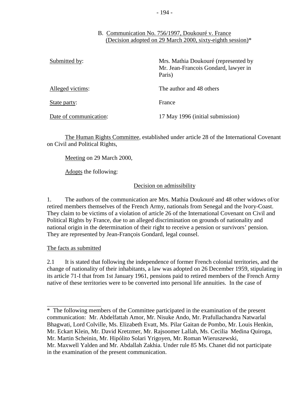# B. Communication No. 756/1997, Doukouré v. France (Decision adopted on 29 March 2000, sixty-eighth session)\*

| Submitted by:          | Mrs. Mathia Doukouré (represented by<br>Mr. Jean-Francois Gondard, lawyer in<br>Paris) |
|------------------------|----------------------------------------------------------------------------------------|
| Alleged victims:       | The author and 48 others                                                               |
| State party:           | France                                                                                 |
| Date of communication: | 17 May 1996 (initial submission)                                                       |

The Human Rights Committee, established under article 28 of the International Covenant on Civil and Political Rights,

Meeting on 29 March 2000,

Adopts the following:

# Decision on admissibility

1. The authors of the communication are Mrs. Mathia Doukouré and 48 other widows of/or retired members themselves of the French Army, nationals from Senegal and the Ivory-Coast. They claim to be victims of a violation of article 26 of the International Covenant on Civil and Political Rights by France, due to an alleged discrimination on grounds of nationality and national origin in the determination of their right to receive a pension or survivors' pension. They are represented by Jean-François Gondard, legal counsel.

The facts as submitted

 $\overline{a}$ 

2.1 It is stated that following the independence of former French colonial territories, and the change of nationality of their inhabitants, a law was adopted on 26 December 1959, stipulating in its article 71-I that from 1st January 1961, pensions paid to retired members of the French Army native of these territories were to be converted into personal life annuities. In the case of

<sup>\*</sup> The following members of the Committee participated in the examination of the present communication: Mr. Abdelfattah Amor, Mr. Nisuke Ando, Mr. Prafullachandra Natwarlal Bhagwati, Lord Colville, Ms. Elizabeth Evatt, Ms. Pilar Gaitan de Pombo, Mr. Louis Henkin, Mr. Eckart Klein, Mr. David Kretzmer, Mr. Rajsoomer Lallah, Ms. Cecilia Medina Quiroga, Mr. Martin Scheinin, Mr. Hipólito Solari Yrigoyen, Mr. Roman Wieruszewski, Mr. Maxwell Yalden and Mr. Abdallah Zakhia. Under rule 85 Ms. Chanet did not participate in the examination of the present communication.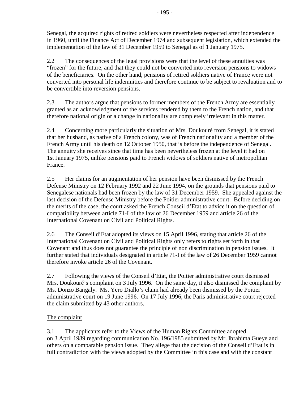Senegal, the acquired rights of retired soldiers were nevertheless respected after independence in 1960, until the Finance Act of December 1974 and subsequent legislation, which extended the implementation of the law of 31 December 1959 to Senegal as of 1 January 1975.

2.2 The consequences of the legal provisions were that the level of these annuities was "frozen" for the future, and that they could not be converted into reversion pensions to widows of the beneficiaries. On the other hand, pensions of retired soldiers native of France were not converted into personal life indemnities and therefore continue to be subject to revaluation and to be convertible into reversion pensions.

2.3 The authors argue that pensions to former members of the French Army are essentially granted as an acknowledgment of the services rendered by them to the French nation, and that therefore national origin or a change in nationality are completely irrelevant in this matter.

2.4 Concerning more particularly the situation of Mrs. Doukouré from Senegal, it is stated that her husband, as native of a French colony, was of French nationality and a member of the French Army until his death on 12 October 1950, that is before the independence of Senegal. The annuity she receives since that time has been nevertheless frozen at the level it had on 1st January 1975, unlike pensions paid to French widows of soldiers native of metropolitan France.

2.5 Her claims for an augmentation of her pension have been dismissed by the French Defense Ministry on 12 February 1992 and 22 June 1994, on the grounds that pensions paid to Senegalese nationals had been frozen by the law of 31 December 1959. She appealed against the last decision of the Defense Ministry before the Poitier administrative court. Before deciding on the merits of the case, the court asked the French Conseil d'Etat to advice it on the question of compatibility between article 71-I of the law of 26 December 1959 and article 26 of the International Covenant on Civil and Political Rights.

2.6 The Conseil d'Etat adopted its views on 15 April 1996, stating that article 26 of the International Covenant on Civil and Political Rights only refers to rights set forth in that Covenant and thus does not guarantee the principle of non discrimination in pension issues. It further stated that individuals designated in article 71-I of the law of 26 December 1959 cannot therefore invoke article 26 of the Covenant.

2.7 Following the views of the Conseil d'Etat, the Poitier administrative court dismissed Mrs. Doukouré's complaint on 3 July 1996. On the same day, it also dismissed the complaint by Ms. Donzo Bangaly. Ms. Yero Diallo's claim had already been dismissed by the Poitier administrative court on 19 June 1996. On 17 July 1996, the Paris administrative court rejected the claim submitted by 43 other authors.

# The complaint

3.1 The applicants refer to the Views of the Human Rights Committee adopted on 3 April 1989 regarding communication No. 196/1985 submitted by Mr. Ibrahima Gueye and others on a comparable pension issue. They allege that the decision of the Conseil d'Etat is in full contradiction with the views adopted by the Committee in this case and with the constant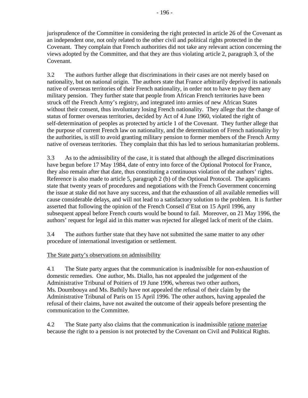jurisprudence of the Committee in considering the right protected in article 26 of the Covenant as an independent one, not only related to the other civil and political rights protected in the Covenant. They complain that French authorities did not take any relevant action concerning the views adopted by the Committee, and that they are thus violating article 2, paragraph 3, of the Covenant.

3.2 The authors further allege that discriminations in their cases are not merely based on nationality, but on national origin. The authors state that France arbitrarily deprived its nationals native of overseas territories of their French nationality, in order not to have to pay them any military pension. They further state that people from African French territories have been struck off the French Army's registry, and integrated into armies of new African States without their consent, thus involuntary losing French nationality. They allege that the change of status of former overseas territories, decided by Act of 4 June 1960, violated the right of self-determination of peoples as protected by article 1 of the Covenant. They further allege that the purpose of current French law on nationality, and the determination of French nationality by the authorities, is still to avoid granting military pension to former members of the French Army native of overseas territories. They complain that this has led to serious humanitarian problems.

3.3 As to the admissibility of the case, it is stated that although the alleged discriminations have begun before 17 May 1984, date of entry into force of the Optional Protocol for France, they also remain after that date, thus constituting a continuous violation of the authors' rights. Reference is also made to article 5, paragraph 2 (b) of the Optional Protocol. The applicants state that twenty years of procedures and negotiations with the French Government concerning the issue at stake did not have any success, and that the exhaustion of all available remedies will cause considerable delays, and will not lead to a satisfactory solution to the problem. It is further asserted that following the opinion of the French Conseil d'Etat on 15 April 1996, any subsequent appeal before French courts would be bound to fail. Moreover, on 21 May 1996, the authors' request for legal aid in this matter was rejected for alleged lack of merit of the claim.

3.4 The authors further state that they have not submitted the same matter to any other procedure of international investigation or settlement.

#### The State party's observations on admissibility

4.1 The State party argues that the communication is inadmissible for non-exhaustion of domestic remedies. One author, Ms. Diallo, has not appealed the judgement of the Administrative Tribunal of Poitiers of 19 June 1996, whereas two other authors, Ms. Doumbouya and Ms. Bathily have not appealed the refusal of their claim by the Administrative Tribunal of Paris on 15 April 1996. The other authors, having appealed the refusal of their claims, have not awaited the outcome of their appeals before presenting the communication to the Committee.

4.2 The State party also claims that the communication is inadmissible ratione materiae because the right to a pension is not protected by the Covenant on Civil and Political Rights.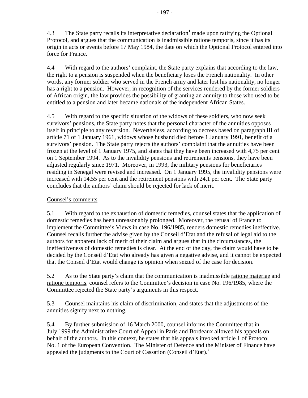4.3 The State party recalls its interpretative declaration**<sup>1</sup>** made upon ratifying the Optional Protocol, and argues that the communication is inadmissible ratione temporis, since it has its origin in acts or events before 17 May 1984, the date on which the Optional Protocol entered into force for France.

4.4 With regard to the authors' complaint, the State party explains that according to the law, the right to a pension is suspended when the beneficiary loses the French nationality. In other words, any former soldier who served in the French army and later lost his nationality, no longer has a right to a pension. However, in recognition of the services rendered by the former soldiers of African origin, the law provides the possibility of granting an annuity to those who used to be entitled to a pension and later became nationals of the independent African States.

4.5 With regard to the specific situation of the widows of these soldiers, who now seek survivors' pensions, the State party notes that the personal character of the annuities opposes itself in principle to any reversion. Nevertheless, according to decrees based on paragraph III of article 71 of 1 January 1961, widows whose husband died before 1 January 1991, benefit of a survivors' pension. The State party rejects the authors' complaint that the annuities have been frozen at the level of 1 January 1975, and states that they have been increased with 4,75 per cent on 1 September 1994. As to the invalidity pensions and retirements pensions, they have been adjusted regularly since 1971. Moreover, in 1993, the military pensions for beneficiaries residing in Senegal were revised and increased. On 1 January 1995, the invalidity pensions were increased with 14,55 per cent and the retirement pensions with 24,1 per cent. The State party concludes that the authors' claim should be rejected for lack of merit.

# Counsel's comments

5.1 With regard to the exhaustion of domestic remedies, counsel states that the application of domestic remedies has been unreasonably prolonged. Moreover, the refusal of France to implement the Committee's Views in case No. 196/1985, renders domestic remedies ineffective. Counsel recalls further the advise given by the Conseil d'Etat and the refusal of legal aid to the authors for apparent lack of merit of their claim and argues that in the circumstances, the ineffectiveness of domestic remedies is clear. At the end of the day, the claim would have to be decided by the Conseil d'Etat who already has given a negative advise, and it cannot be expected that the Conseil d'Etat would change its opinion when seized of the case for decision.

5.2 As to the State party's claim that the communication is inadmissible ratione materiae and ratione temporis, counsel refers to the Committee's decision in case No. 196/1985, where the Committee rejected the State party's arguments in this respect.

5.3 Counsel maintains his claim of discrimination, and states that the adjustments of the annuities signify next to nothing.

5.4 By further submission of 16 March 2000, counsel informs the Committee that in July 1999 the Administrative Court of Appeal in Paris and Bordeaux allowed his appeals on behalf of the authors. In this context, he states that his appeals invoked article 1 of Protocol No. 1 of the European Convention. The Minister of Defence and the Minister of Finance have appealed the judgments to the Court of Cassation (Conseil d'Etat).**<sup>2</sup>**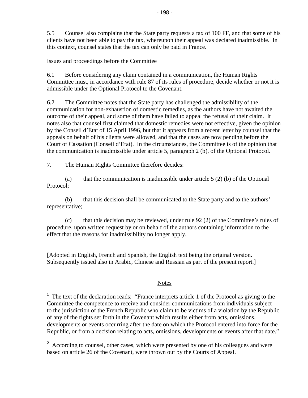5.5 Counsel also complains that the State party requests a tax of 100 FF, and that some of his clients have not been able to pay the tax, whereupon their appeal was declared inadmissible. In this context, counsel states that the tax can only be paid in France.

### Issues and proceedings before the Committee

6.1 Before considering any claim contained in a communication, the Human Rights Committee must, in accordance with rule 87 of its rules of procedure, decide whether or not it is admissible under the Optional Protocol to the Covenant.

6.2 The Committee notes that the State party has challenged the admissibility of the communication for non-exhaustion of domestic remedies, as the authors have not awaited the outcome of their appeal, and some of them have failed to appeal the refusal of their claim. It notes also that counsel first claimed that domestic remedies were not effective, given the opinion by the Conseil d'Etat of 15 April 1996, but that it appears from a recent letter by counsel that the appeals on behalf of his clients were allowed, and that the cases are now pending before the Court of Cassation (Conseil d'Etat). In the circumstances, the Committee is of the opinion that the communication is inadmissible under article 5, paragraph 2 (b), of the Optional Protocol.

7. The Human Rights Committee therefore decides:

(a) that the communication is inadmissible under article  $5(2)$  (b) of the Optional Protocol;

(b) that this decision shall be communicated to the State party and to the authors' representative;

(c) that this decision may be reviewed, under rule 92 (2) of the Committee's rules of procedure, upon written request by or on behalf of the authors containing information to the effect that the reasons for inadmissibility no longer apply.

[Adopted in English, French and Spanish, the English text being the original version. Subsequently issued also in Arabic, Chinese and Russian as part of the present report.]

#### Notes

<sup>1</sup> The text of the declaration reads: "France interprets article 1 of the Protocol as giving to the Committee the competence to receive and consider communications from individuals subject to the jurisdiction of the French Republic who claim to be victims of a violation by the Republic of any of the rights set forth in the Covenant which results either from acts, omissions, developments or events occurring after the date on which the Protocol entered into force for the Republic, or from a decision relating to acts, omissions, developments or events after that date."

<sup>2</sup> According to counsel, other cases, which were presented by one of his colleagues and were based on article 26 of the Covenant, were thrown out by the Courts of Appeal.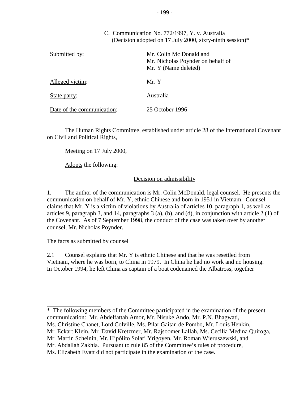#### C. Communication No. 772/1997, Y. v. Australia (Decision adopted on 17 July 2000, sixty-ninth session)\*

| Submitted by:              | Mr. Colin Mc Donald and<br>Mr. Nicholas Poynder on behalf of<br>Mr. Y (Name deleted) |
|----------------------------|--------------------------------------------------------------------------------------|
| Alleged victim:            | Mr. Y                                                                                |
| State party:               | Australia                                                                            |
| Date of the communication: | 25 October 1996                                                                      |

The Human Rights Committee, established under article 28 of the International Covenant on Civil and Political Rights,

Meeting on 17 July 2000,

Adopts the following:

Decision on admissibility

1. The author of the communication is Mr. Colin McDonald, legal counsel. He presents the communication on behalf of Mr. Y, ethnic Chinese and born in 1951 in Vietnam. Counsel claims that Mr. Y is a victim of violations by Australia of articles 10, paragraph 1, as well as articles 9, paragraph 3, and 14, paragraphs 3 (a), (b), and (d), in conjunction with article 2 (1) of the Covenant. As of 7 September 1998, the conduct of the case was taken over by another counsel, Mr. Nicholas Poynder.

The facts as submitted by counsel

2.1 Counsel explains that Mr. Y is ethnic Chinese and that he was resettled from Vietnam, where he was born, to China in 1979. In China he had no work and no housing. In October 1994, he left China as captain of a boat codenamed the Albatross, together

 $\overline{a}$ \* The following members of the Committee participated in the examination of the present communication: Mr. Abdelfattah Amor, Mr. Nisuke Ando, Mr. P.N. Bhagwati, Ms. Christine Chanet, Lord Colville, Ms. Pilar Gaitan de Pombo, Mr. Louis Henkin, Mr. Eckart Klein, Mr. David Kretzmer, Mr. Rajsoomer Lallah, Ms. Cecilia Medina Quiroga, Mr. Martin Scheinin, Mr. Hipólito Solari Yrigoyen, Mr. Roman Wieruszewski, and Mr. Abdallah Zakhia. Pursuant to rule 85 of the Committee's rules of procedure, Ms. Elizabeth Evatt did not participate in the examination of the case.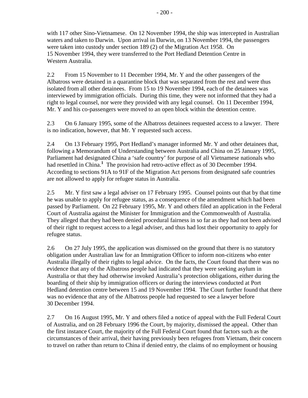with 117 other Sino-Vietnamese. On 12 November 1994, the ship was intercepted in Australian waters and taken to Darwin. Upon arrival in Darwin, on 13 November 1994, the passengers were taken into custody under section 189 (2) of the Migration Act 1958. On 15 November 1994, they were transferred to the Port Hedland Detention Centre in Western Australia.

2.2 From 15 November to 11 December 1994, Mr. Y and the other passengers of the Albatross were detained in a quarantine block that was separated from the rest and were thus isolated from all other detainees. From 15 to 19 November 1994, each of the detainees was interviewed by immigration officials. During this time, they were not informed that they had a right to legal counsel, nor were they provided with any legal counsel. On 11 December 1994, Mr. Y and his co-passengers were moved to an open block within the detention centre.

2.3 On 6 January 1995, some of the Albatross detainees requested access to a lawyer. There is no indication, however, that Mr. Y requested such access.

2.4 On 13 February 1995, Port Hedland's manager informed Mr. Y and other detainees that, following a Memorandum of Understanding between Australia and China on 25 January 1995, Parliament had designated China a 'safe country' for purpose of all Vietnamese nationals who had resettled in China.**<sup>1</sup>** The provision had retro-active effect as of 30 December 1994. According to sections 91A to 91F of the Migration Act persons from designated safe countries are not allowed to apply for refugee status in Australia.

2.5 Mr. Y first saw a legal adviser on 17 February 1995. Counsel points out that by that time he was unable to apply for refugee status, as a consequence of the amendment which had been passed by Parliament. On 22 February 1995, Mr. Y and others filed an application in the Federal Court of Australia against the Minister for Immigration and the Commonwealth of Australia. They alleged that they had been denied procedural fairness in so far as they had not been advised of their right to request access to a legal adviser, and thus had lost their opportunity to apply for refugee status.

2.6 On 27 July 1995, the application was dismissed on the ground that there is no statutory obligation under Australian law for an Immigration Officer to inform non-citizens who enter Australia illegally of their rights to legal advice. On the facts, the Court found that there was no evidence that any of the Albatross people had indicated that they were seeking asylum in Australia or that they had otherwise invoked Australia's protection obligations, either during the boarding of their ship by immigration officers or during the interviews conducted at Port Hedland detention centre between 15 and 19 November 1994. The Court further found that there was no evidence that any of the Albatross people had requested to see a lawyer before 30 December 1994.

2.7 On 16 August 1995, Mr. Y and others filed a notice of appeal with the Full Federal Court of Australia, and on 28 February 1996 the Court, by majority, dismissed the appeal. Other than the first instance Court, the majority of the Full Federal Court found that factors such as the circumstances of their arrival, their having previously been refugees from Vietnam, their concern to travel on rather than return to China if denied entry, the claims of no employment or housing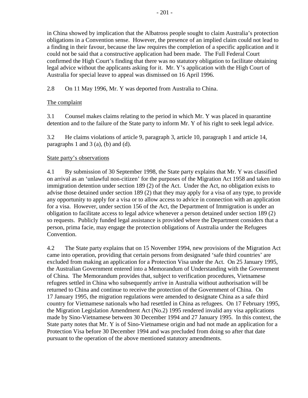in China showed by implication that the Albatross people sought to claim Australia's protection obligations in a Convention sense. However, the presence of an implied claim could not lead to a finding in their favour, because the law requires the completion of a specific application and it could not be said that a constructive application had been made. The Full Federal Court confirmed the High Court's finding that there was no statutory obligation to facilitate obtaining legal advice without the applicants asking for it. Mr. Y's application with the High Court of Australia for special leave to appeal was dismissed on 16 April 1996.

2.8 On 11 May 1996, Mr. Y was deported from Australia to China.

# The complaint

3.1 Counsel makes claims relating to the period in which Mr. Y was placed in quarantine detention and to the failure of the State party to inform Mr. Y of his right to seek legal advice.

3.2 He claims violations of article 9, paragraph 3, article 10, paragraph 1 and article 14, paragraphs 1 and 3 (a), (b) and (d).

# State party's observations

4.1 By submission of 30 September 1998, the State party explains that Mr. Y was classified on arrival as an 'unlawful non-citizen' for the purposes of the Migration Act 1958 and taken into immigration detention under section 189 (2) of the Act. Under the Act, no obligation exists to advise those detained under section 189 (2) that they may apply for a visa of any type, to provide any opportunity to apply for a visa or to allow access to advice in connection with an application for a visa. However, under section 156 of the Act, the Department of Immigration is under an obligation to facilitate access to legal advice whenever a person detained under section 189 (2) so requests. Publicly funded legal assistance is provided where the Department considers that a person, prima facie, may engage the protection obligations of Australia under the Refugees Convention.

4.2 The State party explains that on 15 November 1994, new provisions of the Migration Act came into operation, providing that certain persons from designated 'safe third countries' are excluded from making an application for a Protection Visa under the Act. On 25 January 1995, the Australian Government entered into a Memorandum of Understanding with the Government of China. The Memorandum provides that, subject to verification procedures, Vietnamese refugees settled in China who subsequently arrive in Australia without authorisation will be returned to China and continue to receive the protection of the Government of China. On 17 January 1995, the migration regulations were amended to designate China as a safe third country for Vietnamese nationals who had resettled in China as refugees. On 17 February 1995, the Migration Legislation Amendment Act (No.2) 1995 rendered invalid any visa applications made by Sino-Vietnamese between 30 December 1994 and 27 January 1995. In this context, the State party notes that Mr. Y is of Sino-Vietnamese origin and had not made an application for a Protection Visa before 30 December 1994 and was precluded from doing so after that date pursuant to the operation of the above mentioned statutory amendments.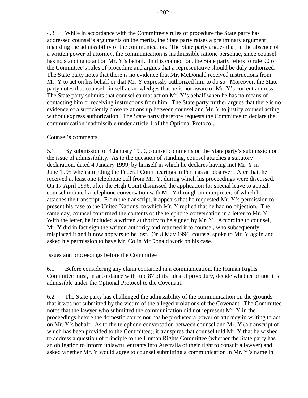4.3 While in accordance with the Committee's rules of procedure the State party has addressed counsel's arguments on the merits, the State party raises a preliminary argument regarding the admissibility of the communication. The State party argues that, in the absence of a written power of attorney, the communication is inadmissible ratione personae, since counsel has no standing to act on Mr. Y's behalf. In this connection, the State party refers to rule 90 of the Committee's rules of procedure and argues that a representative should be duly authorized. The State party notes that there is no evidence that Mr. McDonald received instructions from Mr. Y to act on his behalf or that Mr. Y expressly authorized him to do so. Moreover, the State party notes that counsel himself acknowledges that he is not aware of Mr. Y's current address. The State party submits that counsel cannot act on Mr. Y's behalf when he has no means of contacting him or receiving instructions from him. The State party further argues that there is no evidence of a sufficiently close relationship between counsel and Mr. Y to justify counsel acting without express authorization. The State party therefore requests the Committee to declare the communication inadmissible under article 1 of the Optional Protocol.

#### Counsel's comments

5.1 By submission of 4 January 1999, counsel comments on the State party's submission on the issue of admissibility. As to the question of standing, counsel attaches a statutory declaration, dated 4 January 1999, by himself in which he declares having met Mr. Y in June 1995 when attending the Federal Court hearings in Perth as an observer. Afer that, he received at least one telephone call from Mr. Y, during which his proceedings were discussed. On 17 April 1996, after the High Court dismissed the application for special leave to appeal, counsel initiated a telephone conversation with Mr. Y through an interpreter, of which he attaches the transcript. From the transcript, it appears that he requested Mr. Y's permission to present his case to the United Nations, to which Mr. Y replied that he had no objection. The same day, counsel confirmed the contents of the telephone conversation in a letter to Mr. Y. With the letter, he included a written authority to be signed by Mr. Y. According to counsel, Mr. Y did in fact sign the written authority and returned it to counsel, who subsequently misplaced it and it now appears to be lost. On 8 May 1996, counsel spoke to Mr. Y again and asked his permission to have Mr. Colin McDonald work on his case.

#### Issues and proceedings before the Committee

6.1 Before considering any claim contained in a communication, the Human Rights Committee must, in accordance with rule 87 of its rules of procedure, decide whether or not it is admissible under the Optional Protocol to the Covenant.

6.2 The State party has challenged the admissibility of the communication on the grounds that it was not submitted by the victim of the alleged violations of the Covenant. The Committee notes that the lawyer who submitted the communication did not represent Mr. Y in the proceedings before the domestic courts nor has he produced a power of attorney in writing to act on Mr. Y's behalf. As to the telephone conversation between counsel and Mr. Y (a transcript of which has been provided to the Committee), it transpires that counsel told Mr. Y that he wished to address a question of principle to the Human Rights Committee (whether the State party has an obligation to inform unlawful entrants into Australia of their right to consult a lawyer) and asked whether Mr. Y would agree to counsel submitting a communication in Mr. Y's name in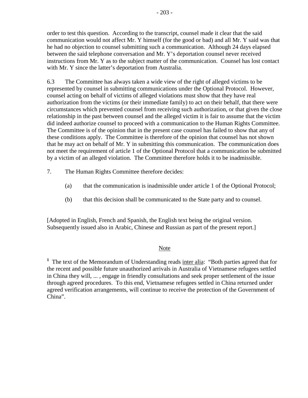order to test this question. According to the transcript, counsel made it clear that the said communication would not affect Mr. Y himself (for the good or bad) and all Mr. Y said was that he had no objection to counsel submitting such a communication. Although 24 days elapsed between the said telephone conversation and Mr. Y's deportation counsel never received instructions from Mr. Y as to the subject matter of the communication. Counsel has lost contact with Mr. Y since the latter's deportation from Australia.

6.3 The Committee has always taken a wide view of the right of alleged victims to be represented by counsel in submitting communications under the Optional Protocol. However, counsel acting on behalf of victims of alleged violations must show that they have real authorization from the victims (or their immediate family) to act on their behalf, that there were circumstances which prevented counsel from receiving such authorization, or that given the close relationship in the past between counsel and the alleged victim it is fair to assume that the victim did indeed authorize counsel to proceed with a communication to the Human Rights Committee. The Committee is of the opinion that in the present case counsel has failed to show that any of these conditions apply. The Committee is therefore of the opinion that counsel has not shown that he may act on behalf of Mr. Y in submitting this communication. The communication does not meet the requirement of article 1 of the Optional Protocol that a communication be submitted by a victim of an alleged violation. The Committee therefore holds it to be inadmissible.

- 7. The Human Rights Committee therefore decides:
	- (a) that the communication is inadmissible under article 1 of the Optional Protocol;
	- (b) that this decision shall be communicated to the State party and to counsel.

[Adopted in English, French and Spanish, the English text being the original version. Subsequently issued also in Arabic, Chinese and Russian as part of the present report.]

#### Note

<sup>1</sup> The text of the Memorandum of Understanding reads inter alia: "Both parties agreed that for the recent and possible future unauthorized arrivals in Australia of Vietnamese refugees settled in China they will, ... , engage in friendly consultations and seek proper settlement of the issue through agreed procedures. To this end, Vietnamese refugees settled in China returned under agreed verification arrangements, will continue to receive the protection of the Government of China".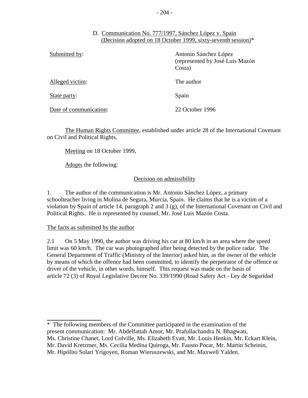### D. Communication No. 777/1997, Sánchez López v. Spain (Decision adopted on 18 October 1999, sixty-seventh session)\*

| Submitted by:          | Antonio Sánchez López<br>(represented by José Luis Mazón<br>Costa) |
|------------------------|--------------------------------------------------------------------|
| Alleged victim:        | The author                                                         |
| State party:           | Spain                                                              |
| Date of communication: | 22 October 1996                                                    |

The Human Rights Committee, established under article 28 of the International Covenant on Civil and Political Rights,

Meeting on 18 October 1999,

Adopts the following:

Decision on admissibility

1. The author of the communication is Mr. Antonio Sánchez López, a primary schoolteacher living in Molina de Segura, Murcia, Spain. He claims that he is a victim of a violation by Spain of article 14, paragraph 2 and 3 (g), of the International Covenant on Civil and Political Rights. He is represented by counsel, Mr. José Luis Mazón Costa.

# The facts as submitted by the author

2.1 On 5 May 1990, the author was driving his car at 80 km/h in an area where the speed limit was 60 km/h. The car was photographed after being detected by the police radar. The General Department of Traffic (Ministry of the Interior) asked him, as the owner of the vehicle by means of which the offence had been committed, to identify the perpetrator of the offence or driver of the vehicle, in other words, himself. This request was made on the basis of article 72 (3) of Royal Legislative Decree No. 339/1990 (Road Safety Act - Ley de Seguridad

 $\overline{a}$ \* The following members of the Committee participated in the examination of the present communication: Mr. Abdelfattah Amor, Mr. Prafullachandra N. Bhagwati, Ms. Christine Chanet, Lord Colville, Ms. Elizabeth Evatt, Mr. Louis Henkin, Mr. Eckart Klein, Mr. David Kretzmer, Ms. Cecilia Medina Quiroga, Mr. Fausto Pocar, Mr. Martin Scheinin, Mr. Hipólito Solari Yrigoyen, Roman Wieruszewski, and Mr. Maxwell Yalden.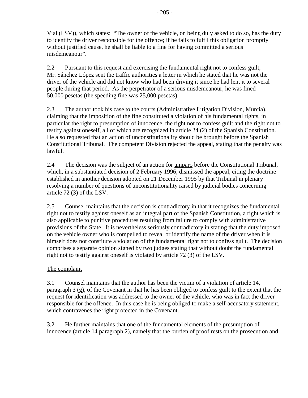Vial (LSV)), which states: "The owner of the vehicle, on being duly asked to do so, has the duty to identify the driver responsible for the offence; if he fails to fulfil this obligation promptly without justified cause, he shall be liable to a fine for having committed a serious misdemeanour".

2.2 Pursuant to this request and exercising the fundamental right not to confess guilt, Mr. Sánchez López sent the traffic authorities a letter in which he stated that he was not the driver of the vehicle and did not know who had been driving it since he had lent it to several people during that period. As the perpetrator of a serious misdemeanour, he was fined 50,000 pesetas (the speeding fine was 25,000 pesetas).

2.3 The author took his case to the courts (Administrative Litigation Division, Murcia), claiming that the imposition of the fine constituted a violation of his fundamental rights, in particular the right to presumption of innocence, the right not to confess guilt and the right not to testify against oneself, all of which are recognized in article 24 (2) of the Spanish Constitution. He also requested that an action of unconstitutionality should be brought before the Spanish Constitutional Tribunal. The competent Division rejected the appeal, stating that the penalty was lawful.

2.4 The decision was the subject of an action for <u>amparo</u> before the Constitutional Tribunal, which, in a substantiated decision of 2 February 1996, dismissed the appeal, citing the doctrine established in another decision adopted on 21 December 1995 by that Tribunal in plenary resolving a number of questions of unconstitutionality raised by judicial bodies concerning article 72 (3) of the LSV.

2.5 Counsel maintains that the decision is contradictory in that it recognizes the fundamental right not to testify against oneself as an integral part of the Spanish Constitution, a right which is also applicable to punitive procedures resulting from failure to comply with administrative provisions of the State. It is nevertheless seriously contradictory in stating that the duty imposed on the vehicle owner who is compelled to reveal or identify the name of the driver when it is himself does not constitute a violation of the fundamental right not to confess guilt. The decision comprises a separate opinion signed by two judges stating that without doubt the fundamental right not to testify against oneself is violated by article 72 (3) of the LSV.

# The complaint

3.1 Counsel maintains that the author has been the victim of a violation of article 14, paragraph 3 (g), of the Covenant in that he has been obliged to confess guilt to the extent that the request for identification was addressed to the owner of the vehicle, who was in fact the driver responsible for the offence. In this case he is being obliged to make a self-accusatory statement, which contravenes the right protected in the Covenant.

3.2 He further maintains that one of the fundamental elements of the presumption of innocence (article 14 paragraph 2), namely that the burden of proof rests on the prosecution and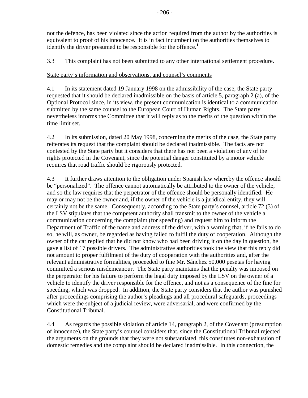not the defence, has been violated since the action required from the author by the authorities is equivalent to proof of his innocence. It is in fact incumbent on the authorities themselves to identify the driver presumed to be responsible for the offence.**<sup>1</sup>**

3.3 This complaint has not been submitted to any other international settlement procedure.

# State party's information and observations, and counsel's comments

4.1 In its statement dated 19 January 1998 on the admissibility of the case, the State party requested that it should be declared inadmissible on the basis of article 5, paragraph 2 (a), of the Optional Protocol since, in its view, the present communication is identical to a communication submitted by the same counsel to the European Court of Human Rights. The State party nevertheless informs the Committee that it will reply as to the merits of the question within the time limit set.

4.2 In its submission, dated 20 May 1998, concerning the merits of the case, the State party reiterates its request that the complaint should be declared inadmissible. The facts are not contested by the State party but it considers that there has not been a violation of any of the rights protected in the Covenant, since the potential danger constituted by a motor vehicle requires that road traffic should be rigorously protected.

4.3 It further draws attention to the obligation under Spanish law whereby the offence should be "personalized". The offence cannot automatically be attributed to the owner of the vehicle, and so the law requires that the perpetrator of the offence should be personally identified. He may or may not be the owner and, if the owner of the vehicle is a juridical entity, they will certainly not be the same. Consequently, according to the State party's counsel, article 72 (3) of the LSV stipulates that the competent authority shall transmit to the owner of the vehicle a communication concerning the complaint (for speeding) and request him to inform the Department of Traffic of the name and address of the driver, with a warning that, if he fails to do so, he will, as owner, be regarded as having failed to fulfil the duty of cooperation. Although the owner of the car replied that he did not know who had been driving it on the day in question, he gave a list of 17 possible drivers. The administrative authorities took the view that this reply did not amount to proper fulfilment of the duty of cooperation with the authorities and, after the relevant administrative formalities, proceeded to fine Mr. Sánchez 50,000 pesetas for having committed a serious misdemeanour. The State party maintains that the penalty was imposed on the perpetrator for his failure to perform the legal duty imposed by the LSV on the owner of a vehicle to identify the driver responsible for the offence, and not as a consequence of the fine for speeding, which was dropped. In addition, the State party considers that the author was punished after proceedings comprising the author's pleadings and all procedural safeguards, proceedings which were the subject of a judicial review, were adversarial, and were confirmed by the Constitutional Tribunal.

4.4 As regards the possible violation of article 14, paragraph 2, of the Covenant (presumption of innocence), the State party's counsel considers that, since the Constitutional Tribunal rejected the arguments on the grounds that they were not substantiated, this constitutes non-exhaustion of domestic remedies and the complaint should be declared inadmissible. In this connection, the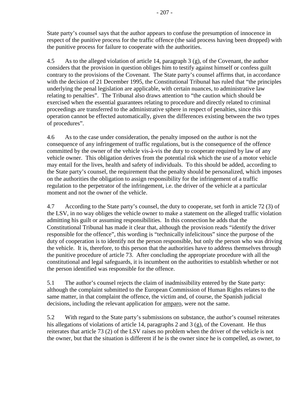State party's counsel says that the author appears to confuse the presumption of innocence in respect of the punitive process for the traffic offence (the said process having been dropped) with the punitive process for failure to cooperate with the authorities.

4.5 As to the alleged violation of article 14, paragraph 3 (g), of the Covenant, the author considers that the provision in question obliges him to testify against himself or confess guilt contrary to the provisions of the Covenant. The State party's counsel affirms that, in accordance with the decision of 21 December 1995, the Constitutional Tribunal has ruled that "the principles underlying the penal legislation are applicable, with certain nuances, to administrative law relating to penalties". The Tribunal also draws attention to "the caution which should be exercised when the essential guarantees relating to procedure and directly related to criminal proceedings are transferred to the administrative sphere in respect of penalties, since this operation cannot be effected automatically, given the differences existing between the two types of procedures".

4.6 As to the case under consideration, the penalty imposed on the author is not the consequence of any infringement of traffic regulations, but is the consequence of the offence committed by the owner of the vehicle vis-à-vis the duty to cooperate required by law of any vehicle owner. This obligation derives from the potential risk which the use of a motor vehicle may entail for the lives, health and safety of individuals. To this should be added, according to the State party's counsel, the requirement that the penalty should be personalized, which imposes on the authorities the obligation to assign responsibility for the infringement of a traffic regulation to the perpetrator of the infringement, i.e. the driver of the vehicle at a particular moment and not the owner of the vehicle.

4.7 According to the State party's counsel, the duty to cooperate, set forth in article 72 (3) of the LSV, in no way obliges the vehicle owner to make a statement on the alleged traffic violation admitting his guilt or assuming responsibilities. In this connection he adds that the Constitutional Tribunal has made it clear that, although the provision reads "identify the driver responsible for the offence", this wording is "technically infelicitous" since the purpose of the duty of cooperation is to identify not the person responsible, but only the person who was driving the vehicle. It is, therefore, to this person that the authorities have to address themselves through the punitive procedure of article 73. After concluding the appropriate procedure with all the constitutional and legal safeguards, it is incumbent on the authorities to establish whether or not the person identified was responsible for the offence.

5.1 The author's counsel rejects the claim of inadmissibility entered by the State party: although the complaint submitted to the European Commission of Human Rights relates to the same matter, in that complaint the offence, the victim and, of course, the Spanish judicial decisions, including the relevant application for amparo, were not the same.

5.2 With regard to the State party's submissions on substance, the author's counsel reiterates his allegations of violations of article 14, paragraphs 2 and 3 (g), of the Covenant. He thus reiterates that article 73 (2) of the LSV raises no problem when the driver of the vehicle is not the owner, but that the situation is different if he is the owner since he is compelled, as owner, to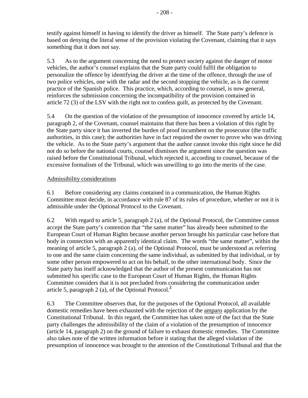testify against himself in having to identify the driver as himself. The State party's defence is based on denying the literal sense of the provision violating the Covenant, claiming that it says something that it does not say.

5.3 As to the argument concerning the need to protect society against the danger of motor vehicles, the author's counsel explains that the State party could fulfil the obligation to personalize the offence by identifying the driver at the time of the offence, through the use of two police vehicles, one with the radar and the second stopping the vehicle, as is the current practice of the Spanish police. This practice, which, according to counsel, is now general, reinforces the submission concerning the incompatibility of the provision contained in article 72 (3) of the LSV with the right not to confess guilt, as protected by the Covenant.

5.4 On the question of the violation of the presumption of innocence covered by article 14, paragraph 2, of the Covenant, counsel maintains that there has been a violation of this right by the State party since it has inverted the burden of proof incumbent on the prosecutor (the traffic authorities, in this case); the authorities have in fact required the owner to prove who was driving the vehicle. As to the State party's argument that the author cannot invoke this right since he did not do so before the national courts, counsel dismisses the argument since the question was raised before the Constitutional Tribunal, which rejected it, according to counsel, because of the excessive formalism of the Tribunal, which was unwilling to go into the merits of the case.

### Admissibility considerations

6.1 Before considering any claims contained in a communication, the Human Rights Committee must decide, in accordance with rule 87 of its rules of procedure, whether or not it is admissible under the Optional Protocol to the Covenant.

6.2 With regard to article 5, paragraph 2 (a), of the Optional Protocol, the Committee cannot accept the State party's contention that "the same matter" has already been submitted to the European Court of Human Rights because another person brought his particular case before that body in connection with an apparently identical claim. The words "the same matter", within the meaning of article 5, paragraph 2 (a), of the Optional Protocol, must be understood as referring to one and the same claim concerning the same individual, as submitted by that individual, or by some other person empowered to act on his behalf, to the other international body. Since the State party has itself acknowledged that the author of the present communication has not submitted his specific case to the European Court of Human Rights, the Human Rights Committee considers that it is not precluded from considering the communication under article 5, paragraph 2 (a), of the Optional Protocol.**<sup>2</sup>**

6.3 The Committee observes that, for the purposes of the Optional Protocol, all available domestic remedies have been exhausted with the rejection of the amparo application by the Constitutional Tribunal. In this regard, the Committee has taken note of the fact that the State party challenges the admissibility of the claim of a violation of the presumption of innocence (article 14, paragraph 2) on the ground of failure to exhaust domestic remedies. The Committee also takes note of the written information before it stating that the alleged violation of the presumption of innocence was brought to the attention of the Constitutional Tribunal and that the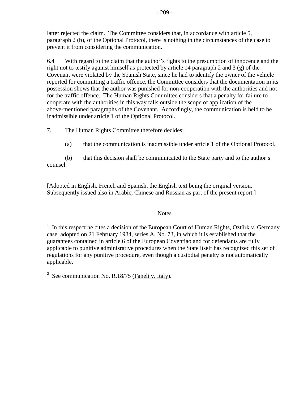latter rejected the claim. The Committee considers that, in accordance with article 5, paragraph 2 (b), of the Optional Protocol, there is nothing in the circumstances of the case to prevent it from considering the communication.

6.4 With regard to the claim that the author's rights to the presumption of innocence and the right not to testify against himself as protected by article 14 paragraph 2 and 3 (g) of the Covenant were violated by the Spanish State, since he had to identify the owner of the vehicle reported for committing a traffic offence, the Committee considers that the documentation in its possession shows that the author was punished for non-cooperation with the authorities and not for the traffic offence. The Human Rights Committee considers that a penalty for failure to cooperate with the authorities in this way falls outside the scope of application of the above-mentioned paragraphs of the Covenant. Accordingly, the communication is held to be inadmissible under article 1 of the Optional Protocol.

7. The Human Rights Committee therefore decides:

(a) that the communication is inadmissible under article 1 of the Optional Protocol.

(b) that this decision shall be communicated to the State party and to the author's counsel.

[Adopted in English, French and Spanish, the English text being the original version. Subsequently issued also in Arabic, Chinese and Russian as part of the present report.]

# Notes

<sup>1</sup> In this respect he cites a decision of the European Court of Human Rights, Oztürk v. Germany case, adopted on 21 February 1984, series A, No. 73, in which it is established that the guarantees contained in article 6 of the European Coventiao and for defendants are fully applicable to punitive adminisrative procedures when the State itself has recognized this set of regulations for any punitive procedure, even though a custodial penalty is not automatically applicable.

<sup>2</sup> See communication No. R.18/75 (Faneli v. Italy).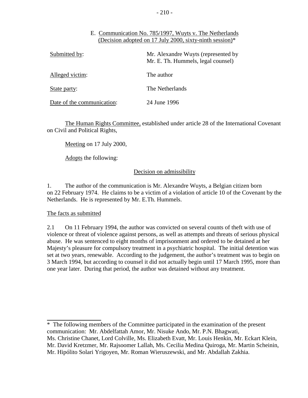#### $-210-$

#### E. Communication No. 785/1997, Wuyts v. The Netherlands (Decision adopted on 17 July 2000, sixty-ninth session)\*

| Submitted by:              | Mr. Alexandre Wuyts (represented by<br>Mr. E. Th. Hummels, legal counsel) |
|----------------------------|---------------------------------------------------------------------------|
| Alleged victim:            | The author                                                                |
| State party:               | The Netherlands                                                           |
| Date of the communication: | 24 June 1996                                                              |

The Human Rights Committee, established under article 28 of the International Covenant on Civil and Political Rights,

Meeting on 17 July 2000,

Adopts the following:

### Decision on admissibility

1. The author of the communication is Mr. Alexandre Wuyts, a Belgian citizen born on 22 February 1974. He claims to be a victim of a violation of article 10 of the Covenant by the Netherlands. He is represented by Mr. E.Th. Hummels.

#### The facts as submitted

 $\overline{a}$ 

2.1 On 11 February 1994, the author was convicted on several counts of theft with use of violence or threat of violence against persons, as well as attempts and threats of serious physical abuse. He was sentenced to eight months of imprisonment and ordered to be detained at her Majesty's pleasure for compulsory treatment in a psychiatric hospital. The initial detention was set at two years, renewable. According to the judgement, the author's treatment was to begin on 3 March 1994, but according to counsel it did not actually begin until 17 March 1995, more than one year later. During that period, the author was detained without any treatment.

\* The following members of the Committee participated in the examination of the present communication: Mr. Abdelfattah Amor, Mr. Nisuke Ando, Mr. P.N. Bhagwati, Ms. Christine Chanet, Lord Colville, Ms. Elizabeth Evatt, Mr. Louis Henkin, Mr. Eckart Klein,

Mr. David Kretzmer, Mr. Rajsoomer Lallah, Ms. Cecilia Medina Quiroga, Mr. Martin Scheinin, Mr. Hipólito Solari Yrigoyen, Mr. Roman Wieruszewski, and Mr. Abdallah Zakhia.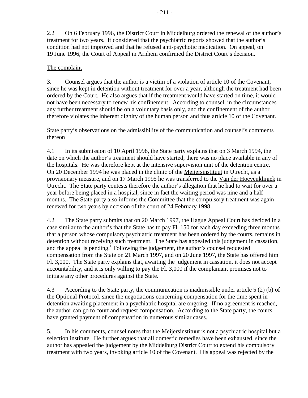2.2 On 6 February 1996, the District Court in Middelburg ordered the renewal of the author's treatment for two years. It considered that the psychiatric reports showed that the author's condition had not improved and that he refused anti-psychotic medication. On appeal, on 19 June 1996, the Court of Appeal in Arnhem confirmed the District Court's decision.

# The complaint

3. Counsel argues that the author is a victim of a violation of article 10 of the Covenant, since he was kept in detention without treatment for over a year, although the treatment had been ordered by the Court. He also argues that if the treatment would have started on time, it would not have been necessary to renew his confinement. According to counsel, in the circumstances any further treatment should be on a voluntary basis only, and the confinement of the author therefore violates the inherent dignity of the human person and thus article 10 of the Covenant.

# State party's observations on the admissibility of the communication and counsel's comments thereon

4.1 In its submission of 10 April 1998, the State party explains that on 3 March 1994, the date on which the author's treatment should have started, there was no place available in any of the hospitals. He was therefore kept at the intensive supervision unit of the detention centre. On 20 December 1994 he was placed in the clinic of the Meijersinstituut in Utrecht, as a provisionary measure, and on 17 March 1995 he was transferred to the Van der Hoevenkliniek in Utrecht. The State party contests therefore the author's allegation that he had to wait for over a year before being placed in a hospital, since in fact the waiting period was nine and a half months. The State party also informs the Committee that the compulsory treatment was again renewed for two years by decision of the court of 24 February 1998.

4.2 The State party submits that on 20 March 1997, the Hague Appeal Court has decided in a case similar to the author's that the State has to pay Fl. 150 for each day exceeding three months that a person whose compulsory psychiatric treatment has been ordered by the courts, remains in detention without receiving such treatment. The State has appealed this judgement in cassation, and the appeal is pending.**<sup>1</sup>** Following the judgement, the author's counsel requested compensation from the State on 21 March 1997, and on 20 June 1997, the State has offered him Fl. 3,000. The State party explains that, awaiting the judgement in cassation, it does not accept accountability, and it is only willing to pay the Fl. 3,000 if the complainant promises not to initiate any other procedures against the State.

4.3 According to the State party, the communication is inadmissible under article 5 (2) (b) of the Optional Protocol, since the negotiations concerning compensation for the time spent in detention awaiting placement in a psychiatric hospital are ongoing. If no agreement is reached, the author can go to court and request compensation. According to the State party, the courts have granted payment of compensation in numerous similar cases.

5. In his comments, counsel notes that the Meijersinstituut is not a psychiatric hospital but a selection institute. He further argues that all domestic remedies have been exhausted, since the author has appealed the judgement by the Middelburg District Court to extend his compulsory treatment with two years, invoking article 10 of the Covenant. His appeal was rejected by the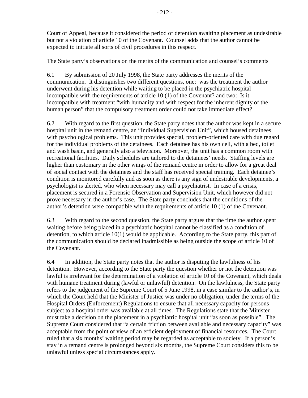Court of Appeal, because it considered the period of detention awaiting placement as undesirable but not a violation of article 10 of the Covenant. Counsel adds that the author cannot be expected to initiate all sorts of civil procedures in this respect.

#### The State party's observations on the merits of the communication and counsel's comments

6.1 By submission of 20 July 1998, the State party addresses the merits of the communication. It distinguishes two different questions, one: was the treatment the author underwent during his detention while waiting to be placed in the psychiatric hospital incompatible with the requirements of article 10 (1) of the Covenant? and two: Is it incompatible with treatment "with humanity and with respect for the inherent dignity of the human person" that the compulsory treatment order could not take immediate effect?

6.2 With regard to the first question, the State party notes that the author was kept in a secure hospital unit in the remand centre, an "Individual Supervision Unit", which housed detainees with psychological problems. This unit provides special, problem-oriented care with due regard for the individual problems of the detainees. Each detainee has his own cell, with a bed, toilet and wash basin, and generally also a television. Moreover, the unit has a common room with recreational facilities. Daily schedules are tailored to the detainees' needs. Staffing levels are higher than customary in the other wings of the remand centre in order to allow for a great deal of social contact with the detainees and the staff has received special training. Each detainee's condition is monitored carefully and as soon as there is any sign of undesirable developments, a psychologist is alerted, who when necessary may call a psychiatrist. In case of a crisis, placement is secured in a Forensic Observation and Supervision Unit, which however did not prove necessary in the author's case. The State party concludes that the conditions of the author's detention were compatible with the requirements of article 10 (1) of the Covenant.

6.3 With regard to the second question, the State party argues that the time the author spent waiting before being placed in a psychiatric hospital cannot be classified as a condition of detention, to which article 10(1) would be applicable. According to the State party, this part of the communication should be declared inadmissible as being outside the scope of article 10 of the Covenant.

6.4 In addition, the State party notes that the author is disputing the lawfulness of his detention. However, according to the State party the question whether or not the detention was lawful is irrelevant for the determination of a violation of article 10 of the Covenant, which deals with humane treatment during (lawful or unlawful) detention. On the lawfulness, the State party refers to the judgement of the Supreme Court of 5 June 1998, in a case similar to the author's, in which the Court held that the Minister of Justice was under no obligation, under the terms of the Hospital Orders (Enforcement) Regulations to ensure that all necessary capacity for persons subject to a hospital order was available at all times. The Regulations state that the Minister must take a decision on the placement in a psychiatric hospital unit "as soon as possible". The Supreme Court considered that "a certain friction between available and necessary capacity" was acceptable from the point of view of an efficient deployment of financial resources. The Court ruled that a six months' waiting period may be regarded as acceptable to society. If a person's stay in a remand centre is prolonged beyond six months, the Supreme Court considers this to be unlawful unless special circumstances apply.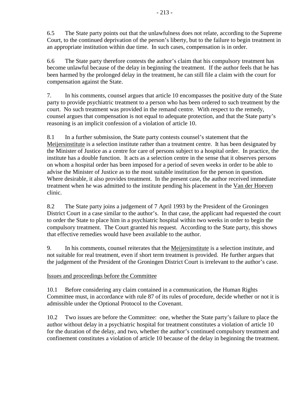6.5 The State party points out that the unlawfulness does not relate, according to the Supreme Court, to the continued deprivation of the person's liberty, but to the failure to begin treatment in an appropriate institution within due time. In such cases, compensation is in order.

6.6 The State party therefore contests the author's claim that his compulsory treatment has become unlawful because of the delay in beginning the treatment. If the author feels that he has been harmed by the prolonged delay in the treatment, he can still file a claim with the court for compensation against the State.

7. In his comments, counsel argues that article 10 encompasses the positive duty of the State party to provide psychiatric treatment to a person who has been ordered to such treatment by the court. No such treatment was provided in the remand centre. With respect to the remedy, counsel argues that compensation is not equal to adequate protection, and that the State party's reasoning is an implicit confession of a violation of article 10.

8.1 In a further submission, the State party contests counsel's statement that the Meijersinstitute is a selection institute rather than a treatment centre. It has been designated by the Minister of Justice as a centre for care of persons subject to a hospital order. In practice, the institute has a double function. It acts as a selection centre in the sense that it observes persons on whom a hospital order has been imposed for a period of seven weeks in order to be able to advise the Minister of Justice as to the most suitable institution for the person in question. Where desirable, it also provides treatment. In the present case, the author received immediate treatment when he was admitted to the institute pending his placement in the Van der Hoeven clinic.

8.2 The State party joins a judgement of 7 April 1993 by the President of the Groningen District Court in a case similar to the author's. In that case, the applicant had requested the court to order the State to place him in a psychiatric hospital within two weeks in order to begin the compulsory treatment. The Court granted his request. According to the State party, this shows that effective remedies would have been available to the author.

9. In his comments, counsel reiterates that the Meijersinstitute is a selection institute, and not suitable for real treatment, even if short term treatment is provided. He further argues that the judgement of the President of the Groningen District Court is irrelevant to the author's case.

# Issues and proceedings before the Committee

10.1 Before considering any claim contained in a communication, the Human Rights Committee must, in accordance with rule 87 of its rules of procedure, decide whether or not it is admissible under the Optional Protocol to the Covenant.

10.2 Two issues are before the Committee: one, whether the State party's failure to place the author without delay in a psychiatric hospital for treatment constitutes a violation of article 10 for the duration of the delay, and two, whether the author's continued compulsory treatment and confinement constitutes a violation of article 10 because of the delay in beginning the treatment.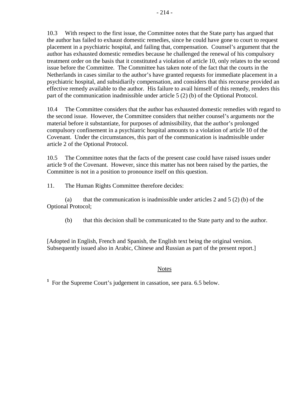10.3 With respect to the first issue, the Committee notes that the State party has argued that the author has failed to exhaust domestic remedies, since he could have gone to court to request placement in a psychiatric hospital, and failing that, compensation. Counsel's argument that the author has exhausted domestic remedies because he challenged the renewal of his compulsory treatment order on the basis that it constituted a violation of article 10, only relates to the second issue before the Committee. The Committee has taken note of the fact that the courts in the Netherlands in cases similar to the author's have granted requests for immediate placement in a psychiatric hospital, and subsidiarily compensation, and considers that this recourse provided an effective remedy available to the author. His failure to avail himself of this remedy, renders this part of the communication inadmissible under article 5 (2) (b) of the Optional Protocol.

10.4 The Committee considers that the author has exhausted domestic remedies with regard to the second issue. However, the Committee considers that neither counsel's arguments nor the material before it substantiate, for purposes of admissibility, that the author's prolonged compulsory confinement in a psychiatric hospital amounts to a violation of article 10 of the Covenant. Under the circumstances, this part of the communication is inadmissible under article 2 of the Optional Protocol.

10.5 The Committee notes that the facts of the present case could have raised issues under article 9 of the Covenant. However, since this matter has not been raised by the parties, the Committee is not in a position to pronounce itself on this question.

11. The Human Rights Committee therefore decides:

(a) that the communication is inadmissible under articles 2 and 5 (2) (b) of the Optional Protocol;

(b) that this decision shall be communicated to the State party and to the author.

[Adopted in English, French and Spanish, the English text being the original version. Subsequently issued also in Arabic, Chinese and Russian as part of the present report.]

# Notes

<sup>1</sup> For the Supreme Court's judgement in cassation, see para. 6.5 below.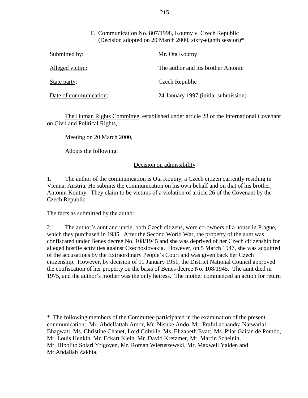#### $-215-$

### F. Communication No. 807/1998, Koutny v. Czech Republic (Decision adopted on 20 March 2000, sixty-eighth session)\*

| Submitted by:          | Mr. Ota Koutny                       |
|------------------------|--------------------------------------|
| Alleged victim:        | The author and his brother Antonin   |
| State party:           | Czech Republic                       |
| Date of communication: | 24 January 1997 (initial submission) |

The Human Rights Committee, established under article 28 of the International Covenant on Civil and Political Rights,

Meeting on 20 March 2000,

Adopts the following:

# Decision on admissibility

1. The author of the communication is Ota Koutny, a Czech citizen currently residing in Vienna, Austria. He submits the communication on his own behalf and on that of his brother, Antonin Koutny. They claim to be victims of a violation of article 26 of the Covenant by the Czech Republic.

#### The facts as submitted by the author

 $\overline{a}$ 

2.1 The author's aunt and uncle, both Czech citizens, were co-owners of a house in Prague, which they purchased in 1935. After the Second World War, the property of the aunt was confiscated under Benes decree No. 108/1945 and she was deprived of her Czech citizenship for alleged hostile activities against Czechoslovakia. However, on 5 March 1947, she was acquitted of the accusations by the Extraordinary People's Court and was given back her Czech citizenship. However, by decision of 11 January 1951, the District National Council approved the confiscation of her property on the basis of Benes decree No. 108/1945. The aunt died in 1975, and the author's mother was the only heiress. The mother commenced an action for return

<sup>\*</sup> The following members of the Committee participated in the examination of the present communication: Mr. Abdelfattah Amor, Mr. Nisuke Ando, Mr. Prafullachandra Natwarlal Bhagwati, Ms. Christine Chanet, Lord Colville, Ms. Elizabeth Evatt, Ms. Pilar Gaitan de Pombo, Mr. Louis Henkin, Mr. Eckart Klein, Mr. David Kretzmer, Mr. Martin Scheinin, Mr. Hipolito Solari Yrigoyen, Mr. Roman Wieruszewski, Mr. Maxwell Yalden and Mr.Abdallah Zakhia.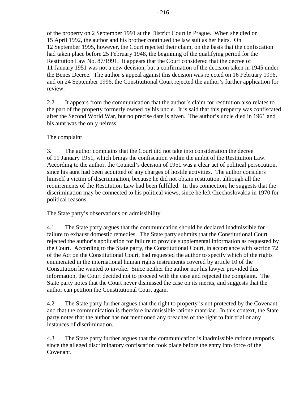of the property on 2 September 1991 at the District Court in Prague. When she died on 15 April 1992, the author and his brother continued the law suit as her heirs. On 12 September 1995, however, the Court rejected their claim, on the basis that the confiscation had taken place before 25 February 1948, the beginning of the qualifying period for the Restitution Law No. 87/1991. It appears that the Court considered that the decree of 11 January 1951 was not a new decision, but a confirmation of the decision taken in 1945 under the Benes Decree. The author's appeal against this decision was rejected on 16 February 1996, and on 24 September 1996, the Constitutional Court rejected the author's further application for review.

2.2 It appears from the communication that the author's claim for restitution also relates to the part of the property formerly owned by his uncle. It is said that this property was confiscated after the Second World War, but no precise date is given. The author's uncle died in 1961 and his aunt was the only heiress.

# The complaint

3. The author complains that the Court did not take into consideration the decree of 11 January 1951, which brings the confiscation within the ambit of the Restitution Law. According to the author, the Council's decision of 1951 was a clear act of political persecution, since his aunt had been acquitted of any charges of hostile activities. The author considers himself a victim of discrimination, because he did not obtain restitution, although all the requirements of the Restitution Law had been fulfilled. In this connection, he suggests that the discrimination may be connected to his political views, since he left Czechoslovakia in 1970 for political reasons.

#### The State party's observations on admissibility

4.1 The State party argues that the communication should be declared inadmissible for failure to exhaust domestic remedies. The State party submits that the Constitutional Court rejected the author's application for failure to provide supplemental information as requested by the Court. According to the State party, the Constitutional Court, in accordance with section 72 of the Act on the Constitutional Court, had requested the author to specify which of the rights enumerated in the international human rights instruments covered by article 10 of the Constitution he wanted to invoke. Since neither the author nor his lawyer provided this information, the Court decided not to proceed with the case and rejected the complaint. The State party notes that the Court never dismissed the case on its merits, and suggests that the author can petition the Constitutional Court again.

4.2 The State party further argues that the right to property is not protected by the Covenant and that the communication is therefore inadmissible ratione materiae. In this context, the State party notes that the author has not mentioned any breaches of the right to fair trial or any instances of discrimination.

4.3 The State party further argues that the communication is inadmissible ratione temporis since the alleged discriminatory confiscation took place before the entry into force of the Covenant.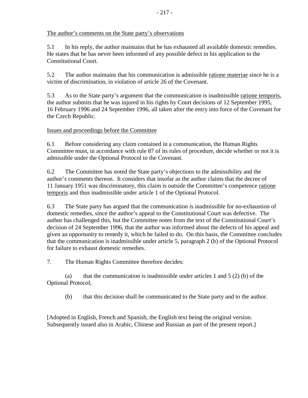# The author's comments on the State party's observations

5.1 In his reply, the author maintains that he has exhausted all available domestic remedies. He states that he has never been informed of any possible defect in his application to the Constitutional Court.

5.2 The author maintains that his communication is admissible ratione materiae since he is a victim of discrimination, in violation of article 26 of the Covenant.

5.3 As to the State party's argument that the communication is inadmissible ratione temporis, the author submits that he was injured in his rights by Court decisions of 12 September 1995, 16 February 1996 and 24 September 1996, all taken after the entry into force of the Covenant for the Czech Republic.

# Issues and proceedings before the Committee

6.1 Before considering any claim contained in a communication, the Human Rights Committee must, in accordance with rule 87 of its rules of procedure, decide whether or not it is admissible under the Optional Protocol to the Covenant.

6.2 The Committee has noted the State party's objections to the admissibility and the author's comments thereon. It considers that insofar as the author claims that the decree of 11 January 1951 was discriminatory, this claim is outside the Committee's competence ratione temporis and thus inadmissible under article 1 of the Optional Protocol.

6.3 The State party has argued that the communication is inadmissible for no-exhaustion of domestic remedies, since the author's appeal to the Constitutional Court was defective. The author has challenged this, but the Committee notes from the text of the Constitutional Court's decision of 24 September 1996, that the author was informed about the defects of his appeal and given an opportunity to remedy it, which he failed to do. On this basis, the Committee concludes that the communication is inadmissible under article 5, paragraph 2 (b) of the Optional Protocol for failure to exhaust domestic remedies.

7. The Human Rights Committee therefore decides:

(a) that the communication is inadmissible under articles 1 and  $5(2)$  (b) of the Optional Protocol;

(b) that this decision shall be communicated to the State party and to the author.

[Adopted in English, French and Spanish, the English text being the original version. Subsequently issued also in Arabic, Chinese and Russian as part of the present report.]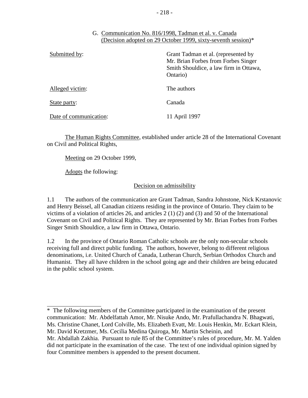#### G. Communication No. 816/1998, Tadman et al. v. Canada (Decision adopted on 29 October 1999, sixty-seventh session)\*

| Submitted by:          | Grant Tadman et al. (represented by<br>Mr. Brian Forbes from Forbes Singer<br>Smith Shouldice, a law firm in Ottawa,<br>Ontario) |
|------------------------|----------------------------------------------------------------------------------------------------------------------------------|
| Alleged victim:        | The authors                                                                                                                      |
| State party:           | Canada                                                                                                                           |
| Date of communication: | 11 April 1997                                                                                                                    |

The Human Rights Committee, established under article 28 of the International Covenant on Civil and Political Rights,

Meeting on 29 October 1999,

Adopts the following:

 $\overline{a}$ 

Decision on admissibility

1.1 The authors of the communication are Grant Tadman, Sandra Johnstone, Nick Krstanovic and Henry Beissel, all Canadian citizens residing in the province of Ontario. They claim to be victims of a violation of articles 26, and articles 2 (1) (2) and (3) and 50 of the International Covenant on Civil and Political Rights. They are represented by Mr. Brian Forbes from Forbes Singer Smith Shouldice, a law firm in Ottawa, Ontario.

1.2 In the province of Ontario Roman Catholic schools are the only non-secular schools receiving full and direct public funding. The authors, however, belong to different religious denominations, i.e. United Church of Canada, Lutheran Church, Serbian Orthodox Church and Humanist. They all have children in the school going age and their children are being educated in the public school system.

<sup>\*</sup> The following members of the Committee participated in the examination of the present communication: Mr. Abdelfattah Amor, Mr. Nisuke Ando, Mr. Prafullachandra N. Bhagwati, Ms. Christine Chanet, Lord Colville, Ms. Elizabeth Evatt, Mr. Louis Henkin, Mr. Eckart Klein, Mr. David Kretzmer, Ms. Cecilia Medina Quiroga, Mr. Martin Scheinin, and Mr. Abdallah Zakhia. Pursuant to rule 85 of the Committee's rules of procedure, Mr. M. Yalden did not participate in the examination of the case. The text of one individual opinion signed by four Committee members is appended to the present document.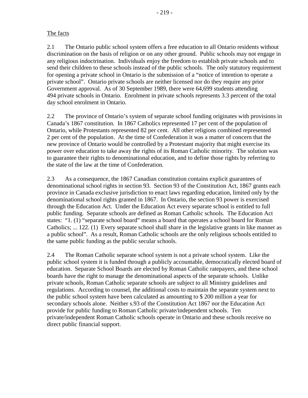# The facts

2.1 The Ontario public school system offers a free education to all Ontario residents without discrimination on the basis of religion or on any other ground. Public schools may not engage in any religious indoctrination. Individuals enjoy the freedom to establish private schools and to send their children to these schools instead of the public schools. The only statutory requirement for opening a private school in Ontario is the submission of a "notice of intention to operate a private school". Ontario private schools are neither licensed nor do they require any prior Government approval. As of 30 September 1989, there were 64,699 students attending 494 private schools in Ontario. Enrolment in private schools represents 3.3 percent of the total day school enrolment in Ontario.

2.2 The province of Ontario's system of separate school funding originates with provisions in Canada's 1867 constitution. In 1867 Catholics represented 17 per cent of the population of Ontario, while Protestants represented 82 per cent. All other religions combined represented 2 per cent of the population. At the time of Confederation it was a matter of concern that the new province of Ontario would be controlled by a Protestant majority that might exercise its power over education to take away the rights of its Roman Catholic minority. The solution was to guarantee their rights to denominational education, and to define those rights by referring to the state of the law at the time of Confederation.

2.3 As a consequence, the 1867 Canadian constitution contains explicit guarantees of denominational school rights in section 93. Section 93 of the Constitution Act, 1867 grants each province in Canada exclusive jurisdiction to enact laws regarding education, limited only by the denominational school rights granted in 1867. In Ontario, the section 93 power is exercised through the Education Act. Under the Education Act every separate school is entitled to full public funding. Separate schools are defined as Roman Catholic schools. The Education Act states: "1. (1) "separate school board" means a board that operates a school board for Roman Catholics; ... 122. (1) Every separate school shall share in the legislative grants in like manner as a public school". As a result, Roman Catholic schools are the only religious schools entitled to the same public funding as the public secular schools.

2.4 The Roman Catholic separate school system is not a private school system. Like the public school system it is funded through a publicly accountable, democratically elected board of education. Separate School Boards are elected by Roman Catholic ratepayers, and these school boards have the right to manage the denominational aspects of the separate schools. Unlike private schools, Roman Catholic separate schools are subject to all Ministry guidelines and regulations. According to counsel, the additional costs to maintain the separate system next to the public school system have been calculated as amounting to \$ 200 million a year for secondary schools alone. Neither s.93 of the Constitution Act 1867 nor the Education Act provide for public funding to Roman Catholic private/independent schools. Ten private/independent Roman Catholic schools operate in Ontario and these schools receive no direct public financial support.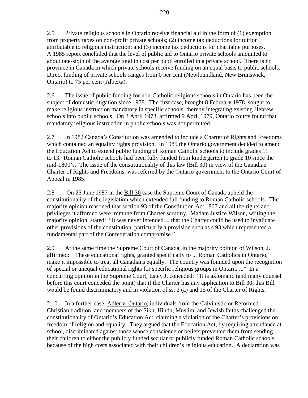2.5 Private religious schools in Ontario receive financial aid in the form of (1) exemption from property taxes on non-profit private schools; (2) income tax deductions for tuition attributable to religious instruction; and (3) income tax deductions for charitable purposes. A 1985 report concluded that the level of public aid to Ontario private schools amounted to about one-sixth of the average total in cost per pupil enrolled in a private school. There is no province in Canada in which private schools receive funding on an equal basis to public schools. Direct funding of private schools ranges from 0 per cent (Newfoundland, New Brunswick, Ontario) to 75 per cent (Alberta).

2.6 The issue of public funding for non-Catholic religious schools in Ontario has been the subject of domestic litigation since 1978. The first case, brought 8 February 1978, sought to make religious instruction mandatory in specific schools, thereby integrating existing Hebrew schools into public schools. On 3 April 1978, affirmed 9 April 1979, Ontario courts found that mandatory religious instruction in public schools was not permitted.

2.7 In 1982 Canada's Constitution was amended to include a Charter of Rights and Freedoms which contained an equality rights provision. In 1985 the Ontario government decided to amend the Education Act to extend public funding of Roman Catholic schools to include grades 11 to 13. Roman Catholic schools had been fully funded from kindergarten to grade 10 since the mid-1800's. The issue of the constitutionality of this law (Bill 30) in view of the Canadian Charter of Rights and Freedoms, was referred by the Ontario government to the Ontario Court of Appeal in 1985.

2.8 On 25 June 1987 in the Bill 30 case the Supreme Court of Canada upheld the constitutionality of the legislation which extended full funding to Roman Catholic schools. The majority opinion reasoned that section 93 of the Constitution Act 1867 and all the rights and privileges it afforded were immune from Charter scrutiny. Madam Justice Wilson, writing the majority opinion, stated: "It was never intended ... that the Charter could be used to invalidate other provisions of the constitution, particularly a provision such as s.93 which represented a fundamental part of the Confederation compromise."

2.9 At the same time the Supreme Court of Canada, in the majority opinion of Wilson, J. affirmed: "These educational rights, granted specifically to ... Roman Catholics in Ontario, make it impossible to treat all Canadians equally. The country was founded upon the recognition of special or unequal educational rights for specific religious groups in Ontario ..." In a concurring opinion in the Supreme Court, Estey J. conceded: "It is axiomatic (and many counsel before this court conceded the point) that if the Charter has any application to Bill 30, this Bill would be found discriminatory and in violation of ss. 2 (a) and 15 of the Charter of Rights."

2.10 In a further case, Adler v. Ontario, individuals from the Calvinistic or Reformed Christian tradition, and members of the Sikh, Hindu, Muslim, and Jewish faiths challenged the constitutionality of Ontario's Education Act, claiming a violation of the Charter's provisions on freedom of religion and equality. They argued that the Education Act, by requiring attendance at school, discriminated against those whose conscience or beliefs prevented them from sending their children to either the publicly funded secular or publicly funded Roman Catholic schools, because of the high costs associated with their children's religious education. A declaration was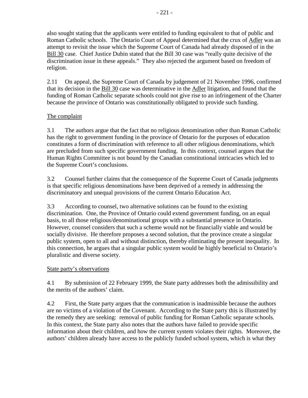also sought stating that the applicants were entitled to funding equivalent to that of public and Roman Catholic schools. The Ontario Court of Appeal determined that the crux of Adler was an attempt to revisit the issue which the Supreme Court of Canada had already disposed of in the Bill 30 case. Chief Justice Dubin stated that the Bill 30 case was "really quite decisive of the discrimination issue in these appeals." They also rejected the argument based on freedom of religion.

2.11 On appeal, the Supreme Court of Canada by judgement of 21 November 1996, confirmed that its decision in the Bill 30 case was determinative in the Adler litigation, and found that the funding of Roman Catholic separate schools could not give rise to an infringement of the Charter because the province of Ontario was constitutionally obligated to provide such funding.

# The complaint

3.1 The authors argue that the fact that no religious denomination other than Roman Catholic has the right to government funding in the province of Ontario for the purposes of education constitutes a form of discrimination with reference to all other religious denominations, which are precluded from such specific government funding. In this context, counsel argues that the Human Rights Committee is not bound by the Canadian constitutional intricacies which led to the Supreme Court's conclusions.

3.2 Counsel further claims that the consequence of the Supreme Court of Canada judgments is that specific religious denominations have been deprived of a remedy in addressing the discriminatory and unequal provisions of the current Ontario Education Act.

3.3 According to counsel, two alternative solutions can be found to the existing discrimination. One, the Province of Ontario could extend government funding, on an equal basis, to all those religious/denominational groups with a substantial presence in Ontario. However, counsel considers that such a scheme would not be financially viable and would be socially divisive. He therefore proposes a second solution, that the province create a singular public system, open to all and without distinction, thereby eliminating the present inequality. In this connection, he argues that a singular public system would be highly beneficial to Ontario's pluralistic and diverse society.

# State party's observations

4.1 By submission of 22 February 1999, the State party addresses both the admissibility and the merits of the authors' claim.

4.2 First, the State party argues that the communication is inadmissible because the authors are no victims of a violation of the Covenant. According to the State party this is illustrated by the remedy they are seeking: removal of public funding for Roman Catholic separate schools. In this context, the State party also notes that the authors have failed to provide specific information about their children, and how the current system violates their rights. Moreover, the authors' children already have access to the publicly funded school system, which is what they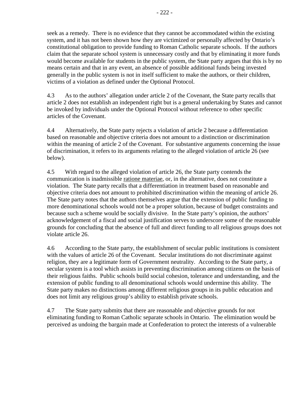seek as a remedy. There is no evidence that they cannot be accommodated within the existing system, and it has not been shown how they are victimized or personally affected by Ontario's constitutional obligation to provide funding to Roman Catholic separate schools. If the authors claim that the separate school system is unnecessary costly and that by eliminating it more funds would become available for students in the public system, the State party argues that this is by no means certain and that in any event, an absence of possible additional funds being invested generally in the public system is not in itself sufficient to make the authors, or their children, victims of a violation as defined under the Optional Protocol.

4.3 As to the authors' allegation under article 2 of the Covenant, the State party recalls that article 2 does not establish an independent right but is a general undertaking by States and cannot be invoked by individuals under the Optional Protocol without reference to other specific articles of the Covenant.

4.4 Alternatively, the State party rejects a violation of article 2 because a differentiation based on reasonable and objective criteria does not amount to a distinction or discrimination within the meaning of article 2 of the Covenant. For substantive arguments concerning the issue of discrimination, it refers to its arguments relating to the alleged violation of article 26 (see below).

4.5 With regard to the alleged violation of article 26, the State party contends the communication is inadmissible ratione materiae, or, in the alternative, does not constitute a violation. The State party recalls that a differentiation in treatment based on reasonable and objective criteria does not amount to prohibited discrimination within the meaning of article 26. The State party notes that the authors themselves argue that the extension of public funding to more denominational schools would not be a proper solution, because of budget constraints and because such a scheme would be socially divisive. In the State party's opinion, the authors' acknowledgement of a fiscal and social justification serves to underscore some of the reasonable grounds for concluding that the absence of full and direct funding to all religious groups does not violate article 26.

4.6 According to the State party, the establishment of secular public institutions is consistent with the values of article 26 of the Covenant. Secular institutions do not discriminate against religion, they are a legitimate form of Government neutrality. According to the State party, a secular system is a tool which assists in preventing discrimination among citizens on the basis of their religious faiths. Public schools build social cohesion, tolerance and understanding, and the extension of public funding to all denominational schools would undermine this ability. The State party makes no distinctions among different religious groups in its public education and does not limit any religious group's ability to establish private schools.

4.7 The State party submits that there are reasonable and objective grounds for not eliminating funding to Roman Catholic separate schools in Ontario. The elimination would be perceived as undoing the bargain made at Confederation to protect the interests of a vulnerable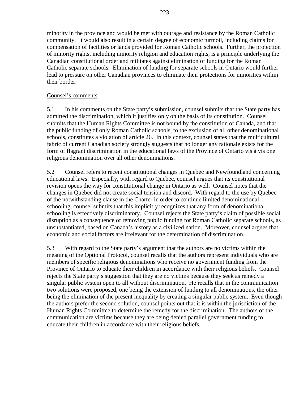minority in the province and would be met with outrage and resistance by the Roman Catholic community. It would also result in a certain degree of economic turmoil, including claims for compensation of facilities or lands provided for Roman Catholic schools. Further, the protection of minority rights, including minority religion and education rights, is a principle underlying the Canadian constitutional order and militates against elimination of funding for the Roman Catholic separate schools. Elimination of funding for separate schools in Ontario would further lead to pressure on other Canadian provinces to eliminate their protections for minorities within their border.

#### Counsel's comments

5.1 In his comments on the State party's submission, counsel submits that the State party has admitted the discrimination, which it justifies only on the basis of its constitution. Counsel submits that the Human Rights Committee is not bound by the constitution of Canada, and that the public funding of only Roman Catholic schools, to the exclusion of all other denominational schools, constitutes a violation of article 26. In this context, counsel states that the multicultural fabric of current Canadian society strongly suggests that no longer any rationale exists for the form of flagrant discrimination in the educational laws of the Province of Ontario vis à vis one religious denomination over all other denominations.

5.2 Counsel refers to recent constitutional changes in Quebec and Newfoundland concerning educational laws. Especially, with regard to Quebec, counsel argues that its constitutional revision opens the way for constitutional change in Ontario as well. Counsel notes that the changes in Quebec did not create social tension and discord. With regard to the use by Quebec of the notwithstanding clause in the Charter in order to continue limited denominational schooling, counsel submits that this implicitly recognizes that any form of denominational schooling is effectively discriminatory. Counsel rejects the State party's claim of possible social disruption as a consequence of removing public funding for Roman Catholic separate schools, as unsubstantiated, based on Canada's history as a civilized nation. Moreover, counsel argues that economic and social factors are irrelevant for the determination of discrimination.

5.3 With regard to the State party's argument that the authors are no victims within the meaning of the Optional Protocol, counsel recalls that the authors represent individuals who are members of specific religious denominations who receive no government funding from the Province of Ontario to educate their children in accordance with their religious beliefs. Counsel rejects the State party's suggestion that they are no victims because they seek as remedy a singular public system open to all without discrimination. He recalls that in the communication two solutions were proposed, one being the extension of funding to all denominations, the other being the elimination of the present inequality by creating a singular public system. Even though the authors prefer the second solution, counsel points out that it is within the jurisdiction of the Human Rights Committee to determine the remedy for the discrimination. The authors of the communication are victims because they are being denied parallel government funding to educate their children in accordance with their religious beliefs.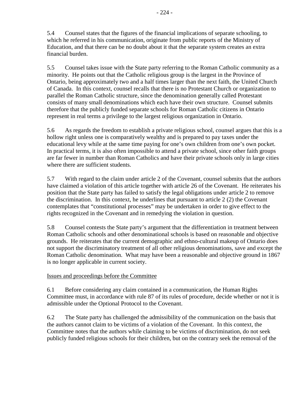5.4 Counsel states that the figures of the financial implications of separate schooling, to which he referred in his communication, originate from public reports of the Ministry of Education, and that there can be no doubt about it that the separate system creates an extra financial burden.

5.5 Counsel takes issue with the State party referring to the Roman Catholic community as a minority. He points out that the Catholic religious group is the largest in the Province of Ontario, being approximately two and a half times larger than the next faith, the United Church of Canada. In this context, counsel recalls that there is no Protestant Church or organization to parallel the Roman Catholic structure, since the denomination generally called Protestant consists of many small denominations which each have their own structure. Counsel submits therefore that the publicly funded separate schools for Roman Catholic citizens in Ontario represent in real terms a privilege to the largest religious organization in Ontario.

5.6 As regards the freedom to establish a private religious school, counsel argues that this is a hollow right unless one is comparatively wealthy and is prepared to pay taxes under the educational levy while at the same time paying for one's own children from one's own pocket. In practical terms, it is also often impossible to attend a private school, since other faith groups are far fewer in number than Roman Catholics and have their private schools only in large cities where there are sufficient students.

5.7 With regard to the claim under article 2 of the Covenant, counsel submits that the authors have claimed a violation of this article together with article 26 of the Covenant. He reiterates his position that the State party has failed to satisfy the legal obligations under article 2 to remove the discrimination. In this context, he underlines that pursuant to article 2 (2) the Covenant contemplates that "constitutional processes" may be undertaken in order to give effect to the rights recognized in the Covenant and in remedying the violation in question.

5.8 Counsel contests the State party's argument that the differentiation in treatment between Roman Catholic schools and other denominational schools is based on reasonable and objective grounds. He reiterates that the current demographic and ethno-cultural makeup of Ontario does not support the discriminatory treatment of all other religious denominations, save and except the Roman Catholic denomination. What may have been a reasonable and objective ground in 1867 is no longer applicable in current society.

# Issues and proceedings before the Committee

6.1 Before considering any claim contained in a communication, the Human Rights Committee must, in accordance with rule 87 of its rules of procedure, decide whether or not it is admissible under the Optional Protocol to the Covenant.

6.2 The State party has challenged the admissibility of the communication on the basis that the authors cannot claim to be victims of a violation of the Covenant. In this context, the Committee notes that the authors while claiming to be victims of discrimination, do not seek publicly funded religious schools for their children, but on the contrary seek the removal of the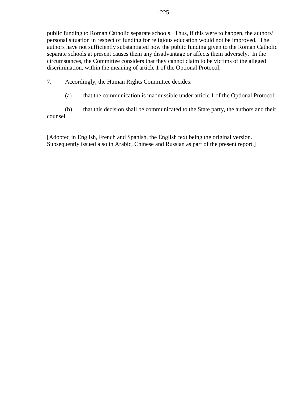public funding to Roman Catholic separate schools. Thus, if this were to happen, the authors' personal situation in respect of funding for religious education would not be improved. The authors have not sufficiently substantiated how the public funding given to the Roman Catholic separate schools at present causes them any disadvantage or affects them adversely. In the circumstances, the Committee considers that they cannot claim to be victims of the alleged discrimination, within the meaning of article 1 of the Optional Protocol.

7. Accordingly, the Human Rights Committee decides:

(a) that the communication is inadmissible under article 1 of the Optional Protocol;

(b) that this decision shall be communicated to the State party, the authors and their counsel.

[Adopted in English, French and Spanish, the English text being the original version. Subsequently issued also in Arabic, Chinese and Russian as part of the present report.]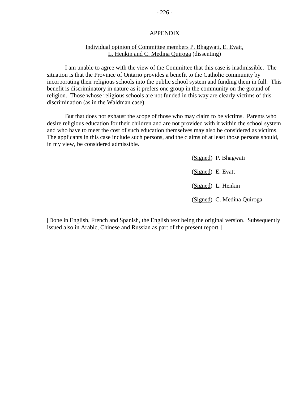#### APPENDIX

#### Individual opinion of Committee members P. Bhagwati, E. Evatt, L. Henkin and C. Medina Quiroga (dissenting)

I am unable to agree with the view of the Committee that this case is inadmissible. The situation is that the Province of Ontario provides a benefit to the Catholic community by incorporating their religious schools into the public school system and funding them in full. This benefit is discriminatory in nature as it prefers one group in the community on the ground of religion. Those whose religious schools are not funded in this way are clearly victims of this discrimination (as in the Waldman case).

But that does not exhaust the scope of those who may claim to be victims. Parents who desire religious education for their children and are not provided with it within the school system and who have to meet the cost of such education themselves may also be considered as victims. The applicants in this case include such persons, and the claims of at least those persons should, in my view, be considered admissible.

> (Signed) P. Bhagwati (Signed) E. Evatt (Signed) L. Henkin (Signed) C. Medina Quiroga

[Done in English, French and Spanish, the English text being the original version. Subsequently issued also in Arabic, Chinese and Russian as part of the present report.]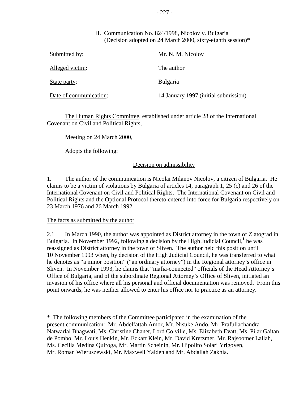#### - 227 -

#### H. Communication No. 824/1998, Nicolov v. Bulgaria (Decision adopted on 24 March 2000, sixty-eighth session)\*

| Submitted by:          | Mr. N. M. Nicolov                    |
|------------------------|--------------------------------------|
| Alleged victim:        | The author                           |
| State party:           | <b>Bulgaria</b>                      |
| Date of communication: | 14 January 1997 (initial submission) |

The Human Rights Committee, established under article 28 of the International Covenant on Civil and Political Rights,

Meeting on 24 March 2000,

Adopts the following:

Decision on admissibility

1. The author of the communication is Nicolai Milanov Nicolov, a citizen of Bulgaria. He claims to be a victim of violations by Bulgaria of articles 14, paragraph 1, 25 (c) and 26 of the International Covenant on Civil and Political Rights. The International Covenant on Civil and Political Rights and the Optional Protocol thereto entered into force for Bulgaria respectively on 23 March 1976 and 26 March 1992.

#### The facts as submitted by the author

 $\overline{a}$ 

2.1 In March 1990, the author was appointed as District attorney in the town of Zlatograd in Bulgaria. In November 1992, following a decision by the High Judicial Council,<sup>1</sup> he was reassigned as District attorney in the town of Sliven. The author held this position until 10 November 1993 when, by decision of the High Judicial Council, he was transferred to what he denotes as "a minor position" ("an ordinary attorney") in the Regional attorney's office in Sliven. In November 1993, he claims that "mafia-connected" officials of the Head Attorney's Office of Bulgaria, and of the subordinate Regional Attorney's Office of Sliven, initiated an invasion of his office where all his personal and official documentation was removed. From this point onwards, he was neither allowed to enter his office nor to practice as an attorney.

<sup>\*</sup> The following members of the Committee participated in the examination of the present communication: Mr. Abdelfattah Amor, Mr. Nisuke Ando, Mr. Prafullachandra Natwarlal Bhagwati, Ms. Christine Chanet, Lord Colville, Ms. Elizabeth Evatt, Ms. Pilar Gaitan de Pombo, Mr. Louis Henkin, Mr. Eckart Klein, Mr. David Kretzmer, Mr. Rajsoomer Lallah, Ms. Cecilia Medina Quiroga, Mr. Martin Scheinin, Mr. Hipolito Solari Yrigoyen, Mr. Roman Wieruszewski, Mr. Maxwell Yalden and Mr. Abdallah Zakhia.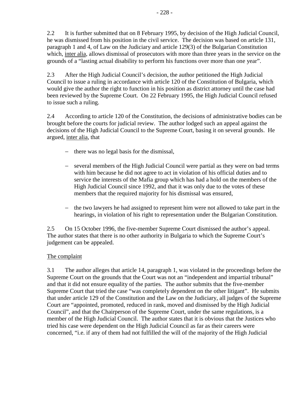2.2 It is further submitted that on 8 February 1995, by decision of the High Judicial Council, he was dismissed from his position in the civil service. The decision was based on article 131, paragraph 1 and 4, of Law on the Judiciary and article 129(3) of the Bulgarian Constitution which, inter alia, allows dismissal of prosecutors with more than three years in the service on the grounds of a "lasting actual disability to perform his functions over more than one year".

2.3 After the High Judicial Council's decision, the author petitioned the High Judicial Council to issue a ruling in accordance with article 120 of the Constitution of Bulgaria, which would give the author the right to function in his position as district attorney until the case had been reviewed by the Supreme Court. On 22 February 1995, the High Judicial Council refused to issue such a ruling.

2.4 According to article 120 of the Constitution, the decisions of administrative bodies can be brought before the courts for judicial review. The author lodged such an appeal against the decisions of the High Judicial Council to the Supreme Court, basing it on several grounds. He argued, inter alia, that

- − there was no legal basis for the dismissal,
- − several members of the High Judicial Council were partial as they were on bad terms with him because he did not agree to act in violation of his official duties and to service the interests of the Mafia group which has had a hold on the members of the High Judicial Council since 1992, and that it was only due to the votes of these members that the required majority for his dismissal was ensured,
- − the two lawyers he had assigned to represent him were not allowed to take part in the hearings, in violation of his right to representation under the Bulgarian Constitution.

2.5 On 15 October 1996, the five-member Supreme Court dismissed the author's appeal. The author states that there is no other authority in Bulgaria to which the Supreme Court's judgement can be appealed.

# The complaint

3.1 The author alleges that article 14, paragraph 1, was violated in the proceedings before the Supreme Court on the grounds that the Court was not an "independent and impartial tribunal" and that it did not ensure equality of the parties. The author submits that the five-member Supreme Court that tried the case "was completely dependent on the other litigant". He submits that under article 129 of the Constitution and the Law on the Judiciary, all judges of the Supreme Court are "appointed, promoted, reduced in rank, moved and dismissed by the High Judicial Council", and that the Chairperson of the Supreme Court, under the same regulations, is a member of the High Judicial Council. The author states that it is obvious that the Justices who tried his case were dependent on the High Judicial Council as far as their careers were concerned, "i.e. if any of them had not fulfilled the will of the majority of the High Judicial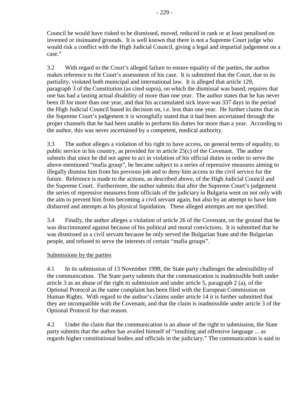Council he would have risked to be dismissed, moved, reduced in rank or at least penalised on invented or insinuated grounds. It is well known that there is not a Supreme Court judge who would risk a conflict with the High Judicial Council, giving a legal and impartial judgement on a case."

3.2 With regard to the Court's alleged failure to ensure equality of the parties, the author makes reference to the Court's assessment of his case. It is submitted that the Court, due to its partiality, violated both municipal and international law. It is alleged that article 129, paragraph 3 of the Constitution (as cited supra), on which the dismissal was based, requires that one has had a lasting actual disability of more than one year. The author states that he has never been ill for more than one year, and that his accumulated sick leave was 337 days in the period the High Judicial Council based its decision on, i.e. less than one year. He further claims that in the Supreme Court's judgement it is wrongfully stated that it had been ascertained through the proper channels that he had been unable to perform his duties for more than a year. According to the author, this was never ascertained by a competent, medical authority.

3.3 The author alleges a violation of his right to have access, on general terms of equality, to public service in his country, as provided for in article 25(c) of the Covenant. The author submits that since he did not agree to act in violation of his official duties in order to serve the above-mentioned "mafia group", he became subject to a series of repressive measures aiming to illegally dismiss him from his previous job and to deny him access to the civil service for the future. Reference is made to the actions, as described above, of the High Judicial Council and the Supreme Court. Furthermore, the author submits that after the Supreme Court's judgement the series of repressive measures from officials of the judiciary in Bulgaria went on not only with the aim to prevent him from becoming a civil servant again, but also by an attempt to have him disbarred and attempts at his physical liquidation. These alleged attempts are not specified.

3.4 Finally, the author alleges a violation of article 26 of the Covenant, on the ground that he was discriminated against because of his political and moral convictions. It is submitted that he was dismissed as a civil servant because he only served the Bulgarian State and the Bulgarian people, and refused to serve the interests of certain "mafia groups".

# Submissions by the parties

4.1 In its submission of 13 November 1998, the State party challenges the admissibility of the communication. The State party submits that the communication is inadmissible both under article 3 as an abuse of the right to submission and under article 5, paragraph 2 (a), of the Optional Protocol as the same complaint has been filed with the European Commission on Human Rights. With regard to the author's claims under article 14 it is further submitted that they are incompatible with the Covenant, and that the claim is inadmissible under article 3 of the Optional Protocol for that reason.

4.2 Under the claim that the communication is an abuse of the right to submission, the State party submits that the author has availed himself of "insulting and offensive language ... as regards higher constitutional bodies and officials in the judiciary." The communication is said to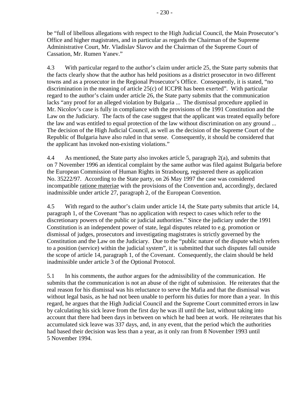be "full of libellous allegations with respect to the High Judicial Council, the Main Prosecutor's Office and higher magistrates, and in particular as regards the Chairman of the Supreme Administrative Court, Mr. Vladislav Slavov and the Chairman of the Supreme Court of Cassation, Mr. Rumen Yanev."

4.3 With particular regard to the author's claim under article 25, the State party submits that the facts clearly show that the author has held positions as a district prosecutor in two different towns and as a prosecutor in the Regional Prosecutor's Office. Consequently, it is stated, "no discrimination in the meaning of article 25(c) of ICCPR has been exerted". With particular regard to the author's claim under article 26, the State party submits that the communication lacks "any proof for an alleged violation by Bulgaria ... The dismissal procedure applied in Mr. Nicolov's case is fully in compliance with the provisions of the 1991 Constitution and the Law on the Judiciary. The facts of the case suggest that the applicant was treated equally before the law and was entitled to equal protection of the law without discrimination on any ground ... The decision of the High Judicial Council, as well as the decision of the Supreme Court of the Republic of Bulgaria have also ruled in that sense. Consequently, it should be considered that the applicant has invoked non-existing violations."

4.4 As mentioned, the State party also invokes article 5, paragraph 2(a), and submits that on 7 November 1996 an identical complaint by the same author was filed against Bulgaria before the European Commission of Human Rights in Strasbourg, registered there as application No. 35222/97. According to the State party, on 26 May 1997 the case was considered incompatible ratione materiae with the provisions of the Convention and, accordingly, declared inadmissible under article 27, paragraph 2, of the European Convention.

4.5 With regard to the author's claim under article 14, the State party submits that article 14, paragraph 1, of the Covenant "has no application with respect to cases which refer to the discretionary powers of the public or judicial authorities." Since the judiciary under the 1991 Constitution is an independent power of state, legal disputes related to e.g. promotion or dismissal of judges, prosecutors and investigating magistrates is strictly governed by the Constitution and the Law on the Judiciary. Due to the "public nature of the dispute which refers to a position (service) within the judicial system", it is submitted that such disputes fall outside the scope of article 14, paragraph 1, of the Covenant. Consequently, the claim should be held inadmissible under article 3 of the Optional Protocol.

5.1 In his comments, the author argues for the admissibility of the communication. He submits that the communication is not an abuse of the right of submission. He reiterates that the real reason for his dismissal was his reluctance to serve the Mafia and that the dismissal was without legal basis, as he had not been unable to perform his duties for more than a year. In this regard, he argues that the High Judicial Council and the Supreme Court committed errors in law by calculating his sick leave from the first day he was ill until the last, without taking into account that there had been days in between on which he had been at work. He reiterates that his accumulated sick leave was 337 days, and, in any event, that the period which the authorities had based their decision was less than a year, as it only ran from 8 November 1993 until 5 November 1994.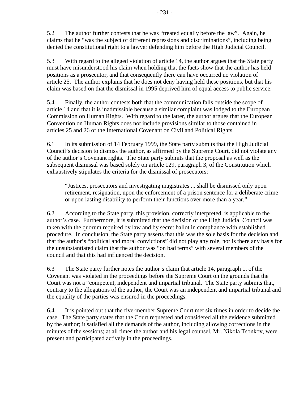5.2 The author further contests that he was "treated equally before the law". Again, he claims that he "was the subject of different repressions and discriminations", including being denied the constitutional right to a lawyer defending him before the High Judicial Council.

5.3 With regard to the alleged violation of article 14, the author argues that the State party must have misunderstood his claim when holding that the facts show that the author has held positions as a prosecutor, and that consequently there can have occurred no violation of article 25. The author explains that he does not deny having held these positions, but that his claim was based on that the dismissal in 1995 deprived him of equal access to public service.

5.4 Finally, the author contests both that the communication falls outside the scope of article 14 and that it is inadmissible because a similar complaint was lodged to the European Commission on Human Rights. With regard to the latter, the author argues that the European Convention on Human Rights does not include provisions similar to those contained in articles 25 and 26 of the International Covenant on Civil and Political Rights.

6.1 In its submission of 14 February 1999, the State party submits that the High Judicial Council's decision to dismiss the author, as affirmed by the Supreme Court, did not violate any of the author's Covenant rights. The State party submits that the proposal as well as the subsequent dismissal was based solely on article 129, paragraph 3, of the Constitution which exhaustively stipulates the criteria for the dismissal of prosecutors:

"Justices, prosecutors and investigating magistrates ... shall be dismissed only upon retirement, resignation, upon the enforcement of a prison sentence for a deliberate crime or upon lasting disability to perform their functions over more than a year."

6.2 According to the State party, this provision, correctly interpreted, is applicable to the author's case. Furthermore, it is submitted that the decision of the High Judicial Council was taken with the quorum required by law and by secret ballot in compliance with established procedure. In conclusion, the State party asserts that this was the sole basis for the decision and that the author's "political and moral convictions" did not play any role, nor is there any basis for the unsubstantiated claim that the author was "on bad terms" with several members of the council and that this had influenced the decision.

6.3 The State party further notes the author's claim that article 14, paragraph 1, of the Covenant was violated in the proceedings before the Supreme Court on the grounds that the Court was not a "competent, independent and impartial tribunal. The State party submits that, contrary to the allegations of the author, the Court was an independent and impartial tribunal and the equality of the parties was ensured in the proceedings.

6.4 It is pointed out that the five-member Supreme Court met six times in order to decide the case. The State party states that the Court requested and considered all the evidence submitted by the author; it satisfied all the demands of the author, including allowing corrections in the minutes of the sessions; at all times the author and his legal counsel, Mr. Nikola Tsonkov, were present and participated actively in the proceedings.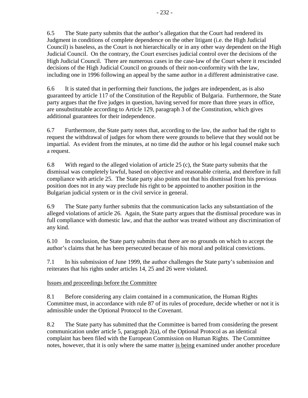6.5 The State party submits that the author's allegation that the Court had rendered its Judgment in conditions of complete dependence on the other litigant (i.e. the High Judicial Council) is baseless, as the Court is not hierarchically or in any other way dependent on the High Judicial Council. On the contrary, the Court exercises judicial control over the decisions of the High Judicial Council. There are numerous cases in the case-law of the Court where it rescinded decisions of the High Judicial Council on grounds of their non-conformity with the law, including one in 1996 following an appeal by the same author in a different administrative case.

6.6 It is stated that in performing their functions, the judges are independent, as is also guaranteed by article 117 of the Constitution of the Republic of Bulgaria. Furthermore, the State party argues that the five judges in question, having served for more than three years in office, are unsubstitutable according to Article 129, paragraph 3 of the Constitution, which gives additional guarantees for their independence.

6.7 Furthermore, the State party notes that, according to the law, the author had the right to request the withdrawal of judges for whom there were grounds to believe that they would not be impartial. As evident from the minutes, at no time did the author or his legal counsel make such a request.

6.8 With regard to the alleged violation of article 25 (c), the State party submits that the dismissal was completely lawful, based on objective and reasonable criteria, and therefore in full compliance with article 25. The State party also points out that his dismissal from his previous position does not in any way preclude his right to be appointed to another position in the Bulgarian judicial system or in the civil service in general.

6.9 The State party further submits that the communication lacks any substantiation of the alleged violations of article 26. Again, the State party argues that the dismissal procedure was in full compliance with domestic law, and that the author was treated without any discrimination of any kind.

6.10 In conclusion, the State party submits that there are no grounds on which to accept the author's claims that he has been persecuted because of his moral and political convictions.

7.1 In his submission of June 1999, the author challenges the State party's submission and reiterates that his rights under articles 14, 25 and 26 were violated.

Issues and proceedings before the Committee

8.1 Before considering any claim contained in a communication, the Human Rights Committee must, in accordance with rule 87 of its rules of procedure, decide whether or not it is admissible under the Optional Protocol to the Covenant.

8.2 The State party has submitted that the Committee is barred from considering the present communication under article 5, paragraph 2(a), of the Optional Protocol as an identical complaint has been filed with the European Commission on Human Rights. The Committee notes, however, that it is only where the same matter is being examined under another procedure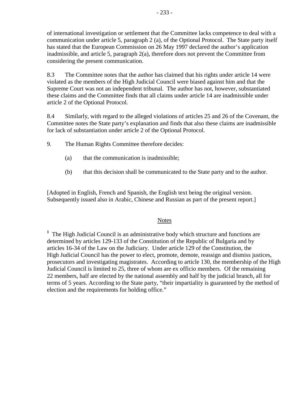of international investigation or settlement that the Committee lacks competence to deal with a communication under article 5, paragraph 2 (a), of the Optional Protocol. The State party itself has stated that the European Commission on 26 May 1997 declared the author's application inadmissible, and article 5, paragraph 2(a), therefore does not prevent the Committee from considering the present communication.

8.3 The Committee notes that the author has claimed that his rights under article 14 were violated as the members of the High Judicial Council were biased against him and that the Supreme Court was not an independent tribunal. The author has not, however, substantiated these claims and the Committee finds that all claims under article 14 are inadmissible under article 2 of the Optional Protocol.

8.4 Similarly, with regard to the alleged violations of articles 25 and 26 of the Covenant, the Committee notes the State party's explanation and finds that also these claims are inadmissible for lack of substantiation under article 2 of the Optional Protocol.

- 9. The Human Rights Committee therefore decides:
	- (a) that the communication is inadmissible;
	- (b) that this decision shall be communicated to the State party and to the author.

[Adopted in English, French and Spanish, the English text being the original version. Subsequently issued also in Arabic, Chinese and Russian as part of the present report.]

# **Notes**

<sup>1</sup> The High Judicial Council is an administrative body which structure and functions are determined by articles 129-133 of the Constitution of the Republic of Bulgaria and by articles 16-34 of the Law on the Judiciary. Under article 129 of the Constitution, the High Judicial Council has the power to elect, promote, demote, reassign and dismiss justices, prosecutors and investigating magistrates. According to article 130, the membership of the High Judicial Council is limited to 25, three of whom are ex officio members. Of the remaining 22 members, half are elected by the national assembly and half by the judicial branch, all for terms of 5 years. According to the State party, "their impartiality is guaranteed by the method of election and the requirements for holding office."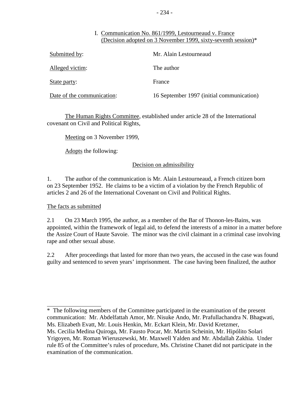# I. Communication No. 861/1999, Lestourneaud v. France (Decision adopted on 3 November 1999, sixty-seventh session)\*

| Submitted by:              | Mr. Alain Lestourneaud                    |
|----------------------------|-------------------------------------------|
| Alleged victim:            | The author                                |
| State party:               | France                                    |
| Date of the communication: | 16 September 1997 (initial communication) |

The Human Rights Committee, established under article 28 of the International covenant on Civil and Political Rights,

Meeting on 3 November 1999,

Adopts the following:

# Decision on admissibility

1. The author of the communication is Mr. Alain Lestourneaud, a French citizen born on 23 September 1952. He claims to be a victim of a violation by the French Republic of articles 2 and 26 of the International Covenant on Civil and Political Rights.

The facts as submitted

 $\overline{a}$ 

2.1 On 23 March 1995, the author, as a member of the Bar of Thonon-les-Bains, was appointed, within the framework of legal aid, to defend the interests of a minor in a matter before the Assize Court of Haute Savoie. The minor was the civil claimant in a criminal case involving rape and other sexual abuse.

2.2 After proceedings that lasted for more than two years, the accused in the case was found guilty and sentenced to seven years' imprisonment. The case having been finalized, the author

\* The following members of the Committee participated in the examination of the present communication: Mr. Abdelfattah Amor, Mr. Nisuke Ando, Mr. Prafullachandra N. Bhagwati, Ms. Elizabeth Evatt, Mr. Louis Henkin, Mr. Eckart Klein, Mr. David Kretzmer, Ms. Cecilia Medina Quiroga, Mr. Fausto Pocar, Mr. Martin Scheinin, Mr. Hipólito Solari

Yrigoyen, Mr. Roman Wieruszewski, Mr. Maxwell Yalden and Mr. Abdallah Zakhia. Under rule 85 of the Committee's rules of procedure, Ms. Christine Chanet did not participate in the examination of the communication.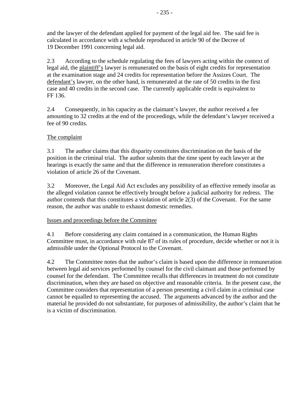and the lawyer of the defendant applied for payment of the legal aid fee. The said fee is calculated in accordance with a schedule reproduced in article 90 of the Decree of 19 December 1991 concerning legal aid.

2.3 According to the schedule regulating the fees of lawyers acting within the context of legal aid, the plaintiff's lawyer is remunerated on the basis of eight credits for representation at the examination stage and 24 credits for representation before the Assizes Court. The defendant's lawyer, on the other hand, is remunerated at the rate of 50 credits in the first case and 40 credits in the second case. The currently applicable credit is equivalent to FF 136.

2.4 Consequently, in his capacity as the claimant's lawyer, the author received a fee amounting to 32 credits at the end of the proceedings, while the defendant's lawyer received a fee of 90 credits.

# The complaint

3.1 The author claims that this disparity constitutes discrimination on the basis of the position in the criminal trial. The author submits that the time spent by each lawyer at the hearings is exactly the same and that the difference in remuneration therefore constitutes a violation of article 26 of the Covenant.

3.2 Moreover, the Legal Aid Act excludes any possibility of an effective remedy insofar as the alleged violation cannot be effectively brought before a judicial authority for redress. The author contends that this constitutes a violation of article 2(3) of the Covenant. For the same reason, the author was unable to exhaust domestic remedies.

# Issues and proceedings before the Committee

4.1 Before considering any claim contained in a communication, the Human Rights Committee must, in accordance with rule 87 of its rules of procedure, decide whether or not it is admissible under the Optional Protocol to the Covenant.

4.2 The Committee notes that the author's claim is based upon the difference in remuneration between legal aid services performed by counsel for the civil claimant and those performed by counsel for the defendant. The Committee recalls that differences in treatment do not constitute discrimination, when they are based on objective and reasonable criteria. In the present case, the Committee considers that representation of a person presenting a civil claim in a criminal case cannot be equalled to representing the accused. The arguments advanced by the author and the material he provided do not substantiate, for purposes of admissibility, the author's claim that he is a victim of discrimination.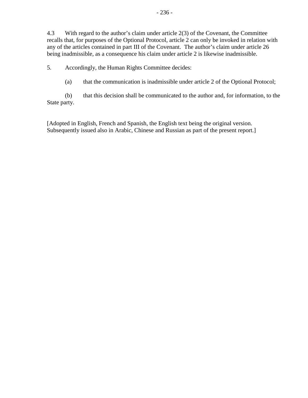4.3 With regard to the author's claim under article 2(3) of the Covenant, the Committee recalls that, for purposes of the Optional Protocol, article 2 can only be invoked in relation with any of the articles contained in part III of the Covenant. The author's claim under article 26 being inadmissible, as a consequence his claim under article 2 is likewise inadmissible.

5. Accordingly, the Human Rights Committee decides:

(a) that the communication is inadmissible under article 2 of the Optional Protocol;

(b) that this decision shall be communicated to the author and, for information, to the State party.

[Adopted in English, French and Spanish, the English text being the original version. Subsequently issued also in Arabic, Chinese and Russian as part of the present report.]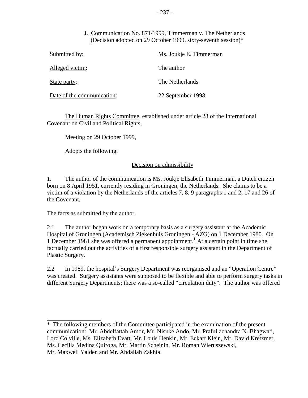#### - 237 -

#### J. Communication No. 871/1999, Timmerman v. The Netherlands (Decision adopted on 29 October 1999, sixty-seventh session)\*

| Submitted by:              | Ms. Joukje E. Timmerman |
|----------------------------|-------------------------|
| Alleged victim:            | The author              |
| State party:               | The Netherlands         |
| Date of the communication: | 22 September 1998       |

The Human Rights Committee, established under article 28 of the International Covenant on Civil and Political Rights,

Meeting on 29 October 1999,

Adopts the following:

Decision on admissibility

1. The author of the communication is Ms. Joukje Elisabeth Timmerman, a Dutch citizen born on 8 April 1951, currently residing in Groningen, the Netherlands. She claims to be a victim of a violation by the Netherlands of the articles 7, 8, 9 paragraphs 1 and 2, 17 and 26 of the Covenant.

# The facts as submitted by the author

 $\overline{a}$ 

2.1 The author began work on a temporary basis as a surgery assistant at the Academic Hospital of Groningen (Academisch Ziekenhuis Groningen - AZG) on 1 December 1980. On 1 December 1981 she was offered a permanent appointment.**<sup>1</sup>** At a certain point in time she factually carried out the activities of a first responsible surgery assistant in the Department of Plastic Surgery.

2.2 In 1989, the hospital's Surgery Department was reorganised and an "Operation Centre" was created. Surgery assistants were supposed to be flexible and able to perform surgery tasks in different Surgery Departments; there was a so-called "circulation duty". The author was offered

<sup>\*</sup> The following members of the Committee participated in the examination of the present communication: Mr. Abdelfattah Amor, Mr. Nisuke Ando, Mr. Prafullachandra N. Bhagwati, Lord Colville, Ms. Elizabeth Evatt, Mr. Louis Henkin, Mr. Eckart Klein, Mr. David Kretzmer, Ms. Cecilia Medina Quiroga, Mr. Martin Scheinin, Mr. Roman Wieruszewski, Mr. Maxwell Yalden and Mr. Abdallah Zakhia.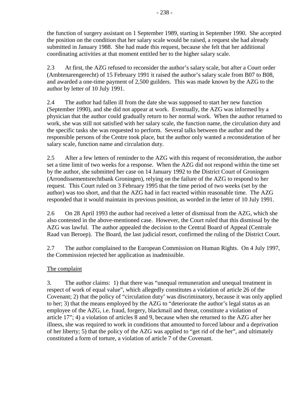the function of surgery assistant on 1 September 1989, starting in September 1990. She accepted the position on the condition that her salary scale would be raised, a request she had already submitted in January 1988. She had made this request, because she felt that her additional coordinating activities at that moment entitled her to the higher salary scale.

2.3 At first, the AZG refused to reconsider the author's salary scale, but after a Court order (Ambtenarengerecht) of 15 February 1991 it raised the author's salary scale from B07 to B08, and awarded a one-time payment of 2,500 guilders. This was made known by the AZG to the author by letter of 10 July 1991.

2.4 The author had fallen ill from the date she was supposed to start her new function (September 1990), and she did not appear at work. Eventually, the AZG was informed by a physician that the author could gradually return to her normal work. When the author returned to work, she was still not satisfied with her salary scale, the function name, the circulation duty and the specific tasks she was requested to perform. Several talks between the author and the responsible persons of the Centre took place, but the author only wanted a reconsideration of her salary scale, function name and circulation duty.

2.5 After a few letters of reminder to the AZG with this request of reconsideration, the author set a time limit of two weeks for a response. When the AZG did not respond within the time set by the author, she submitted her case on 14 January 1992 to the District Court of Groningen (Arrondissementsrechtbank Groningen), relying on the failure of the AZG to respond to her request. This Court ruled on 3 February 1995 that the time period of two weeks (set by the author) was too short, and that the AZG had in fact reacted within reasonable time. The AZG responded that it would maintain its previous position, as worded in the letter of 10 July 1991.

2.6 On 28 April 1993 the author had received a letter of dismissal from the AZG, which she also contested in the above-mentioned case. However, the Court ruled that this dismissal by the AZG was lawful. The author appealed the decision to the Central Board of Appeal (Centrale Raad van Beroep). The Board, the last judicial resort, confirmed the ruling of the District Court.

2.7 The author complained to the European Commission on Human Rights. On 4 July 1997, the Commission rejected her application as inadmissible.

# The complaint

3. The author claims: 1) that there was "unequal remuneration and unequal treatment in respect of work of equal value", which allegedly constitutes a violation of article 26 of the Covenant; 2) that the policy of "circulation duty' was discriminatory, because it was only applied to her; 3) that the means employed by the AZG to "deteriorate the author's legal status as an employee of the AZG, i.e. fraud, forgery, blackmail and threat, constitute a violation of article 17"; 4) a violation of articles 8 and 9, because when she returned to the AZG after her illness, she was required to work in conditions that amounted to forced labour and a deprivation of her liberty; 5) that the policy of the AZG was applied to "get rid of the her", and ultimately constituted a form of torture, a violation of article 7 of the Covenant.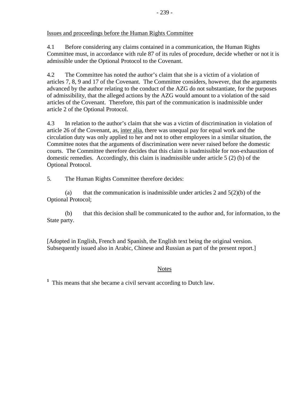## Issues and proceedings before the Human Rights Committee

4.1 Before considering any claims contained in a communication, the Human Rights Committee must, in accordance with rule 87 of its rules of procedure, decide whether or not it is admissible under the Optional Protocol to the Covenant.

4.2 The Committee has noted the author's claim that she is a victim of a violation of articles 7, 8, 9 and 17 of the Covenant. The Committee considers, however, that the arguments advanced by the author relating to the conduct of the AZG do not substantiate, for the purposes of admissibility, that the alleged actions by the AZG would amount to a violation of the said articles of the Covenant. Therefore, this part of the communication is inadmissible under article 2 of the Optional Protocol.

4.3 In relation to the author's claim that she was a victim of discrimination in violation of article 26 of the Covenant, as, inter alia, there was unequal pay for equal work and the circulation duty was only applied to her and not to other employees in a similar situation, the Committee notes that the arguments of discrimination were never raised before the domestic courts. The Committee therefore decides that this claim is inadmissible for non-exhaustion of domestic remedies. Accordingly, this claim is inadmissible under article 5 (2) (b) of the Optional Protocol.

5. The Human Rights Committee therefore decides:

(a) that the communication is inadmissible under articles 2 and  $5(2)(b)$  of the Optional Protocol;

(b) that this decision shall be communicated to the author and, for information, to the State party.

[Adopted in English, French and Spanish, the English text being the original version. Subsequently issued also in Arabic, Chinese and Russian as part of the present report.]

# Notes

<sup>1</sup> This means that she became a civil servant according to Dutch law.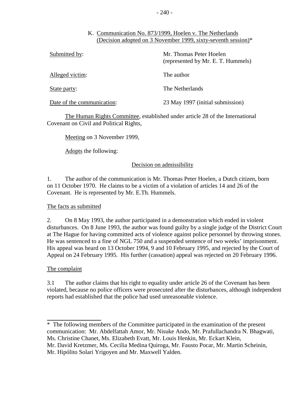#### $-240-$

#### K. Communication No. 873/1999, Hoelen v. The Netherlands (Decision adopted on 3 November 1999, sixty-seventh session)\*

| Submitted by:              | Mr. Thomas Peter Hoelen<br>(represented by Mr. E. T. Hummels) |
|----------------------------|---------------------------------------------------------------|
| Alleged victim:            | The author                                                    |
| State party:               | The Netherlands                                               |
| Date of the communication: | 23 May 1997 (initial submission)                              |

The Human Rights Committee, established under article 28 of the International Covenant on Civil and Political Rights,

Meeting on 3 November 1999,

Adopts the following:

#### Decision on admissibility

1. The author of the communication is Mr. Thomas Peter Hoelen, a Dutch citizen, born on 11 October 1970. He claims to be a victim of a violation of articles 14 and 26 of the Covenant. He is represented by Mr. E.Th. Hummels.

#### The facts as submitted

2. On 8 May 1993, the author participated in a demonstration which ended in violent disturbances. On 8 June 1993, the author was found guilty by a single judge of the District Court at The Hague for having committed acts of violence against police personnel by throwing stones. He was sentenced to a fine of NGL 750 and a suspended sentence of two weeks' imprisonment. His appeal was heard on 13 October 1994, 9 and 10 February 1995, and rejected by the Court of Appeal on 24 February 1995. His further (cassation) appeal was rejected on 20 February 1996.

#### The complaint

 $\overline{a}$ 

3.1 The author claims that his right to equality under article 26 of the Covenant has been violated, because no police officers were prosecuted after the disturbances, although independent reports had established that the police had used unreasonable violence.

\* The following members of the Committee participated in the examination of the present communication: Mr. Abdelfattah Amor, Mr. Nisuke Ando, Mr. Prafullachandra N. Bhagwati, Ms. Christine Chanet, Ms. Elizabeth Evatt, Mr. Louis Henkin, Mr. Eckart Klein, Mr. David Kretzmer, Ms. Cecilia Medina Quiroga, Mr. Fausto Pocar, Mr. Martin Scheinin,

Mr. Hipólito Solari Yrigoyen and Mr. Maxwell Yalden.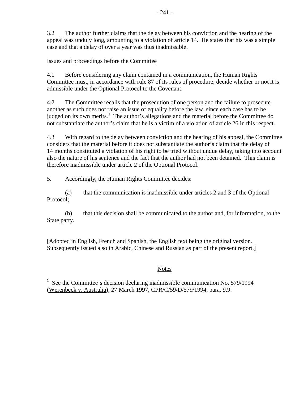# Issues and proceedings before the Committee

4.1 Before considering any claim contained in a communication, the Human Rights Committee must, in accordance with rule 87 of its rules of procedure, decide whether or not it is admissible under the Optional Protocol to the Covenant.

4.2 The Committee recalls that the prosecution of one person and the failure to prosecute another as such does not raise an issue of equality before the law, since each case has to be judged on its own merits.**<sup>1</sup>** The author's allegations and the material before the Committee do not substantiate the author's claim that he is a victim of a violation of article 26 in this respect.

4.3 With regard to the delay between conviction and the hearing of his appeal, the Committee considers that the material before it does not substantiate the author's claim that the delay of 14 months constituted a violation of his right to be tried without undue delay, taking into account also the nature of his sentence and the fact that the author had not been detained. This claim is therefore inadmissible under article 2 of the Optional Protocol.

5. Accordingly, the Human Rights Committee decides:

(a) that the communication is inadmissible under articles 2 and 3 of the Optional Protocol;

(b) that this decision shall be communicated to the author and, for information, to the State party.

[Adopted in English, French and Spanish, the English text being the original version. Subsequently issued also in Arabic, Chinese and Russian as part of the present report.]

# Notes

**1** See the Committee's decision declaring inadmissible communication No. 579/1994 (Werenbeck v. Australia), 27 March 1997, CPR/C/59/D/579/1994, para. 9.9.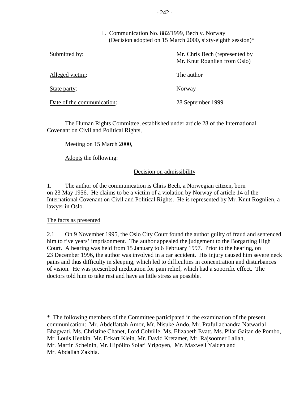#### L. Communication No. 882/1999, Bech v. Norway (Decision adopted on 15 March 2000, sixty-eighth session)\*

| Submitted by:              | Mr. Chris Bech (represented by<br>Mr. Knut Rognlien from Oslo) |
|----------------------------|----------------------------------------------------------------|
| Alleged victim:            | The author                                                     |
| State party:               | Norway                                                         |
| Date of the communication: | 28 September 1999                                              |

The Human Rights Committee, established under article 28 of the International Covenant on Civil and Political Rights,

Meeting on 15 March 2000,

Adopts the following:

#### Decision on admissibility

1. The author of the communication is Chris Bech, a Norwegian citizen, born on 23 May 1956. He claims to be a victim of a violation by Norway of article 14 of the International Covenant on Civil and Political Rights. He is represented by Mr. Knut Rognlien, a lawyer in Oslo.

#### The facts as presented

 $\overline{a}$ 

2.1 On 9 November 1995, the Oslo City Court found the author guilty of fraud and sentenced him to five years' imprisonment. The author appealed the judgement to the Borgarting High Court. A hearing was held from 15 January to 6 February 1997. Prior to the hearing, on 23 December 1996, the author was involved in a car accident. His injury caused him severe neck pains and thus difficulty in sleeping, which led to difficulties in concentration and disturbances of vision. He was prescribed medication for pain relief, which had a soporific effect. The doctors told him to take rest and have as little stress as possible.

<sup>\*</sup> The following members of the Committee participated in the examination of the present communication: Mr. Abdelfattah Amor, Mr. Nisuke Ando, Mr. Prafullachandra Natwarlal Bhagwati, Ms. Christine Chanet, Lord Colville, Ms. Elizabeth Evatt, Ms. Pilar Gaitan de Pombo, Mr. Louis Henkin, Mr. Eckart Klein, Mr. David Kretzmer, Mr. Rajsoomer Lallah, Mr. Martin Scheinin, Mr. Hipólito Solari Yrigoyen, Mr. Maxwell Yalden and Mr. Abdallah Zakhia.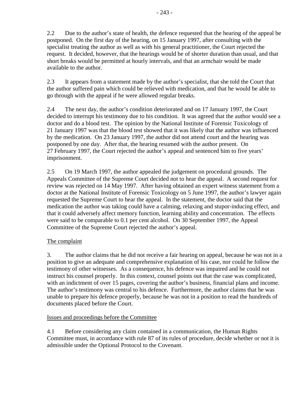2.2 Due to the author's state of health, the defence requested that the hearing of the appeal be postponed. On the first day of the hearing, on 15 January 1997, after consulting with the specialist treating the author as well as with his general practitioner, the Court rejected the request. It decided, however, that the hearings would be of shorter duration than usual, and that short breaks would be permitted at hourly intervals, and that an armchair would be made available to the author.

2.3 It appears from a statement made by the author's specialist, that she told the Court that the author suffered pain which could be relieved with medication, and that he would be able to go through with the appeal if he were allowed regular breaks.

2.4 The next day, the author's condition deteriorated and on 17 January 1997, the Court decided to interrupt his testimony due to his condition. It was agreed that the author would see a doctor and do a blood test. The opinion by the National Institute of Forensic Toxicology of 21 January 1997 was that the blood test showed that it was likely that the author was influenced by the medication. On 23 January 1997, the author did not attend court and the hearing was postponed by one day. After that, the hearing resumed with the author present. On 27 February 1997, the Court rejected the author's appeal and sentenced him to five years' imprisonment.

2.5 On 19 March 1997, the author appealed the judgement on procedural grounds. The Appeals Committee of the Supreme Court decided not to hear the appeal. A second request for review was rejected on 14 May 1997. After having obtained an expert witness statement from a doctor at the National Institute of Forensic Toxicology on 5 June 1997, the author's lawyer again requested the Supreme Court to hear the appeal. In the statement, the doctor said that the medication the author was taking could have a calming, relaxing and stupor-inducing effect, and that it could adversely affect memory function, learning ability and concentration. The effects were said to be comparable to 0.1 per cent alcohol. On 30 September 1997, the Appeal Committee of the Supreme Court rejected the author's appeal.

# The complaint

3. The author claims that he did not receive a fair hearing on appeal, because he was not in a position to give an adequate and comprehensive explanation of his case, nor could he follow the testimony of other witnesses. As a consequence, his defence was impaired and he could not instruct his counsel properly. In this context, counsel points out that the case was complicated, with an indictment of over 15 pages, covering the author's business, financial plans and income. The author's testimony was central to his defence. Furthermore, the author claims that he was unable to prepare his defence properly, because he was not in a position to read the hundreds of documents placed before the Court.

# Issues and proceedings before the Committee

4.1 Before considering any claim contained in a communication, the Human Rights Committee must, in accordance with rule 87 of its rules of procedure, decide whether or not it is admissible under the Optional Protocol to the Covenant.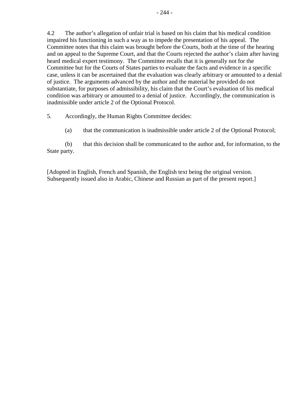4.2 The author's allegation of unfair trial is based on his claim that his medical condition impaired his functioning in such a way as to impede the presentation of his appeal. The Committee notes that this claim was brought before the Courts, both at the time of the hearing and on appeal to the Supreme Court, and that the Courts rejected the author's claim after having heard medical expert testimony. The Committee recalls that it is generally not for the Committee but for the Courts of States parties to evaluate the facts and evidence in a specific case, unless it can be ascertained that the evaluation was clearly arbitrary or amounted to a denial of justice. The arguments advanced by the author and the material he provided do not substantiate, for purposes of admissibility, his claim that the Court's evaluation of his medical condition was arbitrary or amounted to a denial of justice. Accordingly, the communication is inadmissible under article 2 of the Optional Protocol.

5. Accordingly, the Human Rights Committee decides:

(a) that the communication is inadmissible under article 2 of the Optional Protocol;

(b) that this decision shall be communicated to the author and, for information, to the State party.

[Adopted in English, French and Spanish, the English text being the original version. Subsequently issued also in Arabic, Chinese and Russian as part of the present report.]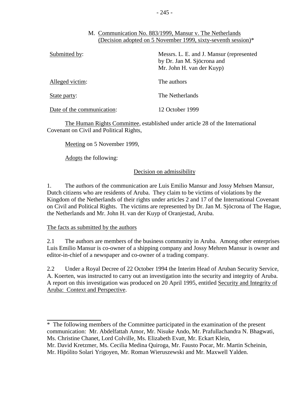# M. Communication No. 883/1999, Mansur v. The Netherlands (Decision adopted on 5 November 1999, sixty-seventh session)\*

| Submitted by:              | Messrs. L. E. and J. Mansur (represented<br>by Dr. Jan M. Sjöcrona and<br>Mr. John H. van der Kuyp) |
|----------------------------|-----------------------------------------------------------------------------------------------------|
| Alleged victim:            | The authors                                                                                         |
| State party:               | The Netherlands                                                                                     |
| Date of the communication: | 12 October 1999                                                                                     |

The Human Rights Committee, established under article 28 of the International Covenant on Civil and Political Rights,

Meeting on 5 November 1999,

Adopts the following:

# Decision on admissibility

1. The authors of the communication are Luis Emilio Mansur and Jossy Mehsen Mansur, Dutch citizens who are residents of Aruba. They claim to be victims of violations by the Kingdom of the Netherlands of their rights under articles 2 and 17 of the International Covenant on Civil and Political Rights. The victims are represented by Dr. Jan M. Sjöcrona of The Hague, the Netherlands and Mr. John H. van der Kuyp of Oranjestad, Aruba.

# The facts as submitted by the authors

 $\overline{a}$ 

2.1 The authors are members of the business community in Aruba. Among other enterprises Luis Emilio Mansur is co-owner of a shipping company and Jossy Mehren Mansur is owner and editor-in-chief of a newspaper and co-owner of a trading company.

2.2 Under a Royal Decree of 22 October 1994 the Interim Head of Aruban Security Service, A. Koerten, was instructed to carry out an investigation into the security and integrity of Aruba. A report on this investigation was produced on 20 April 1995, entitled Security and Integrity of Aruba: Context and Perspective.

Mr. David Kretzmer, Ms. Cecilia Medina Quiroga, Mr. Fausto Pocar, Mr. Martin Scheinin,

<sup>\*</sup> The following members of the Committee participated in the examination of the present communication: Mr. Abdelfattah Amor, Mr. Nisuke Ando, Mr. Prafullachandra N. Bhagwati, Ms. Christine Chanet, Lord Colville, Ms. Elizabeth Evatt, Mr. Eckart Klein,

Mr. Hipólito Solari Yrigoyen, Mr. Roman Wieruszewski and Mr. Maxwell Yalden.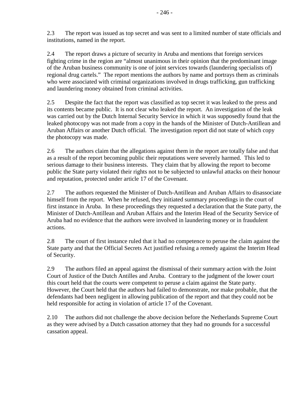2.3 The report was issued as top secret and was sent to a limited number of state officials and institutions, named in the report.

2.4 The report draws a picture of security in Aruba and mentions that foreign services fighting crime in the region are "almost unanimous in their opinion that the predominant image of the Aruban business community is one of joint services towards (laundering specialists of) regional drug cartels." The report mentions the authors by name and portrays them as criminals who were associated with criminal organizations involved in drugs trafficking, gun trafficking and laundering money obtained from criminal activities.

2.5 Despite the fact that the report was classified as top secret it was leaked to the press and its contents became public. It is not clear who leaked the report. An investigation of the leak was carried out by the Dutch Internal Security Service in which it was supposedly found that the leaked photocopy was not made from a copy in the hands of the Minister of Dutch-Antillean and Aruban Affairs or another Dutch official. The investigation report did not state of which copy the photocopy was made.

2.6 The authors claim that the allegations against them in the report are totally false and that as a result of the report becoming public their reputations were severely harmed. This led to serious damage to their business interests. They claim that by allowing the report to become public the State party violated their rights not to be subjected to unlawful attacks on their honour and reputation, protected under article 17 of the Covenant.

2.7 The authors requested the Minister of Dutch-Antillean and Aruban Affairs to disassociate himself from the report. When he refused, they initiated summary proceedings in the court of first instance in Aruba. In these proceedings they requested a declaration that the State party, the Minister of Dutch-Antillean and Aruban Affairs and the Interim Head of the Security Service of Aruba had no evidence that the authors were involved in laundering money or in fraudulent actions.

2.8 The court of first instance ruled that it had no competence to peruse the claim against the State party and that the Official Secrets Act justified refusing a remedy against the Interim Head of Security.

2.9 The authors filed an appeal against the dismissal of their summary action with the Joint Court of Justice of the Dutch Antilles and Aruba. Contrary to the judgment of the lower court this court held that the courts were competent to peruse a claim against the State party. However, the Court held that the authors had failed to demonstrate, nor make probable, that the defendants had been negligent in allowing publication of the report and that they could not be held responsible for acting in violation of article 17 of the Covenant.

2.10 The authors did not challenge the above decision before the Netherlands Supreme Court as they were advised by a Dutch cassation attorney that they had no grounds for a successful cassation appeal.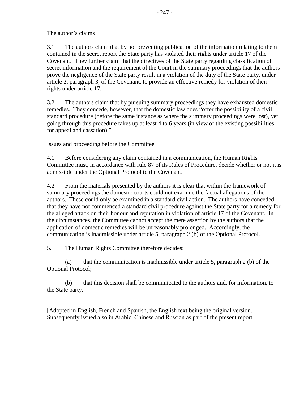# The author's claims

3.1 The authors claim that by not preventing publication of the information relating to them contained in the secret report the State party has violated their rights under article 17 of the Covenant. They further claim that the directives of the State party regarding classification of secret information and the requirement of the Court in the summary proceedings that the authors prove the negligence of the State party result in a violation of the duty of the State party, under article 2, paragraph 3, of the Covenant, to provide an effective remedy for violation of their rights under article 17.

3.2 The authors claim that by pursuing summary proceedings they have exhausted domestic remedies. They concede, however, that the domestic law does "offer the possibility of a civil standard procedure (before the same instance as where the summary proceedings were lost), yet going through this procedure takes up at least 4 to 6 years (in view of the existing possibilities for appeal and cassation)."

# Issues and proceeding before the Committee

4.1 Before considering any claim contained in a communication, the Human Rights Committee must, in accordance with rule 87 of its Rules of Procedure, decide whether or not it is admissible under the Optional Protocol to the Covenant.

4.2 From the materials presented by the authors it is clear that within the framework of summary proceedings the domestic courts could not examine the factual allegations of the authors. These could only be examined in a standard civil action. The authors have conceded that they have not commenced a standard civil procedure against the State party for a remedy for the alleged attack on their honour and reputation in violation of article 17 of the Covenant. In the circumstances, the Committee cannot accept the mere assertion by the authors that the application of domestic remedies will be unreasonably prolonged. Accordingly, the communication is inadmissible under article 5, paragraph 2 (b) of the Optional Protocol.

5. The Human Rights Committee therefore decides:

(a) that the communication is inadmissible under article 5, paragraph 2 (b) of the Optional Protocol;

(b) that this decision shall be communicated to the authors and, for information, to the State party.

[Adopted in English, French and Spanish, the English text being the original version. Subsequently issued also in Arabic, Chinese and Russian as part of the present report.]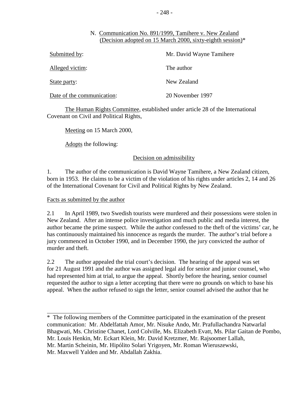#### - 248 -

#### N. Communication No. 891/1999, Tamihere v. New Zealand (Decision adopted on 15 March 2000, sixty-eighth session)\*

| Submitted by:              | Mr. David Wayne Tamihere |
|----------------------------|--------------------------|
| Alleged victim:            | The author               |
| State party:               | New Zealand              |
| Date of the communication: | 20 November 1997         |

 The Human Rights Committee, established under article 28 of the International Covenant on Civil and Political Rights,

Meeting on 15 March 2000,

Adopts the following:

#### Decision on admissibility

1. The author of the communication is David Wayne Tamihere, a New Zealand citizen, born in 1953. He claims to be a victim of the violation of his rights under articles 2, 14 and 26 of the International Covenant for Civil and Political Rights by New Zealand.

#### Facts as submitted by the author

 $\overline{a}$ 

2.1 In April 1989, two Swedish tourists were murdered and their possessions were stolen in New Zealand. After an intense police investigation and much public and media interest, the author became the prime suspect. While the author confessed to the theft of the victims' car, he has continuously maintained his innocence as regards the murder. The author's trial before a jury commenced in October 1990, and in December 1990, the jury convicted the author of murder and theft.

2.2 The author appealed the trial court's decision. The hearing of the appeal was set for 21 August 1991 and the author was assigned legal aid for senior and junior counsel, who had represented him at trial, to argue the appeal. Shortly before the hearing, senior counsel requested the author to sign a letter accepting that there were no grounds on which to base his appeal. When the author refused to sign the letter, senior counsel advised the author that he

<sup>\*</sup> The following members of the Committee participated in the examination of the present communication: Mr. Abdelfattah Amor, Mr. Nisuke Ando, Mr. Prafullachandra Natwarlal Bhagwati, Ms. Christine Chanet, Lord Colville, Ms. Elizabeth Evatt, Ms. Pilar Gaitan de Pombo, Mr. Louis Henkin, Mr. Eckart Klein, Mr. David Kretzmer, Mr. Rajsoomer Lallah, Mr. Martin Scheinin, Mr. Hipólito Solari Yrigoyen, Mr. Roman Wieruszewski, Mr. Maxwell Yalden and Mr. Abdallah Zakhia.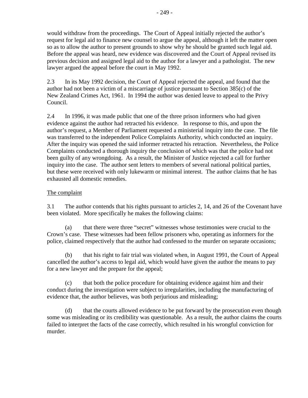would withdraw from the proceedings. The Court of Appeal initially rejected the author's request for legal aid to finance new counsel to argue the appeal, although it left the matter open so as to allow the author to present grounds to show why he should be granted such legal aid. Before the appeal was heard, new evidence was discovered and the Court of Appeal revised its previous decision and assigned legal aid to the author for a lawyer and a pathologist. The new lawyer argued the appeal before the court in May 1992.

2.3 In its May 1992 decision, the Court of Appeal rejected the appeal, and found that the author had not been a victim of a miscarriage of justice pursuant to Section 385(c) of the New Zealand Crimes Act, 1961. In 1994 the author was denied leave to appeal to the Privy Council.

2.4 In 1996, it was made public that one of the three prison informers who had given evidence against the author had retracted his evidence. In response to this, and upon the author's request, a Member of Parliament requested a ministerial inquiry into the case. The file was transferred to the independent Police Complaints Authority, which conducted an inquiry. After the inquiry was opened the said informer retracted his retraction. Nevertheless, the Police Complaints conducted a thorough inquiry the conclusion of which was that the police had not been guilty of any wrongdoing. As a result, the Minister of Justice rejected a call for further inquiry into the case. The author sent letters to members of several national political parties, but these were received with only lukewarm or minimal interest. The author claims that he has exhausted all domestic remedies.

#### The complaint

3.1 The author contends that his rights pursuant to articles 2, 14, and 26 of the Covenant have been violated. More specifically he makes the following claims:

(a) that there were three "secret" witnesses whose testimonies were crucial to the Crown's case. These witnesses had been fellow prisoners who, operating as informers for the police, claimed respectively that the author had confessed to the murder on separate occasions;

(b) that his right to fair trial was violated when, in August 1991, the Court of Appeal cancelled the author's access to legal aid, which would have given the author the means to pay for a new lawyer and the prepare for the appeal;

(c) that both the police procedure for obtaining evidence against him and their conduct during the investigation were subject to irregularities, including the manufacturing of evidence that, the author believes, was both perjurious and misleading;

(d) that the courts allowed evidence to be put forward by the prosecution even though some was misleading or its credibility was questionable. As a result, the author claims the courts failed to interpret the facts of the case correctly, which resulted in his wrongful conviction for murder.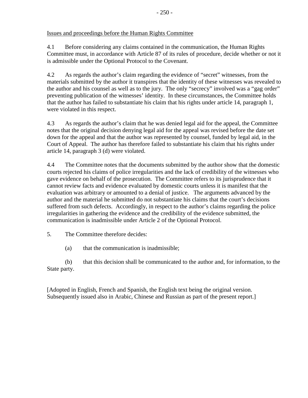# Issues and proceedings before the Human Rights Committee

4.1 Before considering any claims contained in the communication, the Human Rights Committee must, in accordance with Article 87 of its rules of procedure, decide whether or not it is admissible under the Optional Protocol to the Covenant.

4.2 As regards the author's claim regarding the evidence of "secret" witnesses, from the materials submitted by the author it transpires that the identity of these witnesses was revealed to the author and his counsel as well as to the jury. The only "secrecy" involved was a "gag order" preventing publication of the witnesses' identity. In these circumstances, the Committee holds that the author has failed to substantiate his claim that his rights under article 14, paragraph 1, were violated in this respect.

4.3 As regards the author's claim that he was denied legal aid for the appeal, the Committee notes that the original decision denying legal aid for the appeal was revised before the date set down for the appeal and that the author was represented by counsel, funded by legal aid, in the Court of Appeal. The author has therefore failed to substantiate his claim that his rights under article 14, paragraph 3 (d) were violated.

4.4 The Committee notes that the documents submitted by the author show that the domestic courts rejected his claims of police irregularities and the lack of credibility of the witnesses who gave evidence on behalf of the prosecution. The Committee refers to its jurisprudence that it cannot review facts and evidence evaluated by domestic courts unless it is manifest that the evaluation was arbitrary or amounted to a denial of justice. The arguments advanced by the author and the material he submitted do not substantiate his claims that the court's decisions suffered from such defects. Accordingly, in respect to the author's claims regarding the police irregularities in gathering the evidence and the credibility of the evidence submitted, the communication is inadmissible under Article 2 of the Optional Protocol.

5. The Committee therefore decides:

(a) that the communication is inadmissible;

(b) that this decision shall be communicated to the author and, for information, to the State party.

[Adopted in English, French and Spanish, the English text being the original version. Subsequently issued also in Arabic, Chinese and Russian as part of the present report.]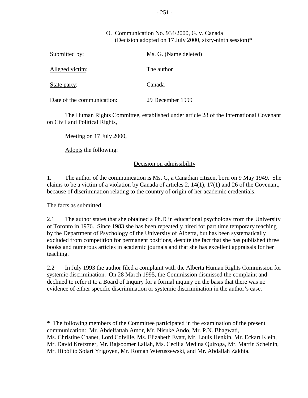# O. Communication No. 934/2000, G. v. Canada (Decision adopted on 17 July 2000, sixty-ninth session)\*

| Submitted by:              | Ms. G. (Name deleted) |
|----------------------------|-----------------------|
| Alleged victim:            | The author            |
| State party:               | Canada                |
| Date of the communication: | 29 December 1999      |

The Human Rights Committee, established under article 28 of the International Covenant on Civil and Political Rights,

Meeting on 17 July 2000,

Adopts the following:

# Decision on admissibility

1. The author of the communication is Ms. G, a Canadian citizen, born on 9 May 1949. She claims to be a victim of a violation by Canada of articles 2, 14(1), 17(1) and 26 of the Covenant, because of discrimination relating to the country of origin of her academic credentials.

The facts as submitted

 $\overline{a}$ 

2.1 The author states that she obtained a Ph.D in educational psychology from the University of Toronto in 1976. Since 1983 she has been repeatedly hired for part time temporary teaching by the Department of Psychology of the University of Alberta, but has been systematically excluded from competition for permanent positions, despite the fact that she has published three books and numerous articles in academic journals and that she has excellent appraisals for her teaching.

2.2 In July 1993 the author filed a complaint with the Alberta Human Rights Commission for systemic discrimination. On 28 March 1995, the Commission dismissed the complaint and declined to refer it to a Board of Inquiry for a formal inquiry on the basis that there was no evidence of either specific discrimination or systemic discrimination in the author's case.

\* The following members of the Committee participated in the examination of the present communication: Mr. Abdelfattah Amor, Mr. Nisuke Ando, Mr. P.N. Bhagwati, Ms. Christine Chanet, Lord Colville, Ms. Elizabeth Evatt, Mr. Louis Henkin, Mr. Eckart Klein, Mr. David Kretzmer, Mr. Rajsoomer Lallah, Ms. Cecilia Medina Quiroga, Mr. Martin Scheinin, Mr. Hipólito Solari Yrigoyen, Mr. Roman Wieruszewski, and Mr. Abdallah Zakhia.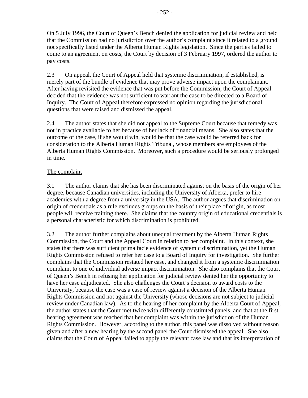On 5 July 1996, the Court of Queen's Bench denied the application for judicial review and held that the Commission had no jurisdiction over the author's complaint since it related to a ground not specifically listed under the Alberta Human Rights legislation. Since the parties failed to come to an agreement on costs, the Court by decision of 3 February 1997, ordered the author to pay costs.

2.3 On appeal, the Court of Appeal held that systemic discrimination, if established, is merely part of the bundle of evidence that may prove adverse impact upon the complainant. After having revisited the evidence that was put before the Commission, the Court of Appeal decided that the evidence was not sufficient to warrant the case to be directed to a Board of Inquiry. The Court of Appeal therefore expressed no opinion regarding the jurisdictional questions that were raised and dismissed the appeal.

2.4 The author states that she did not appeal to the Supreme Court because that remedy was not in practice available to her because of her lack of financial means. She also states that the outcome of the case, if she would win, would be that the case would be referred back for consideration to the Alberta Human Rights Tribunal, whose members are employees of the Alberta Human Rights Commission. Moreover, such a procedure would be seriously prolonged in time.

## The complaint

3.1 The author claims that she has been discriminated against on the basis of the origin of her degree, because Canadian universities, including the University of Alberta, prefer to hire academics with a degree from a university in the USA. The author argues that discrimination on origin of credentials as a rule excludes groups on the basis of their place of origin, as most people will receive training there. She claims that the country origin of educational credentials is a personal characteristic for which discrimination is prohibited.

3.2 The author further complains about unequal treatment by the Alberta Human Rights Commission, the Court and the Appeal Court in relation to her complaint. In this context, she states that there was sufficient prima facie evidence of systemic discrimination, yet the Human Rights Commission refused to refer her case to a Board of Inquiry for investigation. She further complains that the Commission restated her case, and changed it from a systemic discrimination complaint to one of individual adverse impact discrimination. She also complains that the Court of Queen's Bench in refusing her application for judicial review denied her the opportunity to have her case adjudicated. She also challenges the Court's decision to award costs to the University, because the case was a case of review against a decision of the Alberta Human Rights Commission and not against the University (whose decisions are not subject to judicial review under Canadian law). As to the hearing of her complaint by the Alberta Court of Appeal, the author states that the Court met twice with differently constituted panels, and that at the first hearing agreement was reached that her complaint was within the jurisdiction of the Human Rights Commission. However, according to the author, this panel was dissolved without reason given and after a new hearing by the second panel the Court dismissed the appeal. She also claims that the Court of Appeal failed to apply the relevant case law and that its interpretation of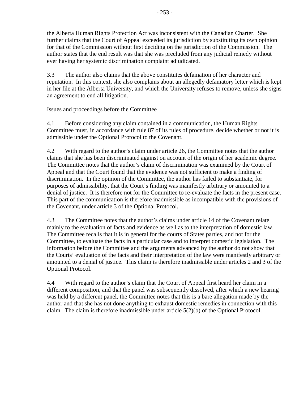the Alberta Human Rights Protection Act was inconsistent with the Canadian Charter. She further claims that the Court of Appeal exceeded its jurisdiction by substituting its own opinion for that of the Commission without first deciding on the jurisdiction of the Commission. The author states that the end result was that she was precluded from any judicial remedy without ever having her systemic discrimination complaint adjudicated.

3.3 The author also claims that the above constitutes defamation of her character and reputation. In this context, she also complains about an allegedly defamatory letter which is kept in her file at the Alberta University, and which the University refuses to remove, unless she signs an agreement to end all litigation.

## Issues and proceedings before the Committee

4.1 Before considering any claim contained in a communication, the Human Rights Committee must, in accordance with rule 87 of its rules of procedure, decide whether or not it is admissible under the Optional Protocol to the Covenant.

4.2 With regard to the author's claim under article 26, the Committee notes that the author claims that she has been discriminated against on account of the origin of her academic degree. The Committee notes that the author's claim of discrimination was examined by the Court of Appeal and that the Court found that the evidence was not sufficient to make a finding of discrimination. In the opinion of the Committee, the author has failed to substantiate, for purposes of admissibility, that the Court's finding was manifestly arbitrary or amounted to a denial of justice. It is therefore not for the Committee to re-evaluate the facts in the present case. This part of the communication is therefore inadmissible as incompatible with the provisions of the Covenant, under article 3 of the Optional Protocol.

4.3 The Committee notes that the author's claims under article 14 of the Covenant relate mainly to the evaluation of facts and evidence as well as to the interpretation of domestic law. The Committee recalls that it is in general for the courts of States parties, and not for the Committee, to evaluate the facts in a particular case and to interpret domestic legislation. The information before the Committee and the arguments advanced by the author do not show that the Courts' evaluation of the facts and their interpretation of the law were manifestly arbitrary or amounted to a denial of justice. This claim is therefore inadmissible under articles 2 and 3 of the Optional Protocol.

4.4 With regard to the author's claim that the Court of Appeal first heard her claim in a different composition, and that the panel was subsequently dissolved, after which a new hearing was held by a different panel, the Committee notes that this is a bare allegation made by the author and that she has not done anything to exhaust domestic remedies in connection with this claim. The claim is therefore inadmissible under article 5(2)(b) of the Optional Protocol.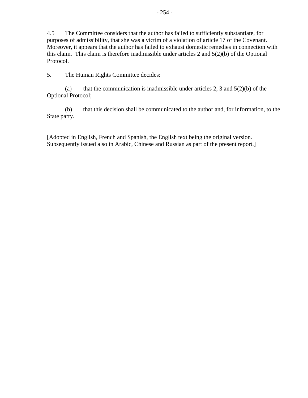4.5 The Committee considers that the author has failed to sufficiently substantiate, for purposes of admissibility, that she was a victim of a violation of article 17 of the Covenant. Moreover, it appears that the author has failed to exhaust domestic remedies in connection with this claim. This claim is therefore inadmissible under articles 2 and 5(2)(b) of the Optional Protocol.

5. The Human Rights Committee decides:

(a) that the communication is inadmissible under articles 2, 3 and  $5(2)(b)$  of the Optional Protocol;

(b) that this decision shall be communicated to the author and, for information, to the State party.

[Adopted in English, French and Spanish, the English text being the original version. Subsequently issued also in Arabic, Chinese and Russian as part of the present report.]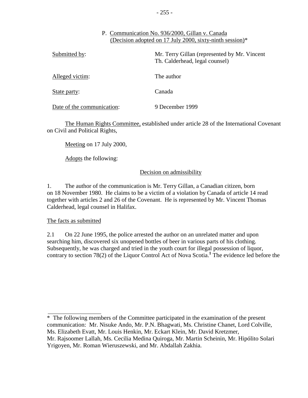## P. Communication No. 936/2000, Gillan v. Canada (Decision adopted on 17 July 2000, sixty-ninth session)\*

| Submitted by:              | Mr. Terry Gillan (represented by Mr. Vincent<br>Th. Calderhead, legal counsel) |
|----------------------------|--------------------------------------------------------------------------------|
| Alleged victim:            | The author                                                                     |
| State party:               | Canada                                                                         |
| Date of the communication: | 9 December 1999                                                                |

The Human Rights Committee, established under article 28 of the International Covenant on Civil and Political Rights,

Meeting on 17 July 2000,

Adopts the following:

# Decision on admissibility

1. The author of the communication is Mr. Terry Gillan, a Canadian citizen, born on 18 November 1980. He claims to be a victim of a violation by Canada of article 14 read together with articles 2 and 26 of the Covenant. He is represented by Mr. Vincent Thomas Calderhead, legal counsel in Halifax.

The facts as submitted

 $\overline{a}$ 

2.1 On 22 June 1995, the police arrested the author on an unrelated matter and upon searching him, discovered six unopened bottles of beer in various parts of his clothing. Subsequently, he was charged and tried in the youth court for illegal possession of liquor, contrary to section 78(2) of the Liquor Control Act of Nova Scotia.**<sup>1</sup>** The evidence led before the

\* The following members of the Committee participated in the examination of the present communication: Mr. Nisuke Ando, Mr. P.N. Bhagwati, Ms. Christine Chanet, Lord Colville, Ms. Elizabeth Evatt, Mr. Louis Henkin, Mr. Eckart Klein, Mr. David Kretzmer, Mr. Rajsoomer Lallah, Ms. Cecilia Medina Quiroga, Mr. Martin Scheinin, Mr. Hipólito Solari Yrigoyen, Mr. Roman Wieruszewski, and Mr. Abdallah Zakhia.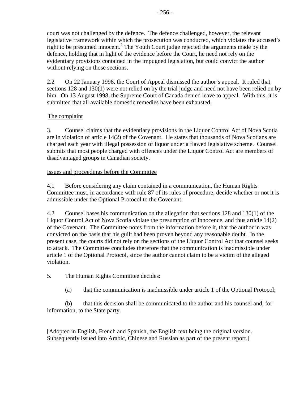court was not challenged by the defence. The defence challenged, however, the relevant legislative framework within which the prosecution was conducted, which violates the accused's right to be presumed innocent.**<sup>2</sup>** The Youth Court judge rejected the arguments made by the defence, holding that in light of the evidence before the Court, he need not rely on the evidentiary provisions contained in the impugned legislation, but could convict the author without relying on those sections.

2.2 On 22 January 1998, the Court of Appeal dismissed the author's appeal. It ruled that sections 128 and 130(1) were not relied on by the trial judge and need not have been relied on by him. On 13 August 1998, the Supreme Court of Canada denied leave to appeal. With this, it is submitted that all available domestic remedies have been exhausted.

# The complaint

3. Counsel claims that the evidentiary provisions in the Liquor Control Act of Nova Scotia are in violation of article 14(2) of the Covenant. He states that thousands of Nova Scotians are charged each year with illegal possession of liquor under a flawed legislative scheme. Counsel submits that most people charged with offences under the Liquor Control Act are members of disadvantaged groups in Canadian society.

# Issues and proceedings before the Committee

4.1 Before considering any claim contained in a communication, the Human Rights Committee must, in accordance with rule 87 of its rules of procedure, decide whether or not it is admissible under the Optional Protocol to the Covenant.

4.2 Counsel bases his communication on the allegation that sections 128 and 130(1) of the Liquor Control Act of Nova Scotia violate the presumption of innocence, and thus article 14(2) of the Covenant. The Committee notes from the information before it, that the author in was convicted on the basis that his guilt had been proven beyond any reasonable doubt. In the present case, the courts did not rely on the sections of the Liquor Control Act that counsel seeks to attack. The Committee concludes therefore that the communication is inadmissible under article 1 of the Optional Protocol, since the author cannot claim to be a victim of the alleged violation.

5. The Human Rights Committee decides:

(a) that the communication is inadmissible under article 1 of the Optional Protocol;

(b) that this decision shall be communicated to the author and his counsel and, for information, to the State party.

[Adopted in English, French and Spanish, the English text being the original version. Subsequently issued into Arabic, Chinese and Russian as part of the present report.]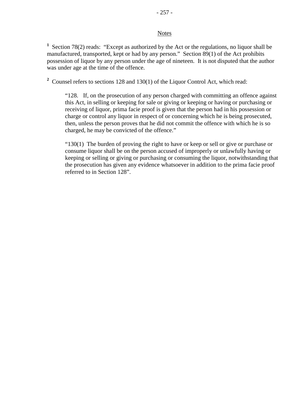#### Notes

<sup>1</sup> Section 78(2) reads: "Except as authorized by the Act or the regulations, no liquor shall be manufactured, transported, kept or had by any person." Section 89(1) of the Act prohibits possession of liquor by any person under the age of nineteen. It is not disputed that the author was under age at the time of the offence.

<sup>2</sup> Counsel refers to sections 128 and 130(1) of the Liquor Control Act, which read:

"128. If, on the prosecution of any person charged with committing an offence against this Act, in selling or keeping for sale or giving or keeping or having or purchasing or receiving of liquor, prima facie proof is given that the person had in his possession or charge or control any liquor in respect of or concerning which he is being prosecuted, then, unless the person proves that he did not commit the offence with which he is so charged, he may be convicted of the offence."

"130(1) The burden of proving the right to have or keep or sell or give or purchase or consume liquor shall be on the person accused of improperly or unlawfully having or keeping or selling or giving or purchasing or consuming the liquor, notwithstanding that the prosecution has given any evidence whatsoever in addition to the prima facie proof referred to in Section 128".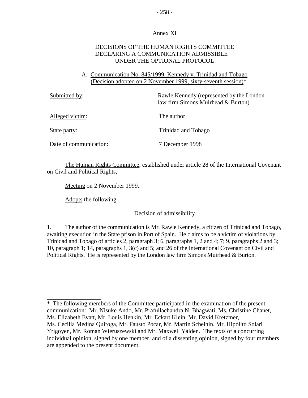## Annex XI

## DECISIONS OF THE HUMAN RIGHTS COMMITTEE DECLARING A COMMUNICATION ADMISSIBLE UNDER THE OPTIONAL PROTOCOL

## A. Communication No. 845/1999, Kennedy v. Trinidad and Tobago (Decision adopted on 2 November 1999, sixty-seventh session)\*

| Submitted by:          | Rawle Kennedy (represented by the London<br>law firm Simons Muirhead & Burton) |
|------------------------|--------------------------------------------------------------------------------|
| Alleged victim:        | The author                                                                     |
| State party:           | Trinidad and Tobago                                                            |
| Date of communication: | 7 December 1998                                                                |

The Human Rights Committee, established under article 28 of the International Covenant on Civil and Political Rights,

Meeting on 2 November 1999,

Adopts the following:

 $\overline{a}$ 

## Decision of admissibility

1. The author of the communication is Mr. Rawle Kennedy, a citizen of Trinidad and Tobago, awaiting execution in the State prison in Port of Spain. He claims to be a victim of violations by Trinidad and Tobago of articles 2, paragraph 3; 6, paragraphs 1, 2 and 4; 7; 9, paragraphs 2 and 3; 10, paragraph 1; 14, paragraphs 1, 3(c) and 5; and 26 of the International Covenant on Civil and Political Rights. He is represented by the London law firm Simons Muirhead & Burton.

<sup>\*</sup> The following members of the Committee participated in the examination of the present communication: Mr. Nisuke Ando, Mr. Prafullachandra N. Bhagwati, Ms. Christine Chanet, Ms. Elizabeth Evatt, Mr. Louis Henkin, Mr. Eckart Klein, Mr. David Kretzmer, Ms. Cecilia Medina Quiroga, Mr. Fausto Pocar, Mr. Martin Scheinin, Mr. Hipólito Solari Yrigoyen, Mr. Roman Wieruszewski and Mr. Maxwell Yalden. The texts of a concurring individual opinion, signed by one member, and of a dissenting opinion, signed by four members are appended to the present document.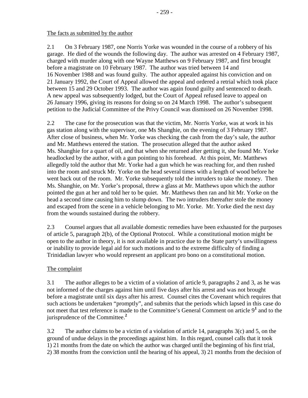## The facts as submitted by the author

2.1 On 3 February 1987, one Norris Yorke was wounded in the course of a robbery of his garage. He died of the wounds the following day. The author was arrested on 4 February 1987, charged with murder along with one Wayne Matthews on 9 February 1987, and first brought before a magistrate on 10 February 1987. The author was tried between 14 and 16 November 1988 and was found guilty. The author appealed against his conviction and on 21 January 1992, the Court of Appeal allowed the appeal and ordered a retrial which took place between 15 and 29 October 1993. The author was again found guilty and sentenced to death. A new appeal was subsequently lodged, but the Court of Appeal refused leave to appeal on 26 January 1996, giving its reasons for doing so on 24 March 1998. The author's subsequent petition to the Judicial Committee of the Privy Council was dismissed on 26 November 1998.

2.2 The case for the prosecution was that the victim, Mr. Norris Yorke, was at work in his gas station along with the supervisor, one Ms Shanghie, on the evening of 3 February 1987. After close of business, when Mr. Yorke was checking the cash from the day's sale, the author and Mr. Matthews entered the station. The prosecution alleged that the author asked Ms. Shanghie for a quart of oil, and that when she returned after getting it, she found Mr. Yorke headlocked by the author, with a gun pointing to his forehead. At this point, Mr. Matthews allegedly told the author that Mr. Yorke had a gun which he was reaching for, and then rushed into the room and struck Mr. Yorke on the head several times with a length of wood before he went back out of the room. Mr. Yorke subsequently told the intruders to take the money. Then Ms. Shanghie, on Mr. Yorke's proposal, threw a glass at Mr. Matthews upon which the author pointed the gun at her and told her to be quiet. Mr. Matthews then ran and hit Mr. Yorke on the head a second time causing him to slump down. The two intruders thereafter stole the money and escaped from the scene in a vehicle belonging to Mr. Yorke. Mr. Yorke died the next day from the wounds sustained during the robbery.

2.3 Counsel argues that all available domestic remedies have been exhausted for the purposes of article 5, paragraph 2(b), of the Optional Protocol. While a constitutional motion might be open to the author in theory, it is not available in practice due to the State party's unwillingness or inability to provide legal aid for such motions and to the extreme difficulty of finding a Trinidadian lawyer who would represent an applicant pro bono on a constitutional motion.

## The complaint

3.1 The author alleges to be a victim of a violation of article 9, paragraphs 2 and 3, as he was not informed of the charges against him until five days after his arrest and was not brought before a magistrate until six days after his arrest. Counsel cites the Covenant which requires that such actions be undertaken "promptly", and submits that the periods which lapsed in this case do not meet that test reference is made to the Committee's General Comment on article 9<sup>1</sup> and to the jurisprudence of the Committee.**<sup>2</sup>**

3.2 The author claims to be a victim of a violation of article 14, paragraphs 3(c) and 5, on the ground of undue delays in the proceedings against him. In this regard, counsel calls that it took 1) 21 months from the date on which the author was charged until the beginning of his first trial, 2) 38 months from the conviction until the hearing of his appeal, 3) 21 months from the decision of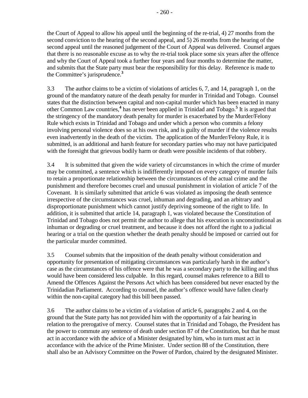the Court of Appeal to allow his appeal until the beginning of the re-trial, 4) 27 months from the second conviction to the hearing of the second appeal, and 5) 26 months from the hearing of the second appeal until the reasoned judgement of the Court of Appeal was delivered. Counsel argues that there is no reasonable excuse as to why the re-trial took place some six years after the offence and why the Court of Appeal took a further four years and four months to determine the matter, and submits that the State party must bear the responsibility for this delay. Reference is made to the Committee's jurisprudence.**<sup>3</sup>**

3.3 The author claims to be a victim of violations of articles 6, 7, and 14, paragraph 1, on the ground of the mandatory nature of the death penalty for murder in Trinidad and Tobago. Counsel states that the distinction between capital and non-capital murder which has been enacted in many other Common Law countries,**<sup>4</sup>** has never been applied in Trinidad and Tobago.**<sup>5</sup>** It is argued that the stringency of the mandatory death penalty for murder is exacerbated by the Murder/Felony Rule which exists in Trinidad and Tobago and under which a person who commits a felony involving personal violence does so at his own risk, and is guilty of murder if the violence results even inadvertently in the death of the victim. The application of the Murder/Felony Rule, it is submitted, is an additional and harsh feature for secondary parties who may not have participated with the foresight that grievous bodily harm or death were possible incidents of that robbery.

3.4 It is submitted that given the wide variety of circumstances in which the crime of murder may be committed, a sentence which is indifferently imposed on every category of murder fails to retain a proportionate relationship between the circumstances of the actual crime and the punishment and therefore becomes cruel and unusual punishment in violation of article 7 of the Covenant. It is similarly submitted that article 6 was violated as imposing the death sentence irrespective of the circumstances was cruel, inhuman and degrading, and an arbitrary and disproportionate punishment which cannot justify depriving someone of the right to life. In addition, it is submitted that article 14, paragraph 1, was violated because the Constitution of Trinidad and Tobago does not permit the author to allege that his execution is unconstitutional as inhuman or degrading or cruel treatment, and because it does not afford the right to a judicial hearing or a trial on the question whether the death penalty should be imposed or carried out for the particular murder committed.

3.5 Counsel submits that the imposition of the death penalty without consideration and opportunity for presentation of mitigating circumstances was particularly harsh in the author's case as the circumstances of his offence were that he was a secondary party to the killing and thus would have been considered less culpable. In this regard, counsel makes reference to a Bill to Amend the Offences Against the Persons Act which has been considered but never enacted by the Trinidadian Parliament. According to counsel, the author's offence would have fallen clearly within the non-capital category had this bill been passed.

3.6 The author claims to be a victim of a violation of article 6, paragraphs 2 and 4, on the ground that the State party has not provided him with the opportunity of a fair hearing in relation to the prerogative of mercy. Counsel states that in Trinidad and Tobago, the President has the power to commute any sentence of death under section 87 of the Constitution, but that he must act in accordance with the advice of a Minister designated by him, who in turn must act in accordance with the advice of the Prime Minister. Under section 88 of the Constitution, there shall also be an Advisory Committee on the Power of Pardon, chaired by the designated Minister.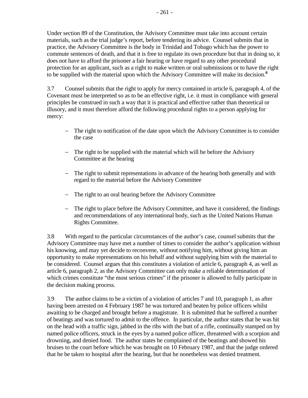Under section 89 of the Constitution, the Advisory Committee must take into account certain materials, such as the trial judge's report, before tendering its advice. Counsel submits that in practice, the Advisory Committee is the body in Trinidad and Tobago which has the power to commute sentences of death, and that it is free to regulate its own procedure but that in doing so, it does not have to afford the prisoner a fair hearing or have regard to any other procedural protection for an applicant, such as a right to make written or oral submissions or to have the right to be supplied with the material upon which the Advisory Committee will make its decision.**<sup>6</sup>**

3.7 Counsel submits that the right to apply for mercy contained in article 6, paragraph 4, of the Covenant must be interpreted so as to be an effective right, i.e. it must in compliance with general principles be construed in such a way that it is practical and effective rather than theoretical or illusory, and it must therefore afford the following procedural rights to a person applying for mercy:

- The right to notification of the date upon which the Advisory Committee is to consider the case
- The right to be supplied with the material which will be before the Advisory Committee at the hearing
- − The right to submit representations in advance of the hearing both generally and with regard to the material before the Advisory Committee
- The right to an oral hearing before the Advisory Committee
- − The right to place before the Advisory Committee, and have it considered, the findings and recommendations of any international body, such as the United Nations Human Rights Committee.

3.8 With regard to the particular circumstances of the author's case, counsel submits that the Advisory Committee may have met a number of times to consider the author's application without his knowing, and may yet decide to reconvene, without notifying him, without giving him an opportunity to make representations on his behalf and without supplying him with the material to be considered. Counsel argues that this constitutes a violation of article 6, paragraph 4, as well as article 6, paragraph 2, as the Advisory Committee can only make a reliable determination of which crimes constitute "the most serious crimes" if the prisoner is allowed to fully participate in the decision making process.

3.9 The author claims to be a victim of a violation of articles 7 and 10, paragraph 1, as after having been arrested on 4 February 1987 he was tortured and beaten by police officers whilst awaiting to be charged and brought before a magistrate. It is submitted that he suffered a number of beatings and was tortured to admit to the offence. In particular, the author states that he was hit on the head with a traffic sign, jabbed in the ribs with the butt of a rifle, continually stamped on by named police officers, struck in the eyes by a named police officer, threatened with a scorpion and drowning, and denied food. The author states he complained of the beatings and showed his bruises to the court before which he was brought on 10 February 1987, and that the judge ordered that he be taken to hospital after the hearing, but that he nonetheless was denied treatment.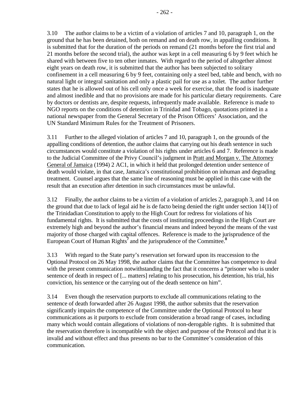3.10 The author claims to be a victim of a violation of articles 7 and 10, paragraph 1, on the ground that he has been detained, both on remand and on death row, in appalling conditions. It is submitted that for the duration of the periods on remand (21 months before the first trial and 21 months before the second trial), the author was kept in a cell measuring 6 by 9 feet which he shared with between five to ten other inmates. With regard to the period of altogether almost eight years on death row, it is submitted that the author has been subjected to solitary confinement in a cell measuring 6 by 9 feet, containing only a steel bed, table and bench, with no natural light or integral sanitation and only a plastic pail for use as a toilet. The author further states that he is allowed out of his cell only once a week for exercise, that the food is inadequate and almost inedible and that no provisions are made for his particular dietary requirements. Care by doctors or dentists are, despite requests, infrequently made available. Reference is made to NGO reports on the conditions of detention in Trinidad and Tobago, quotations printed in a national newspaper from the General Secretary of the Prison Officers' Association, and the UN Standard Minimum Rules for the Treatment of Prisoners.

3.11 Further to the alleged violation of articles 7 and 10, paragraph 1, on the grounds of the appalling conditions of detention, the author claims that carrying out his death sentence in such circumstances would constitute a violation of his rights under articles 6 and 7. Reference is made to the Judicial Committee of the Privy Council's judgment in Pratt and Morgan v. The Attorney General of Jamaica (1994) 2 AC1, in which it held that prolonged detention under sentence of death would violate, in that case, Jamaica's constitutional prohibition on inhuman and degrading treatment. Counsel argues that the same line of reasoning must be applied in this case with the result that an execution after detention in such circumstances must be unlawful.

3.12 Finally, the author claims to be a victim of a violation of articles 2, paragraph 3, and 14 on the ground that due to lack of legal aid he is de facto being denied the right under section 14(1) of the Trinidadian Constitution to apply to the High Court for redress for violations of his fundamental rights. It is submitted that the costs of instituting proceedings in the High Court are extremely high and beyond the author's financial means and indeed beyond the means of the vast majority of those charged with capital offences. Reference is made to the jurisprudence of the European Court of Human Rights**<sup>7</sup>** and the jurisprudence of the Committee.**<sup>8</sup>**

3.13 With regard to the State party's reservation set forward upon its reaccession to the Optional Protocol on 26 May 1998, the author claims that the Committee has competence to deal with the present communication notwithstanding the fact that it concerns a "prisoner who is under sentence of death in respect of [... matters] relating to his prosecution, his detention, his trial, his conviction, his sentence or the carrying out of the death sentence on him".

3.14 Even though the reservation purports to exclude all communications relating to the sentence of death forwarded after 26 August 1998, the author submits that the reservation significantly impairs the competence of the Committee under the Optional Protocol to hear communications as it purports to exclude from consideration a broad range of cases, including many which would contain allegations of violations of non-derogable rights. It is submitted that the reservation therefore is incompatible with the object and purpose of the Protocol and that it is invalid and without effect and thus presents no bar to the Committee's consideration of this communication.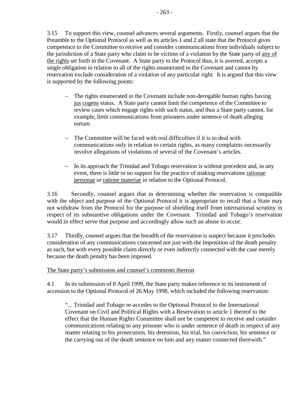3.15 To support this view, counsel advances several arguments. Firstly, counsel argues that the Preamble to the Optional Protocol as well as its articles 1 and 2 all state that the Protocol gives competence to the Committee to receive and consider communications from individuals subject to the jurisdiction of a State party who claim to be victims of a violation by the State party of any of the rights set forth in the Covenant. A State party to the Protocol thus, it is averred, accepts a single obligation in relation to all of the rights enumerated in the Covenant and cannot by reservation exclude consideration of a violation of any particular right. It is argued that this view is supported by the following points:

- The rights enumerated in the Covenant include non-derogable human rights having jus cogens status. A State party cannot limit the competence of the Committee to review cases which engage rights with such status, and thus a State party cannot, for example, limit communications from prisoners under sentence of death alleging torture.
- The Committee will be faced with real difficulties if it is to deal with communications only in relation to certain rights, as many complaints necessarily involve allegations of violations of several of the Covenant's articles.
- − In its approach the Trinidad and Tobago reservation is without precedent and, in any event, there is little or no support for the practice of making reservations rationae personae or ratione materiae in relation to the Optional Protocol.

3.16 Secondly, counsel argues that in determining whether the reservation is compatible with the object and purpose of the Optional Protocol it is appropriate to recall that a State may not withdraw from the Protocol for the purpose of shielding itself from international scrutiny in respect of its substantive obligations under the Covenant. Trinidad and Tobago's reservation would in effect serve that purpose and accordingly allow such an abuse to occur.

3.17 Thirdly, counsel argues that the breadth of the reservation is suspect because it precludes consideration of any communications concerned not just with the imposition of the death penalty as such, but with every possible claim directly or even indirectly connected with the case merely because the death penalty has been imposed.

### The State party's submission and counsel's comments thereon

4.1 In its submission of 8 April 1999, the State party makes reference to its instrument of accession to the Optional Protocol of 26 May 1998, which included the following reservation:

"... Trinidad and Tobago re-accedes to the Optional Protocol to the International Covenant on Civil and Political Rights with a Reservation to article 1 thereof to the effect that the Human Rights Committee shall not be competent to receive and consider communications relating to any prisoner who is under sentence of death in respect of any matter relating to his prosecution, his detention, his trial, his conviction, his sentence or the carrying out of the death sentence on him and any matter connected therewith."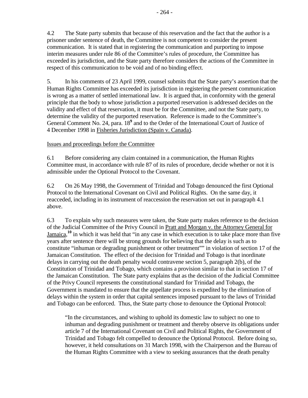4.2 The State party submits that because of this reservation and the fact that the author is a prisoner under sentence of death, the Committee is not competent to consider the present communication. It is stated that in registering the communication and purporting to impose interim measures under rule 86 of the Committee's rules of procedure, the Committee has exceeded its jurisdiction, and the State party therefore considers the actions of the Committee in respect of this communication to be void and of no binding effect.

5. In his comments of 23 April 1999, counsel submits that the State party's assertion that the Human Rights Committee has exceeded its jurisdiction in registering the present communication is wrong as a matter of settled international law. It is argued that, in conformity with the general principle that the body to whose jurisdiction a purported reservation is addressed decides on the validity and effect of that reservation, it must be for the Committee, and not the State party, to determine the validity of the purported reservation. Reference is made to the Committee's General Comment No. 24, para. 18<sup>9</sup> and to the Order of the International Court of Justice of 4 December 1998 in Fisheries Jurisdiction (Spain v. Canada).

## Issues and proceedings before the Committee

6.1 Before considering any claim contained in a communication, the Human Rights Committee must, in accordance with rule 87 of its rules of procedure, decide whether or not it is admissible under the Optional Protocol to the Covenant.

6.2 On 26 May 1998, the Government of Trinidad and Tobago denounced the first Optional Protocol to the International Covenant on Civil and Political Rights. On the same day, it reacceded, including in its instrument of reaccession the reservation set out in paragraph 4.1 above.

6.3 To explain why such measures were taken, the State party makes reference to the decision of the Judicial Committee of the Privy Council in Pratt and Morgan v. the Attorney General for Jamaica,**<sup>10</sup>** in which it was held that "in any case in which execution is to take place more than five years after sentence there will be strong grounds for believing that the delay is such as to constitute "inhuman or degrading punishment or other treatment"" in violation of section 17 of the Jamaican Constitution. The effect of the decision for Trinidad and Tobago is that inordinate delays in carrying out the death penalty would contravene section 5, paragraph 2(b), of the Constitution of Trinidad and Tobago, which contains a provision similar to that in section 17 of the Jamaican Constitution. The State party explains that as the decision of the Judicial Committee of the Privy Council represents the constitutional standard for Trinidad and Tobago, the Government is mandated to ensure that the appellate process is expedited by the elimination of delays within the system in order that capital sentences imposed pursuant to the laws of Trinidad and Tobago can be enforced. Thus, the State party chose to denounce the Optional Protocol:

"In the circumstances, and wishing to uphold its domestic law to subject no one to inhuman and degrading punishment or treatment and thereby observe its obligations under article 7 of the International Covenant on Civil and Political Rights, the Government of Trinidad and Tobago felt compelled to denounce the Optional Protocol. Before doing so, however, it held consultations on 31 March 1998, with the Chairperson and the Bureau of the Human Rights Committee with a view to seeking assurances that the death penalty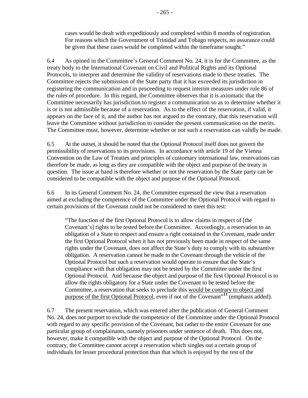cases would be dealt with expeditiously and completed within 8 months of registration. For reasons which the Government of Trinidad and Tobago respects, no assurance could be given that these cases would be completed within the timeframe sought."

6.4 As opined in the Committee's General Comment No. 24, it is for the Committee, as the treaty body to the International Covenant on Civil and Political Rights and its Optional Protocols, to interpret and determine the validity of reservations made to these treaties. The Committee rejects the submission of the State party that it has exceeded its jurisdiction in registering the communication and in proceeding to request interim measures under rule 86 of the rules of procedure. In this regard, the Committee observes that it is axiomatic that the Committee necessarily has jurisdiction to register a communication so as to determine whether it is or is not admissible because of a reservation. As to the effect of the reservation, if valid, it appears on the face of it, and the author has not argued to the contrary, that this reservation will leave the Committee without jurisdiction to consider the present communication on the merits. The Committee must, however, determine whether or not such a reservation can validly be made.

6.5 At the outset, it should be noted that the Optional Protocol itself does not govern the permissibility of reservations to its provisions. In accordance with article 19 of the Vienna Convention on the Law of Treaties and principles of customary international law, reservations can therefore be made, as long as they are compatible with the object and purpose of the treaty in question. The issue at hand is therefore whether or not the reservation by the State party can be considered to be compatible with the object and purpose of the Optional Protocol.

6.6 In its General Comment No. 24, the Committee expressed the view that a reservation aimed at excluding the competence of the Committee under the Optional Protocol with regard to certain provisions of the Covenant could not be considered to meet this test:

"The function of the first Optional Protocol is to allow claims in respect of [the Covenant's] rights to be tested before the Committee. Accordingly, a reservation to an obligation of a State to respect and ensure a right contained in the Covenant, made under the first Optional Protocol when it has not previously been made in respect of the same rights under the Covenant, does not affect the State's duty to comply with its substantive obligation. A reservation cannot be made to the Covenant through the vehicle of the Optional Protocol but such a reservation would operate to ensure that the State's compliance with that obligation may not be tested by the Committee under the first Optional Protocol. And because the object and purpose of the first Optional Protocol is to allow the rights obligatory for a State under the Covenant to be tested before the Committee, a reservation that seeks to preclude this would be contrary to object and purpose of the first Optional Protocol, even if not of the Covenant<sup>"11</sup> (emphasis added).

6.7 The present reservation, which was entered after the publication of General Comment No. 24, does not purport to exclude the competence of the Committee under the Optional Protocol with regard to any specific provision of the Covenant, but rather to the entire Covenant for one particular group of complainants, namely prisoners under sentence of death. This does not, however, make it compatible with the object and purpose of the Optional Protocol. On the contrary, the Committee cannot accept a reservation which singles out a certain group of individuals for lesser procedural protection than that which is enjoyed by the rest of the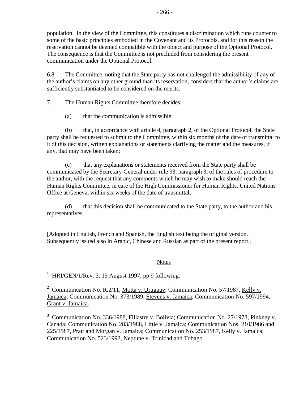population. In the view of the Committee, this constitutes a discrimination which runs counter to some of the basic principles embodied in the Covenant and its Protocols, and for this reason the reservation cannot be deemed compatible with the object and purpose of the Optional Protocol. The consequence is that the Committee is not precluded from considering the present communication under the Optional Protocol.

6.8 The Committee, noting that the State party has not challenged the admissibility of any of the author's claims on any other ground than its reservation, considers that the author's claims are sufficiently substantiated to be considered on the merits.

7. The Human Rights Committee therefore decides:

(a) that the communication is admissible;

(b) that, in accordance with article 4, paragraph 2, of the Optional Protocol, the State party shall be requested to submit to the Committee, within six months of the date of transmittal to it of this decision, written explanations or statements clarifying the matter and the measures, if any, that may have been taken;

(c) that any explanations or statements received from the State party shall be communicated by the Secretary-General under rule 93, paragraph 3, of the rules of procedure to the author, with the request that any comments which he may wish to make should reach the Human Rights Committee, in care of the High Commissioner for Human Rights, United Nations Office at Geneva, within six weeks of the date of transmittal;

(d) that this decision shall be communicated to the State party, to the author and his representatives.

[Adopted in English, French and Spanish, the English text being the original version. Subsequently issued also in Arabic, Chinese and Russian as part of the present report.]

### **Notes**

**1** HRI/GEN/1/Rev. 3, 15 August 1997, pp 9 following.

<sup>2</sup> Communication No. R.2/11, Motta v. Uruguay; Communication No. 57/1987, <u>Kelly v.</u> Jamaica; Communication No. 373/1989, Stevens v. Jamaica; Communication No. 597/1994, Grant v. Jamaica.

<sup>3</sup> Communication No. 336/1988, Fillastre v. Bolivia; Communication No. 27/1978, Pinkney v. Canada; Communication No. 283/1988, Little v. Jamaica; Communication Nos. 210/1986 and 225/1987, Pratt and Morgan v. Jamaica; Communication No. 253/1987, Kelly v. Jamaica; Communication No. 523/1992, Neptune v. Trinidad and Tobago.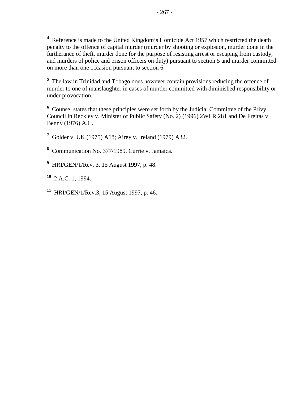<sup>4</sup> Reference is made to the United Kingdom's Homicide Act 1957 which restricted the death penalty to the offence of capital murder (murder by shooting or explosion, murder done in the furtherance of theft, murder done for the purpose of resisting arrest or escaping from custody, and murders of police and prison officers on duty) pursuant to section 5 and murder committed on more than one occasion pursuant to section 6.

<sup>5</sup> The law in Trinidad and Tobago does however contain provisions reducing the offence of murder to one of manslaughter in cases of murder committed with diminished responsibility or under provocation.

<sup>6</sup> Counsel states that these principles were set forth by the Judicial Committee of the Privy Council in Reckley v. Minister of Public Safety (No. 2) (1996) 2WLR 281 and De Freitas v. Benny (1976) A.C.

**7** Golder v. UK (1975) A18; Airey v. Ireland (1979) A32.

**8** Communication No. 377/1989, Currie v. Jamaica.

**9** HRI/GEN/1/Rev. 3, 15 August 1997, p. 48.

**<sup>10</sup>** 2 A.C. 1, 1994.

**<sup>11</sup>** HRI/GEN/1/Rev.3, 15 August 1997, p. 46.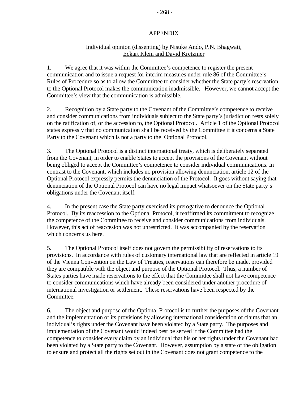### APPENDIX

## Individual opinion (dissenting) by Nisuke Ando, P.N. Bhagwati, Eckart Klein and David Kretzmer

1. We agree that it was within the Committee's competence to register the present communication and to issue a request for interim measures under rule 86 of the Committee's Rules of Procedure so as to allow the Committee to consider whether the State party's reservation to the Optional Protocol makes the communication inadmissible. However, we cannot accept the Committee's view that the communication is admissible.

2. Recognition by a State party to the Covenant of the Committee's competence to receive and consider communications from individuals subject to the State party's jurisdiction rests solely on the ratification of, or the accession to, the Optional Protocol. Article 1 of the Optional Protocol states expressly that no communication shall be received by the Committee if it concerns a State Party to the Covenant which is not a party to the Optional Protocol.

3. The Optional Protocol is a distinct international treaty, which is deliberately separated from the Covenant, in order to enable States to accept the provisions of the Covenant without being obliged to accept the Committee's competence to consider individual communications. In contrast to the Covenant, which includes no provision allowing denunciation, article 12 of the Optional Protocol expressly permits the denunciation of the Protocol. It goes without saying that denunciation of the Optional Protocol can have no legal impact whatsoever on the State party's obligations under the Covenant itself.

4. In the present case the State party exercised its prerogative to denounce the Optional Protocol. By its reaccession to the Optional Protocol, it reaffirmed its commitment to recognize the competence of the Committee to receive and consider communications from individuals. However, this act of reaccesion was not unrestricted. It was accompanied by the reservation which concerns us here.

5. The Optional Protocol itself does not govern the permissibility of reservations to its provisions. In accordance with rules of customary international law that are reflected in article 19 of the Vienna Convention on the Law of Treaties, reservations can therefore be made, provided they are compatible with the object and purpose of the Optional Protocol. Thus, a number of States parties have made reservations to the effect that the Committee shall not have competence to consider communications which have already been considered under another procedure of international investigation or settlement. These reservations have been respected by the Committee.

6. The object and purpose of the Optional Protocol is to further the purposes of the Covenant and the implementation of its provisions by allowing international consideration of claims that an individual's rights under the Covenant have been violated by a State party. The purposes and implementation of the Covenant would indeed best be served if the Committee had the competence to consider every claim by an individual that his or her rights under the Covenant had been violated by a State party to the Covenant. However, assumption by a state of the obligation to ensure and protect all the rights set out in the Covenant does not grant competence to the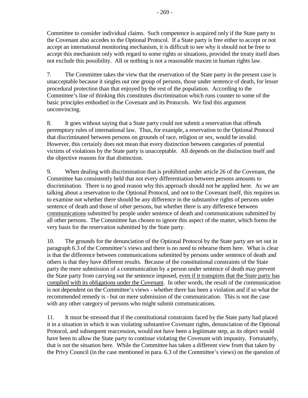Committee to consider individual claims. Such competence is acquired only if the State party to the Covenant also accedes to the Optional Protocol. If a State party is free either to accept or not accept an international monitoring mechanism, it is difficult to see why it should not be free to accept this mechanism only with regard to some rights or situations, provided the treaty itself does not exclude this possibility. All or nothing is not a reasonable maxim in human rights law.

7. The Committee takes the view that the reservation of the State party in the present case is unacceptable because it singles out one group of persons, those under sentence of death, for lesser procedural protection than that enjoyed by the rest of the population. According to the Committee's line of thinking this constitutes discrimination which runs counter to some of the basic principles embodied in the Covenant and its Protocols. We find this argument unconvincing.

8. It goes without saying that a State party could not submit a reservation that offends peremptory rules of international law. Thus, for example, a reservation to the Optional Protocol that discriminated between persons on grounds of race, religion or sex, would be invalid. However, this certainly does not mean that every distinction between categories of potential victims of violations by the State party is unacceptable. All depends on the distinction itself and the objective reasons for that distinction.

9. When dealing with discrimination that is prohibited under article 26 of the Covenant, the Committee has consistently held that not every differentiation between persons amounts to discrimination. There is no good reason why this approach should not be applied here. As we are talking about a reservation to the Optional Protocol, and not to the Covenant itself, this requires us to examine not whether there should be any difference in the substantive rights of persons under sentence of death and those of other persons, but whether there is any difference between communications submitted by people under sentence of death and communications submitted by all other persons. The Committee has chosen to ignore this aspect of the matter, which forms the very basis for the reservation submitted by the State party.

10. The grounds for the denunciation of the Optional Protocol by the State party are set out in paragraph 6.3 of the Committee's views and there is no need to rehearse them here. What is clear is that the difference between communications submitted by persons under sentence of death and others is that they have different results. Because of the constitutional constraints of the State party the mere submission of a communication by a person under sentence of death may prevent the State party from carrying out the sentence imposed, even if it transpires that the State party has complied with its obligations under the Covenant. In other words, the result of the communication is not dependent on the Committee's views - whether there has been a violation and if so what the recommended remedy is - but on mere submission of the communication. This is not the case with any other category of persons who might submit communications.

11. It must be stressed that if the constitutional constraints faced by the State party had placed it in a situation in which it was violating substantive Covenant rights, denunciation of the Optional Protocol, and subsequent reaccession, would not have been a legitimate step, as its object would have been to allow the State party to continue violating the Covenant with impunity. Fortunately, that is not the situation here. While the Committee has taken a different view from that taken by the Privy Council (in the case mentioned in para. 6.3 of the Committee's views) on the question of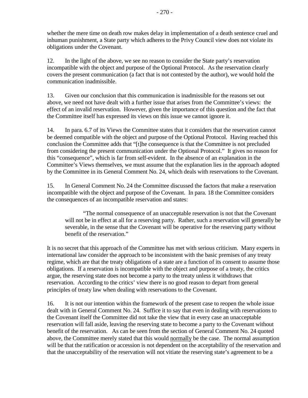whether the mere time on death row makes delay in implementation of a death sentence cruel and inhuman punishment, a State party which adheres to the Privy Council view does not violate its obligations under the Covenant.

12. In the light of the above, we see no reason to consider the State party's reservation incompatible with the object and purpose of the Optional Protocol. As the reservation clearly covers the present communication (a fact that is not contested by the author), we would hold the communication inadmissible.

13. Given our conclusion that this communication is inadmissible for the reasons set out above, we need not have dealt with a further issue that arises from the Committee's views: the effect of an invalid reservation. However, given the importance of this question and the fact that the Committee itself has expressed its views on this issue we cannot ignore it.

14. In para. 6.7 of its Views the Committee states that it considers that the reservation cannot be deemed compatible with the object and purpose of the Optional Protocol. Having reached this conclusion the Committee adds that "[t]he consequence is that the Committee is not precluded from considering the present communication under the Optional Protocol." It gives no reason for this "consequence", which is far from self-evident. In the absence of an explanation in the Committee's Views themselves, we must assume that the explanation lies in the approach adopted by the Committee in its General Comment No. 24, which deals with reservations to the Covenant.

15. In General Comment No. 24 the Committee discussed the factors that make a reservation incompatible with the object and purpose of the Covenant. In para. 18 the Committee considers the consequences of an incompatible reservation and states:

"The normal consequence of an unacceptable reservation is not that the Covenant will not be in effect at all for a reserving party. Rather, such a reservation will generally be severable, in the sense that the Covenant will be operative for the reserving party without benefit of the reservation."

It is no secret that this approach of the Committee has met with serious criticism. Many experts in international law consider the approach to be inconsistent with the basic premises of any treaty regime, which are that the treaty obligations of a state are a function of its consent to assume those obligations. If a reservation is incompatible with the object and purpose of a treaty, the critics argue, the reserving state does not become a party to the treaty unless it withdraws that reservation. According to the critics' view there is no good reason to depart from general principles of treaty law when dealing with reservations to the Covenant.

16. It is not our intention within the framework of the present case to reopen the whole issue dealt with in General Comment No. 24. Suffice it to say that even in dealing with reservations to the Covenant itself the Committee did not take the view that in every case an unacceptable reservation will fall aside, leaving the reserving state to become a party to the Covenant without benefit of the reservation. As can be seen from the section of General Comment No. 24 quoted above, the Committee merely stated that this would normally be the case. The normal assumption will be that the ratification or accession is not dependent on the acceptability of the reservation and that the unacceptability of the reservation will not vitiate the reserving state's agreement to be a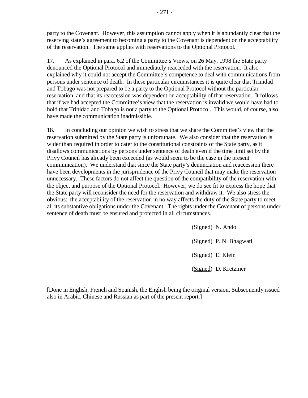party to the Covenant. However, this assumption cannot apply when it is abundantly clear that the reserving state's agreement to becoming a party to the Covenant is dependent on the acceptability of the reservation. The same applies with reservations to the Optional Protocol.

17. As explained in para. 6.2 of the Committee's Views, on 26 May, 1998 the State party denounced the Optional Protocol and immediately reacceded with the reservation. It also explained why it could not accept the Committee's competence to deal with communications from persons under sentence of death. In these particular circumstances it is quite clear that Trinidad and Tobago was not prepared to be a party to the Optional Protocol without the particular reservation, and that its reaccession was dependent on acceptability of that reservation. It follows that if we had accepted the Committee's view that the reservation is invalid we would have had to hold that Trinidad and Tobago is not a party to the Optional Protocol. This would, of course, also have made the communication inadmissible.

18. In concluding our opinion we wish to stress that we share the Committee's view that the reservation submitted by the State party is unfortunate. We also consider that the reservation is wider than required in order to cater to the constitutional constraints of the State party, as it disallows communications by persons under sentence of death even if the time limit set by the Privy Council has already been exceeded (as would seem to be the case in the present communication). We understand that since the State party's denunciation and reaccession there have been developments in the jurisprudence of the Privy Council that may make the reservation unnecessary. These factors do not affect the question of the compatibility of the reservation with the object and purpose of the Optional Protocol. However, we do see fit to express the hope that the State party will reconsider the need for the reservation and withdraw it. We also stress the obvious: the acceptability of the reservation in no way affects the duty of the State party to meet all its substantive obligations under the Covenant. The rights under the Covenant of persons under sentence of death must be ensured and protected in all circumstances.

> (Signed) N. Ando (Signed) P. N. Bhagwati (Signed) E. Klein (Signed) D. Kretzmer

[Done in English, French and Spanish, the English being the original version. Subsequently issued also in Arabic, Chinese and Russian as part of the present report.]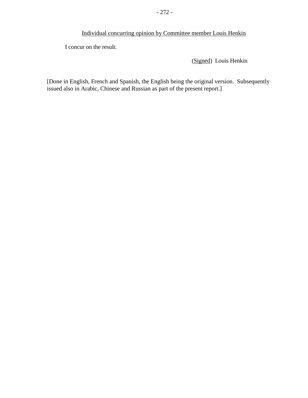# Individual concurring opinion by Committee member Louis Henkin

I concur on the result.

(Signed) Louis Henkin

[Done in English, French and Spanish, the English being the original version. Subsequently issued also in Arabic, Chinese and Russian as part of the present report.]